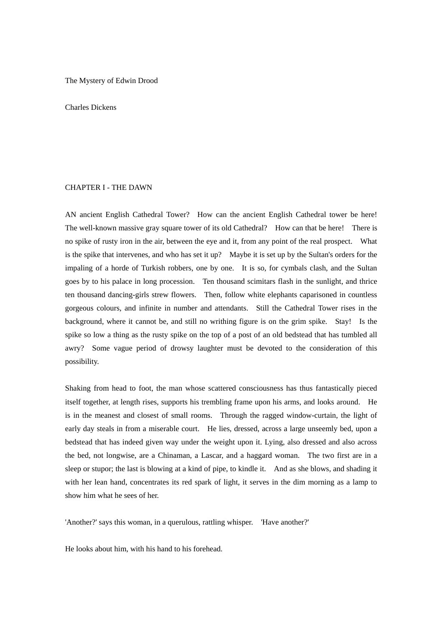#### The Mystery of Edwin Drood

### Charles Dickens

### CHAPTER I - THE DAWN

AN ancient English Cathedral Tower? How can the ancient English Cathedral tower be here! The well-known massive gray square tower of its old Cathedral? How can that be here! There is no spike of rusty iron in the air, between the eye and it, from any point of the real prospect. What is the spike that intervenes, and who has set it up? Maybe it is set up by the Sultan's orders for the impaling of a horde of Turkish robbers, one by one. It is so, for cymbals clash, and the Sultan goes by to his palace in long procession. Ten thousand scimitars flash in the sunlight, and thrice ten thousand dancing-girls strew flowers. Then, follow white elephants caparisoned in countless gorgeous colours, and infinite in number and attendants. Still the Cathedral Tower rises in the background, where it cannot be, and still no writhing figure is on the grim spike. Stay! Is the spike so low a thing as the rusty spike on the top of a post of an old bedstead that has tumbled all awry? Some vague period of drowsy laughter must be devoted to the consideration of this possibility.

Shaking from head to foot, the man whose scattered consciousness has thus fantastically pieced itself together, at length rises, supports his trembling frame upon his arms, and looks around. He is in the meanest and closest of small rooms. Through the ragged window-curtain, the light of early day steals in from a miserable court. He lies, dressed, across a large unseemly bed, upon a bedstead that has indeed given way under the weight upon it. Lying, also dressed and also across the bed, not longwise, are a Chinaman, a Lascar, and a haggard woman. The two first are in a sleep or stupor; the last is blowing at a kind of pipe, to kindle it. And as she blows, and shading it with her lean hand, concentrates its red spark of light, it serves in the dim morning as a lamp to show him what he sees of her.

'Another?' says this woman, in a querulous, rattling whisper. 'Have another?'

He looks about him, with his hand to his forehead.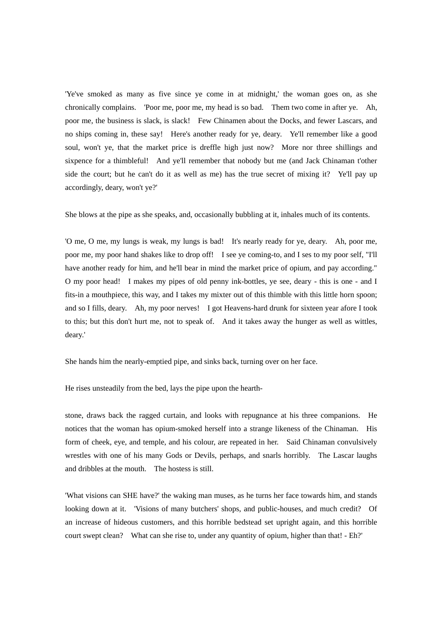'Ye've smoked as many as five since ye come in at midnight,' the woman goes on, as she chronically complains. 'Poor me, poor me, my head is so bad. Them two come in after ye. Ah, poor me, the business is slack, is slack! Few Chinamen about the Docks, and fewer Lascars, and no ships coming in, these say! Here's another ready for ye, deary. Ye'll remember like a good soul, won't ye, that the market price is dreffle high just now? More nor three shillings and sixpence for a thimbleful! And ye'll remember that nobody but me (and Jack Chinaman t'other side the court; but he can't do it as well as me) has the true secret of mixing it? Ye'll pay up accordingly, deary, won't ye?'

She blows at the pipe as she speaks, and, occasionally bubbling at it, inhales much of its contents.

'O me, O me, my lungs is weak, my lungs is bad! It's nearly ready for ye, deary. Ah, poor me, poor me, my poor hand shakes like to drop off! I see ye coming-to, and I ses to my poor self, "I'll have another ready for him, and he'll bear in mind the market price of opium, and pay according." O my poor head! I makes my pipes of old penny ink-bottles, ye see, deary - this is one - and I fits-in a mouthpiece, this way, and I takes my mixter out of this thimble with this little horn spoon; and so I fills, deary. Ah, my poor nerves! I got Heavens-hard drunk for sixteen year afore I took to this; but this don't hurt me, not to speak of. And it takes away the hunger as well as wittles, deary.'

She hands him the nearly-emptied pipe, and sinks back, turning over on her face.

He rises unsteadily from the bed, lays the pipe upon the hearth-

stone, draws back the ragged curtain, and looks with repugnance at his three companions. He notices that the woman has opium-smoked herself into a strange likeness of the Chinaman. His form of cheek, eye, and temple, and his colour, are repeated in her. Said Chinaman convulsively wrestles with one of his many Gods or Devils, perhaps, and snarls horribly. The Lascar laughs and dribbles at the mouth. The hostess is still.

'What visions can SHE have?' the waking man muses, as he turns her face towards him, and stands looking down at it. 'Visions of many butchers' shops, and public-houses, and much credit? Of an increase of hideous customers, and this horrible bedstead set upright again, and this horrible court swept clean? What can she rise to, under any quantity of opium, higher than that! - Eh?'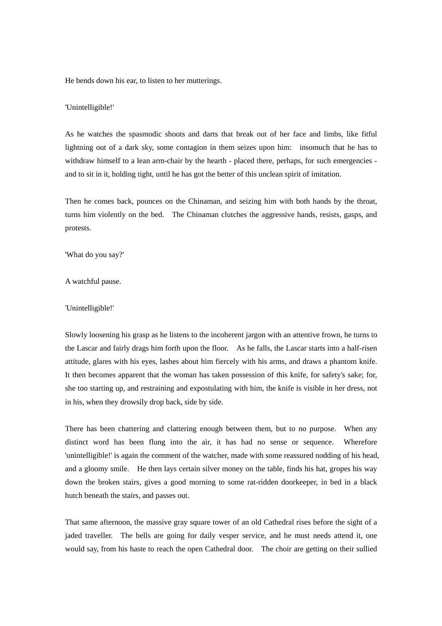He bends down his ear, to listen to her mutterings.

#### 'Unintelligible!'

As he watches the spasmodic shoots and darts that break out of her face and limbs, like fitful lightning out of a dark sky, some contagion in them seizes upon him: insomuch that he has to withdraw himself to a lean arm-chair by the hearth - placed there, perhaps, for such emergencies and to sit in it, holding tight, until he has got the better of this unclean spirit of imitation.

Then he comes back, pounces on the Chinaman, and seizing him with both hands by the throat, turns him violently on the bed. The Chinaman clutches the aggressive hands, resists, gasps, and protests.

'What do you say?'

A watchful pause.

#### 'Unintelligible!'

Slowly loosening his grasp as he listens to the incoherent jargon with an attentive frown, he turns to the Lascar and fairly drags him forth upon the floor. As he falls, the Lascar starts into a half-risen attitude, glares with his eyes, lashes about him fiercely with his arms, and draws a phantom knife. It then becomes apparent that the woman has taken possession of this knife, for safety's sake; for, she too starting up, and restraining and expostulating with him, the knife is visible in her dress, not in his, when they drowsily drop back, side by side.

There has been chattering and clattering enough between them, but to no purpose. When any distinct word has been flung into the air, it has had no sense or sequence. Wherefore 'unintelligible!' is again the comment of the watcher, made with some reassured nodding of his head, and a gloomy smile. He then lays certain silver money on the table, finds his hat, gropes his way down the broken stairs, gives a good morning to some rat-ridden doorkeeper, in bed in a black hutch beneath the stairs, and passes out.

That same afternoon, the massive gray square tower of an old Cathedral rises before the sight of a jaded traveller. The bells are going for daily vesper service, and he must needs attend it, one would say, from his haste to reach the open Cathedral door. The choir are getting on their sullied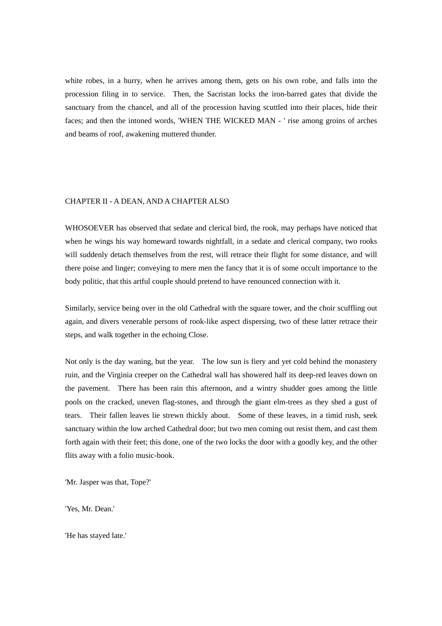white robes, in a hurry, when he arrives among them, gets on his own robe, and falls into the procession filing in to service. Then, the Sacristan locks the iron-barred gates that divide the sanctuary from the chancel, and all of the procession having scuttled into their places, hide their faces; and then the intoned words, 'WHEN THE WICKED MAN - ' rise among groins of arches and beams of roof, awakening muttered thunder.

# CHAPTER II - A DEAN, AND A CHAPTER ALSO

WHOSOEVER has observed that sedate and clerical bird, the rook, may perhaps have noticed that when he wings his way homeward towards nightfall, in a sedate and clerical company, two rooks will suddenly detach themselves from the rest, will retrace their flight for some distance, and will there poise and linger; conveying to mere men the fancy that it is of some occult importance to the body politic, that this artful couple should pretend to have renounced connection with it.

Similarly, service being over in the old Cathedral with the square tower, and the choir scuffling out again, and divers venerable persons of rook-like aspect dispersing, two of these latter retrace their steps, and walk together in the echoing Close.

Not only is the day waning, but the year. The low sun is fiery and yet cold behind the monastery ruin, and the Virginia creeper on the Cathedral wall has showered half its deep-red leaves down on the pavement. There has been rain this afternoon, and a wintry shudder goes among the little pools on the cracked, uneven flag-stones, and through the giant elm-trees as they shed a gust of tears. Their fallen leaves lie strewn thickly about. Some of these leaves, in a timid rush, seek sanctuary within the low arched Cathedral door; but two men coming out resist them, and cast them forth again with their feet; this done, one of the two locks the door with a goodly key, and the other flits away with a folio music-book.

'Mr. Jasper was that, Tope?'

'Yes, Mr. Dean.'

'He has stayed late.'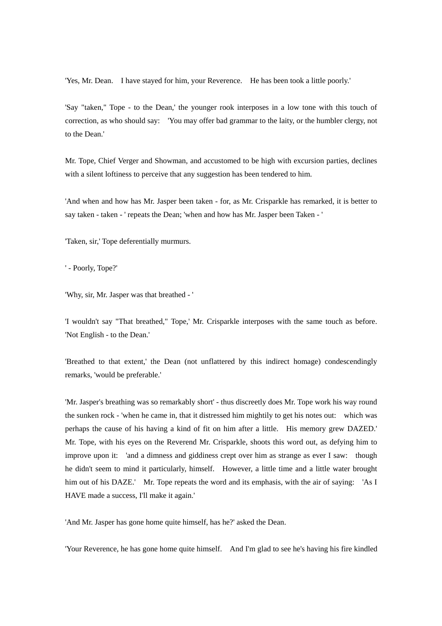'Yes, Mr. Dean. I have stayed for him, your Reverence. He has been took a little poorly.'

'Say "taken," Tope - to the Dean,' the younger rook interposes in a low tone with this touch of correction, as who should say: 'You may offer bad grammar to the laity, or the humbler clergy, not to the Dean.'

Mr. Tope, Chief Verger and Showman, and accustomed to be high with excursion parties, declines with a silent loftiness to perceive that any suggestion has been tendered to him.

'And when and how has Mr. Jasper been taken - for, as Mr. Crisparkle has remarked, it is better to say taken - taken - ' repeats the Dean; 'when and how has Mr. Jasper been Taken - '

'Taken, sir,' Tope deferentially murmurs.

' - Poorly, Tope?'

'Why, sir, Mr. Jasper was that breathed - '

'I wouldn't say "That breathed," Tope,' Mr. Crisparkle interposes with the same touch as before. 'Not English - to the Dean.'

'Breathed to that extent,' the Dean (not unflattered by this indirect homage) condescendingly remarks, 'would be preferable.'

'Mr. Jasper's breathing was so remarkably short' - thus discreetly does Mr. Tope work his way round the sunken rock - 'when he came in, that it distressed him mightily to get his notes out: which was perhaps the cause of his having a kind of fit on him after a little. His memory grew DAZED.' Mr. Tope, with his eyes on the Reverend Mr. Crisparkle, shoots this word out, as defying him to improve upon it: 'and a dimness and giddiness crept over him as strange as ever I saw: though he didn't seem to mind it particularly, himself. However, a little time and a little water brought him out of his DAZE.' Mr. Tope repeats the word and its emphasis, with the air of saying: 'As I HAVE made a success, I'll make it again.'

'And Mr. Jasper has gone home quite himself, has he?' asked the Dean.

'Your Reverence, he has gone home quite himself. And I'm glad to see he's having his fire kindled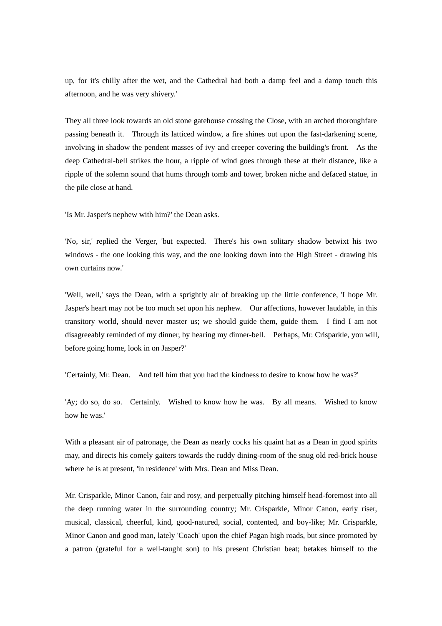up, for it's chilly after the wet, and the Cathedral had both a damp feel and a damp touch this afternoon, and he was very shivery.'

They all three look towards an old stone gatehouse crossing the Close, with an arched thoroughfare passing beneath it. Through its latticed window, a fire shines out upon the fast-darkening scene, involving in shadow the pendent masses of ivy and creeper covering the building's front. As the deep Cathedral-bell strikes the hour, a ripple of wind goes through these at their distance, like a ripple of the solemn sound that hums through tomb and tower, broken niche and defaced statue, in the pile close at hand.

'Is Mr. Jasper's nephew with him?' the Dean asks.

'No, sir,' replied the Verger, 'but expected. There's his own solitary shadow betwixt his two windows - the one looking this way, and the one looking down into the High Street - drawing his own curtains now.'

'Well, well,' says the Dean, with a sprightly air of breaking up the little conference, 'I hope Mr. Jasper's heart may not be too much set upon his nephew. Our affections, however laudable, in this transitory world, should never master us; we should guide them, guide them. I find I am not disagreeably reminded of my dinner, by hearing my dinner-bell. Perhaps, Mr. Crisparkle, you will, before going home, look in on Jasper?'

'Certainly, Mr. Dean. And tell him that you had the kindness to desire to know how he was?'

'Ay; do so, do so. Certainly. Wished to know how he was. By all means. Wished to know how he was.'

With a pleasant air of patronage, the Dean as nearly cocks his quaint hat as a Dean in good spirits may, and directs his comely gaiters towards the ruddy dining-room of the snug old red-brick house where he is at present, 'in residence' with Mrs. Dean and Miss Dean.

Mr. Crisparkle, Minor Canon, fair and rosy, and perpetually pitching himself head-foremost into all the deep running water in the surrounding country; Mr. Crisparkle, Minor Canon, early riser, musical, classical, cheerful, kind, good-natured, social, contented, and boy-like; Mr. Crisparkle, Minor Canon and good man, lately 'Coach' upon the chief Pagan high roads, but since promoted by a patron (grateful for a well-taught son) to his present Christian beat; betakes himself to the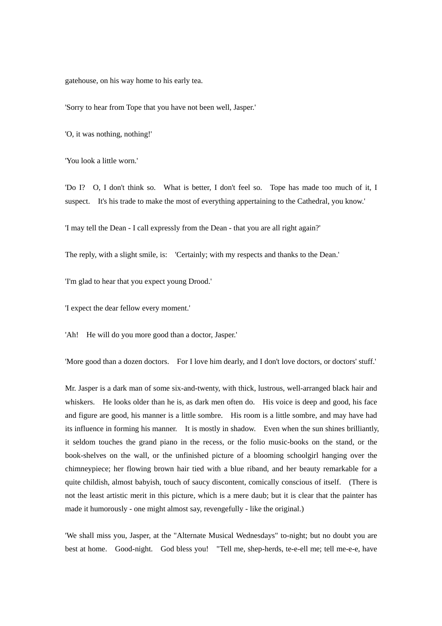gatehouse, on his way home to his early tea.

'Sorry to hear from Tope that you have not been well, Jasper.'

'O, it was nothing, nothing!'

'You look a little worn.'

'Do I? O, I don't think so. What is better, I don't feel so. Tope has made too much of it, I suspect. It's his trade to make the most of everything appertaining to the Cathedral, you know.'

'I may tell the Dean - I call expressly from the Dean - that you are all right again?'

The reply, with a slight smile, is: 'Certainly; with my respects and thanks to the Dean.'

'I'm glad to hear that you expect young Drood.'

'I expect the dear fellow every moment.'

'Ah! He will do you more good than a doctor, Jasper.'

'More good than a dozen doctors. For I love him dearly, and I don't love doctors, or doctors' stuff.'

Mr. Jasper is a dark man of some six-and-twenty, with thick, lustrous, well-arranged black hair and whiskers. He looks older than he is, as dark men often do. His voice is deep and good, his face and figure are good, his manner is a little sombre. His room is a little sombre, and may have had its influence in forming his manner. It is mostly in shadow. Even when the sun shines brilliantly, it seldom touches the grand piano in the recess, or the folio music-books on the stand, or the book-shelves on the wall, or the unfinished picture of a blooming schoolgirl hanging over the chimneypiece; her flowing brown hair tied with a blue riband, and her beauty remarkable for a quite childish, almost babyish, touch of saucy discontent, comically conscious of itself. (There is not the least artistic merit in this picture, which is a mere daub; but it is clear that the painter has made it humorously - one might almost say, revengefully - like the original.)

'We shall miss you, Jasper, at the "Alternate Musical Wednesdays" to-night; but no doubt you are best at home. Good-night. God bless you! "Tell me, shep-herds, te-e-ell me; tell me-e-e, have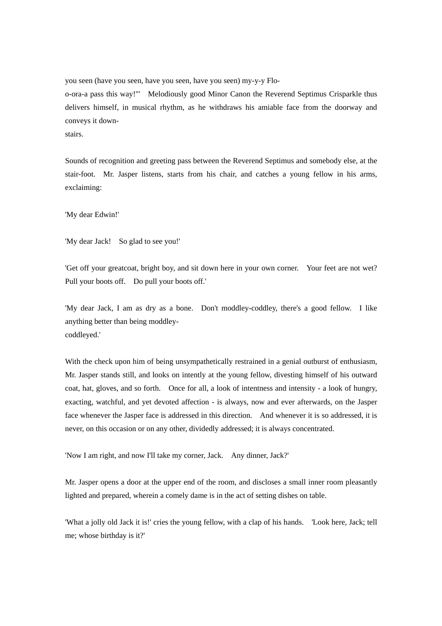you seen (have you seen, have you seen, have you seen) my-y-y Floo-ora-a pass this way!"' Melodiously good Minor Canon the Reverend Septimus Crisparkle thus delivers himself, in musical rhythm, as he withdraws his amiable face from the doorway and conveys it downstairs.

Sounds of recognition and greeting pass between the Reverend Septimus and somebody else, at the stair-foot. Mr. Jasper listens, starts from his chair, and catches a young fellow in his arms, exclaiming:

'My dear Edwin!'

'My dear Jack! So glad to see you!'

'Get off your greatcoat, bright boy, and sit down here in your own corner. Your feet are not wet? Pull your boots off. Do pull your boots off.'

'My dear Jack, I am as dry as a bone. Don't moddley-coddley, there's a good fellow. I like anything better than being moddleycoddleyed.'

With the check upon him of being unsympathetically restrained in a genial outburst of enthusiasm, Mr. Jasper stands still, and looks on intently at the young fellow, divesting himself of his outward coat, hat, gloves, and so forth. Once for all, a look of intentness and intensity - a look of hungry, exacting, watchful, and yet devoted affection - is always, now and ever afterwards, on the Jasper face whenever the Jasper face is addressed in this direction. And whenever it is so addressed, it is never, on this occasion or on any other, dividedly addressed; it is always concentrated.

'Now I am right, and now I'll take my corner, Jack. Any dinner, Jack?'

Mr. Jasper opens a door at the upper end of the room, and discloses a small inner room pleasantly lighted and prepared, wherein a comely dame is in the act of setting dishes on table.

'What a jolly old Jack it is!' cries the young fellow, with a clap of his hands. 'Look here, Jack; tell me; whose birthday is it?'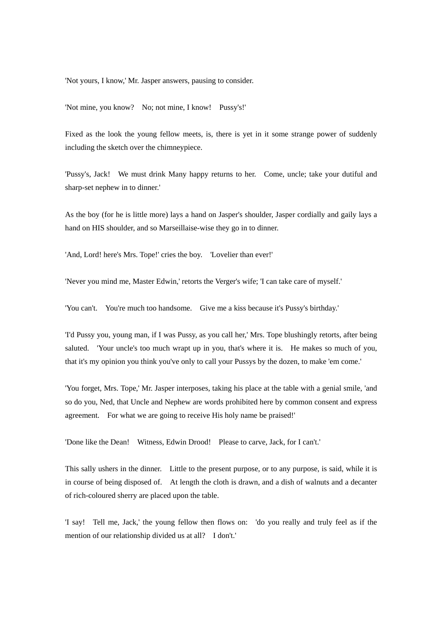'Not yours, I know,' Mr. Jasper answers, pausing to consider.

'Not mine, you know? No; not mine, I know! Pussy's!'

Fixed as the look the young fellow meets, is, there is yet in it some strange power of suddenly including the sketch over the chimneypiece.

'Pussy's, Jack! We must drink Many happy returns to her. Come, uncle; take your dutiful and sharp-set nephew in to dinner.'

As the boy (for he is little more) lays a hand on Jasper's shoulder, Jasper cordially and gaily lays a hand on HIS shoulder, and so Marseillaise-wise they go in to dinner.

'And, Lord! here's Mrs. Tope!' cries the boy. 'Lovelier than ever!'

'Never you mind me, Master Edwin,' retorts the Verger's wife; 'I can take care of myself.'

'You can't. You're much too handsome. Give me a kiss because it's Pussy's birthday.'

'I'd Pussy you, young man, if I was Pussy, as you call her,' Mrs. Tope blushingly retorts, after being saluted. 'Your uncle's too much wrapt up in you, that's where it is. He makes so much of you, that it's my opinion you think you've only to call your Pussys by the dozen, to make 'em come.'

'You forget, Mrs. Tope,' Mr. Jasper interposes, taking his place at the table with a genial smile, 'and so do you, Ned, that Uncle and Nephew are words prohibited here by common consent and express agreement. For what we are going to receive His holy name be praised!'

'Done like the Dean! Witness, Edwin Drood! Please to carve, Jack, for I can't.'

This sally ushers in the dinner. Little to the present purpose, or to any purpose, is said, while it is in course of being disposed of. At length the cloth is drawn, and a dish of walnuts and a decanter of rich-coloured sherry are placed upon the table.

'I say! Tell me, Jack,' the young fellow then flows on: 'do you really and truly feel as if the mention of our relationship divided us at all? I don't.'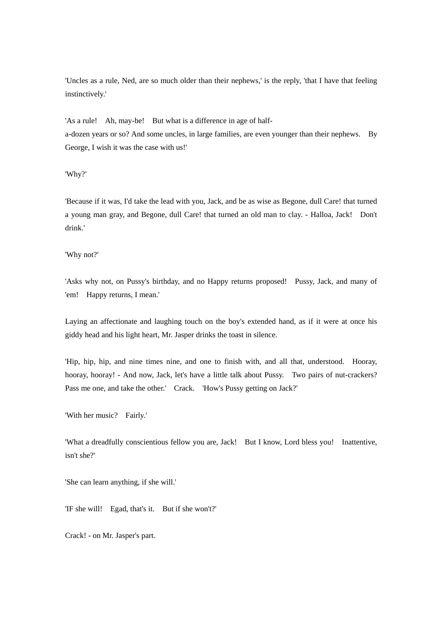'Uncles as a rule, Ned, are so much older than their nephews,' is the reply, 'that I have that feeling instinctively.'

'As a rule! Ah, may-be! But what is a difference in age of halfa-dozen years or so? And some uncles, in large families, are even younger than their nephews. By George, I wish it was the case with us!'

'Why?'

'Because if it was, I'd take the lead with you, Jack, and be as wise as Begone, dull Care! that turned a young man gray, and Begone, dull Care! that turned an old man to clay. - Halloa, Jack! Don't drink.'

'Why not?'

'Asks why not, on Pussy's birthday, and no Happy returns proposed! Pussy, Jack, and many of 'em! Happy returns, I mean.'

Laying an affectionate and laughing touch on the boy's extended hand, as if it were at once his giddy head and his light heart, Mr. Jasper drinks the toast in silence.

'Hip, hip, hip, and nine times nine, and one to finish with, and all that, understood. Hooray, hooray, hooray! - And now, Jack, let's have a little talk about Pussy. Two pairs of nut-crackers? Pass me one, and take the other.' Crack. 'How's Pussy getting on Jack?'

'With her music? Fairly.'

'What a dreadfully conscientious fellow you are, Jack! But I know, Lord bless you! Inattentive, isn't she?'

'She can learn anything, if she will.'

'IF she will! Egad, that's it. But if she won't?'

Crack! - on Mr. Jasper's part.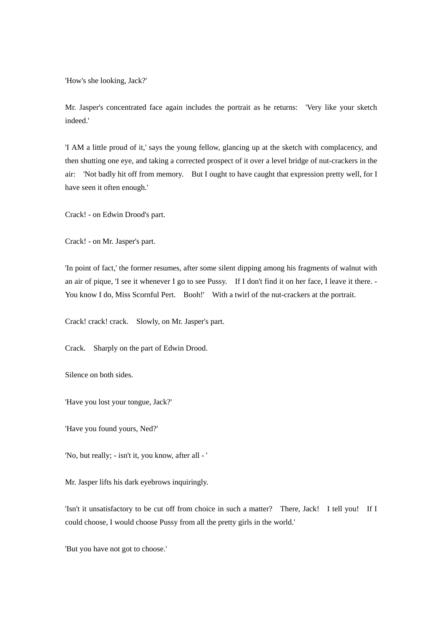'How's she looking, Jack?'

Mr. Jasper's concentrated face again includes the portrait as he returns: 'Very like your sketch indeed.'

'I AM a little proud of it,' says the young fellow, glancing up at the sketch with complacency, and then shutting one eye, and taking a corrected prospect of it over a level bridge of nut-crackers in the air: 'Not badly hit off from memory. But I ought to have caught that expression pretty well, for I have seen it often enough.'

Crack! - on Edwin Drood's part.

Crack! - on Mr. Jasper's part.

'In point of fact,' the former resumes, after some silent dipping among his fragments of walnut with an air of pique, 'I see it whenever I go to see Pussy. If I don't find it on her face, I leave it there. - You know I do, Miss Scornful Pert. Booh!' With a twirl of the nut-crackers at the portrait.

Crack! crack! crack. Slowly, on Mr. Jasper's part.

Crack. Sharply on the part of Edwin Drood.

Silence on both sides.

'Have you lost your tongue, Jack?'

'Have you found yours, Ned?'

'No, but really; - isn't it, you know, after all - '

Mr. Jasper lifts his dark eyebrows inquiringly.

'Isn't it unsatisfactory to be cut off from choice in such a matter? There, Jack! I tell you! If I could choose, I would choose Pussy from all the pretty girls in the world.'

'But you have not got to choose.'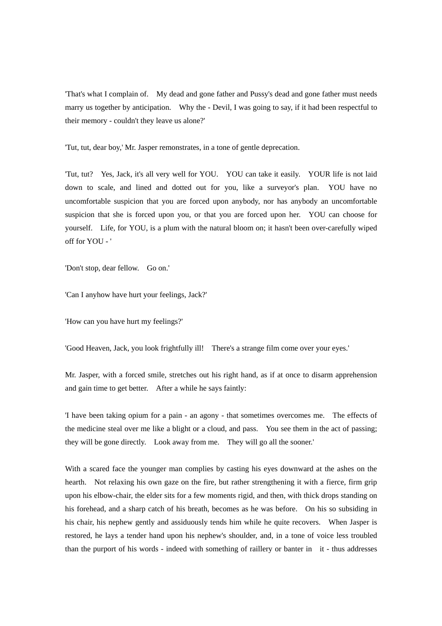'That's what I complain of. My dead and gone father and Pussy's dead and gone father must needs marry us together by anticipation. Why the - Devil, I was going to say, if it had been respectful to their memory - couldn't they leave us alone?'

'Tut, tut, dear boy,' Mr. Jasper remonstrates, in a tone of gentle deprecation.

'Tut, tut? Yes, Jack, it's all very well for YOU. YOU can take it easily. YOUR life is not laid down to scale, and lined and dotted out for you, like a surveyor's plan. YOU have no uncomfortable suspicion that you are forced upon anybody, nor has anybody an uncomfortable suspicion that she is forced upon you, or that you are forced upon her. YOU can choose for yourself. Life, for YOU, is a plum with the natural bloom on; it hasn't been over-carefully wiped off for YOU - '

'Don't stop, dear fellow. Go on.'

'Can I anyhow have hurt your feelings, Jack?'

'How can you have hurt my feelings?'

'Good Heaven, Jack, you look frightfully ill! There's a strange film come over your eyes.'

Mr. Jasper, with a forced smile, stretches out his right hand, as if at once to disarm apprehension and gain time to get better. After a while he says faintly:

'I have been taking opium for a pain - an agony - that sometimes overcomes me. The effects of the medicine steal over me like a blight or a cloud, and pass. You see them in the act of passing; they will be gone directly. Look away from me. They will go all the sooner.'

With a scared face the younger man complies by casting his eyes downward at the ashes on the hearth. Not relaxing his own gaze on the fire, but rather strengthening it with a fierce, firm grip upon his elbow-chair, the elder sits for a few moments rigid, and then, with thick drops standing on his forehead, and a sharp catch of his breath, becomes as he was before. On his so subsiding in his chair, his nephew gently and assiduously tends him while he quite recovers. When Jasper is restored, he lays a tender hand upon his nephew's shoulder, and, in a tone of voice less troubled than the purport of his words - indeed with something of raillery or banter in it - thus addresses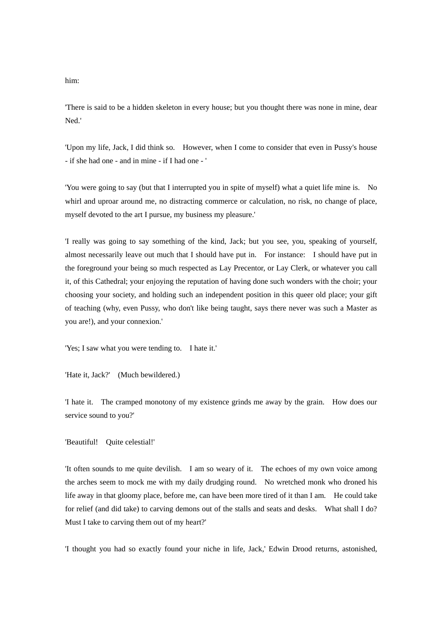him:

'There is said to be a hidden skeleton in every house; but you thought there was none in mine, dear Ned.'

'Upon my life, Jack, I did think so. However, when I come to consider that even in Pussy's house - if she had one - and in mine - if I had one - '

'You were going to say (but that I interrupted you in spite of myself) what a quiet life mine is. No whirl and uproar around me, no distracting commerce or calculation, no risk, no change of place, myself devoted to the art I pursue, my business my pleasure.'

'I really was going to say something of the kind, Jack; but you see, you, speaking of yourself, almost necessarily leave out much that I should have put in. For instance: I should have put in the foreground your being so much respected as Lay Precentor, or Lay Clerk, or whatever you call it, of this Cathedral; your enjoying the reputation of having done such wonders with the choir; your choosing your society, and holding such an independent position in this queer old place; your gift of teaching (why, even Pussy, who don't like being taught, says there never was such a Master as you are!), and your connexion.'

'Yes; I saw what you were tending to. I hate it.'

'Hate it, Jack?' (Much bewildered.)

'I hate it. The cramped monotony of my existence grinds me away by the grain. How does our service sound to you?'

'Beautiful! Quite celestial!'

'It often sounds to me quite devilish. I am so weary of it. The echoes of my own voice among the arches seem to mock me with my daily drudging round. No wretched monk who droned his life away in that gloomy place, before me, can have been more tired of it than I am. He could take for relief (and did take) to carving demons out of the stalls and seats and desks. What shall I do? Must I take to carving them out of my heart?'

'I thought you had so exactly found your niche in life, Jack,' Edwin Drood returns, astonished,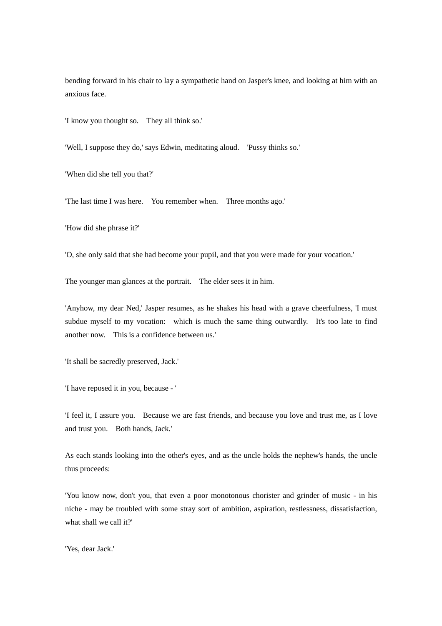bending forward in his chair to lay a sympathetic hand on Jasper's knee, and looking at him with an anxious face.

'I know you thought so. They all think so.'

'Well, I suppose they do,' says Edwin, meditating aloud. 'Pussy thinks so.'

'When did she tell you that?'

'The last time I was here. You remember when. Three months ago.'

'How did she phrase it?'

'O, she only said that she had become your pupil, and that you were made for your vocation.'

The younger man glances at the portrait. The elder sees it in him.

'Anyhow, my dear Ned,' Jasper resumes, as he shakes his head with a grave cheerfulness, 'I must subdue myself to my vocation: which is much the same thing outwardly. It's too late to find another now. This is a confidence between us.'

'It shall be sacredly preserved, Jack.'

'I have reposed it in you, because - '

'I feel it, I assure you. Because we are fast friends, and because you love and trust me, as I love and trust you. Both hands, Jack.'

As each stands looking into the other's eyes, and as the uncle holds the nephew's hands, the uncle thus proceeds:

'You know now, don't you, that even a poor monotonous chorister and grinder of music - in his niche - may be troubled with some stray sort of ambition, aspiration, restlessness, dissatisfaction, what shall we call it?'

'Yes, dear Jack.'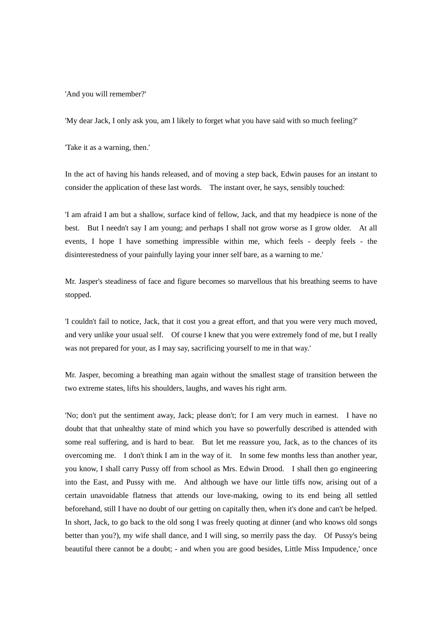'And you will remember?'

'My dear Jack, I only ask you, am I likely to forget what you have said with so much feeling?'

'Take it as a warning, then.'

In the act of having his hands released, and of moving a step back, Edwin pauses for an instant to consider the application of these last words. The instant over, he says, sensibly touched:

'I am afraid I am but a shallow, surface kind of fellow, Jack, and that my headpiece is none of the best. But I needn't say I am young; and perhaps I shall not grow worse as I grow older. At all events, I hope I have something impressible within me, which feels - deeply feels - the disinterestedness of your painfully laying your inner self bare, as a warning to me.'

Mr. Jasper's steadiness of face and figure becomes so marvellous that his breathing seems to have stopped.

'I couldn't fail to notice, Jack, that it cost you a great effort, and that you were very much moved, and very unlike your usual self. Of course I knew that you were extremely fond of me, but I really was not prepared for your, as I may say, sacrificing yourself to me in that way.'

Mr. Jasper, becoming a breathing man again without the smallest stage of transition between the two extreme states, lifts his shoulders, laughs, and waves his right arm.

'No; don't put the sentiment away, Jack; please don't; for I am very much in earnest. I have no doubt that that unhealthy state of mind which you have so powerfully described is attended with some real suffering, and is hard to bear. But let me reassure you, Jack, as to the chances of its overcoming me. I don't think I am in the way of it. In some few months less than another year, you know, I shall carry Pussy off from school as Mrs. Edwin Drood. I shall then go engineering into the East, and Pussy with me. And although we have our little tiffs now, arising out of a certain unavoidable flatness that attends our love-making, owing to its end being all settled beforehand, still I have no doubt of our getting on capitally then, when it's done and can't be helped. In short, Jack, to go back to the old song I was freely quoting at dinner (and who knows old songs better than you?), my wife shall dance, and I will sing, so merrily pass the day. Of Pussy's being beautiful there cannot be a doubt; - and when you are good besides, Little Miss Impudence,' once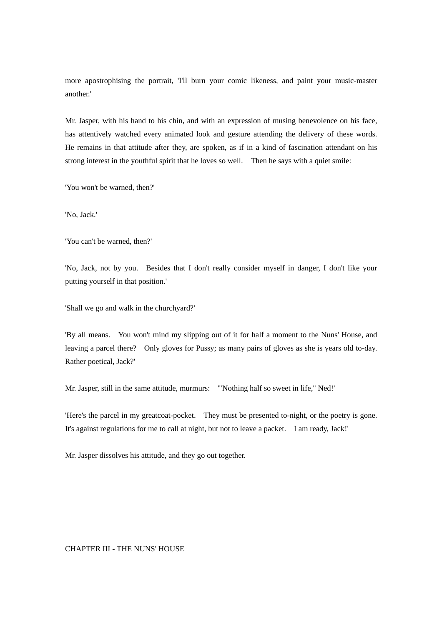more apostrophising the portrait, 'I'll burn your comic likeness, and paint your music-master another.'

Mr. Jasper, with his hand to his chin, and with an expression of musing benevolence on his face, has attentively watched every animated look and gesture attending the delivery of these words. He remains in that attitude after they, are spoken, as if in a kind of fascination attendant on his strong interest in the youthful spirit that he loves so well. Then he says with a quiet smile:

'You won't be warned, then?'

'No, Jack.'

'You can't be warned, then?'

'No, Jack, not by you. Besides that I don't really consider myself in danger, I don't like your putting yourself in that position.'

'Shall we go and walk in the churchyard?'

'By all means. You won't mind my slipping out of it for half a moment to the Nuns' House, and leaving a parcel there? Only gloves for Pussy; as many pairs of gloves as she is years old to-day. Rather poetical, Jack?'

Mr. Jasper, still in the same attitude, murmurs: '"Nothing half so sweet in life," Ned!'

'Here's the parcel in my greatcoat-pocket. They must be presented to-night, or the poetry is gone. It's against regulations for me to call at night, but not to leave a packet. I am ready, Jack!'

Mr. Jasper dissolves his attitude, and they go out together.

CHAPTER III - THE NUNS' HOUSE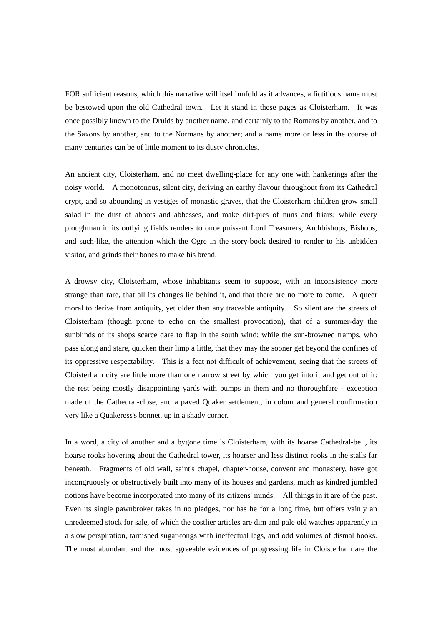FOR sufficient reasons, which this narrative will itself unfold as it advances, a fictitious name must be bestowed upon the old Cathedral town. Let it stand in these pages as Cloisterham. It was once possibly known to the Druids by another name, and certainly to the Romans by another, and to the Saxons by another, and to the Normans by another; and a name more or less in the course of many centuries can be of little moment to its dusty chronicles.

An ancient city, Cloisterham, and no meet dwelling-place for any one with hankerings after the noisy world. A monotonous, silent city, deriving an earthy flavour throughout from its Cathedral crypt, and so abounding in vestiges of monastic graves, that the Cloisterham children grow small salad in the dust of abbots and abbesses, and make dirt-pies of nuns and friars; while every ploughman in its outlying fields renders to once puissant Lord Treasurers, Archbishops, Bishops, and such-like, the attention which the Ogre in the story-book desired to render to his unbidden visitor, and grinds their bones to make his bread.

A drowsy city, Cloisterham, whose inhabitants seem to suppose, with an inconsistency more strange than rare, that all its changes lie behind it, and that there are no more to come. A queer moral to derive from antiquity, yet older than any traceable antiquity. So silent are the streets of Cloisterham (though prone to echo on the smallest provocation), that of a summer-day the sunblinds of its shops scarce dare to flap in the south wind; while the sun-browned tramps, who pass along and stare, quicken their limp a little, that they may the sooner get beyond the confines of its oppressive respectability. This is a feat not difficult of achievement, seeing that the streets of Cloisterham city are little more than one narrow street by which you get into it and get out of it: the rest being mostly disappointing yards with pumps in them and no thoroughfare - exception made of the Cathedral-close, and a paved Quaker settlement, in colour and general confirmation very like a Quakeress's bonnet, up in a shady corner.

In a word, a city of another and a bygone time is Cloisterham, with its hoarse Cathedral-bell, its hoarse rooks hovering about the Cathedral tower, its hoarser and less distinct rooks in the stalls far beneath. Fragments of old wall, saint's chapel, chapter-house, convent and monastery, have got incongruously or obstructively built into many of its houses and gardens, much as kindred jumbled notions have become incorporated into many of its citizens' minds. All things in it are of the past. Even its single pawnbroker takes in no pledges, nor has he for a long time, but offers vainly an unredeemed stock for sale, of which the costlier articles are dim and pale old watches apparently in a slow perspiration, tarnished sugar-tongs with ineffectual legs, and odd volumes of dismal books. The most abundant and the most agreeable evidences of progressing life in Cloisterham are the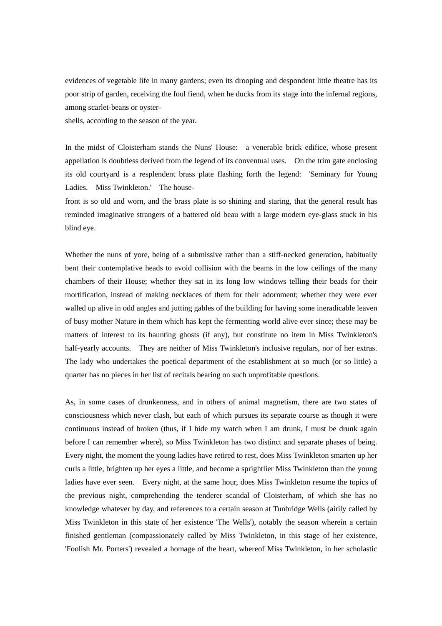evidences of vegetable life in many gardens; even its drooping and despondent little theatre has its poor strip of garden, receiving the foul fiend, when he ducks from its stage into the infernal regions, among scarlet-beans or oyster-

shells, according to the season of the year.

In the midst of Cloisterham stands the Nuns' House: a venerable brick edifice, whose present appellation is doubtless derived from the legend of its conventual uses. On the trim gate enclosing its old courtyard is a resplendent brass plate flashing forth the legend: 'Seminary for Young Ladies. Miss Twinkleton.' The house-

front is so old and worn, and the brass plate is so shining and staring, that the general result has reminded imaginative strangers of a battered old beau with a large modern eye-glass stuck in his blind eye.

Whether the nuns of yore, being of a submissive rather than a stiff-necked generation, habitually bent their contemplative heads to avoid collision with the beams in the low ceilings of the many chambers of their House; whether they sat in its long low windows telling their beads for their mortification, instead of making necklaces of them for their adornment; whether they were ever walled up alive in odd angles and jutting gables of the building for having some ineradicable leaven of busy mother Nature in them which has kept the fermenting world alive ever since; these may be matters of interest to its haunting ghosts (if any), but constitute no item in Miss Twinkleton's half-yearly accounts. They are neither of Miss Twinkleton's inclusive regulars, nor of her extras. The lady who undertakes the poetical department of the establishment at so much (or so little) a quarter has no pieces in her list of recitals bearing on such unprofitable questions.

As, in some cases of drunkenness, and in others of animal magnetism, there are two states of consciousness which never clash, but each of which pursues its separate course as though it were continuous instead of broken (thus, if I hide my watch when I am drunk, I must be drunk again before I can remember where), so Miss Twinkleton has two distinct and separate phases of being. Every night, the moment the young ladies have retired to rest, does Miss Twinkleton smarten up her curls a little, brighten up her eyes a little, and become a sprightlier Miss Twinkleton than the young ladies have ever seen. Every night, at the same hour, does Miss Twinkleton resume the topics of the previous night, comprehending the tenderer scandal of Cloisterham, of which she has no knowledge whatever by day, and references to a certain season at Tunbridge Wells (airily called by Miss Twinkleton in this state of her existence 'The Wells'), notably the season wherein a certain finished gentleman (compassionately called by Miss Twinkleton, in this stage of her existence, 'Foolish Mr. Porters') revealed a homage of the heart, whereof Miss Twinkleton, in her scholastic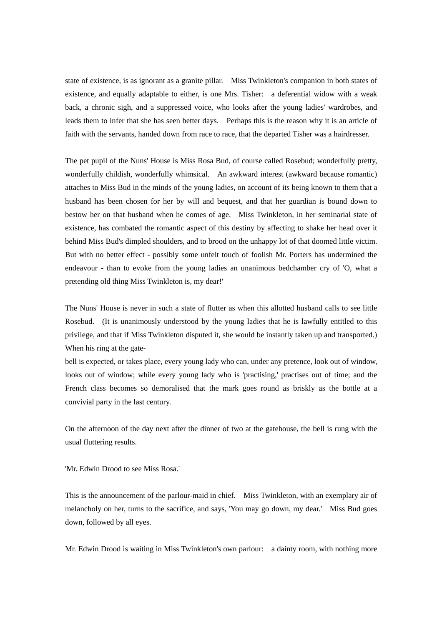state of existence, is as ignorant as a granite pillar. Miss Twinkleton's companion in both states of existence, and equally adaptable to either, is one Mrs. Tisher: a deferential widow with a weak back, a chronic sigh, and a suppressed voice, who looks after the young ladies' wardrobes, and leads them to infer that she has seen better days. Perhaps this is the reason why it is an article of faith with the servants, handed down from race to race, that the departed Tisher was a hairdresser.

The pet pupil of the Nuns' House is Miss Rosa Bud, of course called Rosebud; wonderfully pretty, wonderfully childish, wonderfully whimsical. An awkward interest (awkward because romantic) attaches to Miss Bud in the minds of the young ladies, on account of its being known to them that a husband has been chosen for her by will and bequest, and that her guardian is bound down to bestow her on that husband when he comes of age. Miss Twinkleton, in her seminarial state of existence, has combated the romantic aspect of this destiny by affecting to shake her head over it behind Miss Bud's dimpled shoulders, and to brood on the unhappy lot of that doomed little victim. But with no better effect - possibly some unfelt touch of foolish Mr. Porters has undermined the endeavour - than to evoke from the young ladies an unanimous bedchamber cry of 'O, what a pretending old thing Miss Twinkleton is, my dear!'

The Nuns' House is never in such a state of flutter as when this allotted husband calls to see little Rosebud. (It is unanimously understood by the young ladies that he is lawfully entitled to this privilege, and that if Miss Twinkleton disputed it, she would be instantly taken up and transported.) When his ring at the gate-

bell is expected, or takes place, every young lady who can, under any pretence, look out of window, looks out of window; while every young lady who is 'practising,' practises out of time; and the French class becomes so demoralised that the mark goes round as briskly as the bottle at a convivial party in the last century.

On the afternoon of the day next after the dinner of two at the gatehouse, the bell is rung with the usual fluttering results.

'Mr. Edwin Drood to see Miss Rosa.'

This is the announcement of the parlour-maid in chief. Miss Twinkleton, with an exemplary air of melancholy on her, turns to the sacrifice, and says, 'You may go down, my dear.' Miss Bud goes down, followed by all eyes.

Mr. Edwin Drood is waiting in Miss Twinkleton's own parlour: a dainty room, with nothing more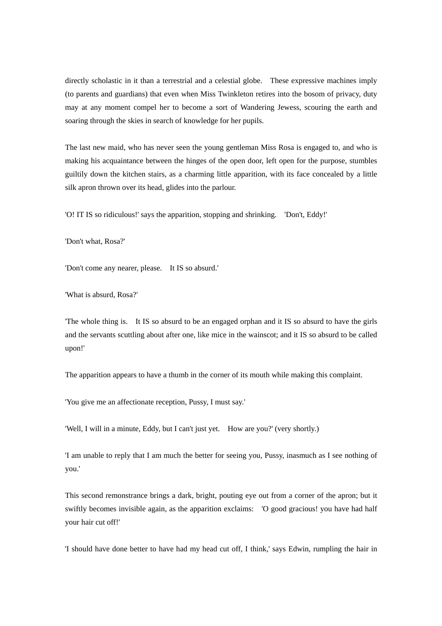directly scholastic in it than a terrestrial and a celestial globe. These expressive machines imply (to parents and guardians) that even when Miss Twinkleton retires into the bosom of privacy, duty may at any moment compel her to become a sort of Wandering Jewess, scouring the earth and soaring through the skies in search of knowledge for her pupils.

The last new maid, who has never seen the young gentleman Miss Rosa is engaged to, and who is making his acquaintance between the hinges of the open door, left open for the purpose, stumbles guiltily down the kitchen stairs, as a charming little apparition, with its face concealed by a little silk apron thrown over its head, glides into the parlour.

'O! IT IS so ridiculous!' says the apparition, stopping and shrinking. 'Don't, Eddy!'

'Don't what, Rosa?'

'Don't come any nearer, please. It IS so absurd.'

'What is absurd, Rosa?'

'The whole thing is. It IS so absurd to be an engaged orphan and it IS so absurd to have the girls and the servants scuttling about after one, like mice in the wainscot; and it IS so absurd to be called upon!'

The apparition appears to have a thumb in the corner of its mouth while making this complaint.

'You give me an affectionate reception, Pussy, I must say.'

'Well, I will in a minute, Eddy, but I can't just yet. How are you?' (very shortly.)

'I am unable to reply that I am much the better for seeing you, Pussy, inasmuch as I see nothing of you.'

This second remonstrance brings a dark, bright, pouting eye out from a corner of the apron; but it swiftly becomes invisible again, as the apparition exclaims: 'O good gracious! you have had half your hair cut off!'

'I should have done better to have had my head cut off, I think,' says Edwin, rumpling the hair in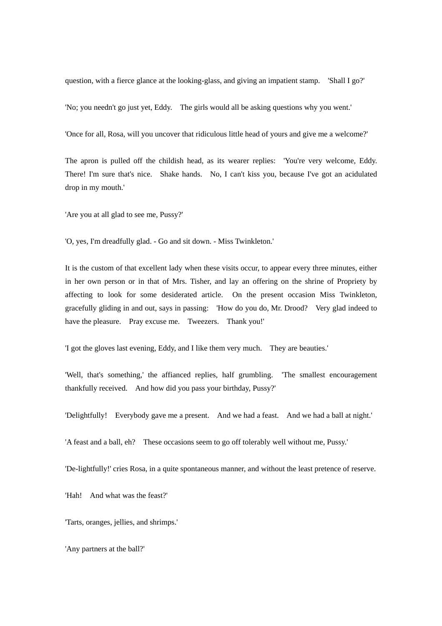question, with a fierce glance at the looking-glass, and giving an impatient stamp. 'Shall I go?'

'No; you needn't go just yet, Eddy. The girls would all be asking questions why you went.'

'Once for all, Rosa, will you uncover that ridiculous little head of yours and give me a welcome?'

The apron is pulled off the childish head, as its wearer replies: 'You're very welcome, Eddy. There! I'm sure that's nice. Shake hands. No, I can't kiss you, because I've got an acidulated drop in my mouth.'

'Are you at all glad to see me, Pussy?'

'O, yes, I'm dreadfully glad. - Go and sit down. - Miss Twinkleton.'

It is the custom of that excellent lady when these visits occur, to appear every three minutes, either in her own person or in that of Mrs. Tisher, and lay an offering on the shrine of Propriety by affecting to look for some desiderated article. On the present occasion Miss Twinkleton, gracefully gliding in and out, says in passing: 'How do you do, Mr. Drood? Very glad indeed to have the pleasure. Pray excuse me. Tweezers. Thank you!'

'I got the gloves last evening, Eddy, and I like them very much. They are beauties.'

'Well, that's something,' the affianced replies, half grumbling. 'The smallest encouragement thankfully received. And how did you pass your birthday, Pussy?'

'Delightfully! Everybody gave me a present. And we had a feast. And we had a ball at night.'

'A feast and a ball, eh? These occasions seem to go off tolerably well without me, Pussy.'

'De-lightfully!' cries Rosa, in a quite spontaneous manner, and without the least pretence of reserve.

'Hah! And what was the feast?'

'Tarts, oranges, jellies, and shrimps.'

'Any partners at the ball?'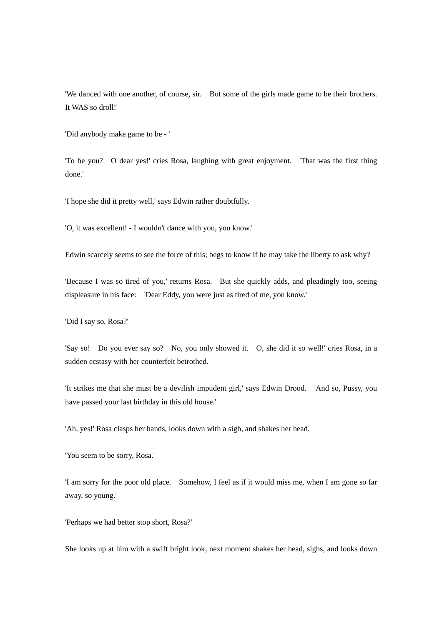'We danced with one another, of course, sir. But some of the girls made game to be their brothers. It WAS so droll!'

'Did anybody make game to be - '

'To be you? O dear yes!' cries Rosa, laughing with great enjoyment. 'That was the first thing done.'

'I hope she did it pretty well,' says Edwin rather doubtfully.

'O, it was excellent! - I wouldn't dance with you, you know.'

Edwin scarcely seems to see the force of this; begs to know if he may take the liberty to ask why?

'Because I was so tired of you,' returns Rosa. But she quickly adds, and pleadingly too, seeing displeasure in his face: 'Dear Eddy, you were just as tired of me, you know.'

'Did I say so, Rosa?'

'Say so! Do you ever say so? No, you only showed it. O, she did it so well!' cries Rosa, in a sudden ecstasy with her counterfeit betrothed.

'It strikes me that she must be a devilish impudent girl,' says Edwin Drood. 'And so, Pussy, you have passed your last birthday in this old house.'

'Ah, yes!' Rosa clasps her hands, looks down with a sigh, and shakes her head.

'You seem to be sorry, Rosa.'

'I am sorry for the poor old place. Somehow, I feel as if it would miss me, when I am gone so far away, so young.'

'Perhaps we had better stop short, Rosa?'

She looks up at him with a swift bright look; next moment shakes her head, sighs, and looks down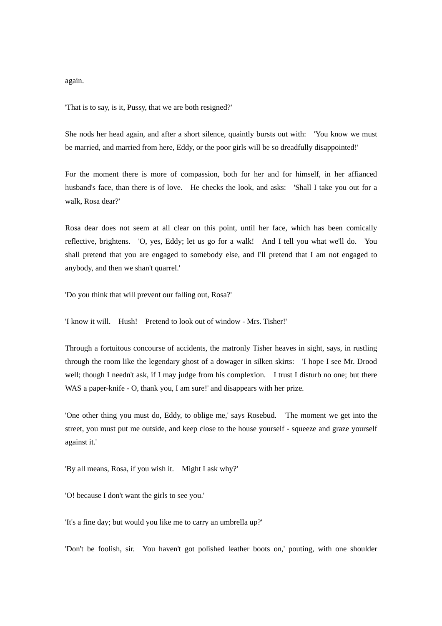again.

'That is to say, is it, Pussy, that we are both resigned?'

She nods her head again, and after a short silence, quaintly bursts out with: 'You know we must be married, and married from here, Eddy, or the poor girls will be so dreadfully disappointed!'

For the moment there is more of compassion, both for her and for himself, in her affianced husband's face, than there is of love. He checks the look, and asks: 'Shall I take you out for a walk, Rosa dear?'

Rosa dear does not seem at all clear on this point, until her face, which has been comically reflective, brightens. 'O, yes, Eddy; let us go for a walk! And I tell you what we'll do. You shall pretend that you are engaged to somebody else, and I'll pretend that I am not engaged to anybody, and then we shan't quarrel.'

'Do you think that will prevent our falling out, Rosa?'

'I know it will. Hush! Pretend to look out of window - Mrs. Tisher!'

Through a fortuitous concourse of accidents, the matronly Tisher heaves in sight, says, in rustling through the room like the legendary ghost of a dowager in silken skirts: 'I hope I see Mr. Drood well; though I needn't ask, if I may judge from his complexion. I trust I disturb no one; but there WAS a paper-knife - O, thank you, I am sure!' and disappears with her prize.

'One other thing you must do, Eddy, to oblige me,' says Rosebud. 'The moment we get into the street, you must put me outside, and keep close to the house yourself - squeeze and graze yourself against it.'

'By all means, Rosa, if you wish it. Might I ask why?'

'O! because I don't want the girls to see you.'

'It's a fine day; but would you like me to carry an umbrella up?'

'Don't be foolish, sir. You haven't got polished leather boots on,' pouting, with one shoulder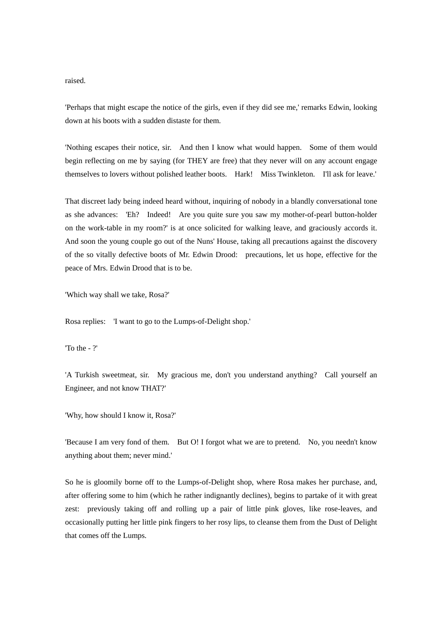raised.

'Perhaps that might escape the notice of the girls, even if they did see me,' remarks Edwin, looking down at his boots with a sudden distaste for them.

'Nothing escapes their notice, sir. And then I know what would happen. Some of them would begin reflecting on me by saying (for THEY are free) that they never will on any account engage themselves to lovers without polished leather boots. Hark! Miss Twinkleton. I'll ask for leave.'

That discreet lady being indeed heard without, inquiring of nobody in a blandly conversational tone as she advances: 'Eh? Indeed! Are you quite sure you saw my mother-of-pearl button-holder on the work-table in my room?' is at once solicited for walking leave, and graciously accords it. And soon the young couple go out of the Nuns' House, taking all precautions against the discovery of the so vitally defective boots of Mr. Edwin Drood: precautions, let us hope, effective for the peace of Mrs. Edwin Drood that is to be.

'Which way shall we take, Rosa?'

Rosa replies: 'I want to go to the Lumps-of-Delight shop.'

'To the - ?'

'A Turkish sweetmeat, sir. My gracious me, don't you understand anything? Call yourself an Engineer, and not know THAT?'

'Why, how should I know it, Rosa?'

'Because I am very fond of them. But O! I forgot what we are to pretend. No, you needn't know anything about them; never mind.'

So he is gloomily borne off to the Lumps-of-Delight shop, where Rosa makes her purchase, and, after offering some to him (which he rather indignantly declines), begins to partake of it with great zest: previously taking off and rolling up a pair of little pink gloves, like rose-leaves, and occasionally putting her little pink fingers to her rosy lips, to cleanse them from the Dust of Delight that comes off the Lumps.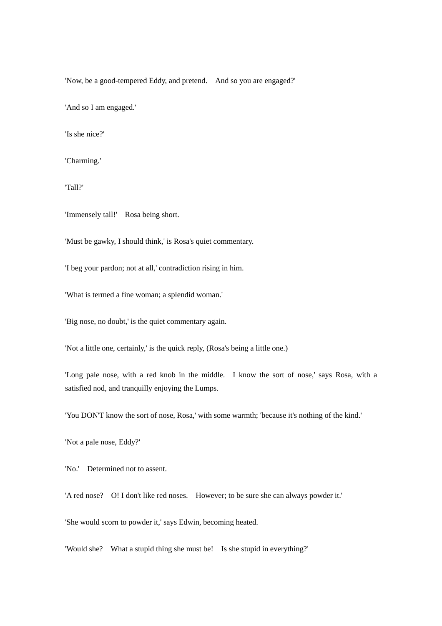'Now, be a good-tempered Eddy, and pretend. And so you are engaged?'

'And so I am engaged.'

'Is she nice?'

'Charming.'

'Tall?'

'Immensely tall!' Rosa being short.

'Must be gawky, I should think,' is Rosa's quiet commentary.

'I beg your pardon; not at all,' contradiction rising in him.

'What is termed a fine woman; a splendid woman.'

'Big nose, no doubt,' is the quiet commentary again.

'Not a little one, certainly,' is the quick reply, (Rosa's being a little one.)

'Long pale nose, with a red knob in the middle. I know the sort of nose,' says Rosa, with a satisfied nod, and tranquilly enjoying the Lumps.

'You DON'T know the sort of nose, Rosa,' with some warmth; 'because it's nothing of the kind.'

'Not a pale nose, Eddy?'

'No.' Determined not to assent.

'A red nose? O! I don't like red noses. However; to be sure she can always powder it.'

'She would scorn to powder it,' says Edwin, becoming heated.

'Would she? What a stupid thing she must be! Is she stupid in everything?'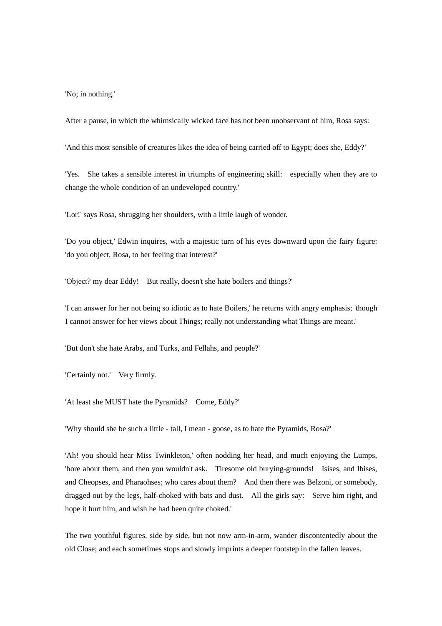'No; in nothing.'

After a pause, in which the whimsically wicked face has not been unobservant of him, Rosa says:

'And this most sensible of creatures likes the idea of being carried off to Egypt; does she, Eddy?'

'Yes. She takes a sensible interest in triumphs of engineering skill: especially when they are to change the whole condition of an undeveloped country.'

'Lor!' says Rosa, shrugging her shoulders, with a little laugh of wonder.

'Do you object,' Edwin inquires, with a majestic turn of his eyes downward upon the fairy figure: 'do you object, Rosa, to her feeling that interest?'

'Object? my dear Eddy! But really, doesn't she hate boilers and things?'

'I can answer for her not being so idiotic as to hate Boilers,' he returns with angry emphasis; 'though I cannot answer for her views about Things; really not understanding what Things are meant.'

'But don't she hate Arabs, and Turks, and Fellahs, and people?'

'Certainly not.' Very firmly.

'At least she MUST hate the Pyramids? Come, Eddy?'

'Why should she be such a little - tall, I mean - goose, as to hate the Pyramids, Rosa?'

'Ah! you should hear Miss Twinkleton,' often nodding her head, and much enjoying the Lumps, 'bore about them, and then you wouldn't ask. Tiresome old burying-grounds! Isises, and Ibises, and Cheopses, and Pharaohses; who cares about them? And then there was Belzoni, or somebody, dragged out by the legs, half-choked with bats and dust. All the girls say: Serve him right, and hope it hurt him, and wish he had been quite choked.'

The two youthful figures, side by side, but not now arm-in-arm, wander discontentedly about the old Close; and each sometimes stops and slowly imprints a deeper footstep in the fallen leaves.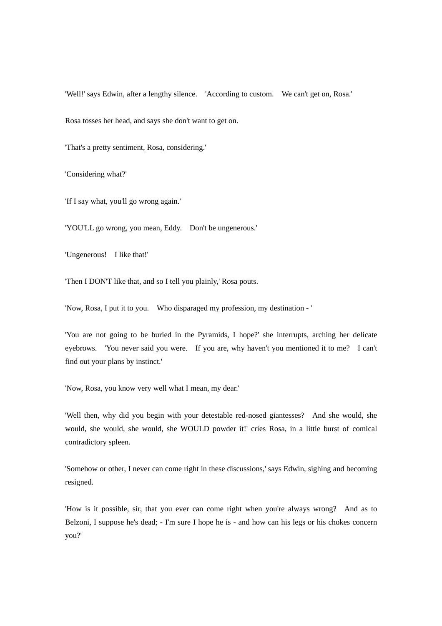'Well!' says Edwin, after a lengthy silence. 'According to custom. We can't get on, Rosa.' Rosa tosses her head, and says she don't want to get on.

'That's a pretty sentiment, Rosa, considering.'

'Considering what?'

'If I say what, you'll go wrong again.'

'YOU'LL go wrong, you mean, Eddy. Don't be ungenerous.'

'Ungenerous! I like that!'

'Then I DON'T like that, and so I tell you plainly,' Rosa pouts.

'Now, Rosa, I put it to you. Who disparaged my profession, my destination - '

'You are not going to be buried in the Pyramids, I hope?' she interrupts, arching her delicate eyebrows. 'You never said you were. If you are, why haven't you mentioned it to me? I can't find out your plans by instinct.'

'Now, Rosa, you know very well what I mean, my dear.'

'Well then, why did you begin with your detestable red-nosed giantesses? And she would, she would, she would, she would, she WOULD powder it!' cries Rosa, in a little burst of comical contradictory spleen.

'Somehow or other, I never can come right in these discussions,' says Edwin, sighing and becoming resigned.

'How is it possible, sir, that you ever can come right when you're always wrong? And as to Belzoni, I suppose he's dead; - I'm sure I hope he is - and how can his legs or his chokes concern you?'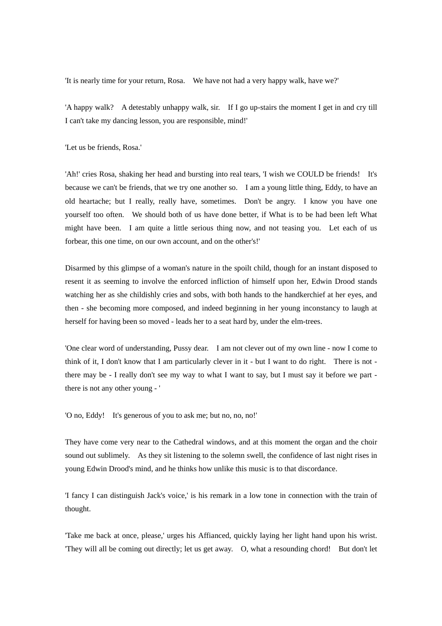'It is nearly time for your return, Rosa. We have not had a very happy walk, have we?'

'A happy walk? A detestably unhappy walk, sir. If I go up-stairs the moment I get in and cry till I can't take my dancing lesson, you are responsible, mind!'

'Let us be friends, Rosa.'

'Ah!' cries Rosa, shaking her head and bursting into real tears, 'I wish we COULD be friends! It's because we can't be friends, that we try one another so. I am a young little thing, Eddy, to have an old heartache; but I really, really have, sometimes. Don't be angry. I know you have one yourself too often. We should both of us have done better, if What is to be had been left What might have been. I am quite a little serious thing now, and not teasing you. Let each of us forbear, this one time, on our own account, and on the other's!'

Disarmed by this glimpse of a woman's nature in the spoilt child, though for an instant disposed to resent it as seeming to involve the enforced infliction of himself upon her, Edwin Drood stands watching her as she childishly cries and sobs, with both hands to the handkerchief at her eyes, and then - she becoming more composed, and indeed beginning in her young inconstancy to laugh at herself for having been so moved - leads her to a seat hard by, under the elm-trees.

'One clear word of understanding, Pussy dear. I am not clever out of my own line - now I come to think of it, I don't know that I am particularly clever in it - but I want to do right. There is not there may be - I really don't see my way to what I want to say, but I must say it before we part there is not any other young - '

'O no, Eddy! It's generous of you to ask me; but no, no, no!'

They have come very near to the Cathedral windows, and at this moment the organ and the choir sound out sublimely. As they sit listening to the solemn swell, the confidence of last night rises in young Edwin Drood's mind, and he thinks how unlike this music is to that discordance.

'I fancy I can distinguish Jack's voice,' is his remark in a low tone in connection with the train of thought.

'Take me back at once, please,' urges his Affianced, quickly laying her light hand upon his wrist. 'They will all be coming out directly; let us get away. O, what a resounding chord! But don't let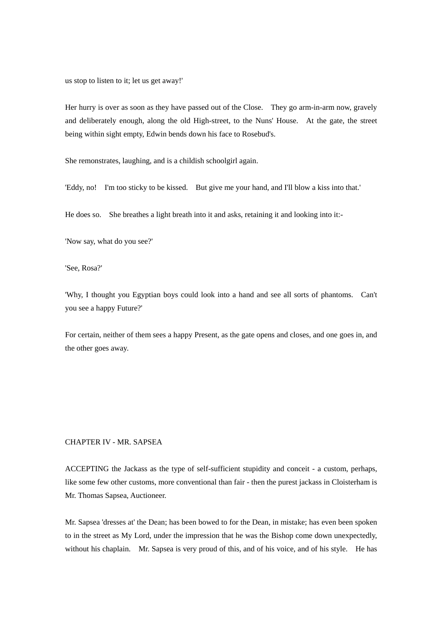us stop to listen to it; let us get away!'

Her hurry is over as soon as they have passed out of the Close. They go arm-in-arm now, gravely and deliberately enough, along the old High-street, to the Nuns' House. At the gate, the street being within sight empty, Edwin bends down his face to Rosebud's.

She remonstrates, laughing, and is a childish schoolgirl again.

'Eddy, no! I'm too sticky to be kissed. But give me your hand, and I'll blow a kiss into that.'

He does so. She breathes a light breath into it and asks, retaining it and looking into it:-

'Now say, what do you see?'

'See, Rosa?'

'Why, I thought you Egyptian boys could look into a hand and see all sorts of phantoms. Can't you see a happy Future?'

For certain, neither of them sees a happy Present, as the gate opens and closes, and one goes in, and the other goes away.

## CHAPTER IV - MR. SAPSEA

ACCEPTING the Jackass as the type of self-sufficient stupidity and conceit - a custom, perhaps, like some few other customs, more conventional than fair - then the purest jackass in Cloisterham is Mr. Thomas Sapsea, Auctioneer.

Mr. Sapsea 'dresses at' the Dean; has been bowed to for the Dean, in mistake; has even been spoken to in the street as My Lord, under the impression that he was the Bishop come down unexpectedly, without his chaplain. Mr. Sapsea is very proud of this, and of his voice, and of his style. He has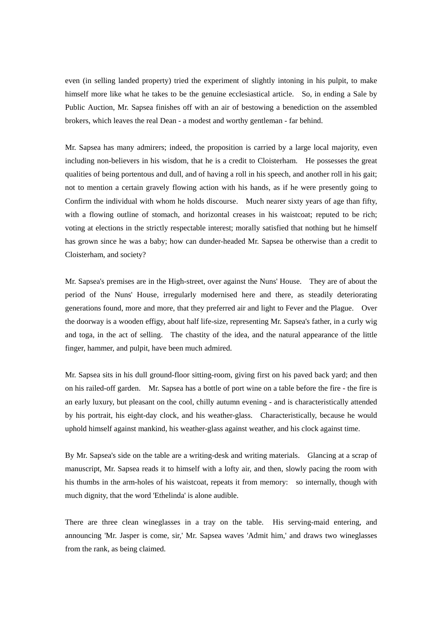even (in selling landed property) tried the experiment of slightly intoning in his pulpit, to make himself more like what he takes to be the genuine ecclesiastical article. So, in ending a Sale by Public Auction, Mr. Sapsea finishes off with an air of bestowing a benediction on the assembled brokers, which leaves the real Dean - a modest and worthy gentleman - far behind.

Mr. Sapsea has many admirers; indeed, the proposition is carried by a large local majority, even including non-believers in his wisdom, that he is a credit to Cloisterham. He possesses the great qualities of being portentous and dull, and of having a roll in his speech, and another roll in his gait; not to mention a certain gravely flowing action with his hands, as if he were presently going to Confirm the individual with whom he holds discourse. Much nearer sixty years of age than fifty, with a flowing outline of stomach, and horizontal creases in his waistcoat; reputed to be rich; voting at elections in the strictly respectable interest; morally satisfied that nothing but he himself has grown since he was a baby; how can dunder-headed Mr. Sapsea be otherwise than a credit to Cloisterham, and society?

Mr. Sapsea's premises are in the High-street, over against the Nuns' House. They are of about the period of the Nuns' House, irregularly modernised here and there, as steadily deteriorating generations found, more and more, that they preferred air and light to Fever and the Plague. Over the doorway is a wooden effigy, about half life-size, representing Mr. Sapsea's father, in a curly wig and toga, in the act of selling. The chastity of the idea, and the natural appearance of the little finger, hammer, and pulpit, have been much admired.

Mr. Sapsea sits in his dull ground-floor sitting-room, giving first on his paved back yard; and then on his railed-off garden. Mr. Sapsea has a bottle of port wine on a table before the fire - the fire is an early luxury, but pleasant on the cool, chilly autumn evening - and is characteristically attended by his portrait, his eight-day clock, and his weather-glass. Characteristically, because he would uphold himself against mankind, his weather-glass against weather, and his clock against time.

By Mr. Sapsea's side on the table are a writing-desk and writing materials. Glancing at a scrap of manuscript, Mr. Sapsea reads it to himself with a lofty air, and then, slowly pacing the room with his thumbs in the arm-holes of his waistcoat, repeats it from memory: so internally, though with much dignity, that the word 'Ethelinda' is alone audible.

There are three clean wineglasses in a tray on the table. His serving-maid entering, and announcing 'Mr. Jasper is come, sir,' Mr. Sapsea waves 'Admit him,' and draws two wineglasses from the rank, as being claimed.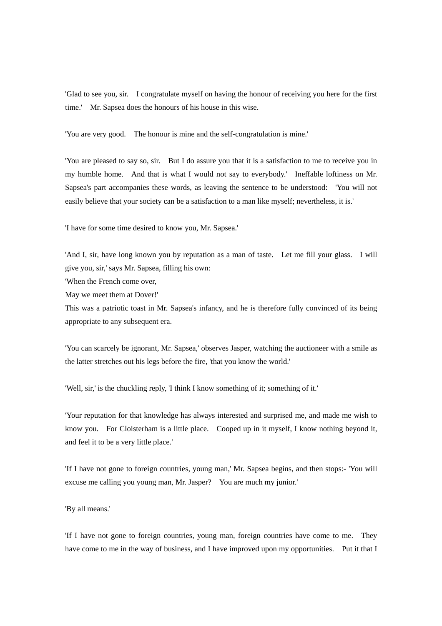'Glad to see you, sir. I congratulate myself on having the honour of receiving you here for the first time.' Mr. Sapsea does the honours of his house in this wise.

'You are very good. The honour is mine and the self-congratulation is mine.'

'You are pleased to say so, sir. But I do assure you that it is a satisfaction to me to receive you in my humble home. And that is what I would not say to everybody.' Ineffable loftiness on Mr. Sapsea's part accompanies these words, as leaving the sentence to be understood: 'You will not easily believe that your society can be a satisfaction to a man like myself; nevertheless, it is.'

'I have for some time desired to know you, Mr. Sapsea.'

'And I, sir, have long known you by reputation as a man of taste. Let me fill your glass. I will give you, sir,' says Mr. Sapsea, filling his own:

'When the French come over,

May we meet them at Dover!'

This was a patriotic toast in Mr. Sapsea's infancy, and he is therefore fully convinced of its being appropriate to any subsequent era.

'You can scarcely be ignorant, Mr. Sapsea,' observes Jasper, watching the auctioneer with a smile as the latter stretches out his legs before the fire, 'that you know the world.'

'Well, sir,' is the chuckling reply, 'I think I know something of it; something of it.'

'Your reputation for that knowledge has always interested and surprised me, and made me wish to know you. For Cloisterham is a little place. Cooped up in it myself, I know nothing beyond it, and feel it to be a very little place.'

'If I have not gone to foreign countries, young man,' Mr. Sapsea begins, and then stops:- 'You will excuse me calling you young man, Mr. Jasper? You are much my junior.'

'By all means.'

'If I have not gone to foreign countries, young man, foreign countries have come to me. They have come to me in the way of business, and I have improved upon my opportunities. Put it that I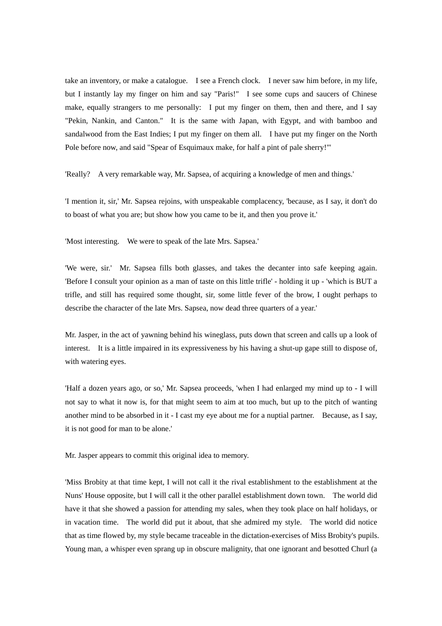take an inventory, or make a catalogue. I see a French clock. I never saw him before, in my life, but I instantly lay my finger on him and say "Paris!" I see some cups and saucers of Chinese make, equally strangers to me personally: I put my finger on them, then and there, and I say "Pekin, Nankin, and Canton." It is the same with Japan, with Egypt, and with bamboo and sandalwood from the East Indies; I put my finger on them all. I have put my finger on the North Pole before now, and said "Spear of Esquimaux make, for half a pint of pale sherry!"'

'Really? A very remarkable way, Mr. Sapsea, of acquiring a knowledge of men and things.'

'I mention it, sir,' Mr. Sapsea rejoins, with unspeakable complacency, 'because, as I say, it don't do to boast of what you are; but show how you came to be it, and then you prove it.'

'Most interesting. We were to speak of the late Mrs. Sapsea.'

'We were, sir.' Mr. Sapsea fills both glasses, and takes the decanter into safe keeping again. 'Before I consult your opinion as a man of taste on this little trifle' - holding it up - 'which is BUT a trifle, and still has required some thought, sir, some little fever of the brow, I ought perhaps to describe the character of the late Mrs. Sapsea, now dead three quarters of a year.'

Mr. Jasper, in the act of yawning behind his wineglass, puts down that screen and calls up a look of interest. It is a little impaired in its expressiveness by his having a shut-up gape still to dispose of, with watering eyes.

'Half a dozen years ago, or so,' Mr. Sapsea proceeds, 'when I had enlarged my mind up to - I will not say to what it now is, for that might seem to aim at too much, but up to the pitch of wanting another mind to be absorbed in it - I cast my eye about me for a nuptial partner. Because, as I say, it is not good for man to be alone.'

Mr. Jasper appears to commit this original idea to memory.

'Miss Brobity at that time kept, I will not call it the rival establishment to the establishment at the Nuns' House opposite, but I will call it the other parallel establishment down town. The world did have it that she showed a passion for attending my sales, when they took place on half holidays, or in vacation time. The world did put it about, that she admired my style. The world did notice that as time flowed by, my style became traceable in the dictation-exercises of Miss Brobity's pupils. Young man, a whisper even sprang up in obscure malignity, that one ignorant and besotted Churl (a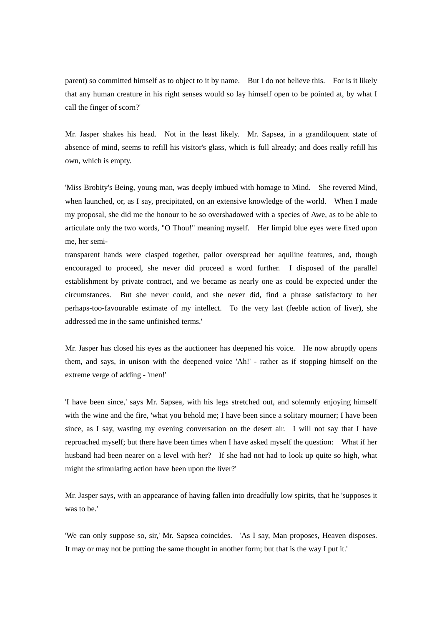parent) so committed himself as to object to it by name. But I do not believe this. For is it likely that any human creature in his right senses would so lay himself open to be pointed at, by what I call the finger of scorn?'

Mr. Jasper shakes his head. Not in the least likely. Mr. Sapsea, in a grandiloquent state of absence of mind, seems to refill his visitor's glass, which is full already; and does really refill his own, which is empty.

'Miss Brobity's Being, young man, was deeply imbued with homage to Mind. She revered Mind, when launched, or, as I say, precipitated, on an extensive knowledge of the world. When I made my proposal, she did me the honour to be so overshadowed with a species of Awe, as to be able to articulate only the two words, "O Thou!" meaning myself. Her limpid blue eyes were fixed upon me, her semi-

transparent hands were clasped together, pallor overspread her aquiline features, and, though encouraged to proceed, she never did proceed a word further. I disposed of the parallel establishment by private contract, and we became as nearly one as could be expected under the circumstances. But she never could, and she never did, find a phrase satisfactory to her perhaps-too-favourable estimate of my intellect. To the very last (feeble action of liver), she addressed me in the same unfinished terms.'

Mr. Jasper has closed his eyes as the auctioneer has deepened his voice. He now abruptly opens them, and says, in unison with the deepened voice 'Ah!' - rather as if stopping himself on the extreme verge of adding - 'men!'

'I have been since,' says Mr. Sapsea, with his legs stretched out, and solemnly enjoying himself with the wine and the fire, 'what you behold me; I have been since a solitary mourner; I have been since, as I say, wasting my evening conversation on the desert air. I will not say that I have reproached myself; but there have been times when I have asked myself the question: What if her husband had been nearer on a level with her? If she had not had to look up quite so high, what might the stimulating action have been upon the liver?'

Mr. Jasper says, with an appearance of having fallen into dreadfully low spirits, that he 'supposes it was to be.'

'We can only suppose so, sir,' Mr. Sapsea coincides. 'As I say, Man proposes, Heaven disposes. It may or may not be putting the same thought in another form; but that is the way I put it.'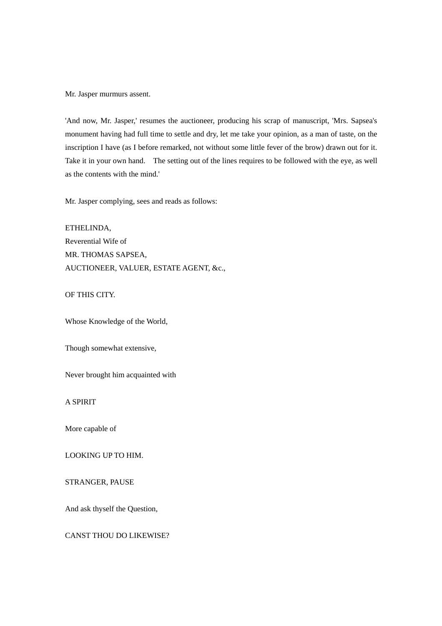Mr. Jasper murmurs assent.

'And now, Mr. Jasper,' resumes the auctioneer, producing his scrap of manuscript, 'Mrs. Sapsea's monument having had full time to settle and dry, let me take your opinion, as a man of taste, on the inscription I have (as I before remarked, not without some little fever of the brow) drawn out for it. Take it in your own hand. The setting out of the lines requires to be followed with the eye, as well as the contents with the mind.'

Mr. Jasper complying, sees and reads as follows:

ETHELINDA, Reverential Wife of MR. THOMAS SAPSEA, AUCTIONEER, VALUER, ESTATE AGENT, &c.,

OF THIS CITY.

Whose Knowledge of the World,

Though somewhat extensive,

Never brought him acquainted with

A SPIRIT

More capable of

LOOKING UP TO HIM.

STRANGER, PAUSE

And ask thyself the Question,

CANST THOU DO LIKEWISE?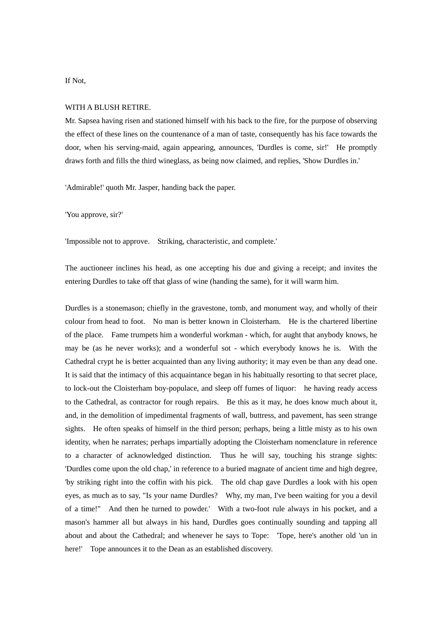If Not,

#### WITH A BLUSH RETIRE.

Mr. Sapsea having risen and stationed himself with his back to the fire, for the purpose of observing the effect of these lines on the countenance of a man of taste, consequently has his face towards the door, when his serving-maid, again appearing, announces, 'Durdles is come, sir!' He promptly draws forth and fills the third wineglass, as being now claimed, and replies, 'Show Durdles in.'

'Admirable!' quoth Mr. Jasper, handing back the paper.

'You approve, sir?'

'Impossible not to approve. Striking, characteristic, and complete.'

The auctioneer inclines his head, as one accepting his due and giving a receipt; and invites the entering Durdles to take off that glass of wine (handing the same), for it will warm him.

Durdles is a stonemason; chiefly in the gravestone, tomb, and monument way, and wholly of their colour from head to foot. No man is better known in Cloisterham. He is the chartered libertine of the place. Fame trumpets him a wonderful workman - which, for aught that anybody knows, he may be (as he never works); and a wonderful sot - which everybody knows he is. With the Cathedral crypt he is better acquainted than any living authority; it may even be than any dead one. It is said that the intimacy of this acquaintance began in his habitually resorting to that secret place, to lock-out the Cloisterham boy-populace, and sleep off fumes of liquor: he having ready access to the Cathedral, as contractor for rough repairs. Be this as it may, he does know much about it, and, in the demolition of impedimental fragments of wall, buttress, and pavement, has seen strange sights. He often speaks of himself in the third person; perhaps, being a little misty as to his own identity, when he narrates; perhaps impartially adopting the Cloisterham nomenclature in reference to a character of acknowledged distinction. Thus he will say, touching his strange sights: 'Durdles come upon the old chap,' in reference to a buried magnate of ancient time and high degree, 'by striking right into the coffin with his pick. The old chap gave Durdles a look with his open eyes, as much as to say, "Is your name Durdles? Why, my man, I've been waiting for you a devil of a time!" And then he turned to powder.' With a two-foot rule always in his pocket, and a mason's hammer all but always in his hand, Durdles goes continually sounding and tapping all about and about the Cathedral; and whenever he says to Tope: 'Tope, here's another old 'un in here!' Tope announces it to the Dean as an established discovery.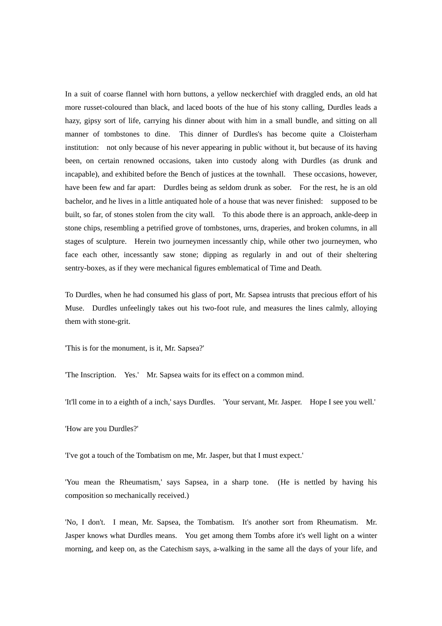In a suit of coarse flannel with horn buttons, a yellow neckerchief with draggled ends, an old hat more russet-coloured than black, and laced boots of the hue of his stony calling, Durdles leads a hazy, gipsy sort of life, carrying his dinner about with him in a small bundle, and sitting on all manner of tombstones to dine. This dinner of Durdles's has become quite a Cloisterham institution: not only because of his never appearing in public without it, but because of its having been, on certain renowned occasions, taken into custody along with Durdles (as drunk and incapable), and exhibited before the Bench of justices at the townhall. These occasions, however, have been few and far apart: Durdles being as seldom drunk as sober. For the rest, he is an old bachelor, and he lives in a little antiquated hole of a house that was never finished: supposed to be built, so far, of stones stolen from the city wall. To this abode there is an approach, ankle-deep in stone chips, resembling a petrified grove of tombstones, urns, draperies, and broken columns, in all stages of sculpture. Herein two journeymen incessantly chip, while other two journeymen, who face each other, incessantly saw stone; dipping as regularly in and out of their sheltering sentry-boxes, as if they were mechanical figures emblematical of Time and Death.

To Durdles, when he had consumed his glass of port, Mr. Sapsea intrusts that precious effort of his Muse. Durdles unfeelingly takes out his two-foot rule, and measures the lines calmly, alloying them with stone-grit.

'This is for the monument, is it, Mr. Sapsea?'

'The Inscription. Yes.' Mr. Sapsea waits for its effect on a common mind.

'It'll come in to a eighth of a inch,' says Durdles. 'Your servant, Mr. Jasper. Hope I see you well.'

'How are you Durdles?'

'I've got a touch of the Tombatism on me, Mr. Jasper, but that I must expect.'

'You mean the Rheumatism,' says Sapsea, in a sharp tone. (He is nettled by having his composition so mechanically received.)

'No, I don't. I mean, Mr. Sapsea, the Tombatism. It's another sort from Rheumatism. Mr. Jasper knows what Durdles means. You get among them Tombs afore it's well light on a winter morning, and keep on, as the Catechism says, a-walking in the same all the days of your life, and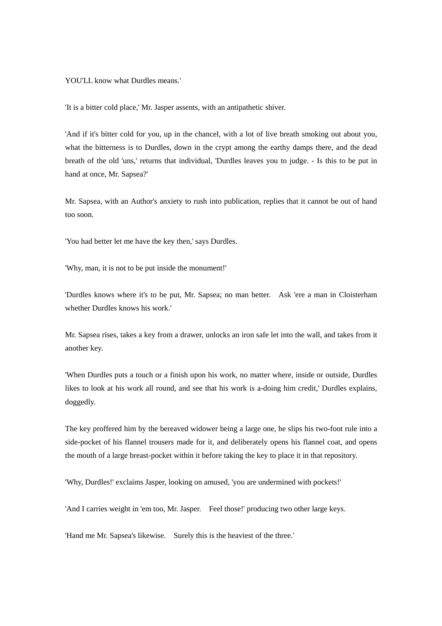YOU'LL know what Durdles means.'

'It is a bitter cold place,' Mr. Jasper assents, with an antipathetic shiver.

'And if it's bitter cold for you, up in the chancel, with a lot of live breath smoking out about you, what the bitterness is to Durdles, down in the crypt among the earthy damps there, and the dead breath of the old 'uns,' returns that individual, 'Durdles leaves you to judge. - Is this to be put in hand at once, Mr. Sapsea?'

Mr. Sapsea, with an Author's anxiety to rush into publication, replies that it cannot be out of hand too soon.

'You had better let me have the key then,' says Durdles.

'Why, man, it is not to be put inside the monument!'

'Durdles knows where it's to be put, Mr. Sapsea; no man better. Ask 'ere a man in Cloisterham whether Durdles knows his work.'

Mr. Sapsea rises, takes a key from a drawer, unlocks an iron safe let into the wall, and takes from it another key.

'When Durdles puts a touch or a finish upon his work, no matter where, inside or outside, Durdles likes to look at his work all round, and see that his work is a-doing him credit,' Durdles explains, doggedly.

The key proffered him by the bereaved widower being a large one, he slips his two-foot rule into a side-pocket of his flannel trousers made for it, and deliberately opens his flannel coat, and opens the mouth of a large breast-pocket within it before taking the key to place it in that repository.

'Why, Durdles!' exclaims Jasper, looking on amused, 'you are undermined with pockets!'

'And I carries weight in 'em too, Mr. Jasper. Feel those!' producing two other large keys.

'Hand me Mr. Sapsea's likewise. Surely this is the heaviest of the three.'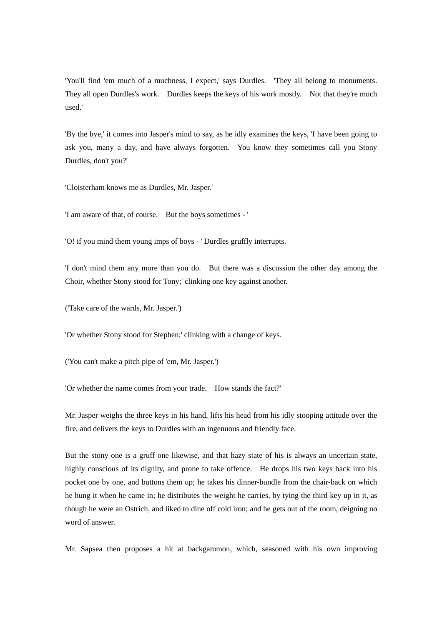'You'll find 'em much of a muchness, I expect,' says Durdles. 'They all belong to monuments. They all open Durdles's work. Durdles keeps the keys of his work mostly. Not that they're much used.'

'By the bye,' it comes into Jasper's mind to say, as he idly examines the keys, 'I have been going to ask you, many a day, and have always forgotten. You know they sometimes call you Stony Durdles, don't you?'

'Cloisterham knows me as Durdles, Mr. Jasper.'

'I am aware of that, of course. But the boys sometimes - '

'O! if you mind them young imps of boys - ' Durdles gruffly interrupts.

'I don't mind them any more than you do. But there was a discussion the other day among the Choir, whether Stony stood for Tony;' clinking one key against another.

('Take care of the wards, Mr. Jasper.')

'Or whether Stony stood for Stephen;' clinking with a change of keys.

('You can't make a pitch pipe of 'em, Mr. Jasper.')

'Or whether the name comes from your trade. How stands the fact?'

Mr. Jasper weighs the three keys in his hand, lifts his head from his idly stooping attitude over the fire, and delivers the keys to Durdles with an ingenuous and friendly face.

But the stony one is a gruff one likewise, and that hazy state of his is always an uncertain state, highly conscious of its dignity, and prone to take offence. He drops his two keys back into his pocket one by one, and buttons them up; he takes his dinner-bundle from the chair-back on which he hung it when he came in; he distributes the weight he carries, by tying the third key up in it, as though he were an Ostrich, and liked to dine off cold iron; and he gets out of the room, deigning no word of answer.

Mr. Sapsea then proposes a hit at backgammon, which, seasoned with his own improving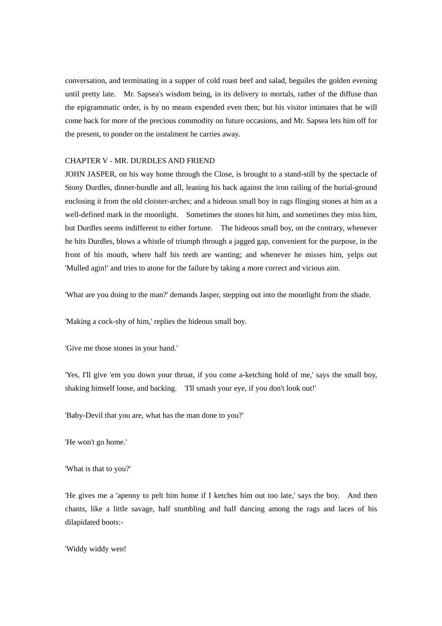conversation, and terminating in a supper of cold roast beef and salad, beguiles the golden evening until pretty late. Mr. Sapsea's wisdom being, in its delivery to mortals, rather of the diffuse than the epigrammatic order, is by no means expended even then; but his visitor intimates that he will come back for more of the precious commodity on future occasions, and Mr. Sapsea lets him off for the present, to ponder on the instalment he carries away.

### CHAPTER V - MR. DURDLES AND FRIEND

JOHN JASPER, on his way home through the Close, is brought to a stand-still by the spectacle of Stony Durdles, dinner-bundle and all, leaning his back against the iron railing of the burial-ground enclosing it from the old cloister-arches; and a hideous small boy in rags flinging stones at him as a well-defined mark in the moonlight. Sometimes the stones hit him, and sometimes they miss him, but Durdles seems indifferent to either fortune. The hideous small boy, on the contrary, whenever he hits Durdles, blows a whistle of triumph through a jagged gap, convenient for the purpose, in the front of his mouth, where half his teeth are wanting; and whenever he misses him, yelps out 'Mulled agin!' and tries to atone for the failure by taking a more correct and vicious aim.

'What are you doing to the man?' demands Jasper, stepping out into the moonlight from the shade.

'Making a cock-shy of him,' replies the hideous small boy.

'Give me those stones in your hand.'

'Yes, I'll give 'em you down your throat, if you come a-ketching hold of me,' says the small boy, shaking himself loose, and backing. 'I'll smash your eye, if you don't look out!'

'Baby-Devil that you are, what has the man done to you?'

'He won't go home.'

'What is that to you?'

'He gives me a 'apenny to pelt him home if I ketches him out too late,' says the boy. And then chants, like a little savage, half stumbling and half dancing among the rags and laces of his dilapidated boots:-

'Widdy widdy wen!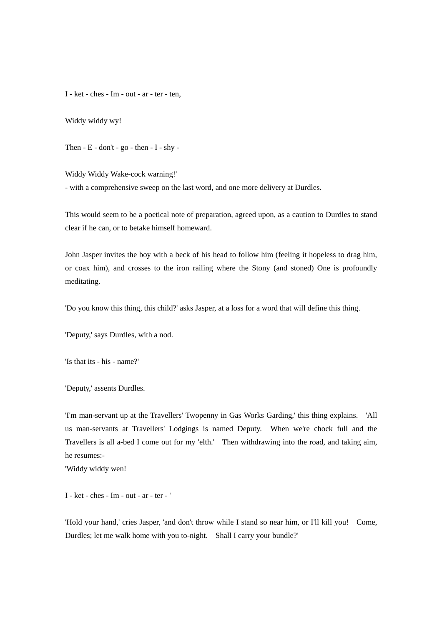I - ket - ches - Im - out - ar - ter - ten,

Widdy widdy wy!

Then  $- E -$  don't  $-$  go  $-$  then  $- I -$  shy  $-$ 

Widdy Widdy Wake-cock warning!'

- with a comprehensive sweep on the last word, and one more delivery at Durdles.

This would seem to be a poetical note of preparation, agreed upon, as a caution to Durdles to stand clear if he can, or to betake himself homeward.

John Jasper invites the boy with a beck of his head to follow him (feeling it hopeless to drag him, or coax him), and crosses to the iron railing where the Stony (and stoned) One is profoundly meditating.

'Do you know this thing, this child?' asks Jasper, at a loss for a word that will define this thing.

'Deputy,' says Durdles, with a nod.

'Is that its - his - name?'

'Deputy,' assents Durdles.

'I'm man-servant up at the Travellers' Twopenny in Gas Works Garding,' this thing explains. 'All us man-servants at Travellers' Lodgings is named Deputy. When we're chock full and the Travellers is all a-bed I come out for my 'elth.' Then withdrawing into the road, and taking aim, he resumes:-

'Widdy widdy wen!

I - ket - ches - Im - out - ar - ter - '

'Hold your hand,' cries Jasper, 'and don't throw while I stand so near him, or I'll kill you! Come, Durdles; let me walk home with you to-night. Shall I carry your bundle?'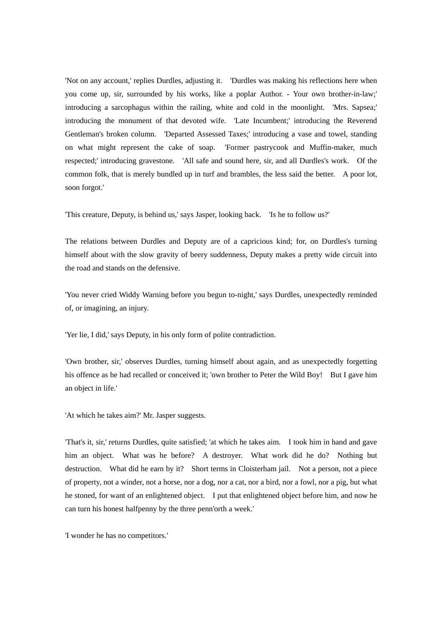'Not on any account,' replies Durdles, adjusting it. 'Durdles was making his reflections here when you come up, sir, surrounded by his works, like a poplar Author. - Your own brother-in-law;' introducing a sarcophagus within the railing, white and cold in the moonlight. 'Mrs. Sapsea;' introducing the monument of that devoted wife. 'Late Incumbent;' introducing the Reverend Gentleman's broken column. 'Departed Assessed Taxes;' introducing a vase and towel, standing on what might represent the cake of soap. 'Former pastrycook and Muffin-maker, much respected;' introducing gravestone. 'All safe and sound here, sir, and all Durdles's work. Of the common folk, that is merely bundled up in turf and brambles, the less said the better. A poor lot, soon forgot.'

'This creature, Deputy, is behind us,' says Jasper, looking back. 'Is he to follow us?'

The relations between Durdles and Deputy are of a capricious kind; for, on Durdles's turning himself about with the slow gravity of beery suddenness, Deputy makes a pretty wide circuit into the road and stands on the defensive.

'You never cried Widdy Warning before you begun to-night,' says Durdles, unexpectedly reminded of, or imagining, an injury.

'Yer lie, I did,' says Deputy, in his only form of polite contradiction.

'Own brother, sir,' observes Durdles, turning himself about again, and as unexpectedly forgetting his offence as he had recalled or conceived it; 'own brother to Peter the Wild Boy! But I gave him an object in life.'

'At which he takes aim?' Mr. Jasper suggests.

'That's it, sir,' returns Durdles, quite satisfied; 'at which he takes aim. I took him in hand and gave him an object. What was he before? A destroyer. What work did he do? Nothing but destruction. What did he earn by it? Short terms in Cloisterham jail. Not a person, not a piece of property, not a winder, not a horse, nor a dog, nor a cat, nor a bird, nor a fowl, nor a pig, but what he stoned, for want of an enlightened object. I put that enlightened object before him, and now he can turn his honest halfpenny by the three penn'orth a week.'

'I wonder he has no competitors.'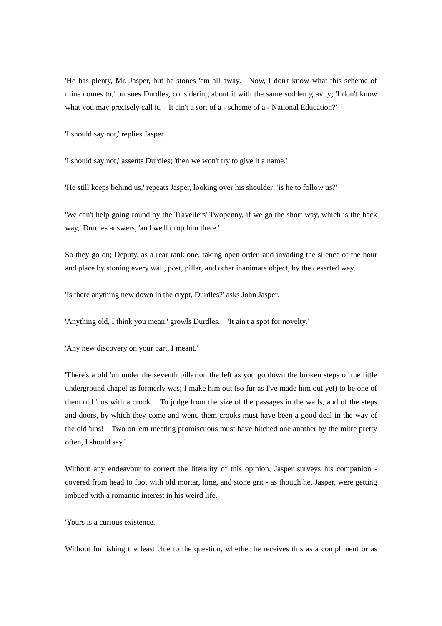'He has plenty, Mr. Jasper, but he stones 'em all away. Now, I don't know what this scheme of mine comes to,' pursues Durdles, considering about it with the same sodden gravity; 'I don't know what you may precisely call it. It ain't a sort of a - scheme of a - National Education?'

'I should say not,' replies Jasper.

'I should say not,' assents Durdles; 'then we won't try to give it a name.'

'He still keeps behind us,' repeats Jasper, looking over his shoulder; 'is he to follow us?'

'We can't help going round by the Travellers' Twopenny, if we go the short way, which is the back way,' Durdles answers, 'and we'll drop him there.'

So they go on; Deputy, as a rear rank one, taking open order, and invading the silence of the hour and place by stoning every wall, post, pillar, and other inanimate object, by the deserted way.

'Is there anything new down in the crypt, Durdles?' asks John Jasper.

'Anything old, I think you mean,' growls Durdles. 'It ain't a spot for novelty.'

'Any new discovery on your part, I meant.'

'There's a old 'un under the seventh pillar on the left as you go down the broken steps of the little underground chapel as formerly was; I make him out (so fur as I've made him out yet) to be one of them old 'uns with a crook. To judge from the size of the passages in the walls, and of the steps and doors, by which they come and went, them crooks must have been a good deal in the way of the old 'uns! Two on 'em meeting promiscuous must have hitched one another by the mitre pretty often, I should say.'

Without any endeavour to correct the literality of this opinion, Jasper surveys his companion covered from head to foot with old mortar, lime, and stone grit - as though he, Jasper, were getting imbued with a romantic interest in his weird life.

'Yours is a curious existence.'

Without furnishing the least clue to the question, whether he receives this as a compliment or as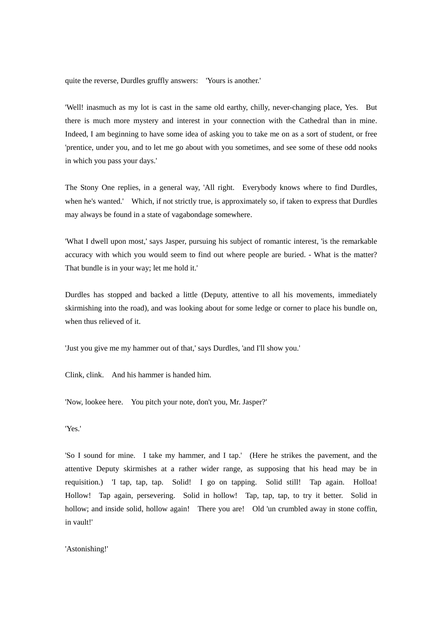quite the reverse, Durdles gruffly answers: 'Yours is another.'

'Well! inasmuch as my lot is cast in the same old earthy, chilly, never-changing place, Yes. But there is much more mystery and interest in your connection with the Cathedral than in mine. Indeed, I am beginning to have some idea of asking you to take me on as a sort of student, or free 'prentice, under you, and to let me go about with you sometimes, and see some of these odd nooks in which you pass your days.'

The Stony One replies, in a general way, 'All right. Everybody knows where to find Durdles, when he's wanted.' Which, if not strictly true, is approximately so, if taken to express that Durdles may always be found in a state of vagabondage somewhere.

'What I dwell upon most,' says Jasper, pursuing his subject of romantic interest, 'is the remarkable accuracy with which you would seem to find out where people are buried. - What is the matter? That bundle is in your way; let me hold it.'

Durdles has stopped and backed a little (Deputy, attentive to all his movements, immediately skirmishing into the road), and was looking about for some ledge or corner to place his bundle on, when thus relieved of it.

'Just you give me my hammer out of that,' says Durdles, 'and I'll show you.'

Clink, clink. And his hammer is handed him.

'Now, lookee here. You pitch your note, don't you, Mr. Jasper?'

'Yes.'

'So I sound for mine. I take my hammer, and I tap.' (Here he strikes the pavement, and the attentive Deputy skirmishes at a rather wider range, as supposing that his head may be in requisition.) 'I tap, tap, tap. Solid! I go on tapping. Solid still! Tap again. Holloa! Hollow! Tap again, persevering. Solid in hollow! Tap, tap, tap, to try it better. Solid in hollow; and inside solid, hollow again! There you are! Old 'un crumbled away in stone coffin, in vault!'

'Astonishing!'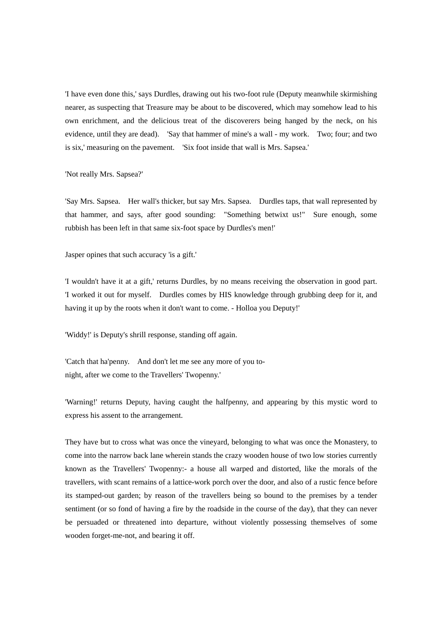'I have even done this,' says Durdles, drawing out his two-foot rule (Deputy meanwhile skirmishing nearer, as suspecting that Treasure may be about to be discovered, which may somehow lead to his own enrichment, and the delicious treat of the discoverers being hanged by the neck, on his evidence, until they are dead). 'Say that hammer of mine's a wall - my work. Two; four; and two is six,' measuring on the pavement. 'Six foot inside that wall is Mrs. Sapsea.'

'Not really Mrs. Sapsea?'

'Say Mrs. Sapsea. Her wall's thicker, but say Mrs. Sapsea. Durdles taps, that wall represented by that hammer, and says, after good sounding: "Something betwixt us!" Sure enough, some rubbish has been left in that same six-foot space by Durdles's men!'

Jasper opines that such accuracy 'is a gift.'

'I wouldn't have it at a gift,' returns Durdles, by no means receiving the observation in good part. 'I worked it out for myself. Durdles comes by HIS knowledge through grubbing deep for it, and having it up by the roots when it don't want to come. - Holloa you Deputy!'

'Widdy!' is Deputy's shrill response, standing off again.

'Catch that ha'penny. And don't let me see any more of you tonight, after we come to the Travellers' Twopenny.'

'Warning!' returns Deputy, having caught the halfpenny, and appearing by this mystic word to express his assent to the arrangement.

They have but to cross what was once the vineyard, belonging to what was once the Monastery, to come into the narrow back lane wherein stands the crazy wooden house of two low stories currently known as the Travellers' Twopenny:- a house all warped and distorted, like the morals of the travellers, with scant remains of a lattice-work porch over the door, and also of a rustic fence before its stamped-out garden; by reason of the travellers being so bound to the premises by a tender sentiment (or so fond of having a fire by the roadside in the course of the day), that they can never be persuaded or threatened into departure, without violently possessing themselves of some wooden forget-me-not, and bearing it off.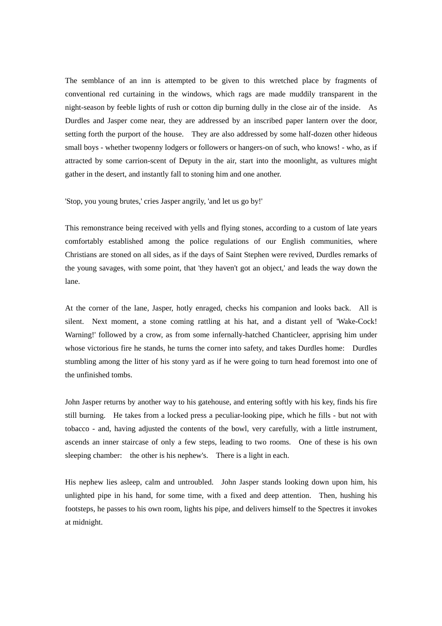The semblance of an inn is attempted to be given to this wretched place by fragments of conventional red curtaining in the windows, which rags are made muddily transparent in the night-season by feeble lights of rush or cotton dip burning dully in the close air of the inside. As Durdles and Jasper come near, they are addressed by an inscribed paper lantern over the door, setting forth the purport of the house. They are also addressed by some half-dozen other hideous small boys - whether twopenny lodgers or followers or hangers-on of such, who knows! - who, as if attracted by some carrion-scent of Deputy in the air, start into the moonlight, as vultures might gather in the desert, and instantly fall to stoning him and one another.

'Stop, you young brutes,' cries Jasper angrily, 'and let us go by!'

This remonstrance being received with yells and flying stones, according to a custom of late years comfortably established among the police regulations of our English communities, where Christians are stoned on all sides, as if the days of Saint Stephen were revived, Durdles remarks of the young savages, with some point, that 'they haven't got an object,' and leads the way down the lane.

At the corner of the lane, Jasper, hotly enraged, checks his companion and looks back. All is silent. Next moment, a stone coming rattling at his hat, and a distant yell of 'Wake-Cock! Warning!' followed by a crow, as from some infernally-hatched Chanticleer, apprising him under whose victorious fire he stands, he turns the corner into safety, and takes Durdles home: Durdles stumbling among the litter of his stony yard as if he were going to turn head foremost into one of the unfinished tombs.

John Jasper returns by another way to his gatehouse, and entering softly with his key, finds his fire still burning. He takes from a locked press a peculiar-looking pipe, which he fills - but not with tobacco - and, having adjusted the contents of the bowl, very carefully, with a little instrument, ascends an inner staircase of only a few steps, leading to two rooms. One of these is his own sleeping chamber: the other is his nephew's. There is a light in each.

His nephew lies asleep, calm and untroubled. John Jasper stands looking down upon him, his unlighted pipe in his hand, for some time, with a fixed and deep attention. Then, hushing his footsteps, he passes to his own room, lights his pipe, and delivers himself to the Spectres it invokes at midnight.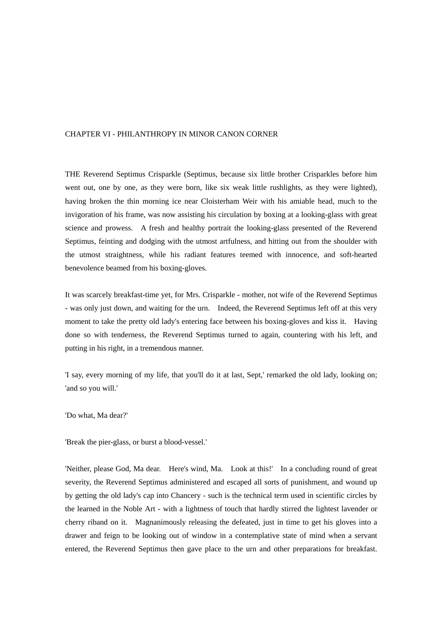## CHAPTER VI - PHILANTHROPY IN MINOR CANON CORNER

THE Reverend Septimus Crisparkle (Septimus, because six little brother Crisparkles before him went out, one by one, as they were born, like six weak little rushlights, as they were lighted), having broken the thin morning ice near Cloisterham Weir with his amiable head, much to the invigoration of his frame, was now assisting his circulation by boxing at a looking-glass with great science and prowess. A fresh and healthy portrait the looking-glass presented of the Reverend Septimus, feinting and dodging with the utmost artfulness, and hitting out from the shoulder with the utmost straightness, while his radiant features teemed with innocence, and soft-hearted benevolence beamed from his boxing-gloves.

It was scarcely breakfast-time yet, for Mrs. Crisparkle - mother, not wife of the Reverend Septimus - was only just down, and waiting for the urn. Indeed, the Reverend Septimus left off at this very moment to take the pretty old lady's entering face between his boxing-gloves and kiss it. Having done so with tenderness, the Reverend Septimus turned to again, countering with his left, and putting in his right, in a tremendous manner.

'I say, every morning of my life, that you'll do it at last, Sept,' remarked the old lady, looking on; 'and so you will.'

'Do what, Ma dear?'

'Break the pier-glass, or burst a blood-vessel.'

'Neither, please God, Ma dear. Here's wind, Ma. Look at this!' In a concluding round of great severity, the Reverend Septimus administered and escaped all sorts of punishment, and wound up by getting the old lady's cap into Chancery - such is the technical term used in scientific circles by the learned in the Noble Art - with a lightness of touch that hardly stirred the lightest lavender or cherry riband on it. Magnanimously releasing the defeated, just in time to get his gloves into a drawer and feign to be looking out of window in a contemplative state of mind when a servant entered, the Reverend Septimus then gave place to the urn and other preparations for breakfast.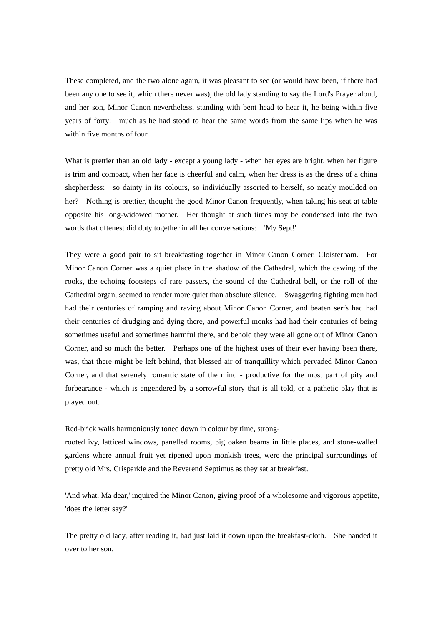These completed, and the two alone again, it was pleasant to see (or would have been, if there had been any one to see it, which there never was), the old lady standing to say the Lord's Prayer aloud, and her son, Minor Canon nevertheless, standing with bent head to hear it, he being within five years of forty: much as he had stood to hear the same words from the same lips when he was within five months of four.

What is prettier than an old lady - except a young lady - when her eyes are bright, when her figure is trim and compact, when her face is cheerful and calm, when her dress is as the dress of a china shepherdess: so dainty in its colours, so individually assorted to herself, so neatly moulded on her? Nothing is prettier, thought the good Minor Canon frequently, when taking his seat at table opposite his long-widowed mother. Her thought at such times may be condensed into the two words that oftenest did duty together in all her conversations: 'My Sept!'

They were a good pair to sit breakfasting together in Minor Canon Corner, Cloisterham. For Minor Canon Corner was a quiet place in the shadow of the Cathedral, which the cawing of the rooks, the echoing footsteps of rare passers, the sound of the Cathedral bell, or the roll of the Cathedral organ, seemed to render more quiet than absolute silence. Swaggering fighting men had had their centuries of ramping and raving about Minor Canon Corner, and beaten serfs had had their centuries of drudging and dying there, and powerful monks had had their centuries of being sometimes useful and sometimes harmful there, and behold they were all gone out of Minor Canon Corner, and so much the better. Perhaps one of the highest uses of their ever having been there, was, that there might be left behind, that blessed air of tranquillity which pervaded Minor Canon Corner, and that serenely romantic state of the mind - productive for the most part of pity and forbearance - which is engendered by a sorrowful story that is all told, or a pathetic play that is played out.

Red-brick walls harmoniously toned down in colour by time, strong-

rooted ivy, latticed windows, panelled rooms, big oaken beams in little places, and stone-walled gardens where annual fruit yet ripened upon monkish trees, were the principal surroundings of pretty old Mrs. Crisparkle and the Reverend Septimus as they sat at breakfast.

'And what, Ma dear,' inquired the Minor Canon, giving proof of a wholesome and vigorous appetite, 'does the letter say?'

The pretty old lady, after reading it, had just laid it down upon the breakfast-cloth. She handed it over to her son.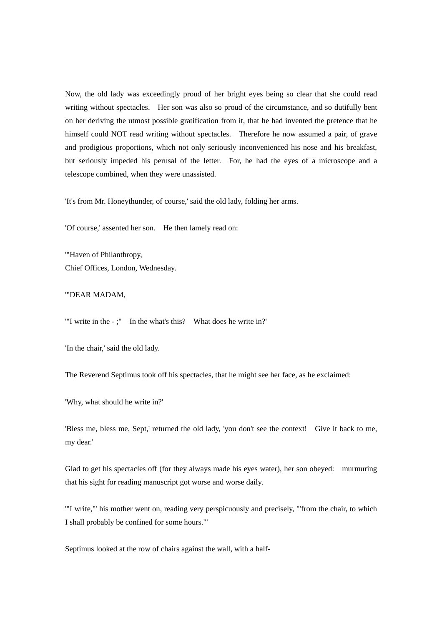Now, the old lady was exceedingly proud of her bright eyes being so clear that she could read writing without spectacles. Her son was also so proud of the circumstance, and so dutifully bent on her deriving the utmost possible gratification from it, that he had invented the pretence that he himself could NOT read writing without spectacles. Therefore he now assumed a pair, of grave and prodigious proportions, which not only seriously inconvenienced his nose and his breakfast, but seriously impeded his perusal of the letter. For, he had the eyes of a microscope and a telescope combined, when they were unassisted.

'It's from Mr. Honeythunder, of course,' said the old lady, folding her arms.

'Of course,' assented her son. He then lamely read on:

'"Haven of Philanthropy, Chief Offices, London, Wednesday.

## '"DEAR MADAM,

'"I write in the - ;" In the what's this? What does he write in?'

'In the chair,' said the old lady.

The Reverend Septimus took off his spectacles, that he might see her face, as he exclaimed:

'Why, what should he write in?'

'Bless me, bless me, Sept,' returned the old lady, 'you don't see the context! Give it back to me, my dear.'

Glad to get his spectacles off (for they always made his eyes water), her son obeyed: murmuring that his sight for reading manuscript got worse and worse daily.

'"I write,"' his mother went on, reading very perspicuously and precisely, '"from the chair, to which I shall probably be confined for some hours."'

Septimus looked at the row of chairs against the wall, with a half-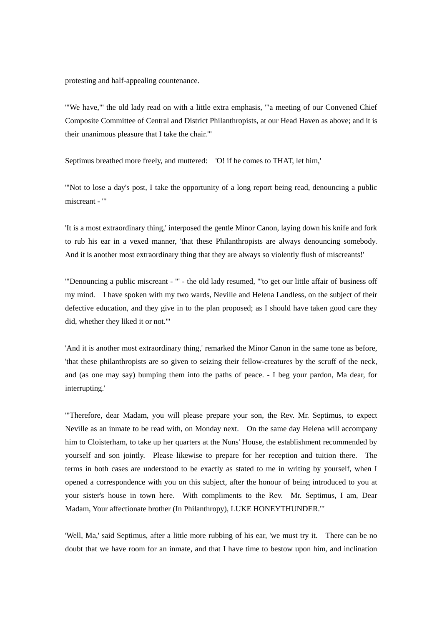protesting and half-appealing countenance.

'"We have,"' the old lady read on with a little extra emphasis, '"a meeting of our Convened Chief Composite Committee of Central and District Philanthropists, at our Head Haven as above; and it is their unanimous pleasure that I take the chair."'

Septimus breathed more freely, and muttered: 'O! if he comes to THAT, let him,'

'"Not to lose a day's post, I take the opportunity of a long report being read, denouncing a public miscreant - "'

'It is a most extraordinary thing,' interposed the gentle Minor Canon, laying down his knife and fork to rub his ear in a vexed manner, 'that these Philanthropists are always denouncing somebody. And it is another most extraordinary thing that they are always so violently flush of miscreants!'

'"Denouncing a public miscreant - "' - the old lady resumed, '"to get our little affair of business off my mind. I have spoken with my two wards, Neville and Helena Landless, on the subject of their defective education, and they give in to the plan proposed; as I should have taken good care they did, whether they liked it or not."'

'And it is another most extraordinary thing,' remarked the Minor Canon in the same tone as before, 'that these philanthropists are so given to seizing their fellow-creatures by the scruff of the neck, and (as one may say) bumping them into the paths of peace. - I beg your pardon, Ma dear, for interrupting.'

'"Therefore, dear Madam, you will please prepare your son, the Rev. Mr. Septimus, to expect Neville as an inmate to be read with, on Monday next. On the same day Helena will accompany him to Cloisterham, to take up her quarters at the Nuns' House, the establishment recommended by yourself and son jointly. Please likewise to prepare for her reception and tuition there. The terms in both cases are understood to be exactly as stated to me in writing by yourself, when I opened a correspondence with you on this subject, after the honour of being introduced to you at your sister's house in town here. With compliments to the Rev. Mr. Septimus, I am, Dear Madam, Your affectionate brother (In Philanthropy), LUKE HONEYTHUNDER."'

'Well, Ma,' said Septimus, after a little more rubbing of his ear, 'we must try it. There can be no doubt that we have room for an inmate, and that I have time to bestow upon him, and inclination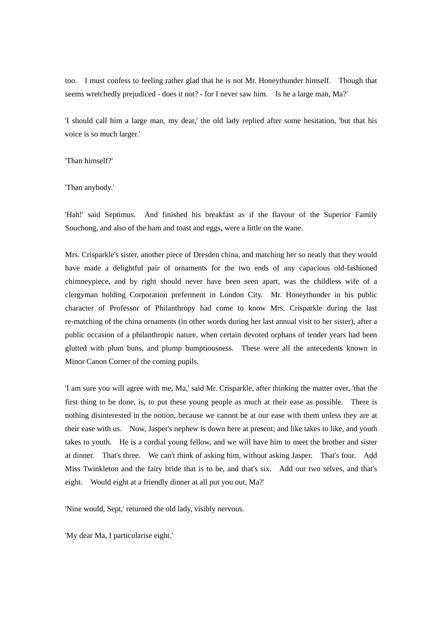too. I must confess to feeling rather glad that he is not Mr. Honeythunder himself. Though that seems wretchedly prejudiced - does it not? - for I never saw him. Is he a large man, Ma?'

'I should call him a large man, my dear,' the old lady replied after some hesitation, 'but that his voice is so much larger.'

'Than himself?'

'Than anybody.'

'Hah!' said Septimus. And finished his breakfast as if the flavour of the Superior Family Souchong, and also of the ham and toast and eggs, were a little on the wane.

Mrs. Crisparkle's sister, another piece of Dresden china, and matching her so neatly that they would have made a delightful pair of ornaments for the two ends of any capacious old-fashioned chimneypiece, and by right should never have been seen apart, was the childless wife of a clergyman holding Corporation preferment in London City. Mr. Honeythunder in his public character of Professor of Philanthropy had come to know Mrs. Crisparkle during the last re-matching of the china ornaments (in other words during her last annual visit to her sister), after a public occasion of a philanthropic nature, when certain devoted orphans of tender years had been glutted with plum buns, and plump bumptiousness. These were all the antecedents known in Minor Canon Corner of the coming pupils.

'I am sure you will agree with me, Ma,' said Mr. Crisparkle, after thinking the matter over, 'that the first thing to be done, is, to put these young people as much at their ease as possible. There is nothing disinterested in the notion, because we cannot be at our ease with them unless they are at their ease with us. Now, Jasper's nephew is down here at present; and like takes to like, and youth takes to youth. He is a cordial young fellow, and we will have him to meet the brother and sister at dinner. That's three. We can't think of asking him, without asking Jasper. That's four. Add Miss Twinkleton and the fairy bride that is to be, and that's six. Add our two selves, and that's eight. Would eight at a friendly dinner at all put you out, Ma?'

'Nine would, Sept,' returned the old lady, visibly nervous.

'My dear Ma, I particularise eight.'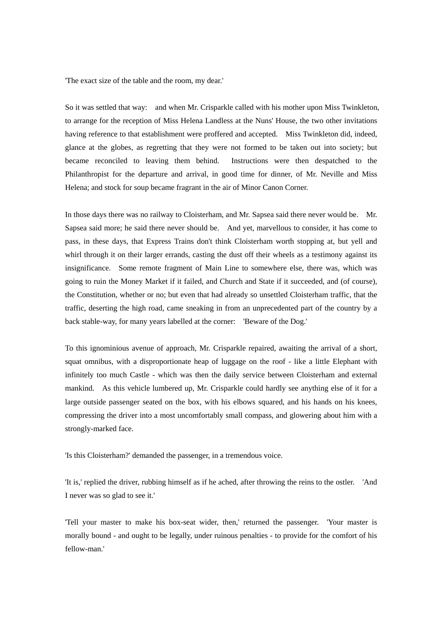'The exact size of the table and the room, my dear.'

So it was settled that way: and when Mr. Crisparkle called with his mother upon Miss Twinkleton, to arrange for the reception of Miss Helena Landless at the Nuns' House, the two other invitations having reference to that establishment were proffered and accepted. Miss Twinkleton did, indeed, glance at the globes, as regretting that they were not formed to be taken out into society; but became reconciled to leaving them behind. Instructions were then despatched to the Philanthropist for the departure and arrival, in good time for dinner, of Mr. Neville and Miss Helena; and stock for soup became fragrant in the air of Minor Canon Corner.

In those days there was no railway to Cloisterham, and Mr. Sapsea said there never would be. Mr. Sapsea said more; he said there never should be. And yet, marvellous to consider, it has come to pass, in these days, that Express Trains don't think Cloisterham worth stopping at, but yell and whirl through it on their larger errands, casting the dust off their wheels as a testimony against its insignificance. Some remote fragment of Main Line to somewhere else, there was, which was going to ruin the Money Market if it failed, and Church and State if it succeeded, and (of course), the Constitution, whether or no; but even that had already so unsettled Cloisterham traffic, that the traffic, deserting the high road, came sneaking in from an unprecedented part of the country by a back stable-way, for many years labelled at the corner: 'Beware of the Dog.'

To this ignominious avenue of approach, Mr. Crisparkle repaired, awaiting the arrival of a short, squat omnibus, with a disproportionate heap of luggage on the roof - like a little Elephant with infinitely too much Castle - which was then the daily service between Cloisterham and external mankind. As this vehicle lumbered up, Mr. Crisparkle could hardly see anything else of it for a large outside passenger seated on the box, with his elbows squared, and his hands on his knees, compressing the driver into a most uncomfortably small compass, and glowering about him with a strongly-marked face.

'Is this Cloisterham?' demanded the passenger, in a tremendous voice.

'It is,' replied the driver, rubbing himself as if he ached, after throwing the reins to the ostler. 'And I never was so glad to see it.'

'Tell your master to make his box-seat wider, then,' returned the passenger. 'Your master is morally bound - and ought to be legally, under ruinous penalties - to provide for the comfort of his fellow-man.'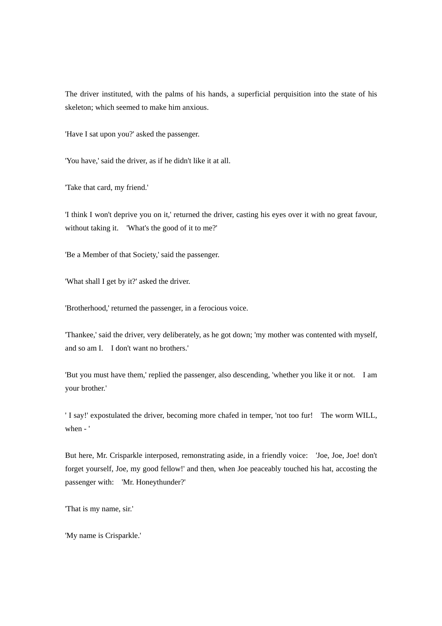The driver instituted, with the palms of his hands, a superficial perquisition into the state of his skeleton; which seemed to make him anxious.

'Have I sat upon you?' asked the passenger.

'You have,' said the driver, as if he didn't like it at all.

'Take that card, my friend.'

'I think I won't deprive you on it,' returned the driver, casting his eyes over it with no great favour, without taking it. 'What's the good of it to me?'

'Be a Member of that Society,' said the passenger.

'What shall I get by it?' asked the driver.

'Brotherhood,' returned the passenger, in a ferocious voice.

'Thankee,' said the driver, very deliberately, as he got down; 'my mother was contented with myself, and so am I. I don't want no brothers.'

'But you must have them,' replied the passenger, also descending, 'whether you like it or not. I am your brother.'

' I say!' expostulated the driver, becoming more chafed in temper, 'not too fur! The worm WILL, when - '

But here, Mr. Crisparkle interposed, remonstrating aside, in a friendly voice: 'Joe, Joe, Joe! don't forget yourself, Joe, my good fellow!' and then, when Joe peaceably touched his hat, accosting the passenger with: 'Mr. Honeythunder?'

'That is my name, sir.'

'My name is Crisparkle.'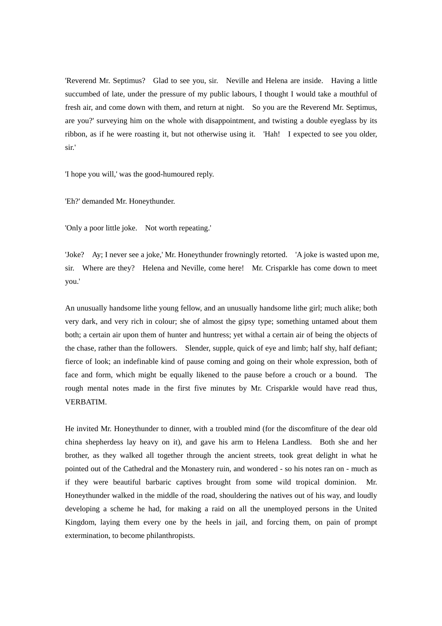'Reverend Mr. Septimus? Glad to see you, sir. Neville and Helena are inside. Having a little succumbed of late, under the pressure of my public labours, I thought I would take a mouthful of fresh air, and come down with them, and return at night. So you are the Reverend Mr. Septimus, are you?' surveying him on the whole with disappointment, and twisting a double eyeglass by its ribbon, as if he were roasting it, but not otherwise using it. 'Hah! I expected to see you older, sir.'

'I hope you will,' was the good-humoured reply.

'Eh?' demanded Mr. Honeythunder.

'Only a poor little joke. Not worth repeating.'

'Joke? Ay; I never see a joke,' Mr. Honeythunder frowningly retorted. 'A joke is wasted upon me, sir. Where are they? Helena and Neville, come here! Mr. Crisparkle has come down to meet you.'

An unusually handsome lithe young fellow, and an unusually handsome lithe girl; much alike; both very dark, and very rich in colour; she of almost the gipsy type; something untamed about them both; a certain air upon them of hunter and huntress; yet withal a certain air of being the objects of the chase, rather than the followers. Slender, supple, quick of eye and limb; half shy, half defiant; fierce of look; an indefinable kind of pause coming and going on their whole expression, both of face and form, which might be equally likened to the pause before a crouch or a bound. The rough mental notes made in the first five minutes by Mr. Crisparkle would have read thus, VERBATIM.

He invited Mr. Honeythunder to dinner, with a troubled mind (for the discomfiture of the dear old china shepherdess lay heavy on it), and gave his arm to Helena Landless. Both she and her brother, as they walked all together through the ancient streets, took great delight in what he pointed out of the Cathedral and the Monastery ruin, and wondered - so his notes ran on - much as if they were beautiful barbaric captives brought from some wild tropical dominion. Mr. Honeythunder walked in the middle of the road, shouldering the natives out of his way, and loudly developing a scheme he had, for making a raid on all the unemployed persons in the United Kingdom, laying them every one by the heels in jail, and forcing them, on pain of prompt extermination, to become philanthropists.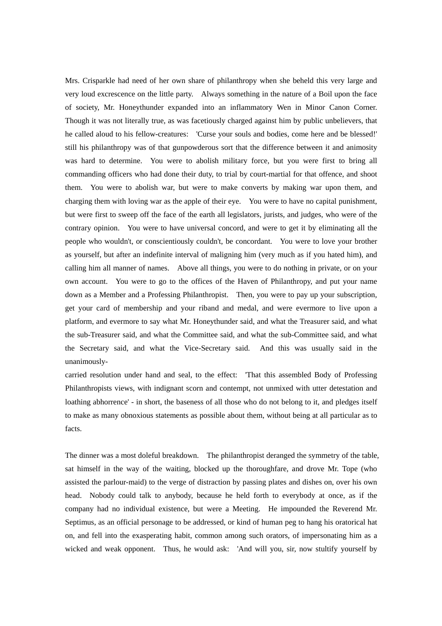Mrs. Crisparkle had need of her own share of philanthropy when she beheld this very large and very loud excrescence on the little party. Always something in the nature of a Boil upon the face of society, Mr. Honeythunder expanded into an inflammatory Wen in Minor Canon Corner. Though it was not literally true, as was facetiously charged against him by public unbelievers, that he called aloud to his fellow-creatures: 'Curse your souls and bodies, come here and be blessed!' still his philanthropy was of that gunpowderous sort that the difference between it and animosity was hard to determine. You were to abolish military force, but you were first to bring all commanding officers who had done their duty, to trial by court-martial for that offence, and shoot them. You were to abolish war, but were to make converts by making war upon them, and charging them with loving war as the apple of their eye. You were to have no capital punishment, but were first to sweep off the face of the earth all legislators, jurists, and judges, who were of the contrary opinion. You were to have universal concord, and were to get it by eliminating all the people who wouldn't, or conscientiously couldn't, be concordant. You were to love your brother as yourself, but after an indefinite interval of maligning him (very much as if you hated him), and calling him all manner of names. Above all things, you were to do nothing in private, or on your own account. You were to go to the offices of the Haven of Philanthropy, and put your name down as a Member and a Professing Philanthropist. Then, you were to pay up your subscription, get your card of membership and your riband and medal, and were evermore to live upon a platform, and evermore to say what Mr. Honeythunder said, and what the Treasurer said, and what the sub-Treasurer said, and what the Committee said, and what the sub-Committee said, and what the Secretary said, and what the Vice-Secretary said. And this was usually said in the unanimously-

carried resolution under hand and seal, to the effect: 'That this assembled Body of Professing Philanthropists views, with indignant scorn and contempt, not unmixed with utter detestation and loathing abhorrence' - in short, the baseness of all those who do not belong to it, and pledges itself to make as many obnoxious statements as possible about them, without being at all particular as to facts.

The dinner was a most doleful breakdown. The philanthropist deranged the symmetry of the table, sat himself in the way of the waiting, blocked up the thoroughfare, and drove Mr. Tope (who assisted the parlour-maid) to the verge of distraction by passing plates and dishes on, over his own head. Nobody could talk to anybody, because he held forth to everybody at once, as if the company had no individual existence, but were a Meeting. He impounded the Reverend Mr. Septimus, as an official personage to be addressed, or kind of human peg to hang his oratorical hat on, and fell into the exasperating habit, common among such orators, of impersonating him as a wicked and weak opponent. Thus, he would ask: 'And will you, sir, now stultify yourself by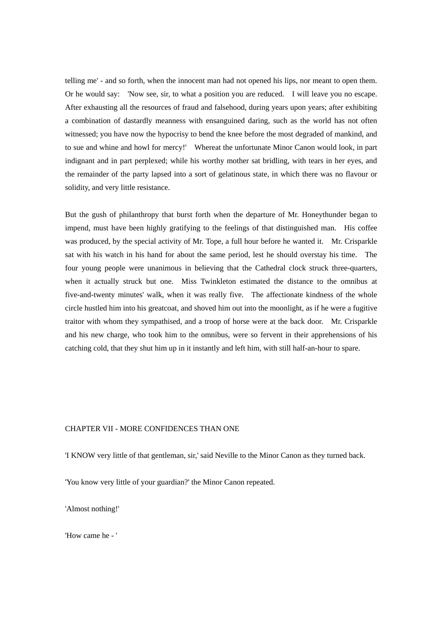telling me' - and so forth, when the innocent man had not opened his lips, nor meant to open them. Or he would say: 'Now see, sir, to what a position you are reduced. I will leave you no escape. After exhausting all the resources of fraud and falsehood, during years upon years; after exhibiting a combination of dastardly meanness with ensanguined daring, such as the world has not often witnessed; you have now the hypocrisy to bend the knee before the most degraded of mankind, and to sue and whine and howl for mercy!' Whereat the unfortunate Minor Canon would look, in part indignant and in part perplexed; while his worthy mother sat bridling, with tears in her eyes, and the remainder of the party lapsed into a sort of gelatinous state, in which there was no flavour or solidity, and very little resistance.

But the gush of philanthropy that burst forth when the departure of Mr. Honeythunder began to impend, must have been highly gratifying to the feelings of that distinguished man. His coffee was produced, by the special activity of Mr. Tope, a full hour before he wanted it. Mr. Crisparkle sat with his watch in his hand for about the same period, lest he should overstay his time. The four young people were unanimous in believing that the Cathedral clock struck three-quarters, when it actually struck but one. Miss Twinkleton estimated the distance to the omnibus at five-and-twenty minutes' walk, when it was really five. The affectionate kindness of the whole circle hustled him into his greatcoat, and shoved him out into the moonlight, as if he were a fugitive traitor with whom they sympathised, and a troop of horse were at the back door. Mr. Crisparkle and his new charge, who took him to the omnibus, were so fervent in their apprehensions of his catching cold, that they shut him up in it instantly and left him, with still half-an-hour to spare.

# CHAPTER VII - MORE CONFIDENCES THAN ONE

'I KNOW very little of that gentleman, sir,' said Neville to the Minor Canon as they turned back.

'You know very little of your guardian?' the Minor Canon repeated.

'Almost nothing!'

'How came he - '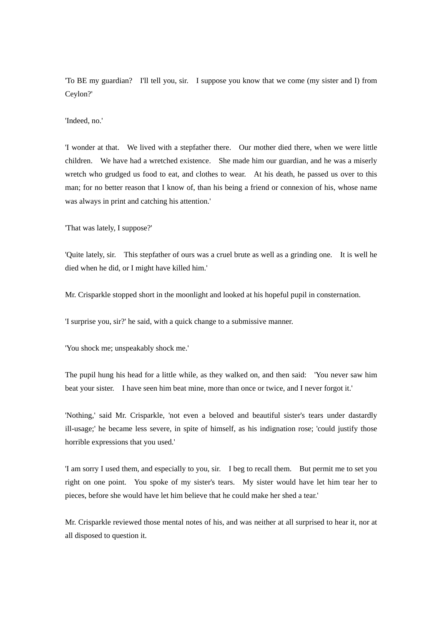'To BE my guardian? I'll tell you, sir. I suppose you know that we come (my sister and I) from Ceylon?'

'Indeed, no.'

'I wonder at that. We lived with a stepfather there. Our mother died there, when we were little children. We have had a wretched existence. She made him our guardian, and he was a miserly wretch who grudged us food to eat, and clothes to wear. At his death, he passed us over to this man; for no better reason that I know of, than his being a friend or connexion of his, whose name was always in print and catching his attention.'

'That was lately, I suppose?'

'Quite lately, sir. This stepfather of ours was a cruel brute as well as a grinding one. It is well he died when he did, or I might have killed him.'

Mr. Crisparkle stopped short in the moonlight and looked at his hopeful pupil in consternation.

'I surprise you, sir?' he said, with a quick change to a submissive manner.

'You shock me; unspeakably shock me.'

The pupil hung his head for a little while, as they walked on, and then said: 'You never saw him beat your sister. I have seen him beat mine, more than once or twice, and I never forgot it.'

'Nothing,' said Mr. Crisparkle, 'not even a beloved and beautiful sister's tears under dastardly ill-usage;' he became less severe, in spite of himself, as his indignation rose; 'could justify those horrible expressions that you used.'

'I am sorry I used them, and especially to you, sir. I beg to recall them. But permit me to set you right on one point. You spoke of my sister's tears. My sister would have let him tear her to pieces, before she would have let him believe that he could make her shed a tear.'

Mr. Crisparkle reviewed those mental notes of his, and was neither at all surprised to hear it, nor at all disposed to question it.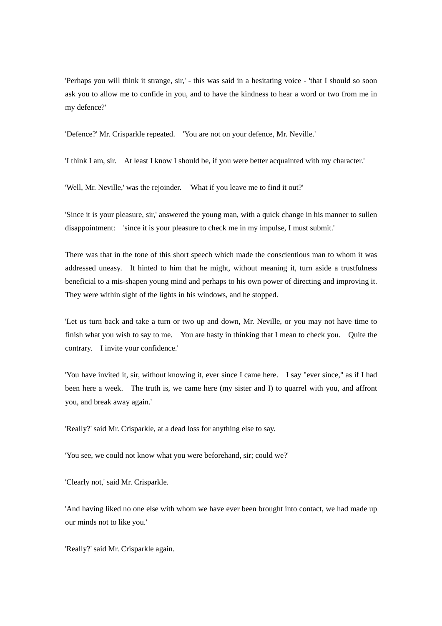'Perhaps you will think it strange, sir,' - this was said in a hesitating voice - 'that I should so soon ask you to allow me to confide in you, and to have the kindness to hear a word or two from me in my defence?'

'Defence?' Mr. Crisparkle repeated. 'You are not on your defence, Mr. Neville.'

'I think I am, sir. At least I know I should be, if you were better acquainted with my character.'

'Well, Mr. Neville,' was the rejoinder. 'What if you leave me to find it out?'

'Since it is your pleasure, sir,' answered the young man, with a quick change in his manner to sullen disappointment: 'since it is your pleasure to check me in my impulse, I must submit.'

There was that in the tone of this short speech which made the conscientious man to whom it was addressed uneasy. It hinted to him that he might, without meaning it, turn aside a trustfulness beneficial to a mis-shapen young mind and perhaps to his own power of directing and improving it. They were within sight of the lights in his windows, and he stopped.

'Let us turn back and take a turn or two up and down, Mr. Neville, or you may not have time to finish what you wish to say to me. You are hasty in thinking that I mean to check you. Quite the contrary. I invite your confidence.'

'You have invited it, sir, without knowing it, ever since I came here. I say "ever since," as if I had been here a week. The truth is, we came here (my sister and I) to quarrel with you, and affront you, and break away again.'

'Really?' said Mr. Crisparkle, at a dead loss for anything else to say.

'You see, we could not know what you were beforehand, sir; could we?'

'Clearly not,' said Mr. Crisparkle.

'And having liked no one else with whom we have ever been brought into contact, we had made up our minds not to like you.'

'Really?' said Mr. Crisparkle again.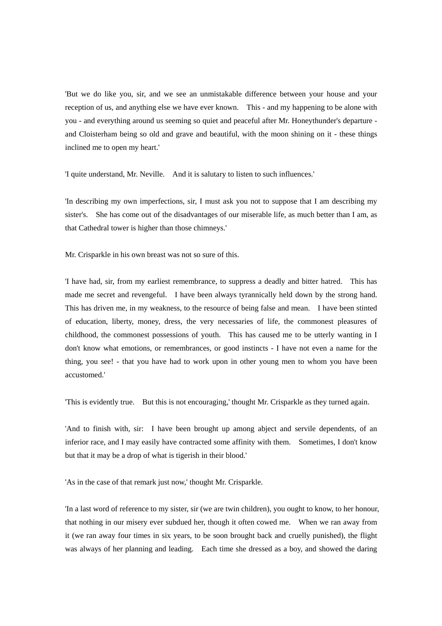'But we do like you, sir, and we see an unmistakable difference between your house and your reception of us, and anything else we have ever known. This - and my happening to be alone with you - and everything around us seeming so quiet and peaceful after Mr. Honeythunder's departure and Cloisterham being so old and grave and beautiful, with the moon shining on it - these things inclined me to open my heart.'

'I quite understand, Mr. Neville. And it is salutary to listen to such influences.'

'In describing my own imperfections, sir, I must ask you not to suppose that I am describing my sister's. She has come out of the disadvantages of our miserable life, as much better than I am, as that Cathedral tower is higher than those chimneys.'

Mr. Crisparkle in his own breast was not so sure of this.

'I have had, sir, from my earliest remembrance, to suppress a deadly and bitter hatred. This has made me secret and revengeful. I have been always tyrannically held down by the strong hand. This has driven me, in my weakness, to the resource of being false and mean. I have been stinted of education, liberty, money, dress, the very necessaries of life, the commonest pleasures of childhood, the commonest possessions of youth. This has caused me to be utterly wanting in I don't know what emotions, or remembrances, or good instincts - I have not even a name for the thing, you see! - that you have had to work upon in other young men to whom you have been accustomed.'

'This is evidently true. But this is not encouraging,' thought Mr. Crisparkle as they turned again.

'And to finish with, sir: I have been brought up among abject and servile dependents, of an inferior race, and I may easily have contracted some affinity with them. Sometimes, I don't know but that it may be a drop of what is tigerish in their blood.'

'As in the case of that remark just now,' thought Mr. Crisparkle.

'In a last word of reference to my sister, sir (we are twin children), you ought to know, to her honour, that nothing in our misery ever subdued her, though it often cowed me. When we ran away from it (we ran away four times in six years, to be soon brought back and cruelly punished), the flight was always of her planning and leading. Each time she dressed as a boy, and showed the daring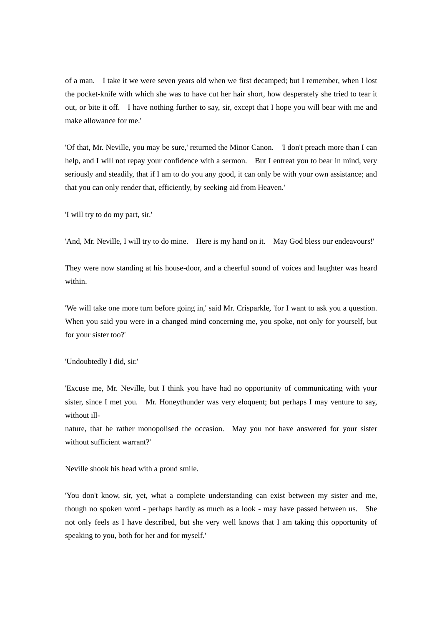of a man. I take it we were seven years old when we first decamped; but I remember, when I lost the pocket-knife with which she was to have cut her hair short, how desperately she tried to tear it out, or bite it off. I have nothing further to say, sir, except that I hope you will bear with me and make allowance for me.'

'Of that, Mr. Neville, you may be sure,' returned the Minor Canon. 'I don't preach more than I can help, and I will not repay your confidence with a sermon. But I entreat you to bear in mind, very seriously and steadily, that if I am to do you any good, it can only be with your own assistance; and that you can only render that, efficiently, by seeking aid from Heaven.'

'I will try to do my part, sir.'

'And, Mr. Neville, I will try to do mine. Here is my hand on it. May God bless our endeavours!'

They were now standing at his house-door, and a cheerful sound of voices and laughter was heard within.

'We will take one more turn before going in,' said Mr. Crisparkle, 'for I want to ask you a question. When you said you were in a changed mind concerning me, you spoke, not only for yourself, but for your sister too?'

'Undoubtedly I did, sir.'

'Excuse me, Mr. Neville, but I think you have had no opportunity of communicating with your sister, since I met you. Mr. Honeythunder was very eloquent; but perhaps I may venture to say, without ill-

nature, that he rather monopolised the occasion. May you not have answered for your sister without sufficient warrant?'

Neville shook his head with a proud smile.

'You don't know, sir, yet, what a complete understanding can exist between my sister and me, though no spoken word - perhaps hardly as much as a look - may have passed between us. She not only feels as I have described, but she very well knows that I am taking this opportunity of speaking to you, both for her and for myself.'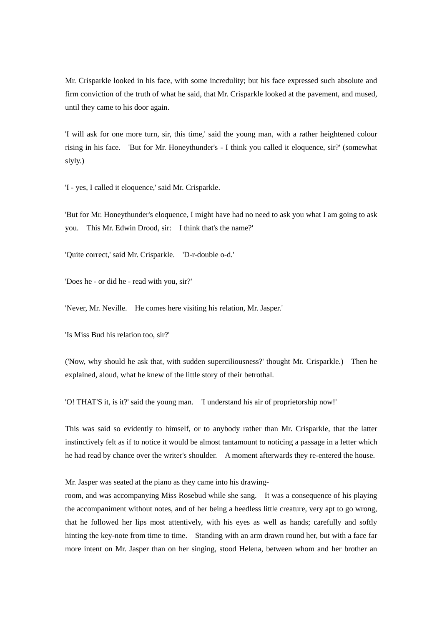Mr. Crisparkle looked in his face, with some incredulity; but his face expressed such absolute and firm conviction of the truth of what he said, that Mr. Crisparkle looked at the pavement, and mused, until they came to his door again.

'I will ask for one more turn, sir, this time,' said the young man, with a rather heightened colour rising in his face. 'But for Mr. Honeythunder's - I think you called it eloquence, sir?' (somewhat slyly.)

'I - yes, I called it eloquence,' said Mr. Crisparkle.

'But for Mr. Honeythunder's eloquence, I might have had no need to ask you what I am going to ask you. This Mr. Edwin Drood, sir: I think that's the name?'

'Quite correct,' said Mr. Crisparkle. 'D-r-double o-d.'

'Does he - or did he - read with you, sir?'

'Never, Mr. Neville. He comes here visiting his relation, Mr. Jasper.'

'Is Miss Bud his relation too, sir?'

('Now, why should he ask that, with sudden superciliousness?' thought Mr. Crisparkle.) Then he explained, aloud, what he knew of the little story of their betrothal.

'O! THAT'S it, is it?' said the young man. 'I understand his air of proprietorship now!'

This was said so evidently to himself, or to anybody rather than Mr. Crisparkle, that the latter instinctively felt as if to notice it would be almost tantamount to noticing a passage in a letter which he had read by chance over the writer's shoulder. A moment afterwards they re-entered the house.

Mr. Jasper was seated at the piano as they came into his drawing-

room, and was accompanying Miss Rosebud while she sang. It was a consequence of his playing the accompaniment without notes, and of her being a heedless little creature, very apt to go wrong, that he followed her lips most attentively, with his eyes as well as hands; carefully and softly hinting the key-note from time to time. Standing with an arm drawn round her, but with a face far more intent on Mr. Jasper than on her singing, stood Helena, between whom and her brother an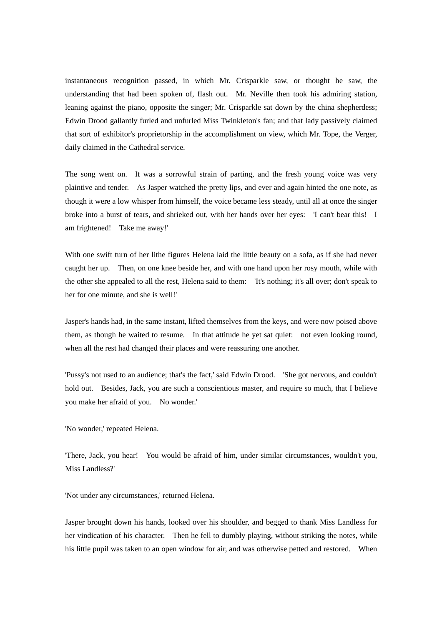instantaneous recognition passed, in which Mr. Crisparkle saw, or thought he saw, the understanding that had been spoken of, flash out. Mr. Neville then took his admiring station, leaning against the piano, opposite the singer; Mr. Crisparkle sat down by the china shepherdess; Edwin Drood gallantly furled and unfurled Miss Twinkleton's fan; and that lady passively claimed that sort of exhibitor's proprietorship in the accomplishment on view, which Mr. Tope, the Verger, daily claimed in the Cathedral service.

The song went on. It was a sorrowful strain of parting, and the fresh young voice was very plaintive and tender. As Jasper watched the pretty lips, and ever and again hinted the one note, as though it were a low whisper from himself, the voice became less steady, until all at once the singer broke into a burst of tears, and shrieked out, with her hands over her eyes: 'I can't bear this! I am frightened! Take me away!'

With one swift turn of her lithe figures Helena laid the little beauty on a sofa, as if she had never caught her up. Then, on one knee beside her, and with one hand upon her rosy mouth, while with the other she appealed to all the rest, Helena said to them: 'It's nothing; it's all over; don't speak to her for one minute, and she is well!'

Jasper's hands had, in the same instant, lifted themselves from the keys, and were now poised above them, as though he waited to resume. In that attitude he yet sat quiet: not even looking round, when all the rest had changed their places and were reassuring one another.

'Pussy's not used to an audience; that's the fact,' said Edwin Drood. 'She got nervous, and couldn't hold out. Besides, Jack, you are such a conscientious master, and require so much, that I believe you make her afraid of you. No wonder.'

'No wonder,' repeated Helena.

'There, Jack, you hear! You would be afraid of him, under similar circumstances, wouldn't you, Miss Landless?'

'Not under any circumstances,' returned Helena.

Jasper brought down his hands, looked over his shoulder, and begged to thank Miss Landless for her vindication of his character. Then he fell to dumbly playing, without striking the notes, while his little pupil was taken to an open window for air, and was otherwise petted and restored. When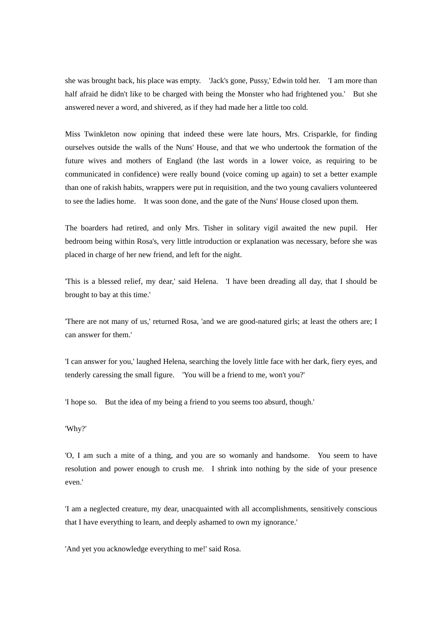she was brought back, his place was empty. 'Jack's gone, Pussy,' Edwin told her. 'I am more than half afraid he didn't like to be charged with being the Monster who had frightened you.' But she answered never a word, and shivered, as if they had made her a little too cold.

Miss Twinkleton now opining that indeed these were late hours, Mrs. Crisparkle, for finding ourselves outside the walls of the Nuns' House, and that we who undertook the formation of the future wives and mothers of England (the last words in a lower voice, as requiring to be communicated in confidence) were really bound (voice coming up again) to set a better example than one of rakish habits, wrappers were put in requisition, and the two young cavaliers volunteered to see the ladies home. It was soon done, and the gate of the Nuns' House closed upon them.

The boarders had retired, and only Mrs. Tisher in solitary vigil awaited the new pupil. Her bedroom being within Rosa's, very little introduction or explanation was necessary, before she was placed in charge of her new friend, and left for the night.

'This is a blessed relief, my dear,' said Helena. 'I have been dreading all day, that I should be brought to bay at this time.'

'There are not many of us,' returned Rosa, 'and we are good-natured girls; at least the others are; I can answer for them.'

'I can answer for you,' laughed Helena, searching the lovely little face with her dark, fiery eyes, and tenderly caressing the small figure. 'You will be a friend to me, won't you?'

'I hope so. But the idea of my being a friend to you seems too absurd, though.'

'Why?'

'O, I am such a mite of a thing, and you are so womanly and handsome. You seem to have resolution and power enough to crush me. I shrink into nothing by the side of your presence even.'

'I am a neglected creature, my dear, unacquainted with all accomplishments, sensitively conscious that I have everything to learn, and deeply ashamed to own my ignorance.'

'And yet you acknowledge everything to me!' said Rosa.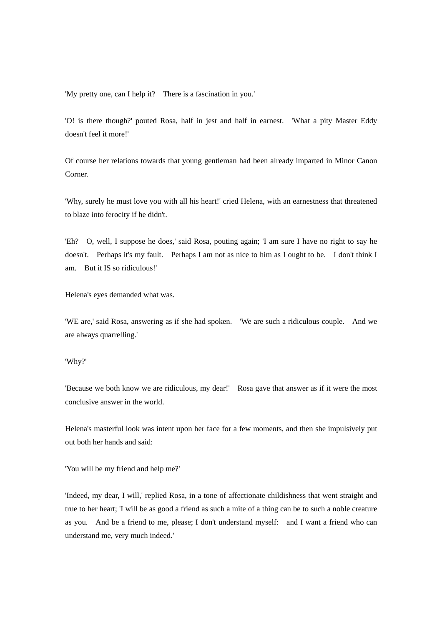'My pretty one, can I help it? There is a fascination in you.'

'O! is there though?' pouted Rosa, half in jest and half in earnest. 'What a pity Master Eddy doesn't feel it more!'

Of course her relations towards that young gentleman had been already imparted in Minor Canon Corner.

'Why, surely he must love you with all his heart!' cried Helena, with an earnestness that threatened to blaze into ferocity if he didn't.

'Eh? O, well, I suppose he does,' said Rosa, pouting again; 'I am sure I have no right to say he doesn't. Perhaps it's my fault. Perhaps I am not as nice to him as I ought to be. I don't think I am. But it IS so ridiculous!'

Helena's eyes demanded what was.

'WE are,' said Rosa, answering as if she had spoken. 'We are such a ridiculous couple. And we are always quarrelling.'

'Why?'

'Because we both know we are ridiculous, my dear!' Rosa gave that answer as if it were the most conclusive answer in the world.

Helena's masterful look was intent upon her face for a few moments, and then she impulsively put out both her hands and said:

'You will be my friend and help me?'

'Indeed, my dear, I will,' replied Rosa, in a tone of affectionate childishness that went straight and true to her heart; 'I will be as good a friend as such a mite of a thing can be to such a noble creature as you. And be a friend to me, please; I don't understand myself: and I want a friend who can understand me, very much indeed.'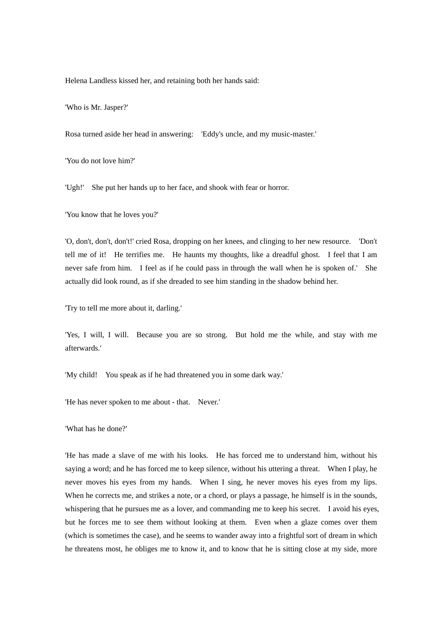Helena Landless kissed her, and retaining both her hands said:

'Who is Mr. Jasper?'

Rosa turned aside her head in answering: 'Eddy's uncle, and my music-master.'

'You do not love him?'

'Ugh!' She put her hands up to her face, and shook with fear or horror.

'You know that he loves you?'

'O, don't, don't, don't!' cried Rosa, dropping on her knees, and clinging to her new resource. 'Don't tell me of it! He terrifies me. He haunts my thoughts, like a dreadful ghost. I feel that I am never safe from him. I feel as if he could pass in through the wall when he is spoken of.' She actually did look round, as if she dreaded to see him standing in the shadow behind her.

'Try to tell me more about it, darling.'

'Yes, I will, I will. Because you are so strong. But hold me the while, and stay with me afterwards.'

'My child! You speak as if he had threatened you in some dark way.'

'He has never spoken to me about - that. Never.'

'What has he done?'

'He has made a slave of me with his looks. He has forced me to understand him, without his saying a word; and he has forced me to keep silence, without his uttering a threat. When I play, he never moves his eyes from my hands. When I sing, he never moves his eyes from my lips. When he corrects me, and strikes a note, or a chord, or plays a passage, he himself is in the sounds, whispering that he pursues me as a lover, and commanding me to keep his secret. I avoid his eyes, but he forces me to see them without looking at them. Even when a glaze comes over them (which is sometimes the case), and he seems to wander away into a frightful sort of dream in which he threatens most, he obliges me to know it, and to know that he is sitting close at my side, more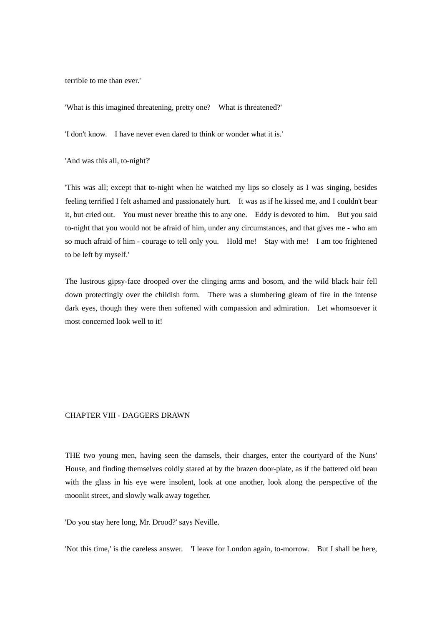terrible to me than ever.'

'What is this imagined threatening, pretty one? What is threatened?'

'I don't know. I have never even dared to think or wonder what it is.'

'And was this all, to-night?'

'This was all; except that to-night when he watched my lips so closely as I was singing, besides feeling terrified I felt ashamed and passionately hurt. It was as if he kissed me, and I couldn't bear it, but cried out. You must never breathe this to any one. Eddy is devoted to him. But you said to-night that you would not be afraid of him, under any circumstances, and that gives me - who am so much afraid of him - courage to tell only you. Hold me! Stay with me! I am too frightened to be left by myself.'

The lustrous gipsy-face drooped over the clinging arms and bosom, and the wild black hair fell down protectingly over the childish form. There was a slumbering gleam of fire in the intense dark eyes, though they were then softened with compassion and admiration. Let whomsoever it most concerned look well to it!

### CHAPTER VIII - DAGGERS DRAWN

THE two young men, having seen the damsels, their charges, enter the courtyard of the Nuns' House, and finding themselves coldly stared at by the brazen door-plate, as if the battered old beau with the glass in his eye were insolent, look at one another, look along the perspective of the moonlit street, and slowly walk away together.

'Do you stay here long, Mr. Drood?' says Neville.

'Not this time,' is the careless answer. 'I leave for London again, to-morrow. But I shall be here,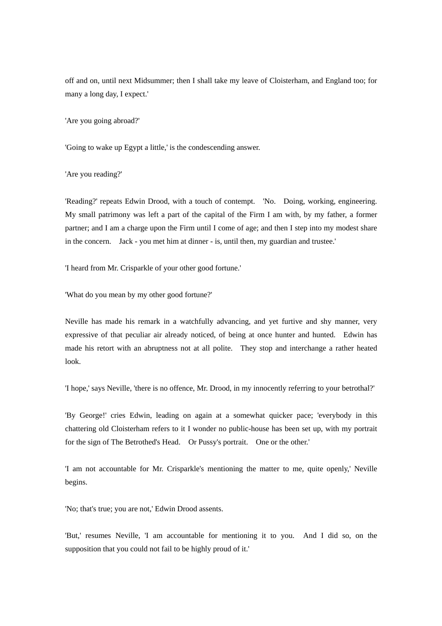off and on, until next Midsummer; then I shall take my leave of Cloisterham, and England too; for many a long day, I expect.'

'Are you going abroad?'

'Going to wake up Egypt a little,' is the condescending answer.

'Are you reading?'

'Reading?' repeats Edwin Drood, with a touch of contempt. 'No. Doing, working, engineering. My small patrimony was left a part of the capital of the Firm I am with, by my father, a former partner; and I am a charge upon the Firm until I come of age; and then I step into my modest share in the concern. Jack - you met him at dinner - is, until then, my guardian and trustee.'

'I heard from Mr. Crisparkle of your other good fortune.'

'What do you mean by my other good fortune?'

Neville has made his remark in a watchfully advancing, and yet furtive and shy manner, very expressive of that peculiar air already noticed, of being at once hunter and hunted. Edwin has made his retort with an abruptness not at all polite. They stop and interchange a rather heated look.

'I hope,' says Neville, 'there is no offence, Mr. Drood, in my innocently referring to your betrothal?'

'By George!' cries Edwin, leading on again at a somewhat quicker pace; 'everybody in this chattering old Cloisterham refers to it I wonder no public-house has been set up, with my portrait for the sign of The Betrothed's Head. Or Pussy's portrait. One or the other.'

'I am not accountable for Mr. Crisparkle's mentioning the matter to me, quite openly,' Neville begins.

'No; that's true; you are not,' Edwin Drood assents.

'But,' resumes Neville, 'I am accountable for mentioning it to you. And I did so, on the supposition that you could not fail to be highly proud of it.'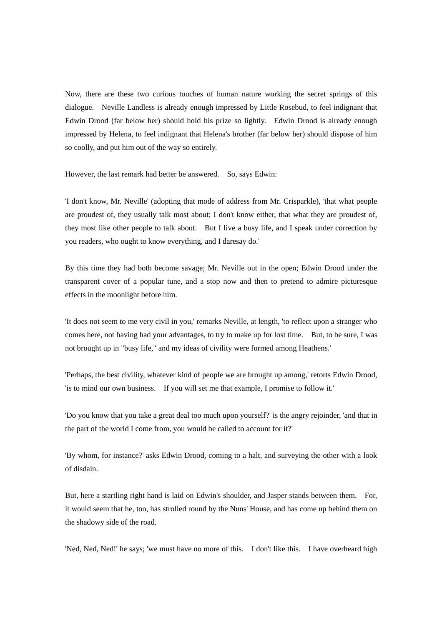Now, there are these two curious touches of human nature working the secret springs of this dialogue. Neville Landless is already enough impressed by Little Rosebud, to feel indignant that Edwin Drood (far below her) should hold his prize so lightly. Edwin Drood is already enough impressed by Helena, to feel indignant that Helena's brother (far below her) should dispose of him so coolly, and put him out of the way so entirely.

However, the last remark had better be answered. So, says Edwin:

'I don't know, Mr. Neville' (adopting that mode of address from Mr. Crisparkle), 'that what people are proudest of, they usually talk most about; I don't know either, that what they are proudest of, they most like other people to talk about. But I live a busy life, and I speak under correction by you readers, who ought to know everything, and I daresay do.'

By this time they had both become savage; Mr. Neville out in the open; Edwin Drood under the transparent cover of a popular tune, and a stop now and then to pretend to admire picturesque effects in the moonlight before him.

'It does not seem to me very civil in you,' remarks Neville, at length, 'to reflect upon a stranger who comes here, not having had your advantages, to try to make up for lost time. But, to be sure, I was not brought up in "busy life," and my ideas of civility were formed among Heathens.'

'Perhaps, the best civility, whatever kind of people we are brought up among,' retorts Edwin Drood, 'is to mind our own business. If you will set me that example, I promise to follow it.'

'Do you know that you take a great deal too much upon yourself?' is the angry rejoinder, 'and that in the part of the world I come from, you would be called to account for it?'

'By whom, for instance?' asks Edwin Drood, coming to a halt, and surveying the other with a look of disdain.

But, here a startling right hand is laid on Edwin's shoulder, and Jasper stands between them. For, it would seem that he, too, has strolled round by the Nuns' House, and has come up behind them on the shadowy side of the road.

'Ned, Ned, Ned!' he says; 'we must have no more of this. I don't like this. I have overheard high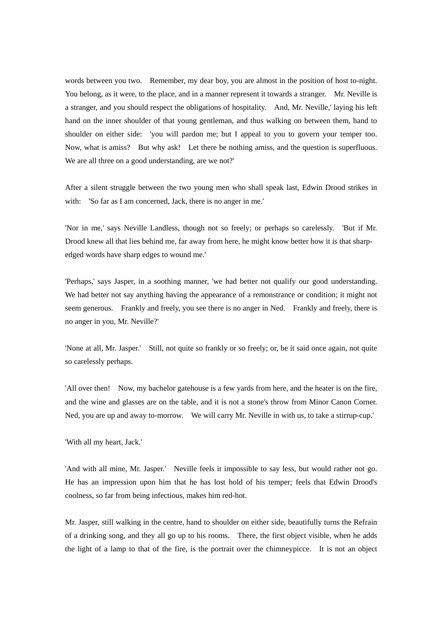words between you two. Remember, my dear boy, you are almost in the position of host to-night. You belong, as it were, to the place, and in a manner represent it towards a stranger. Mr. Neville is a stranger, and you should respect the obligations of hospitality. And, Mr. Neville,' laying his left hand on the inner shoulder of that young gentleman, and thus walking on between them, hand to shoulder on either side: 'you will pardon me; but I appeal to you to govern your temper too. Now, what is amiss? But why ask! Let there be nothing amiss, and the question is superfluous. We are all three on a good understanding, are we not?'

After a silent struggle between the two young men who shall speak last, Edwin Drood strikes in with: 'So far as I am concerned, Jack, there is no anger in me.'

'Nor in me,' says Neville Landless, though not so freely; or perhaps so carelessly. 'But if Mr. Drood knew all that lies behind me, far away from here, he might know better how it is that sharpedged words have sharp edges to wound me.'

'Perhaps,' says Jasper, in a soothing manner, 'we had better not qualify our good understanding. We had better not say anything having the appearance of a remonstrance or condition; it might not seem generous. Frankly and freely, you see there is no anger in Ned. Frankly and freely, there is no anger in you, Mr. Neville?'

'None at all, Mr. Jasper.' Still, not quite so frankly or so freely; or, be it said once again, not quite so carelessly perhaps.

'All over then! Now, my bachelor gatehouse is a few yards from here, and the heater is on the fire, and the wine and glasses are on the table, and it is not a stone's throw from Minor Canon Corner. Ned, you are up and away to-morrow. We will carry Mr. Neville in with us, to take a stirrup-cup.'

'With all my heart, Jack.'

'And with all mine, Mr. Jasper.' Neville feels it impossible to say less, but would rather not go. He has an impression upon him that he has lost hold of his temper; feels that Edwin Drood's coolness, so far from being infectious, makes him red-hot.

Mr. Jasper, still walking in the centre, hand to shoulder on either side, beautifully turns the Refrain of a drinking song, and they all go up to his rooms. There, the first object visible, when he adds the light of a lamp to that of the fire, is the portrait over the chimneypicce. It is not an object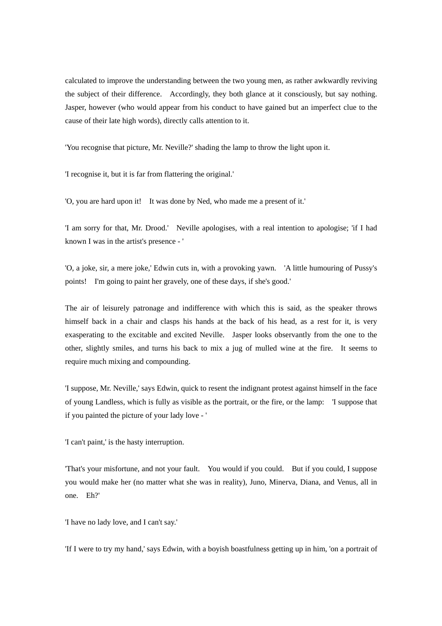calculated to improve the understanding between the two young men, as rather awkwardly reviving the subject of their difference. Accordingly, they both glance at it consciously, but say nothing. Jasper, however (who would appear from his conduct to have gained but an imperfect clue to the cause of their late high words), directly calls attention to it.

'You recognise that picture, Mr. Neville?' shading the lamp to throw the light upon it.

'I recognise it, but it is far from flattering the original.'

'O, you are hard upon it! It was done by Ned, who made me a present of it.'

'I am sorry for that, Mr. Drood.' Neville apologises, with a real intention to apologise; 'if I had known I was in the artist's presence - '

'O, a joke, sir, a mere joke,' Edwin cuts in, with a provoking yawn. 'A little humouring of Pussy's points! I'm going to paint her gravely, one of these days, if she's good.'

The air of leisurely patronage and indifference with which this is said, as the speaker throws himself back in a chair and clasps his hands at the back of his head, as a rest for it, is very exasperating to the excitable and excited Neville. Jasper looks observantly from the one to the other, slightly smiles, and turns his back to mix a jug of mulled wine at the fire. It seems to require much mixing and compounding.

'I suppose, Mr. Neville,' says Edwin, quick to resent the indignant protest against himself in the face of young Landless, which is fully as visible as the portrait, or the fire, or the lamp: 'I suppose that if you painted the picture of your lady love - '

'I can't paint,' is the hasty interruption.

'That's your misfortune, and not your fault. You would if you could. But if you could, I suppose you would make her (no matter what she was in reality), Juno, Minerva, Diana, and Venus, all in one. Eh?'

'I have no lady love, and I can't say.'

'If I were to try my hand,' says Edwin, with a boyish boastfulness getting up in him, 'on a portrait of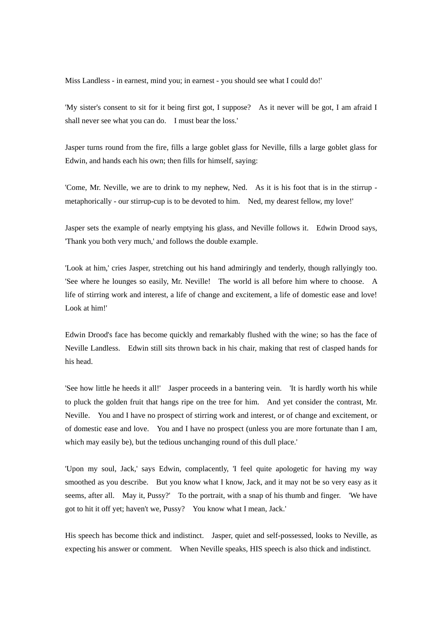Miss Landless - in earnest, mind you; in earnest - you should see what I could do!'

'My sister's consent to sit for it being first got, I suppose? As it never will be got, I am afraid I shall never see what you can do. I must bear the loss.'

Jasper turns round from the fire, fills a large goblet glass for Neville, fills a large goblet glass for Edwin, and hands each his own; then fills for himself, saying:

'Come, Mr. Neville, we are to drink to my nephew, Ned. As it is his foot that is in the stirrup metaphorically - our stirrup-cup is to be devoted to him. Ned, my dearest fellow, my love!'

Jasper sets the example of nearly emptying his glass, and Neville follows it. Edwin Drood says, 'Thank you both very much,' and follows the double example.

'Look at him,' cries Jasper, stretching out his hand admiringly and tenderly, though rallyingly too. 'See where he lounges so easily, Mr. Neville! The world is all before him where to choose. A life of stirring work and interest, a life of change and excitement, a life of domestic ease and love! Look at him!'

Edwin Drood's face has become quickly and remarkably flushed with the wine; so has the face of Neville Landless. Edwin still sits thrown back in his chair, making that rest of clasped hands for his head.

'See how little he heeds it all!' Jasper proceeds in a bantering vein. 'It is hardly worth his while to pluck the golden fruit that hangs ripe on the tree for him. And yet consider the contrast, Mr. Neville. You and I have no prospect of stirring work and interest, or of change and excitement, or of domestic ease and love. You and I have no prospect (unless you are more fortunate than I am, which may easily be), but the tedious unchanging round of this dull place.'

'Upon my soul, Jack,' says Edwin, complacently, 'I feel quite apologetic for having my way smoothed as you describe. But you know what I know, Jack, and it may not be so very easy as it seems, after all. May it, Pussy?' To the portrait, with a snap of his thumb and finger. 'We have got to hit it off yet; haven't we, Pussy? You know what I mean, Jack.'

His speech has become thick and indistinct. Jasper, quiet and self-possessed, looks to Neville, as expecting his answer or comment. When Neville speaks, HIS speech is also thick and indistinct.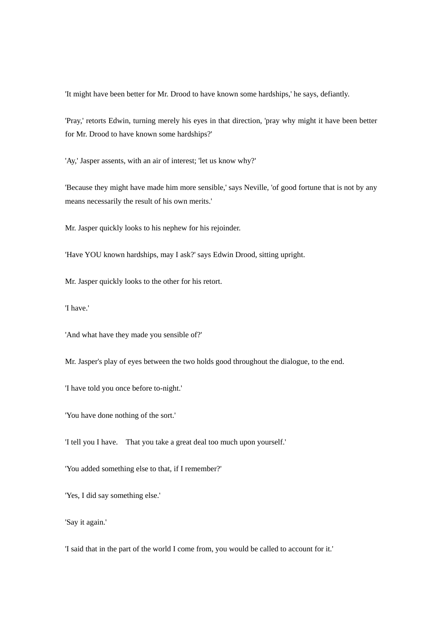'It might have been better for Mr. Drood to have known some hardships,' he says, defiantly.

'Pray,' retorts Edwin, turning merely his eyes in that direction, 'pray why might it have been better for Mr. Drood to have known some hardships?'

'Ay,' Jasper assents, with an air of interest; 'let us know why?'

'Because they might have made him more sensible,' says Neville, 'of good fortune that is not by any means necessarily the result of his own merits.'

Mr. Jasper quickly looks to his nephew for his rejoinder.

'Have YOU known hardships, may I ask?' says Edwin Drood, sitting upright.

Mr. Jasper quickly looks to the other for his retort.

'I have.'

'And what have they made you sensible of?'

Mr. Jasper's play of eyes between the two holds good throughout the dialogue, to the end.

'I have told you once before to-night.'

'You have done nothing of the sort.'

'I tell you I have. That you take a great deal too much upon yourself.'

'You added something else to that, if I remember?'

'Yes, I did say something else.'

'Say it again.'

'I said that in the part of the world I come from, you would be called to account for it.'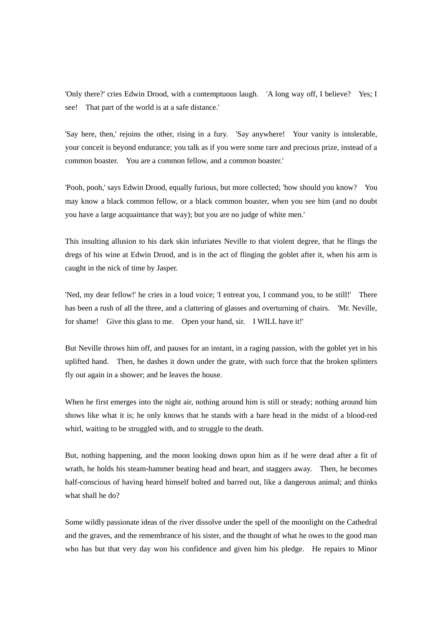'Only there?' cries Edwin Drood, with a contemptuous laugh. 'A long way off, I believe? Yes; I see! That part of the world is at a safe distance.'

'Say here, then,' rejoins the other, rising in a fury. 'Say anywhere! Your vanity is intolerable, your conceit is beyond endurance; you talk as if you were some rare and precious prize, instead of a common boaster. You are a common fellow, and a common boaster.'

'Pooh, pooh,' says Edwin Drood, equally furious, but more collected; 'how should you know? You may know a black common fellow, or a black common boaster, when you see him (and no doubt you have a large acquaintance that way); but you are no judge of white men.'

This insulting allusion to his dark skin infuriates Neville to that violent degree, that he flings the dregs of his wine at Edwin Drood, and is in the act of flinging the goblet after it, when his arm is caught in the nick of time by Jasper.

'Ned, my dear fellow!' he cries in a loud voice; 'I entreat you, I command you, to be still!' There has been a rush of all the three, and a clattering of glasses and overturning of chairs. 'Mr. Neville, for shame! Give this glass to me. Open your hand, sir. I WILL have it!'

But Neville throws him off, and pauses for an instant, in a raging passion, with the goblet yet in his uplifted hand. Then, he dashes it down under the grate, with such force that the broken splinters fly out again in a shower; and he leaves the house.

When he first emerges into the night air, nothing around him is still or steady; nothing around him shows like what it is; he only knows that he stands with a bare head in the midst of a blood-red whirl, waiting to be struggled with, and to struggle to the death.

But, nothing happening, and the moon looking down upon him as if he were dead after a fit of wrath, he holds his steam-hammer beating head and heart, and staggers away. Then, he becomes half-conscious of having heard himself bolted and barred out, like a dangerous animal; and thinks what shall he do?

Some wildly passionate ideas of the river dissolve under the spell of the moonlight on the Cathedral and the graves, and the remembrance of his sister, and the thought of what he owes to the good man who has but that very day won his confidence and given him his pledge. He repairs to Minor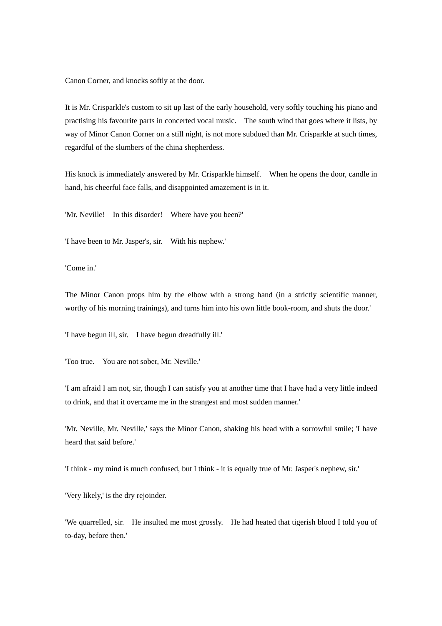Canon Corner, and knocks softly at the door.

It is Mr. Crisparkle's custom to sit up last of the early household, very softly touching his piano and practising his favourite parts in concerted vocal music. The south wind that goes where it lists, by way of Minor Canon Corner on a still night, is not more subdued than Mr. Crisparkle at such times, regardful of the slumbers of the china shepherdess.

His knock is immediately answered by Mr. Crisparkle himself. When he opens the door, candle in hand, his cheerful face falls, and disappointed amazement is in it.

'Mr. Neville! In this disorder! Where have you been?'

'I have been to Mr. Jasper's, sir. With his nephew.'

'Come in.'

The Minor Canon props him by the elbow with a strong hand (in a strictly scientific manner, worthy of his morning trainings), and turns him into his own little book-room, and shuts the door.'

'I have begun ill, sir. I have begun dreadfully ill.'

'Too true. You are not sober, Mr. Neville.'

'I am afraid I am not, sir, though I can satisfy you at another time that I have had a very little indeed to drink, and that it overcame me in the strangest and most sudden manner.'

'Mr. Neville, Mr. Neville,' says the Minor Canon, shaking his head with a sorrowful smile; 'I have heard that said before.'

'I think - my mind is much confused, but I think - it is equally true of Mr. Jasper's nephew, sir.'

'Very likely,' is the dry rejoinder.

'We quarrelled, sir. He insulted me most grossly. He had heated that tigerish blood I told you of to-day, before then.'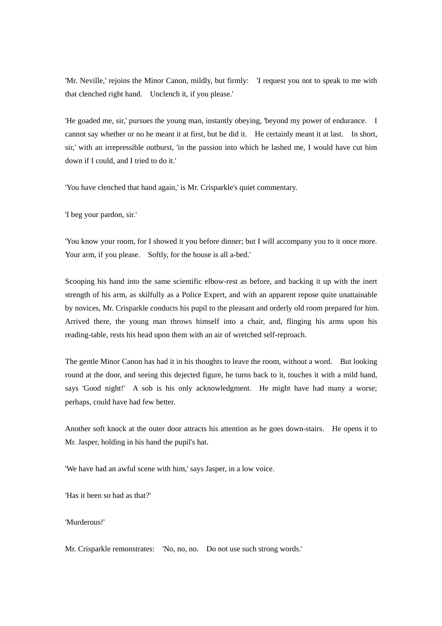'Mr. Neville,' rejoins the Minor Canon, mildly, but firmly: 'I request you not to speak to me with that clenched right hand. Unclench it, if you please.'

'He goaded me, sir,' pursues the young man, instantly obeying, 'beyond my power of endurance. I cannot say whether or no he meant it at first, but he did it. He certainly meant it at last. In short, sir,' with an irrepressible outburst, 'in the passion into which he lashed me, I would have cut him down if I could, and I tried to do it.'

'You have clenched that hand again,' is Mr. Crisparkle's quiet commentary.

'I beg your pardon, sir.'

'You know your room, for I showed it you before dinner; but I will accompany you to it once more. Your arm, if you please. Softly, for the house is all a-bed.'

Scooping his hand into the same scientific elbow-rest as before, and backing it up with the inert strength of his arm, as skilfully as a Police Expert, and with an apparent repose quite unattainable by novices, Mr. Crisparkle conducts his pupil to the pleasant and orderly old room prepared for him. Arrived there, the young man throws himself into a chair, and, flinging his arms upon his reading-table, rests his head upon them with an air of wretched self-reproach.

The gentle Minor Canon has had it in his thoughts to leave the room, without a word. But looking round at the door, and seeing this dejected figure, he turns back to it, touches it with a mild hand, says 'Good night!' A sob is his only acknowledgment. He might have had many a worse; perhaps, could have had few better.

Another soft knock at the outer door attracts his attention as he goes down-stairs. He opens it to Mr. Jasper, holding in his hand the pupil's hat.

'We have had an awful scene with him,' says Jasper, in a low voice.

'Has it been so bad as that?'

'Murderous!'

Mr. Crisparkle remonstrates: 'No, no, no. Do not use such strong words.'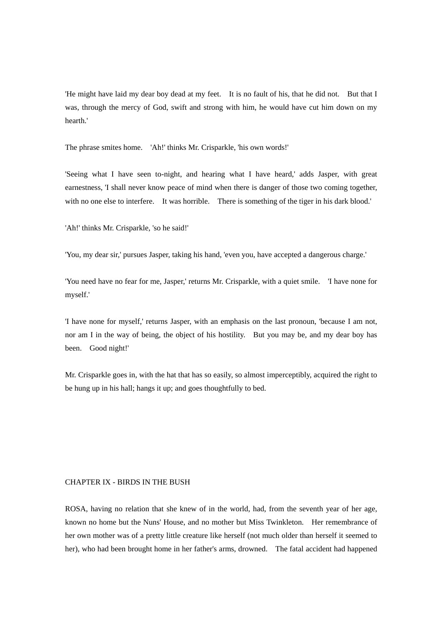'He might have laid my dear boy dead at my feet. It is no fault of his, that he did not. But that I was, through the mercy of God, swift and strong with him, he would have cut him down on my hearth.'

The phrase smites home. 'Ah!' thinks Mr. Crisparkle, 'his own words!'

'Seeing what I have seen to-night, and hearing what I have heard,' adds Jasper, with great earnestness, 'I shall never know peace of mind when there is danger of those two coming together, with no one else to interfere. It was horrible. There is something of the tiger in his dark blood.'

'Ah!' thinks Mr. Crisparkle, 'so he said!'

'You, my dear sir,' pursues Jasper, taking his hand, 'even you, have accepted a dangerous charge.'

'You need have no fear for me, Jasper,' returns Mr. Crisparkle, with a quiet smile. 'I have none for myself.'

'I have none for myself,' returns Jasper, with an emphasis on the last pronoun, 'because I am not, nor am I in the way of being, the object of his hostility. But you may be, and my dear boy has been. Good night!'

Mr. Crisparkle goes in, with the hat that has so easily, so almost imperceptibly, acquired the right to be hung up in his hall; hangs it up; and goes thoughtfully to bed.

### CHAPTER IX - BIRDS IN THE BUSH

ROSA, having no relation that she knew of in the world, had, from the seventh year of her age, known no home but the Nuns' House, and no mother but Miss Twinkleton. Her remembrance of her own mother was of a pretty little creature like herself (not much older than herself it seemed to her), who had been brought home in her father's arms, drowned. The fatal accident had happened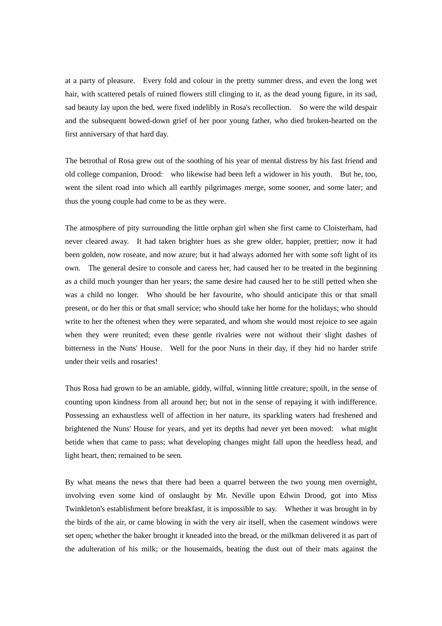at a party of pleasure. Every fold and colour in the pretty summer dress, and even the long wet hair, with scattered petals of ruined flowers still clinging to it, as the dead young figure, in its sad, sad beauty lay upon the bed, were fixed indelibly in Rosa's recollection. So were the wild despair and the subsequent bowed-down grief of her poor young father, who died broken-hearted on the first anniversary of that hard day.

The betrothal of Rosa grew out of the soothing of his year of mental distress by his fast friend and old college companion, Drood: who likewise had been left a widower in his youth. But he, too, went the silent road into which all earthly pilgrimages merge, some sooner, and some later; and thus the young couple had come to be as they were.

The atmosphere of pity surrounding the little orphan girl when she first came to Cloisterham, had never cleared away. It had taken brighter hues as she grew older, happier, prettier; now it had been golden, now roseate, and now azure; but it had always adorned her with some soft light of its own. The general desire to console and caress her, had caused her to be treated in the beginning as a child much younger than her years; the same desire had caused her to be still petted when she was a child no longer. Who should be her favourite, who should anticipate this or that small present, or do her this or that small service; who should take her home for the holidays; who should write to her the oftenest when they were separated, and whom she would most rejoice to see again when they were reunited; even these gentle rivalries were not without their slight dashes of bitterness in the Nuns' House. Well for the poor Nuns in their day, if they hid no harder strife under their veils and rosaries!

Thus Rosa had grown to be an amiable, giddy, wilful, winning little creature; spoilt, in the sense of counting upon kindness from all around her; but not in the sense of repaying it with indifference. Possessing an exhaustless well of affection in her nature, its sparkling waters had freshened and brightened the Nuns' House for years, and yet its depths had never yet been moved: what might betide when that came to pass; what developing changes might fall upon the heedless head, and light heart, then; remained to be seen.

By what means the news that there had been a quarrel between the two young men overnight, involving even some kind of onslaught by Mr. Neville upon Edwin Drood, got into Miss Twinkleton's establishment before breakfast, it is impossible to say. Whether it was brought in by the birds of the air, or came blowing in with the very air itself, when the casement windows were set open; whether the baker brought it kneaded into the bread, or the milkman delivered it as part of the adulteration of his milk; or the housemaids, beating the dust out of their mats against the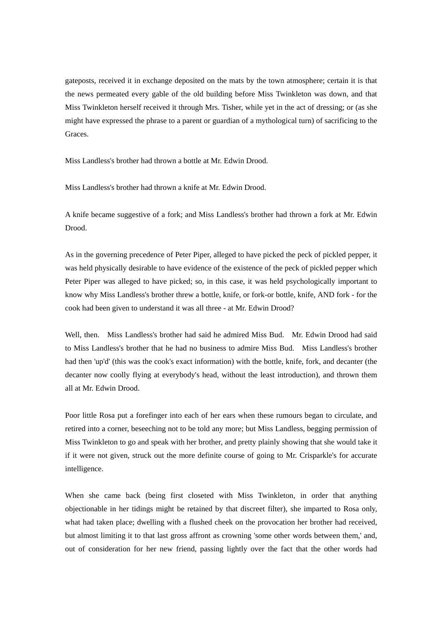gateposts, received it in exchange deposited on the mats by the town atmosphere; certain it is that the news permeated every gable of the old building before Miss Twinkleton was down, and that Miss Twinkleton herself received it through Mrs. Tisher, while yet in the act of dressing; or (as she might have expressed the phrase to a parent or guardian of a mythological turn) of sacrificing to the Graces.

Miss Landless's brother had thrown a bottle at Mr. Edwin Drood.

Miss Landless's brother had thrown a knife at Mr. Edwin Drood.

A knife became suggestive of a fork; and Miss Landless's brother had thrown a fork at Mr. Edwin Drood.

As in the governing precedence of Peter Piper, alleged to have picked the peck of pickled pepper, it was held physically desirable to have evidence of the existence of the peck of pickled pepper which Peter Piper was alleged to have picked; so, in this case, it was held psychologically important to know why Miss Landless's brother threw a bottle, knife, or fork-or bottle, knife, AND fork - for the cook had been given to understand it was all three - at Mr. Edwin Drood?

Well, then. Miss Landless's brother had said he admired Miss Bud. Mr. Edwin Drood had said to Miss Landless's brother that he had no business to admire Miss Bud. Miss Landless's brother had then 'up'd' (this was the cook's exact information) with the bottle, knife, fork, and decanter (the decanter now coolly flying at everybody's head, without the least introduction), and thrown them all at Mr. Edwin Drood.

Poor little Rosa put a forefinger into each of her ears when these rumours began to circulate, and retired into a corner, beseeching not to be told any more; but Miss Landless, begging permission of Miss Twinkleton to go and speak with her brother, and pretty plainly showing that she would take it if it were not given, struck out the more definite course of going to Mr. Crisparkle's for accurate intelligence.

When she came back (being first closeted with Miss Twinkleton, in order that anything objectionable in her tidings might be retained by that discreet filter), she imparted to Rosa only, what had taken place; dwelling with a flushed cheek on the provocation her brother had received, but almost limiting it to that last gross affront as crowning 'some other words between them,' and, out of consideration for her new friend, passing lightly over the fact that the other words had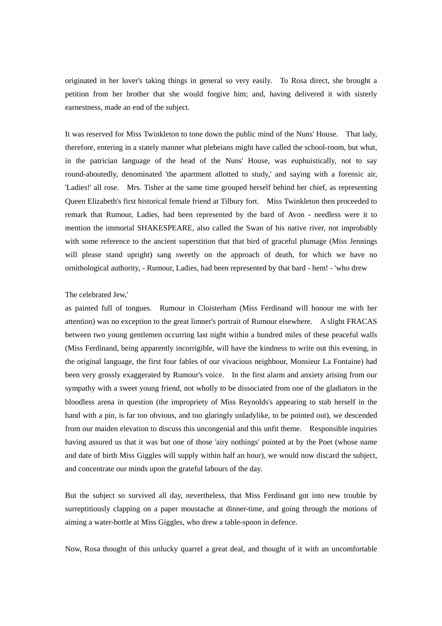originated in her lover's taking things in general so very easily. To Rosa direct, she brought a petition from her brother that she would forgive him; and, having delivered it with sisterly earnestness, made an end of the subject.

It was reserved for Miss Twinkleton to tone down the public mind of the Nuns' House. That lady, therefore, entering in a stately manner what plebeians might have called the school-room, but what, in the patrician language of the head of the Nuns' House, was euphuistically, not to say round-aboutedly, denominated 'the apartment allotted to study,' and saying with a forensic air, 'Ladies!' all rose. Mrs. Tisher at the same time grouped herself behind her chief, as representing Queen Elizabeth's first historical female friend at Tilbury fort. Miss Twinkleton then proceeded to remark that Rumour, Ladies, had been represented by the bard of Avon - needless were it to mention the immortal SHAKESPEARE, also called the Swan of his native river, not improbably with some reference to the ancient superstition that that bird of graceful plumage (Miss Jennings will please stand upright) sang sweetly on the approach of death, for which we have no ornithological authority, - Rumour, Ladies, had been represented by that bard - hem! - 'who drew

### The celebrated Jew,'

as painted full of tongues. Rumour in Cloisterham (Miss Ferdinand will honour me with her attention) was no exception to the great limner's portrait of Rumour elsewhere. A slight FRACAS between two young gentlemen occurring last night within a hundred miles of these peaceful walls (Miss Ferdinand, being apparently incorrigible, will have the kindness to write out this evening, in the original language, the first four fables of our vivacious neighbour, Monsieur La Fontaine) had been very grossly exaggerated by Rumour's voice. In the first alarm and anxiety arising from our sympathy with a sweet young friend, not wholly to be dissociated from one of the gladiators in the bloodless arena in question (the impropriety of Miss Reynolds's appearing to stab herself in the hand with a pin, is far too obvious, and too glaringly unladylike, to be pointed out), we descended from our maiden elevation to discuss this uncongenial and this unfit theme. Responsible inquiries having assured us that it was but one of those 'airy nothings' pointed at by the Poet (whose name and date of birth Miss Giggles will supply within half an hour), we would now discard the subject, and concentrate our minds upon the grateful labours of the day.

But the subject so survived all day, nevertheless, that Miss Ferdinand got into new trouble by surreptitiously clapping on a paper moustache at dinner-time, and going through the motions of aiming a water-bottle at Miss Giggles, who drew a table-spoon in defence.

Now, Rosa thought of this unlucky quarrel a great deal, and thought of it with an uncomfortable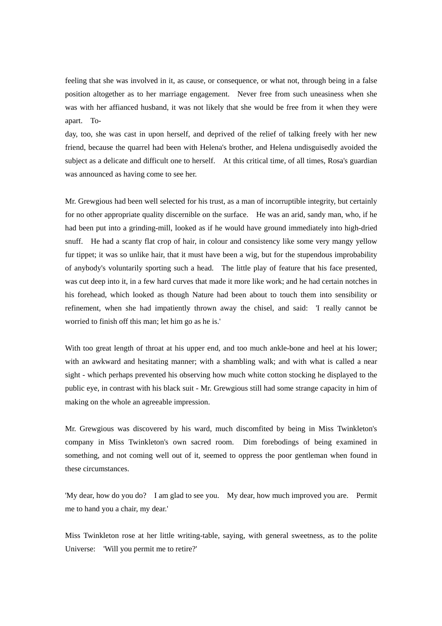feeling that she was involved in it, as cause, or consequence, or what not, through being in a false position altogether as to her marriage engagement. Never free from such uneasiness when she was with her affianced husband, it was not likely that she would be free from it when they were apart. To-

day, too, she was cast in upon herself, and deprived of the relief of talking freely with her new friend, because the quarrel had been with Helena's brother, and Helena undisguisedly avoided the subject as a delicate and difficult one to herself. At this critical time, of all times, Rosa's guardian was announced as having come to see her.

Mr. Grewgious had been well selected for his trust, as a man of incorruptible integrity, but certainly for no other appropriate quality discernible on the surface. He was an arid, sandy man, who, if he had been put into a grinding-mill, looked as if he would have ground immediately into high-dried snuff. He had a scanty flat crop of hair, in colour and consistency like some very mangy yellow fur tippet; it was so unlike hair, that it must have been a wig, but for the stupendous improbability of anybody's voluntarily sporting such a head. The little play of feature that his face presented, was cut deep into it, in a few hard curves that made it more like work; and he had certain notches in his forehead, which looked as though Nature had been about to touch them into sensibility or refinement, when she had impatiently thrown away the chisel, and said: 'I really cannot be worried to finish off this man; let him go as he is.'

With too great length of throat at his upper end, and too much ankle-bone and heel at his lower; with an awkward and hesitating manner; with a shambling walk; and with what is called a near sight - which perhaps prevented his observing how much white cotton stocking he displayed to the public eye, in contrast with his black suit - Mr. Grewgious still had some strange capacity in him of making on the whole an agreeable impression.

Mr. Grewgious was discovered by his ward, much discomfited by being in Miss Twinkleton's company in Miss Twinkleton's own sacred room. Dim forebodings of being examined in something, and not coming well out of it, seemed to oppress the poor gentleman when found in these circumstances.

'My dear, how do you do? I am glad to see you. My dear, how much improved you are. Permit me to hand you a chair, my dear.'

Miss Twinkleton rose at her little writing-table, saying, with general sweetness, as to the polite Universe: 'Will you permit me to retire?'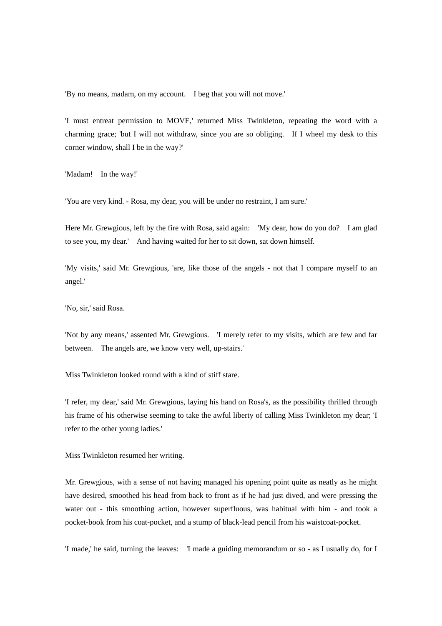'By no means, madam, on my account. I beg that you will not move.'

'I must entreat permission to MOVE,' returned Miss Twinkleton, repeating the word with a charming grace; 'but I will not withdraw, since you are so obliging. If I wheel my desk to this corner window, shall I be in the way?'

'Madam! In the way!'

'You are very kind. - Rosa, my dear, you will be under no restraint, I am sure.'

Here Mr. Grewgious, left by the fire with Rosa, said again: 'My dear, how do you do? I am glad to see you, my dear.' And having waited for her to sit down, sat down himself.

'My visits,' said Mr. Grewgious, 'are, like those of the angels - not that I compare myself to an angel.'

'No, sir,' said Rosa.

'Not by any means,' assented Mr. Grewgious. 'I merely refer to my visits, which are few and far between. The angels are, we know very well, up-stairs.'

Miss Twinkleton looked round with a kind of stiff stare.

'I refer, my dear,' said Mr. Grewgious, laying his hand on Rosa's, as the possibility thrilled through his frame of his otherwise seeming to take the awful liberty of calling Miss Twinkleton my dear; 'I refer to the other young ladies.'

Miss Twinkleton resumed her writing.

Mr. Grewgious, with a sense of not having managed his opening point quite as neatly as he might have desired, smoothed his head from back to front as if he had just dived, and were pressing the water out - this smoothing action, however superfluous, was habitual with him - and took a pocket-book from his coat-pocket, and a stump of black-lead pencil from his waistcoat-pocket.

'I made,' he said, turning the leaves: 'I made a guiding memorandum or so - as I usually do, for I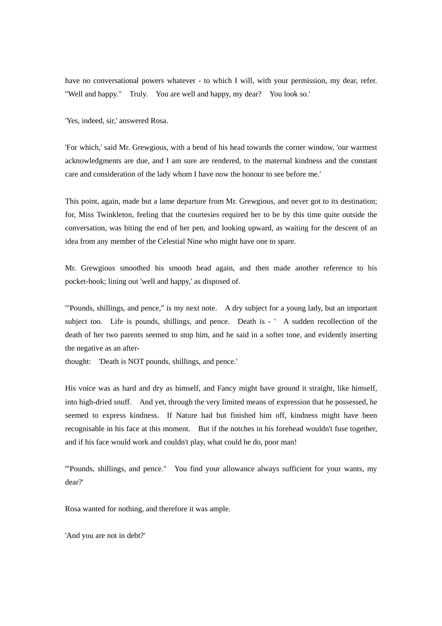have no conversational powers whatever - to which I will, with your permission, my dear, refer. "Well and happy." Truly. You are well and happy, my dear? You look so.'

'Yes, indeed, sir,' answered Rosa.

'For which,' said Mr. Grewgious, with a bend of his head towards the corner window, 'our warmest acknowledgments are due, and I am sure are rendered, to the maternal kindness and the constant care and consideration of the lady whom I have now the honour to see before me.'

This point, again, made but a lame departure from Mr. Grewgious, and never got to its destination; for, Miss Twinkleton, feeling that the courtesies required her to be by this time quite outside the conversation, was biting the end of her pen, and looking upward, as waiting for the descent of an idea from any member of the Celestial Nine who might have one to spare.

Mr. Grewgious smoothed his smooth head again, and then made another reference to his pocket-book; lining out 'well and happy,' as disposed of.

'"Pounds, shillings, and pence," is my next note. A dry subject for a young lady, but an important subject too. Life is pounds, shillings, and pence. Death is - ' A sudden recollection of the death of her two parents seemed to stop him, and he said in a softer tone, and evidently inserting the negative as an after-

thought: 'Death is NOT pounds, shillings, and pence.'

His voice was as hard and dry as himself, and Fancy might have ground it straight, like himself, into high-dried snuff. And yet, through the very limited means of expression that he possessed, he seemed to express kindness. If Nature had but finished him off, kindness might have been recognisable in his face at this moment. But if the notches in his forehead wouldn't fuse together, and if his face would work and couldn't play, what could he do, poor man!

'"Pounds, shillings, and pence." You find your allowance always sufficient for your wants, my dear?'

Rosa wanted for nothing, and therefore it was ample.

'And you are not in debt?'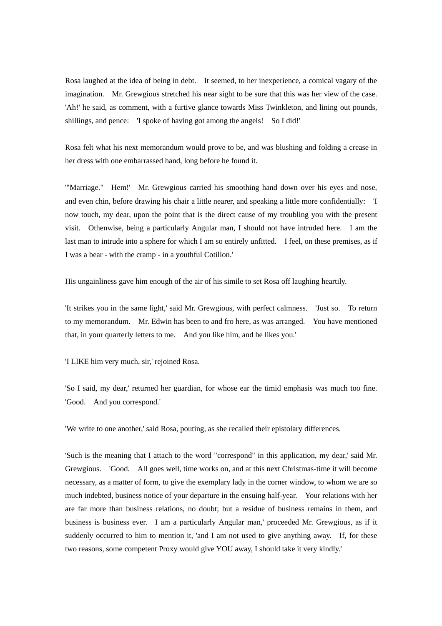Rosa laughed at the idea of being in debt. It seemed, to her inexperience, a comical vagary of the imagination. Mr. Grewgious stretched his near sight to be sure that this was her view of the case. 'Ah!' he said, as comment, with a furtive glance towards Miss Twinkleton, and lining out pounds, shillings, and pence: 'I spoke of having got among the angels! So I did!'

Rosa felt what his next memorandum would prove to be, and was blushing and folding a crease in her dress with one embarrassed hand, long before he found it.

'"Marriage." Hem!' Mr. Grewgious carried his smoothing hand down over his eyes and nose, and even chin, before drawing his chair a little nearer, and speaking a little more confidentially: 'I now touch, my dear, upon the point that is the direct cause of my troubling you with the present visit. Othenwise, being a particularly Angular man, I should not have intruded here. I am the last man to intrude into a sphere for which I am so entirely unfitted. I feel, on these premises, as if I was a bear - with the cramp - in a youthful Cotillon.'

His ungainliness gave him enough of the air of his simile to set Rosa off laughing heartily.

'It strikes you in the same light,' said Mr. Grewgious, with perfect calmness. 'Just so. To return to my memorandum. Mr. Edwin has been to and fro here, as was arranged. You have mentioned that, in your quarterly letters to me. And you like him, and he likes you.'

'I LIKE him very much, sir,' rejoined Rosa.

'So I said, my dear,' returned her guardian, for whose ear the timid emphasis was much too fine. 'Good. And you correspond.'

'We write to one another,' said Rosa, pouting, as she recalled their epistolary differences.

'Such is the meaning that I attach to the word "correspond" in this application, my dear,' said Mr. Grewgious. 'Good. All goes well, time works on, and at this next Christmas-time it will become necessary, as a matter of form, to give the exemplary lady in the corner window, to whom we are so much indebted, business notice of your departure in the ensuing half-year. Your relations with her are far more than business relations, no doubt; but a residue of business remains in them, and business is business ever. I am a particularly Angular man,' proceeded Mr. Grewgious, as if it suddenly occurred to him to mention it, 'and I am not used to give anything away. If, for these two reasons, some competent Proxy would give YOU away, I should take it very kindly.'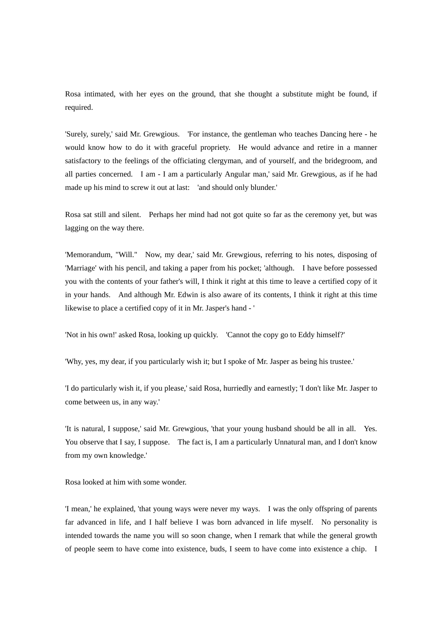Rosa intimated, with her eyes on the ground, that she thought a substitute might be found, if required.

'Surely, surely,' said Mr. Grewgious. 'For instance, the gentleman who teaches Dancing here - he would know how to do it with graceful propriety. He would advance and retire in a manner satisfactory to the feelings of the officiating clergyman, and of yourself, and the bridegroom, and all parties concerned. I am - I am a particularly Angular man,' said Mr. Grewgious, as if he had made up his mind to screw it out at last: 'and should only blunder.'

Rosa sat still and silent. Perhaps her mind had not got quite so far as the ceremony yet, but was lagging on the way there.

'Memorandum, "Will." Now, my dear,' said Mr. Grewgious, referring to his notes, disposing of 'Marriage' with his pencil, and taking a paper from his pocket; 'although. I have before possessed you with the contents of your father's will, I think it right at this time to leave a certified copy of it in your hands. And although Mr. Edwin is also aware of its contents, I think it right at this time likewise to place a certified copy of it in Mr. Jasper's hand - '

'Not in his own!' asked Rosa, looking up quickly. 'Cannot the copy go to Eddy himself?'

'Why, yes, my dear, if you particularly wish it; but I spoke of Mr. Jasper as being his trustee.'

'I do particularly wish it, if you please,' said Rosa, hurriedly and earnestly; 'I don't like Mr. Jasper to come between us, in any way.'

'It is natural, I suppose,' said Mr. Grewgious, 'that your young husband should be all in all. Yes. You observe that I say, I suppose. The fact is, I am a particularly Unnatural man, and I don't know from my own knowledge.'

Rosa looked at him with some wonder.

'I mean,' he explained, 'that young ways were never my ways. I was the only offspring of parents far advanced in life, and I half believe I was born advanced in life myself. No personality is intended towards the name you will so soon change, when I remark that while the general growth of people seem to have come into existence, buds, I seem to have come into existence a chip. I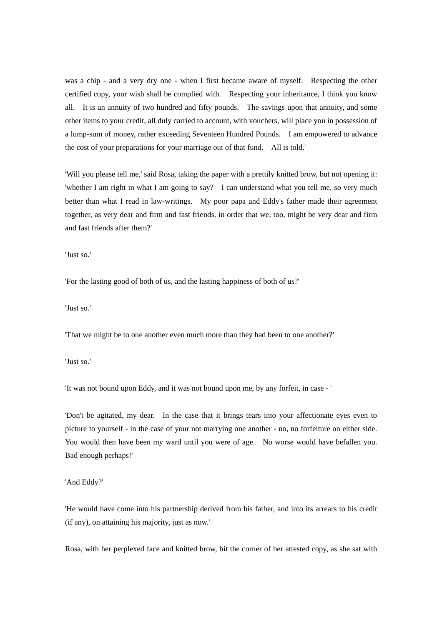was a chip - and a very dry one - when I first became aware of myself. Respecting the other certified copy, your wish shall be complied with. Respecting your inheritance, I think you know all. It is an annuity of two hundred and fifty pounds. The savings upon that annuity, and some other items to your credit, all duly carried to account, with vouchers, will place you in possession of a lump-sum of money, rather exceeding Seventeen Hundred Pounds. I am empowered to advance the cost of your preparations for your marriage out of that fund. All is told.'

'Will you please tell me,' said Rosa, taking the paper with a prettily knitted brow, but not opening it: 'whether I am right in what I am going to say? I can understand what you tell me, so very much better than what I read in law-writings. My poor papa and Eddy's father made their agreement together, as very dear and firm and fast friends, in order that we, too, might be very dear and firm and fast friends after them?'

'Just so.'

'For the lasting good of both of us, and the lasting happiness of both of us?'

'Just so.'

'That we might be to one another even much more than they had been to one another?'

'Just so.'

'It was not bound upon Eddy, and it was not bound upon me, by any forfeit, in case - '

'Don't be agitated, my dear. In the case that it brings tears into your affectionate eyes even to picture to yourself - in the case of your not marrying one another - no, no forfeiture on either side. You would then have been my ward until you were of age. No worse would have befallen you. Bad enough perhaps!'

### 'And Eddy?'

'He would have come into his partnership derived from his father, and into its arrears to his credit (if any), on attaining his majority, just as now.'

Rosa, with her perplexed face and knitted brow, bit the corner of her attested copy, as she sat with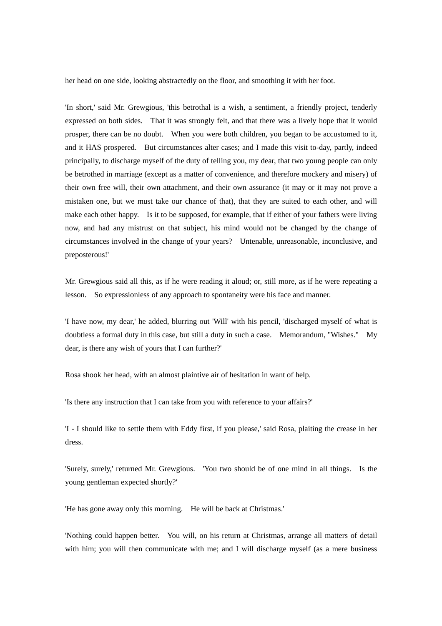her head on one side, looking abstractedly on the floor, and smoothing it with her foot.

'In short,' said Mr. Grewgious, 'this betrothal is a wish, a sentiment, a friendly project, tenderly expressed on both sides. That it was strongly felt, and that there was a lively hope that it would prosper, there can be no doubt. When you were both children, you began to be accustomed to it, and it HAS prospered. But circumstances alter cases; and I made this visit to-day, partly, indeed principally, to discharge myself of the duty of telling you, my dear, that two young people can only be betrothed in marriage (except as a matter of convenience, and therefore mockery and misery) of their own free will, their own attachment, and their own assurance (it may or it may not prove a mistaken one, but we must take our chance of that), that they are suited to each other, and will make each other happy. Is it to be supposed, for example, that if either of your fathers were living now, and had any mistrust on that subject, his mind would not be changed by the change of circumstances involved in the change of your years? Untenable, unreasonable, inconclusive, and preposterous!'

Mr. Grewgious said all this, as if he were reading it aloud; or, still more, as if he were repeating a lesson. So expressionless of any approach to spontaneity were his face and manner.

'I have now, my dear,' he added, blurring out 'Will' with his pencil, 'discharged myself of what is doubtless a formal duty in this case, but still a duty in such a case. Memorandum, "Wishes." My dear, is there any wish of yours that I can further?'

Rosa shook her head, with an almost plaintive air of hesitation in want of help.

'Is there any instruction that I can take from you with reference to your affairs?'

'I - I should like to settle them with Eddy first, if you please,' said Rosa, plaiting the crease in her dress.

'Surely, surely,' returned Mr. Grewgious. 'You two should be of one mind in all things. Is the young gentleman expected shortly?'

'He has gone away only this morning. He will be back at Christmas.'

'Nothing could happen better. You will, on his return at Christmas, arrange all matters of detail with him; you will then communicate with me; and I will discharge myself (as a mere business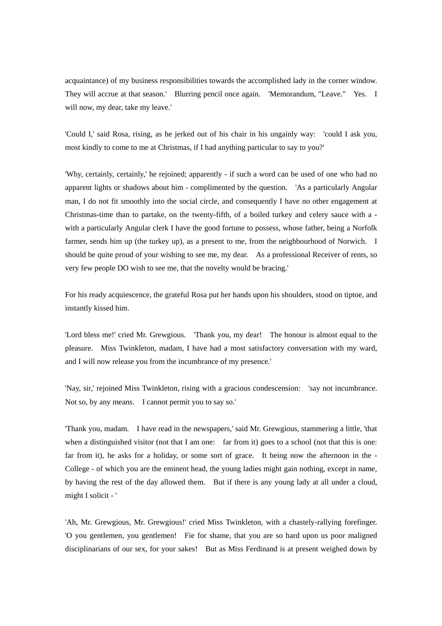acquaintance) of my business responsibilities towards the accomplished lady in the corner window. They will accrue at that season.' Blurring pencil once again. 'Memorandum, "Leave." Yes. I will now, my dear, take my leave.'

'Could I,' said Rosa, rising, as he jerked out of his chair in his ungainly way: 'could I ask you, most kindly to come to me at Christmas, if I had anything particular to say to you?'

'Why, certainly, certainly,' he rejoined; apparently - if such a word can be used of one who had no apparent lights or shadows about him - complimented by the question. 'As a particularly Angular man, I do not fit smoothly into the social circle, and consequently I have no other engagement at Christmas-time than to partake, on the twenty-fifth, of a boiled turkey and celery sauce with a with a particularly Angular clerk I have the good fortune to possess, whose father, being a Norfolk farmer, sends him up (the turkey up), as a present to me, from the neighbourhood of Norwich. I should be quite proud of your wishing to see me, my dear. As a professional Receiver of rents, so very few people DO wish to see me, that the novelty would be bracing.'

For his ready acquiescence, the grateful Rosa put her hands upon his shoulders, stood on tiptoe, and instantly kissed him.

'Lord bless me!' cried Mr. Grewgious. 'Thank you, my dear! The honour is almost equal to the pleasure. Miss Twinkleton, madam, I have had a most satisfactory conversation with my ward, and I will now release you from the incumbrance of my presence.'

'Nay, sir,' rejoined Miss Twinkleton, rising with a gracious condescension: 'say not incumbrance. Not so, by any means. I cannot permit you to say so.'

'Thank you, madam. I have read in the newspapers,' said Mr. Grewgious, stammering a little, 'that when a distinguished visitor (not that I am one: far from it) goes to a school (not that this is one: far from it), he asks for a holiday, or some sort of grace. It being now the afternoon in the - College - of which you are the eminent head, the young ladies might gain nothing, except in name, by having the rest of the day allowed them. But if there is any young lady at all under a cloud, might I solicit - '

'Ah, Mr. Grewgious, Mr. Grewgious!' cried Miss Twinkleton, with a chastely-rallying forefinger. 'O you gentlemen, you gentlemen! Fie for shame, that you are so hard upon us poor maligned disciplinarians of our sex, for your sakes! But as Miss Ferdinand is at present weighed down by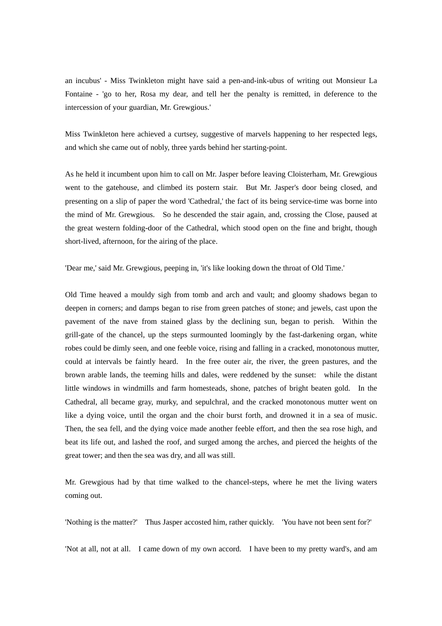an incubus' - Miss Twinkleton might have said a pen-and-ink-ubus of writing out Monsieur La Fontaine - 'go to her, Rosa my dear, and tell her the penalty is remitted, in deference to the intercession of your guardian, Mr. Grewgious.'

Miss Twinkleton here achieved a curtsey, suggestive of marvels happening to her respected legs, and which she came out of nobly, three yards behind her starting-point.

As he held it incumbent upon him to call on Mr. Jasper before leaving Cloisterham, Mr. Grewgious went to the gatehouse, and climbed its postern stair. But Mr. Jasper's door being closed, and presenting on a slip of paper the word 'Cathedral,' the fact of its being service-time was borne into the mind of Mr. Grewgious. So he descended the stair again, and, crossing the Close, paused at the great western folding-door of the Cathedral, which stood open on the fine and bright, though short-lived, afternoon, for the airing of the place.

'Dear me,' said Mr. Grewgious, peeping in, 'it's like looking down the throat of Old Time.'

Old Time heaved a mouldy sigh from tomb and arch and vault; and gloomy shadows began to deepen in corners; and damps began to rise from green patches of stone; and jewels, cast upon the pavement of the nave from stained glass by the declining sun, began to perish. Within the grill-gate of the chancel, up the steps surmounted loomingly by the fast-darkening organ, white robes could be dimly seen, and one feeble voice, rising and falling in a cracked, monotonous mutter, could at intervals be faintly heard. In the free outer air, the river, the green pastures, and the brown arable lands, the teeming hills and dales, were reddened by the sunset: while the distant little windows in windmills and farm homesteads, shone, patches of bright beaten gold. In the Cathedral, all became gray, murky, and sepulchral, and the cracked monotonous mutter went on like a dying voice, until the organ and the choir burst forth, and drowned it in a sea of music. Then, the sea fell, and the dying voice made another feeble effort, and then the sea rose high, and beat its life out, and lashed the roof, and surged among the arches, and pierced the heights of the great tower; and then the sea was dry, and all was still.

Mr. Grewgious had by that time walked to the chancel-steps, where he met the living waters coming out.

'Nothing is the matter?' Thus Jasper accosted him, rather quickly. 'You have not been sent for?'

'Not at all, not at all. I came down of my own accord. I have been to my pretty ward's, and am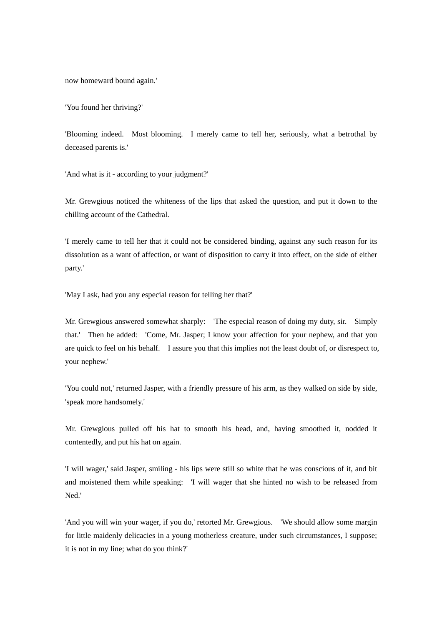now homeward bound again.'

'You found her thriving?'

'Blooming indeed. Most blooming. I merely came to tell her, seriously, what a betrothal by deceased parents is.'

'And what is it - according to your judgment?'

Mr. Grewgious noticed the whiteness of the lips that asked the question, and put it down to the chilling account of the Cathedral.

'I merely came to tell her that it could not be considered binding, against any such reason for its dissolution as a want of affection, or want of disposition to carry it into effect, on the side of either party.'

'May I ask, had you any especial reason for telling her that?'

Mr. Grewgious answered somewhat sharply: 'The especial reason of doing my duty, sir. Simply that.' Then he added: 'Come, Mr. Jasper; I know your affection for your nephew, and that you are quick to feel on his behalf. I assure you that this implies not the least doubt of, or disrespect to, your nephew.'

'You could not,' returned Jasper, with a friendly pressure of his arm, as they walked on side by side, 'speak more handsomely.'

Mr. Grewgious pulled off his hat to smooth his head, and, having smoothed it, nodded it contentedly, and put his hat on again.

'I will wager,' said Jasper, smiling - his lips were still so white that he was conscious of it, and bit and moistened them while speaking: 'I will wager that she hinted no wish to be released from Ned.'

'And you will win your wager, if you do,' retorted Mr. Grewgious. 'We should allow some margin for little maidenly delicacies in a young motherless creature, under such circumstances, I suppose; it is not in my line; what do you think?'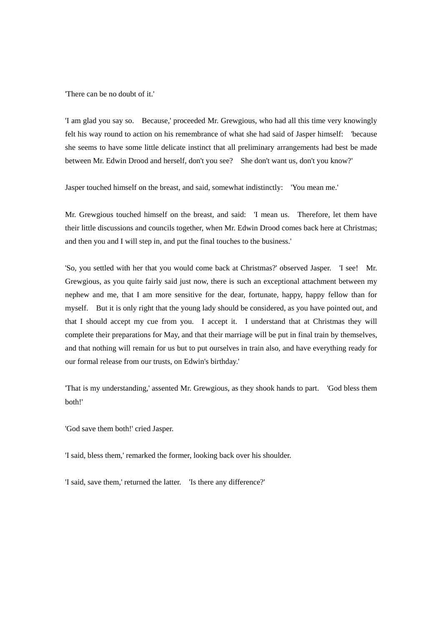'There can be no doubt of it.'

'I am glad you say so. Because,' proceeded Mr. Grewgious, who had all this time very knowingly felt his way round to action on his remembrance of what she had said of Jasper himself: 'because she seems to have some little delicate instinct that all preliminary arrangements had best be made between Mr. Edwin Drood and herself, don't you see? She don't want us, don't you know?'

Jasper touched himself on the breast, and said, somewhat indistinctly: 'You mean me.'

Mr. Grewgious touched himself on the breast, and said: 'I mean us. Therefore, let them have their little discussions and councils together, when Mr. Edwin Drood comes back here at Christmas; and then you and I will step in, and put the final touches to the business.'

'So, you settled with her that you would come back at Christmas?' observed Jasper. 'I see! Mr. Grewgious, as you quite fairly said just now, there is such an exceptional attachment between my nephew and me, that I am more sensitive for the dear, fortunate, happy, happy fellow than for myself. But it is only right that the young lady should be considered, as you have pointed out, and that I should accept my cue from you. I accept it. I understand that at Christmas they will complete their preparations for May, and that their marriage will be put in final train by themselves, and that nothing will remain for us but to put ourselves in train also, and have everything ready for our formal release from our trusts, on Edwin's birthday.'

'That is my understanding,' assented Mr. Grewgious, as they shook hands to part. 'God bless them both!'

'God save them both!' cried Jasper.

'I said, bless them,' remarked the former, looking back over his shoulder.

'I said, save them,' returned the latter. 'Is there any difference?'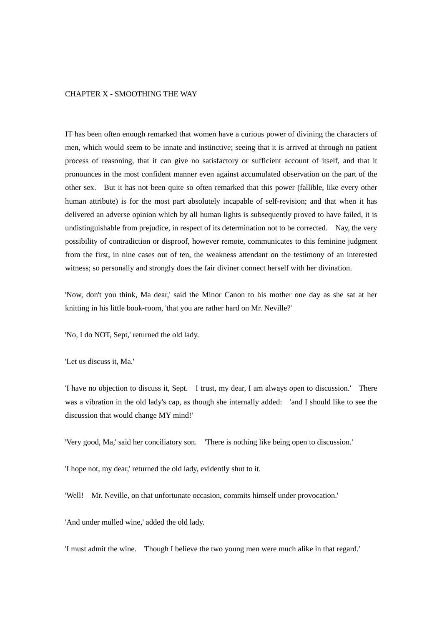# CHAPTER X - SMOOTHING THE WAY

IT has been often enough remarked that women have a curious power of divining the characters of men, which would seem to be innate and instinctive; seeing that it is arrived at through no patient process of reasoning, that it can give no satisfactory or sufficient account of itself, and that it pronounces in the most confident manner even against accumulated observation on the part of the other sex. But it has not been quite so often remarked that this power (fallible, like every other human attribute) is for the most part absolutely incapable of self-revision; and that when it has delivered an adverse opinion which by all human lights is subsequently proved to have failed, it is undistinguishable from prejudice, in respect of its determination not to be corrected. Nay, the very possibility of contradiction or disproof, however remote, communicates to this feminine judgment from the first, in nine cases out of ten, the weakness attendant on the testimony of an interested witness; so personally and strongly does the fair diviner connect herself with her divination.

'Now, don't you think, Ma dear,' said the Minor Canon to his mother one day as she sat at her knitting in his little book-room, 'that you are rather hard on Mr. Neville?'

'No, I do NOT, Sept,' returned the old lady.

'Let us discuss it, Ma.'

'I have no objection to discuss it, Sept. I trust, my dear, I am always open to discussion.' There was a vibration in the old lady's cap, as though she internally added: 'and I should like to see the discussion that would change MY mind!'

'Very good, Ma,' said her conciliatory son. 'There is nothing like being open to discussion.'

'I hope not, my dear,' returned the old lady, evidently shut to it.

'Well! Mr. Neville, on that unfortunate occasion, commits himself under provocation.'

'And under mulled wine,' added the old lady.

'I must admit the wine. Though I believe the two young men were much alike in that regard.'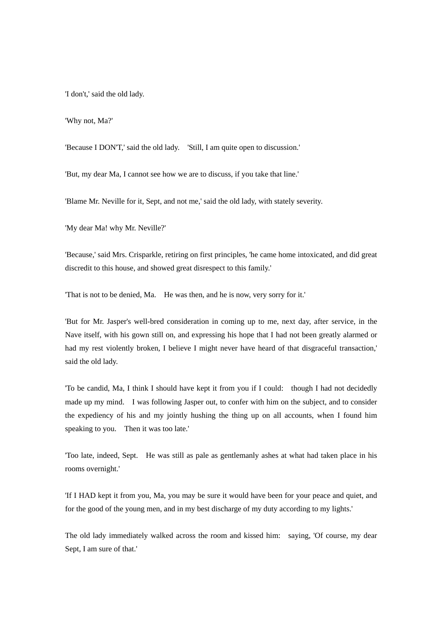'I don't,' said the old lady.

'Why not, Ma?'

'Because I DON'T,' said the old lady. 'Still, I am quite open to discussion.'

'But, my dear Ma, I cannot see how we are to discuss, if you take that line.'

'Blame Mr. Neville for it, Sept, and not me,' said the old lady, with stately severity.

'My dear Ma! why Mr. Neville?'

'Because,' said Mrs. Crisparkle, retiring on first principles, 'he came home intoxicated, and did great discredit to this house, and showed great disrespect to this family.'

'That is not to be denied, Ma. He was then, and he is now, very sorry for it.'

'But for Mr. Jasper's well-bred consideration in coming up to me, next day, after service, in the Nave itself, with his gown still on, and expressing his hope that I had not been greatly alarmed or had my rest violently broken, I believe I might never have heard of that disgraceful transaction,' said the old lady.

'To be candid, Ma, I think I should have kept it from you if I could: though I had not decidedly made up my mind. I was following Jasper out, to confer with him on the subject, and to consider the expediency of his and my jointly hushing the thing up on all accounts, when I found him speaking to you. Then it was too late.'

'Too late, indeed, Sept. He was still as pale as gentlemanly ashes at what had taken place in his rooms overnight.'

'If I HAD kept it from you, Ma, you may be sure it would have been for your peace and quiet, and for the good of the young men, and in my best discharge of my duty according to my lights.'

The old lady immediately walked across the room and kissed him: saying, 'Of course, my dear Sept, I am sure of that.'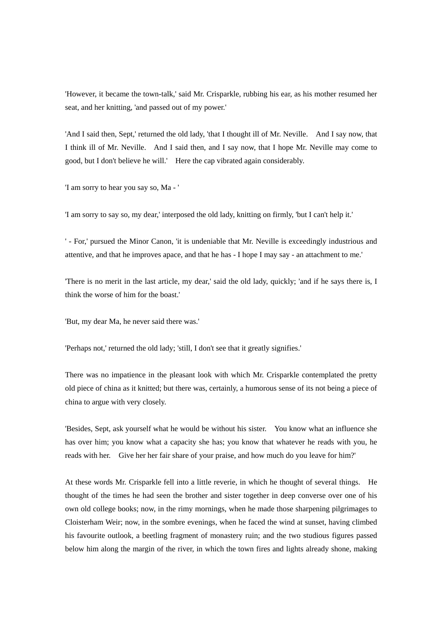'However, it became the town-talk,' said Mr. Crisparkle, rubbing his ear, as his mother resumed her seat, and her knitting, 'and passed out of my power.'

'And I said then, Sept,' returned the old lady, 'that I thought ill of Mr. Neville. And I say now, that I think ill of Mr. Neville. And I said then, and I say now, that I hope Mr. Neville may come to good, but I don't believe he will.' Here the cap vibrated again considerably.

'I am sorry to hear you say so, Ma - '

'I am sorry to say so, my dear,' interposed the old lady, knitting on firmly, 'but I can't help it.'

' - For,' pursued the Minor Canon, 'it is undeniable that Mr. Neville is exceedingly industrious and attentive, and that he improves apace, and that he has - I hope I may say - an attachment to me.'

'There is no merit in the last article, my dear,' said the old lady, quickly; 'and if he says there is, I think the worse of him for the boast.'

'But, my dear Ma, he never said there was.'

'Perhaps not,' returned the old lady; 'still, I don't see that it greatly signifies.'

There was no impatience in the pleasant look with which Mr. Crisparkle contemplated the pretty old piece of china as it knitted; but there was, certainly, a humorous sense of its not being a piece of china to argue with very closely.

'Besides, Sept, ask yourself what he would be without his sister. You know what an influence she has over him; you know what a capacity she has; you know that whatever he reads with you, he reads with her. Give her her fair share of your praise, and how much do you leave for him?'

At these words Mr. Crisparkle fell into a little reverie, in which he thought of several things. He thought of the times he had seen the brother and sister together in deep converse over one of his own old college books; now, in the rimy mornings, when he made those sharpening pilgrimages to Cloisterham Weir; now, in the sombre evenings, when he faced the wind at sunset, having climbed his favourite outlook, a beetling fragment of monastery ruin; and the two studious figures passed below him along the margin of the river, in which the town fires and lights already shone, making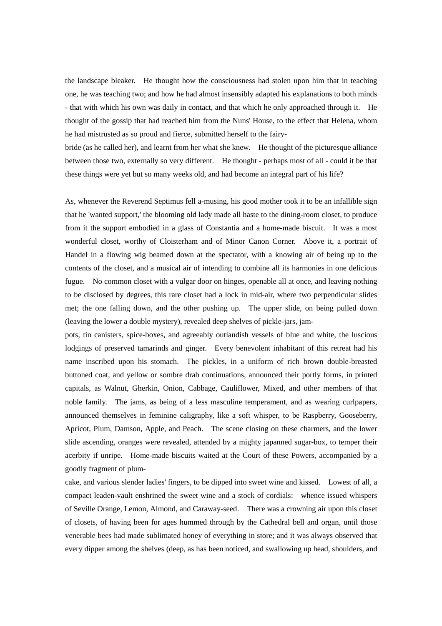the landscape bleaker. He thought how the consciousness had stolen upon him that in teaching one, he was teaching two; and how he had almost insensibly adapted his explanations to both minds - that with which his own was daily in contact, and that which he only approached through it. He thought of the gossip that had reached him from the Nuns' House, to the effect that Helena, whom he had mistrusted as so proud and fierce, submitted herself to the fairy-

bride (as he called her), and learnt from her what she knew. He thought of the picturesque alliance between those two, externally so very different. He thought - perhaps most of all - could it be that these things were yet but so many weeks old, and had become an integral part of his life?

As, whenever the Reverend Septimus fell a-musing, his good mother took it to be an infallible sign that he 'wanted support,' the blooming old lady made all haste to the dining-room closet, to produce from it the support embodied in a glass of Constantia and a home-made biscuit. It was a most wonderful closet, worthy of Cloisterham and of Minor Canon Corner. Above it, a portrait of Handel in a flowing wig beamed down at the spectator, with a knowing air of being up to the contents of the closet, and a musical air of intending to combine all its harmonies in one delicious fugue. No common closet with a vulgar door on hinges, openable all at once, and leaving nothing to be disclosed by degrees, this rare closet had a lock in mid-air, where two perpendicular slides met; the one falling down, and the other pushing up. The upper slide, on being pulled down (leaving the lower a double mystery), revealed deep shelves of pickle-jars, jam-

pots, tin canisters, spice-boxes, and agreeably outlandish vessels of blue and white, the luscious lodgings of preserved tamarinds and ginger. Every benevolent inhabitant of this retreat had his name inscribed upon his stomach. The pickles, in a uniform of rich brown double-breasted buttoned coat, and yellow or sombre drab continuations, announced their portly forms, in printed capitals, as Walnut, Gherkin, Onion, Cabbage, Cauliflower, Mixed, and other members of that noble family. The jams, as being of a less masculine temperament, and as wearing curlpapers, announced themselves in feminine caligraphy, like a soft whisper, to be Raspberry, Gooseberry, Apricot, Plum, Damson, Apple, and Peach. The scene closing on these charmers, and the lower slide ascending, oranges were revealed, attended by a mighty japanned sugar-box, to temper their acerbity if unripe. Home-made biscuits waited at the Court of these Powers, accompanied by a goodly fragment of plum-

cake, and various slender ladies' fingers, to be dipped into sweet wine and kissed. Lowest of all, a compact leaden-vault enshrined the sweet wine and a stock of cordials: whence issued whispers of Seville Orange, Lemon, Almond, and Caraway-seed. There was a crowning air upon this closet of closets, of having been for ages hummed through by the Cathedral bell and organ, until those venerable bees had made sublimated honey of everything in store; and it was always observed that every dipper among the shelves (deep, as has been noticed, and swallowing up head, shoulders, and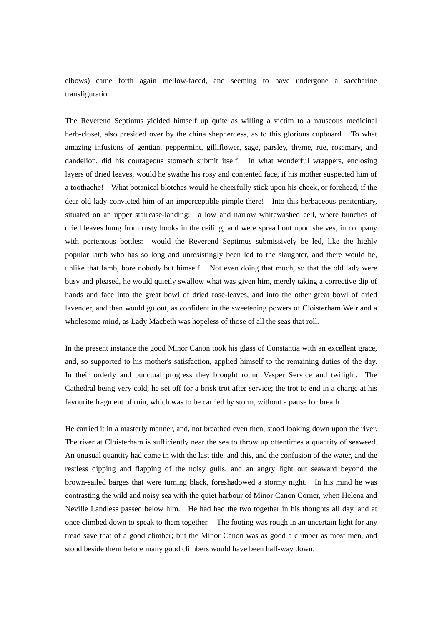elbows) came forth again mellow-faced, and seeming to have undergone a saccharine transfiguration.

The Reverend Septimus yielded himself up quite as willing a victim to a nauseous medicinal herb-closet, also presided over by the china shepherdess, as to this glorious cupboard. To what amazing infusions of gentian, peppermint, gilliflower, sage, parsley, thyme, rue, rosemary, and dandelion, did his courageous stomach submit itself! In what wonderful wrappers, enclosing layers of dried leaves, would he swathe his rosy and contented face, if his mother suspected him of a toothache! What botanical blotches would he cheerfully stick upon his cheek, or forehead, if the dear old lady convicted him of an imperceptible pimple there! Into this herbaceous penitentiary, situated on an upper staircase-landing: a low and narrow whitewashed cell, where bunches of dried leaves hung from rusty hooks in the ceiling, and were spread out upon shelves, in company with portentous bottles: would the Reverend Septimus submissively be led, like the highly popular lamb who has so long and unresistingly been led to the slaughter, and there would he, unlike that lamb, bore nobody but himself. Not even doing that much, so that the old lady were busy and pleased, he would quietly swallow what was given him, merely taking a corrective dip of hands and face into the great bowl of dried rose-leaves, and into the other great bowl of dried lavender, and then would go out, as confident in the sweetening powers of Cloisterham Weir and a wholesome mind, as Lady Macbeth was hopeless of those of all the seas that roll.

In the present instance the good Minor Canon took his glass of Constantia with an excellent grace, and, so supported to his mother's satisfaction, applied himself to the remaining duties of the day. In their orderly and punctual progress they brought round Vesper Service and twilight. The Cathedral being very cold, he set off for a brisk trot after service; the trot to end in a charge at his favourite fragment of ruin, which was to be carried by storm, without a pause for breath.

He carried it in a masterly manner, and, not breathed even then, stood looking down upon the river. The river at Cloisterham is sufficiently near the sea to throw up oftentimes a quantity of seaweed. An unusual quantity had come in with the last tide, and this, and the confusion of the water, and the restless dipping and flapping of the noisy gulls, and an angry light out seaward beyond the brown-sailed barges that were turning black, foreshadowed a stormy night. In his mind he was contrasting the wild and noisy sea with the quiet harbour of Minor Canon Corner, when Helena and Neville Landless passed below him. He had had the two together in his thoughts all day, and at once climbed down to speak to them together. The footing was rough in an uncertain light for any tread save that of a good climber; but the Minor Canon was as good a climber as most men, and stood beside them before many good climbers would have been half-way down.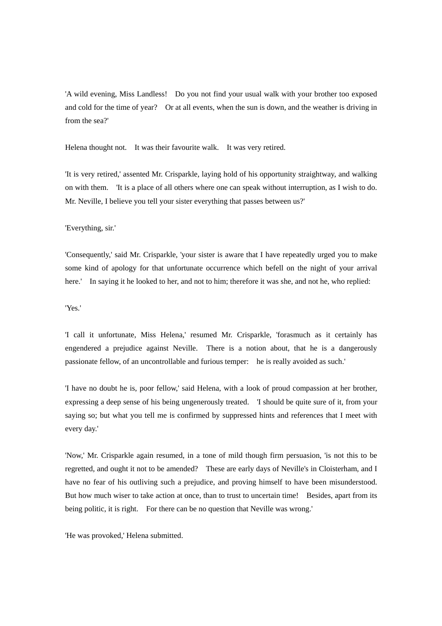'A wild evening, Miss Landless! Do you not find your usual walk with your brother too exposed and cold for the time of year? Or at all events, when the sun is down, and the weather is driving in from the sea?'

Helena thought not. It was their favourite walk. It was very retired.

'It is very retired,' assented Mr. Crisparkle, laying hold of his opportunity straightway, and walking on with them. 'It is a place of all others where one can speak without interruption, as I wish to do. Mr. Neville, I believe you tell your sister everything that passes between us?'

## 'Everything, sir.'

'Consequently,' said Mr. Crisparkle, 'your sister is aware that I have repeatedly urged you to make some kind of apology for that unfortunate occurrence which befell on the night of your arrival here.' In saying it he looked to her, and not to him; therefore it was she, and not he, who replied:

## 'Yes.'

'I call it unfortunate, Miss Helena,' resumed Mr. Crisparkle, 'forasmuch as it certainly has engendered a prejudice against Neville. There is a notion about, that he is a dangerously passionate fellow, of an uncontrollable and furious temper: he is really avoided as such.'

'I have no doubt he is, poor fellow,' said Helena, with a look of proud compassion at her brother, expressing a deep sense of his being ungenerously treated. 'I should be quite sure of it, from your saying so; but what you tell me is confirmed by suppressed hints and references that I meet with every day.'

'Now,' Mr. Crisparkle again resumed, in a tone of mild though firm persuasion, 'is not this to be regretted, and ought it not to be amended? These are early days of Neville's in Cloisterham, and I have no fear of his outliving such a prejudice, and proving himself to have been misunderstood. But how much wiser to take action at once, than to trust to uncertain time! Besides, apart from its being politic, it is right. For there can be no question that Neville was wrong.'

'He was provoked,' Helena submitted.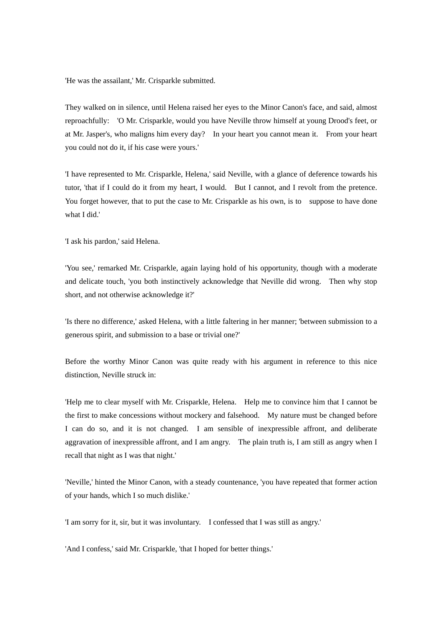'He was the assailant,' Mr. Crisparkle submitted.

They walked on in silence, until Helena raised her eyes to the Minor Canon's face, and said, almost reproachfully: 'O Mr. Crisparkle, would you have Neville throw himself at young Drood's feet, or at Mr. Jasper's, who maligns him every day? In your heart you cannot mean it. From your heart you could not do it, if his case were yours.'

'I have represented to Mr. Crisparkle, Helena,' said Neville, with a glance of deference towards his tutor, 'that if I could do it from my heart, I would. But I cannot, and I revolt from the pretence. You forget however, that to put the case to Mr. Crisparkle as his own, is to suppose to have done what I did.'

'I ask his pardon,' said Helena.

'You see,' remarked Mr. Crisparkle, again laying hold of his opportunity, though with a moderate and delicate touch, 'you both instinctively acknowledge that Neville did wrong. Then why stop short, and not otherwise acknowledge it?'

'Is there no difference,' asked Helena, with a little faltering in her manner; 'between submission to a generous spirit, and submission to a base or trivial one?'

Before the worthy Minor Canon was quite ready with his argument in reference to this nice distinction, Neville struck in:

'Help me to clear myself with Mr. Crisparkle, Helena. Help me to convince him that I cannot be the first to make concessions without mockery and falsehood. My nature must be changed before I can do so, and it is not changed. I am sensible of inexpressible affront, and deliberate aggravation of inexpressible affront, and I am angry. The plain truth is, I am still as angry when I recall that night as I was that night.'

'Neville,' hinted the Minor Canon, with a steady countenance, 'you have repeated that former action of your hands, which I so much dislike.'

'I am sorry for it, sir, but it was involuntary. I confessed that I was still as angry.'

'And I confess,' said Mr. Crisparkle, 'that I hoped for better things.'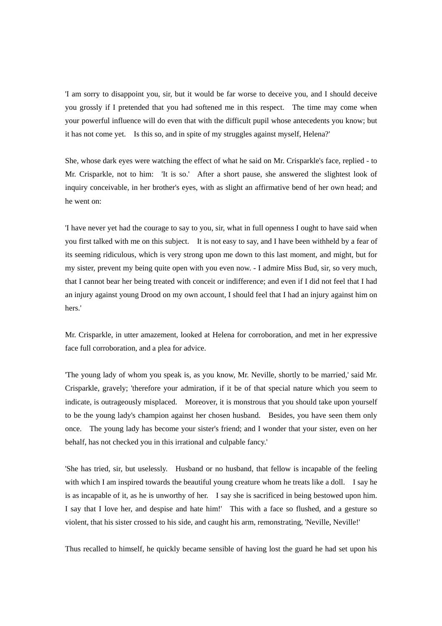'I am sorry to disappoint you, sir, but it would be far worse to deceive you, and I should deceive you grossly if I pretended that you had softened me in this respect. The time may come when your powerful influence will do even that with the difficult pupil whose antecedents you know; but it has not come yet. Is this so, and in spite of my struggles against myself, Helena?'

She, whose dark eyes were watching the effect of what he said on Mr. Crisparkle's face, replied - to Mr. Crisparkle, not to him: 'It is so.' After a short pause, she answered the slightest look of inquiry conceivable, in her brother's eyes, with as slight an affirmative bend of her own head; and he went on:

'I have never yet had the courage to say to you, sir, what in full openness I ought to have said when you first talked with me on this subject. It is not easy to say, and I have been withheld by a fear of its seeming ridiculous, which is very strong upon me down to this last moment, and might, but for my sister, prevent my being quite open with you even now. - I admire Miss Bud, sir, so very much, that I cannot bear her being treated with conceit or indifference; and even if I did not feel that I had an injury against young Drood on my own account, I should feel that I had an injury against him on hers.'

Mr. Crisparkle, in utter amazement, looked at Helena for corroboration, and met in her expressive face full corroboration, and a plea for advice.

'The young lady of whom you speak is, as you know, Mr. Neville, shortly to be married,' said Mr. Crisparkle, gravely; 'therefore your admiration, if it be of that special nature which you seem to indicate, is outrageously misplaced. Moreover, it is monstrous that you should take upon yourself to be the young lady's champion against her chosen husband. Besides, you have seen them only once. The young lady has become your sister's friend; and I wonder that your sister, even on her behalf, has not checked you in this irrational and culpable fancy.'

'She has tried, sir, but uselessly. Husband or no husband, that fellow is incapable of the feeling with which I am inspired towards the beautiful young creature whom he treats like a doll. I say he is as incapable of it, as he is unworthy of her. I say she is sacrificed in being bestowed upon him. I say that I love her, and despise and hate him!' This with a face so flushed, and a gesture so violent, that his sister crossed to his side, and caught his arm, remonstrating, 'Neville, Neville!'

Thus recalled to himself, he quickly became sensible of having lost the guard he had set upon his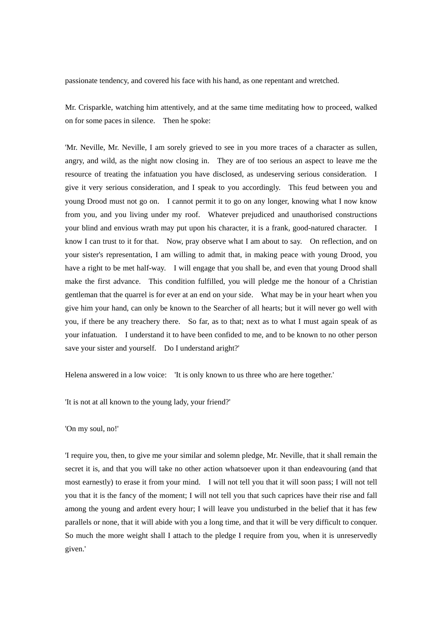passionate tendency, and covered his face with his hand, as one repentant and wretched.

Mr. Crisparkle, watching him attentively, and at the same time meditating how to proceed, walked on for some paces in silence. Then he spoke:

'Mr. Neville, Mr. Neville, I am sorely grieved to see in you more traces of a character as sullen, angry, and wild, as the night now closing in. They are of too serious an aspect to leave me the resource of treating the infatuation you have disclosed, as undeserving serious consideration. I give it very serious consideration, and I speak to you accordingly. This feud between you and young Drood must not go on. I cannot permit it to go on any longer, knowing what I now know from you, and you living under my roof. Whatever prejudiced and unauthorised constructions your blind and envious wrath may put upon his character, it is a frank, good-natured character. I know I can trust to it for that. Now, pray observe what I am about to say. On reflection, and on your sister's representation, I am willing to admit that, in making peace with young Drood, you have a right to be met half-way. I will engage that you shall be, and even that young Drood shall make the first advance. This condition fulfilled, you will pledge me the honour of a Christian gentleman that the quarrel is for ever at an end on your side. What may be in your heart when you give him your hand, can only be known to the Searcher of all hearts; but it will never go well with you, if there be any treachery there. So far, as to that; next as to what I must again speak of as your infatuation. I understand it to have been confided to me, and to be known to no other person save your sister and yourself. Do I understand aright?'

Helena answered in a low voice: 'It is only known to us three who are here together.'

'It is not at all known to the young lady, your friend?'

### 'On my soul, no!'

'I require you, then, to give me your similar and solemn pledge, Mr. Neville, that it shall remain the secret it is, and that you will take no other action whatsoever upon it than endeavouring (and that most earnestly) to erase it from your mind. I will not tell you that it will soon pass; I will not tell you that it is the fancy of the moment; I will not tell you that such caprices have their rise and fall among the young and ardent every hour; I will leave you undisturbed in the belief that it has few parallels or none, that it will abide with you a long time, and that it will be very difficult to conquer. So much the more weight shall I attach to the pledge I require from you, when it is unreservedly given.'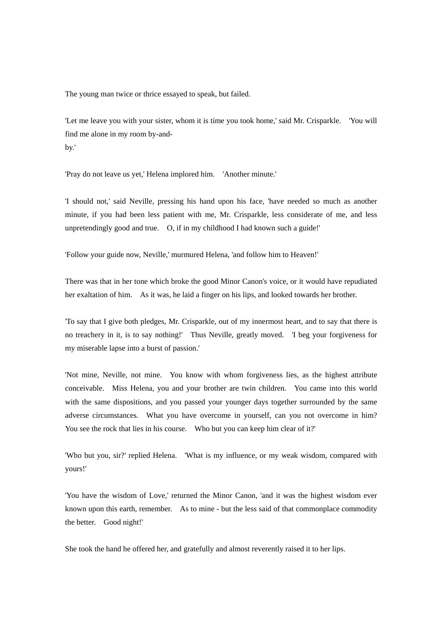The young man twice or thrice essayed to speak, but failed.

'Let me leave you with your sister, whom it is time you took home,' said Mr. Crisparkle. 'You will find me alone in my room by-andby.'

'Pray do not leave us yet,' Helena implored him. 'Another minute.'

'I should not,' said Neville, pressing his hand upon his face, 'have needed so much as another minute, if you had been less patient with me, Mr. Crisparkle, less considerate of me, and less unpretendingly good and true. O, if in my childhood I had known such a guide!'

'Follow your guide now, Neville,' murmured Helena, 'and follow him to Heaven!'

There was that in her tone which broke the good Minor Canon's voice, or it would have repudiated her exaltation of him. As it was, he laid a finger on his lips, and looked towards her brother.

'To say that I give both pledges, Mr. Crisparkle, out of my innermost heart, and to say that there is no treachery in it, is to say nothing!' Thus Neville, greatly moved. 'I beg your forgiveness for my miserable lapse into a burst of passion.'

'Not mine, Neville, not mine. You know with whom forgiveness lies, as the highest attribute conceivable. Miss Helena, you and your brother are twin children. You came into this world with the same dispositions, and you passed your younger days together surrounded by the same adverse circumstances. What you have overcome in yourself, can you not overcome in him? You see the rock that lies in his course. Who but you can keep him clear of it?'

'Who but you, sir?' replied Helena. 'What is my influence, or my weak wisdom, compared with yours!'

'You have the wisdom of Love,' returned the Minor Canon, 'and it was the highest wisdom ever known upon this earth, remember. As to mine - but the less said of that commonplace commodity the better. Good night!'

She took the hand he offered her, and gratefully and almost reverently raised it to her lips.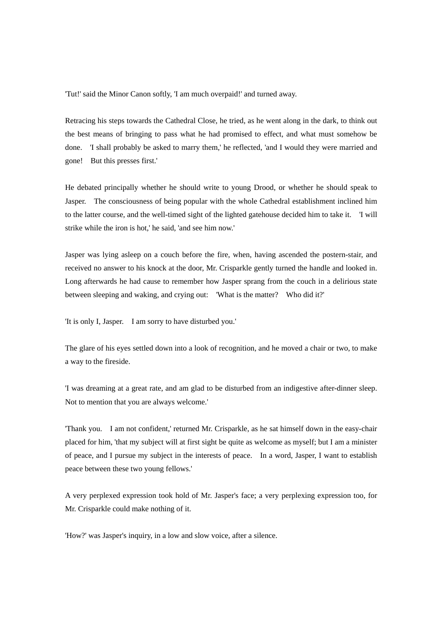'Tut!' said the Minor Canon softly, 'I am much overpaid!' and turned away.

Retracing his steps towards the Cathedral Close, he tried, as he went along in the dark, to think out the best means of bringing to pass what he had promised to effect, and what must somehow be done. 'I shall probably be asked to marry them,' he reflected, 'and I would they were married and gone! But this presses first.'

He debated principally whether he should write to young Drood, or whether he should speak to Jasper. The consciousness of being popular with the whole Cathedral establishment inclined him to the latter course, and the well-timed sight of the lighted gatehouse decided him to take it. 'I will strike while the iron is hot,' he said, 'and see him now.'

Jasper was lying asleep on a couch before the fire, when, having ascended the postern-stair, and received no answer to his knock at the door, Mr. Crisparkle gently turned the handle and looked in. Long afterwards he had cause to remember how Jasper sprang from the couch in a delirious state between sleeping and waking, and crying out: 'What is the matter? Who did it?'

'It is only I, Jasper. I am sorry to have disturbed you.'

The glare of his eyes settled down into a look of recognition, and he moved a chair or two, to make a way to the fireside.

'I was dreaming at a great rate, and am glad to be disturbed from an indigestive after-dinner sleep. Not to mention that you are always welcome.'

'Thank you. I am not confident,' returned Mr. Crisparkle, as he sat himself down in the easy-chair placed for him, 'that my subject will at first sight be quite as welcome as myself; but I am a minister of peace, and I pursue my subject in the interests of peace. In a word, Jasper, I want to establish peace between these two young fellows.'

A very perplexed expression took hold of Mr. Jasper's face; a very perplexing expression too, for Mr. Crisparkle could make nothing of it.

'How?' was Jasper's inquiry, in a low and slow voice, after a silence.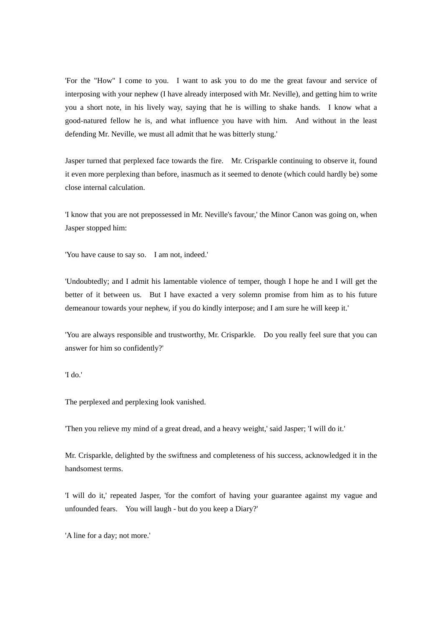'For the "How" I come to you. I want to ask you to do me the great favour and service of interposing with your nephew (I have already interposed with Mr. Neville), and getting him to write you a short note, in his lively way, saying that he is willing to shake hands. I know what a good-natured fellow he is, and what influence you have with him. And without in the least defending Mr. Neville, we must all admit that he was bitterly stung.'

Jasper turned that perplexed face towards the fire. Mr. Crisparkle continuing to observe it, found it even more perplexing than before, inasmuch as it seemed to denote (which could hardly be) some close internal calculation.

'I know that you are not prepossessed in Mr. Neville's favour,' the Minor Canon was going on, when Jasper stopped him:

'You have cause to say so. I am not, indeed.'

'Undoubtedly; and I admit his lamentable violence of temper, though I hope he and I will get the better of it between us. But I have exacted a very solemn promise from him as to his future demeanour towards your nephew, if you do kindly interpose; and I am sure he will keep it.'

'You are always responsible and trustworthy, Mr. Crisparkle. Do you really feel sure that you can answer for him so confidently?'

'I do.'

The perplexed and perplexing look vanished.

'Then you relieve my mind of a great dread, and a heavy weight,' said Jasper; 'I will do it.'

Mr. Crisparkle, delighted by the swiftness and completeness of his success, acknowledged it in the handsomest terms.

'I will do it,' repeated Jasper, 'for the comfort of having your guarantee against my vague and unfounded fears. You will laugh - but do you keep a Diary?'

'A line for a day; not more.'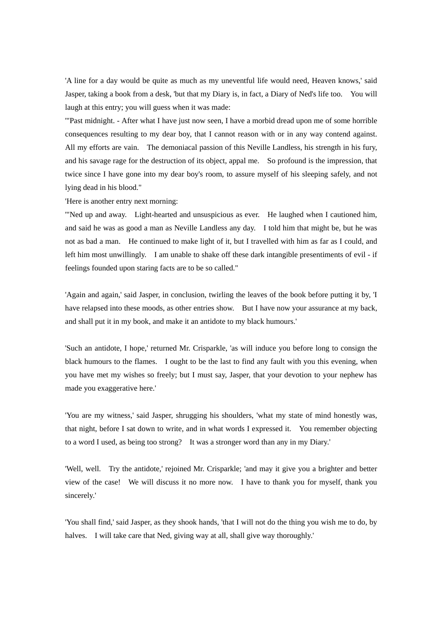'A line for a day would be quite as much as my uneventful life would need, Heaven knows,' said Jasper, taking a book from a desk, 'but that my Diary is, in fact, a Diary of Ned's life too. You will laugh at this entry; you will guess when it was made:

'"Past midnight. - After what I have just now seen, I have a morbid dread upon me of some horrible consequences resulting to my dear boy, that I cannot reason with or in any way contend against. All my efforts are vain. The demoniacal passion of this Neville Landless, his strength in his fury, and his savage rage for the destruction of its object, appal me. So profound is the impression, that twice since I have gone into my dear boy's room, to assure myself of his sleeping safely, and not lying dead in his blood."

'Here is another entry next morning:

'"Ned up and away. Light-hearted and unsuspicious as ever. He laughed when I cautioned him, and said he was as good a man as Neville Landless any day. I told him that might be, but he was not as bad a man. He continued to make light of it, but I travelled with him as far as I could, and left him most unwillingly. I am unable to shake off these dark intangible presentiments of evil - if feelings founded upon staring facts are to be so called."

'Again and again,' said Jasper, in conclusion, twirling the leaves of the book before putting it by, 'I have relapsed into these moods, as other entries show. But I have now your assurance at my back, and shall put it in my book, and make it an antidote to my black humours.'

'Such an antidote, I hope,' returned Mr. Crisparkle, 'as will induce you before long to consign the black humours to the flames. I ought to be the last to find any fault with you this evening, when you have met my wishes so freely; but I must say, Jasper, that your devotion to your nephew has made you exaggerative here.'

'You are my witness,' said Jasper, shrugging his shoulders, 'what my state of mind honestly was, that night, before I sat down to write, and in what words I expressed it. You remember objecting to a word I used, as being too strong? It was a stronger word than any in my Diary.'

'Well, well. Try the antidote,' rejoined Mr. Crisparkle; 'and may it give you a brighter and better view of the case! We will discuss it no more now. I have to thank you for myself, thank you sincerely.'

'You shall find,' said Jasper, as they shook hands, 'that I will not do the thing you wish me to do, by halves. I will take care that Ned, giving way at all, shall give way thoroughly.'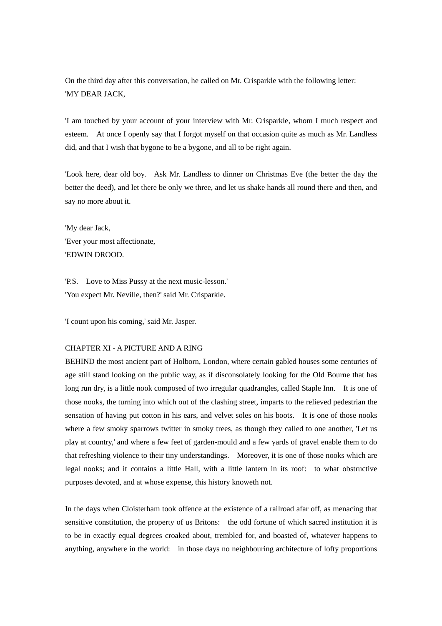On the third day after this conversation, he called on Mr. Crisparkle with the following letter: 'MY DEAR JACK,

'I am touched by your account of your interview with Mr. Crisparkle, whom I much respect and esteem. At once I openly say that I forgot myself on that occasion quite as much as Mr. Landless did, and that I wish that bygone to be a bygone, and all to be right again.

'Look here, dear old boy. Ask Mr. Landless to dinner on Christmas Eve (the better the day the better the deed), and let there be only we three, and let us shake hands all round there and then, and say no more about it.

'My dear Jack, 'Ever your most affectionate, 'EDWIN DROOD.

'P.S. Love to Miss Pussy at the next music-lesson.' 'You expect Mr. Neville, then?' said Mr. Crisparkle.

'I count upon his coming,' said Mr. Jasper.

## CHAPTER XI - A PICTURE AND A RING

BEHIND the most ancient part of Holborn, London, where certain gabled houses some centuries of age still stand looking on the public way, as if disconsolately looking for the Old Bourne that has long run dry, is a little nook composed of two irregular quadrangles, called Staple Inn. It is one of those nooks, the turning into which out of the clashing street, imparts to the relieved pedestrian the sensation of having put cotton in his ears, and velvet soles on his boots. It is one of those nooks where a few smoky sparrows twitter in smoky trees, as though they called to one another, 'Let us play at country,' and where a few feet of garden-mould and a few yards of gravel enable them to do that refreshing violence to their tiny understandings. Moreover, it is one of those nooks which are legal nooks; and it contains a little Hall, with a little lantern in its roof: to what obstructive purposes devoted, and at whose expense, this history knoweth not.

In the days when Cloisterham took offence at the existence of a railroad afar off, as menacing that sensitive constitution, the property of us Britons: the odd fortune of which sacred institution it is to be in exactly equal degrees croaked about, trembled for, and boasted of, whatever happens to anything, anywhere in the world: in those days no neighbouring architecture of lofty proportions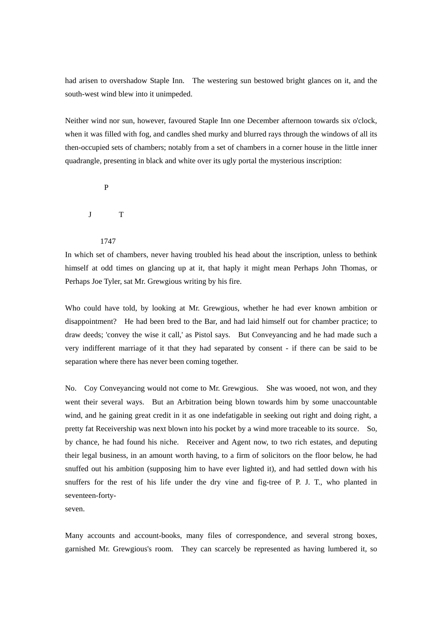had arisen to overshadow Staple Inn. The westering sun bestowed bright glances on it, and the south-west wind blew into it unimpeded.

Neither wind nor sun, however, favoured Staple Inn one December afternoon towards six o'clock, when it was filled with fog, and candles shed murky and blurred rays through the windows of all its then-occupied sets of chambers; notably from a set of chambers in a corner house in the little inner quadrangle, presenting in black and white over its ugly portal the mysterious inscription:

P

J T

1747

In which set of chambers, never having troubled his head about the inscription, unless to bethink himself at odd times on glancing up at it, that haply it might mean Perhaps John Thomas, or Perhaps Joe Tyler, sat Mr. Grewgious writing by his fire.

Who could have told, by looking at Mr. Grewgious, whether he had ever known ambition or disappointment? He had been bred to the Bar, and had laid himself out for chamber practice; to draw deeds; 'convey the wise it call,' as Pistol says. But Conveyancing and he had made such a very indifferent marriage of it that they had separated by consent - if there can be said to be separation where there has never been coming together.

No. Coy Conveyancing would not come to Mr. Grewgious. She was wooed, not won, and they went their several ways. But an Arbitration being blown towards him by some unaccountable wind, and he gaining great credit in it as one indefatigable in seeking out right and doing right, a pretty fat Receivership was next blown into his pocket by a wind more traceable to its source. So, by chance, he had found his niche. Receiver and Agent now, to two rich estates, and deputing their legal business, in an amount worth having, to a firm of solicitors on the floor below, he had snuffed out his ambition (supposing him to have ever lighted it), and had settled down with his snuffers for the rest of his life under the dry vine and fig-tree of P. J. T., who planted in seventeen-forty-

seven.

Many accounts and account-books, many files of correspondence, and several strong boxes, garnished Mr. Grewgious's room. They can scarcely be represented as having lumbered it, so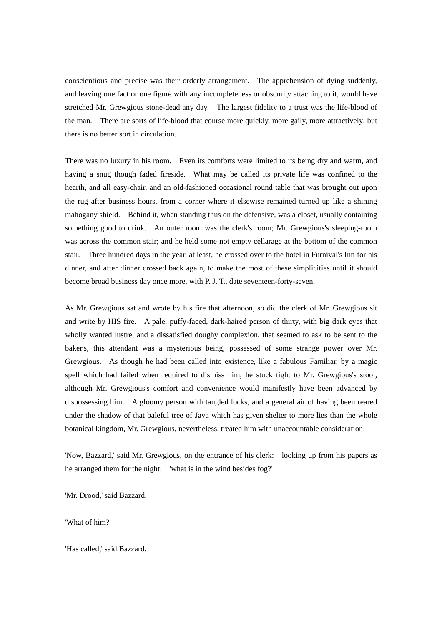conscientious and precise was their orderly arrangement. The apprehension of dying suddenly, and leaving one fact or one figure with any incompleteness or obscurity attaching to it, would have stretched Mr. Grewgious stone-dead any day. The largest fidelity to a trust was the life-blood of the man. There are sorts of life-blood that course more quickly, more gaily, more attractively; but there is no better sort in circulation.

There was no luxury in his room. Even its comforts were limited to its being dry and warm, and having a snug though faded fireside. What may be called its private life was confined to the hearth, and all easy-chair, and an old-fashioned occasional round table that was brought out upon the rug after business hours, from a corner where it elsewise remained turned up like a shining mahogany shield. Behind it, when standing thus on the defensive, was a closet, usually containing something good to drink. An outer room was the clerk's room; Mr. Grewgious's sleeping-room was across the common stair; and he held some not empty cellarage at the bottom of the common stair. Three hundred days in the year, at least, he crossed over to the hotel in Furnival's Inn for his dinner, and after dinner crossed back again, to make the most of these simplicities until it should become broad business day once more, with P. J. T., date seventeen-forty-seven.

As Mr. Grewgious sat and wrote by his fire that afternoon, so did the clerk of Mr. Grewgious sit and write by HIS fire. A pale, puffy-faced, dark-haired person of thirty, with big dark eyes that wholly wanted lustre, and a dissatisfied doughy complexion, that seemed to ask to be sent to the baker's, this attendant was a mysterious being, possessed of some strange power over Mr. Grewgious. As though he had been called into existence, like a fabulous Familiar, by a magic spell which had failed when required to dismiss him, he stuck tight to Mr. Grewgious's stool, although Mr. Grewgious's comfort and convenience would manifestly have been advanced by dispossessing him. A gloomy person with tangled locks, and a general air of having been reared under the shadow of that baleful tree of Java which has given shelter to more lies than the whole botanical kingdom, Mr. Grewgious, nevertheless, treated him with unaccountable consideration.

'Now, Bazzard,' said Mr. Grewgious, on the entrance of his clerk: looking up from his papers as he arranged them for the night: 'what is in the wind besides fog?'

'Mr. Drood,' said Bazzard.

'What of him?'

'Has called,' said Bazzard.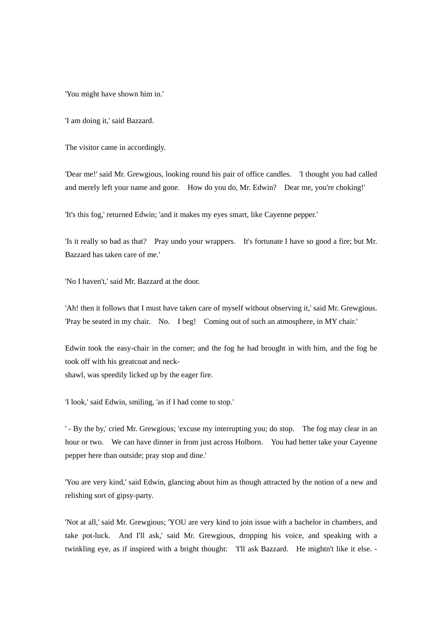'You might have shown him in.'

'I am doing it,' said Bazzard.

The visitor came in accordingly.

'Dear me!' said Mr. Grewgious, looking round his pair of office candles. 'I thought you had called and merely left your name and gone. How do you do, Mr. Edwin? Dear me, you're choking!'

'It's this fog,' returned Edwin; 'and it makes my eyes smart, like Cayenne pepper.'

'Is it really so bad as that? Pray undo your wrappers. It's fortunate I have so good a fire; but Mr. Bazzard has taken care of me.'

'No I haven't,' said Mr. Bazzard at the door.

'Ah! then it follows that I must have taken care of myself without observing it,' said Mr. Grewgious. 'Pray be seated in my chair. No. I beg! Coming out of such an atmosphere, in MY chair.'

Edwin took the easy-chair in the corner; and the fog he had brought in with him, and the fog he took off with his greatcoat and neckshawl, was speedily licked up by the eager fire.

'I look,' said Edwin, smiling, 'as if I had come to stop.'

' - By the by,' cried Mr. Grewgious; 'excuse my interrupting you; do stop. The fog may clear in an hour or two. We can have dinner in from just across Holborn. You had better take your Cayenne pepper here than outside; pray stop and dine.'

'You are very kind,' said Edwin, glancing about him as though attracted by the notion of a new and relishing sort of gipsy-party.

'Not at all,' said Mr. Grewgious; 'YOU are very kind to join issue with a bachelor in chambers, and take pot-luck. And I'll ask,' said Mr. Grewgious, dropping his voice, and speaking with a twinkling eye, as if inspired with a bright thought: 'I'll ask Bazzard. He mightn't like it else. -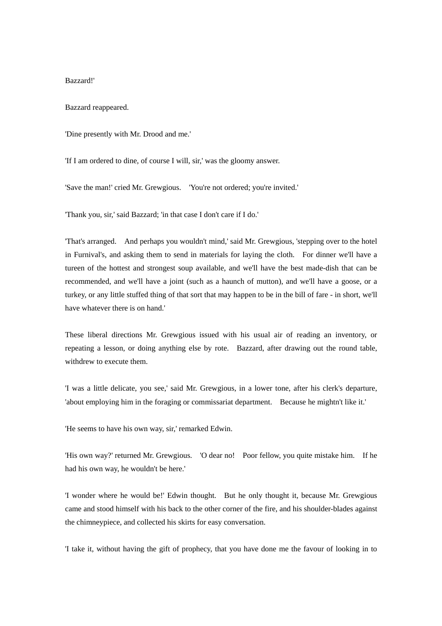## Bazzard!'

Bazzard reappeared.

'Dine presently with Mr. Drood and me.'

'If I am ordered to dine, of course I will, sir,' was the gloomy answer.

'Save the man!' cried Mr. Grewgious. 'You're not ordered; you're invited.'

'Thank you, sir,' said Bazzard; 'in that case I don't care if I do.'

'That's arranged. And perhaps you wouldn't mind,' said Mr. Grewgious, 'stepping over to the hotel in Furnival's, and asking them to send in materials for laying the cloth. For dinner we'll have a tureen of the hottest and strongest soup available, and we'll have the best made-dish that can be recommended, and we'll have a joint (such as a haunch of mutton), and we'll have a goose, or a turkey, or any little stuffed thing of that sort that may happen to be in the bill of fare - in short, we'll have whatever there is on hand.'

These liberal directions Mr. Grewgious issued with his usual air of reading an inventory, or repeating a lesson, or doing anything else by rote. Bazzard, after drawing out the round table, withdrew to execute them.

'I was a little delicate, you see,' said Mr. Grewgious, in a lower tone, after his clerk's departure, 'about employing him in the foraging or commissariat department. Because he mightn't like it.'

'He seems to have his own way, sir,' remarked Edwin.

'His own way?' returned Mr. Grewgious. 'O dear no! Poor fellow, you quite mistake him. If he had his own way, he wouldn't be here.'

'I wonder where he would be!' Edwin thought. But he only thought it, because Mr. Grewgious came and stood himself with his back to the other corner of the fire, and his shoulder-blades against the chimneypiece, and collected his skirts for easy conversation.

'I take it, without having the gift of prophecy, that you have done me the favour of looking in to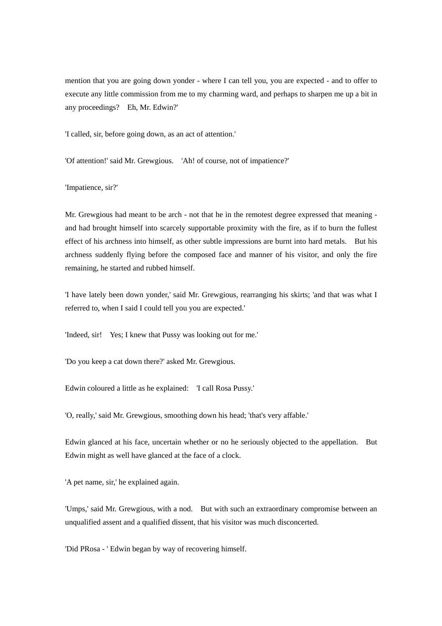mention that you are going down yonder - where I can tell you, you are expected - and to offer to execute any little commission from me to my charming ward, and perhaps to sharpen me up a bit in any proceedings? Eh, Mr. Edwin?'

'I called, sir, before going down, as an act of attention.'

'Of attention!' said Mr. Grewgious. 'Ah! of course, not of impatience?'

'Impatience, sir?'

Mr. Grewgious had meant to be arch - not that he in the remotest degree expressed that meaning and had brought himself into scarcely supportable proximity with the fire, as if to burn the fullest effect of his archness into himself, as other subtle impressions are burnt into hard metals. But his archness suddenly flying before the composed face and manner of his visitor, and only the fire remaining, he started and rubbed himself.

'I have lately been down yonder,' said Mr. Grewgious, rearranging his skirts; 'and that was what I referred to, when I said I could tell you you are expected.'

'Indeed, sir! Yes; I knew that Pussy was looking out for me.'

'Do you keep a cat down there?' asked Mr. Grewgious.

Edwin coloured a little as he explained: 'I call Rosa Pussy.'

'O, really,' said Mr. Grewgious, smoothing down his head; 'that's very affable.'

Edwin glanced at his face, uncertain whether or no he seriously objected to the appellation. But Edwin might as well have glanced at the face of a clock.

'A pet name, sir,' he explained again.

'Umps,' said Mr. Grewgious, with a nod. But with such an extraordinary compromise between an unqualified assent and a qualified dissent, that his visitor was much disconcerted.

'Did PRosa - ' Edwin began by way of recovering himself.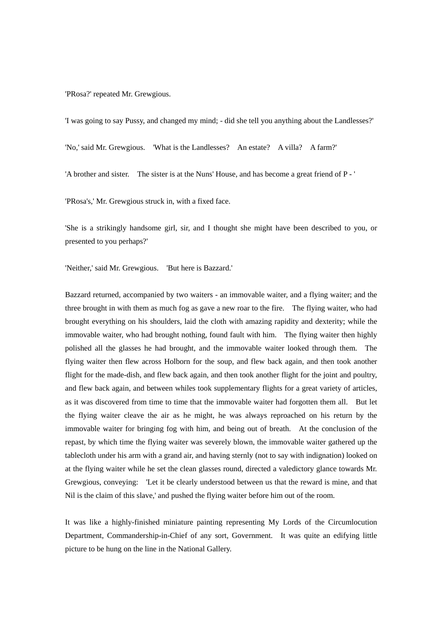'PRosa?' repeated Mr. Grewgious.

'I was going to say Pussy, and changed my mind; - did she tell you anything about the Landlesses?'

'No,' said Mr. Grewgious. 'What is the Landlesses? An estate? A villa? A farm?'

'A brother and sister. The sister is at the Nuns' House, and has become a great friend of P - '

'PRosa's,' Mr. Grewgious struck in, with a fixed face.

'She is a strikingly handsome girl, sir, and I thought she might have been described to you, or presented to you perhaps?'

'Neither,' said Mr. Grewgious. 'But here is Bazzard.'

Bazzard returned, accompanied by two waiters - an immovable waiter, and a flying waiter; and the three brought in with them as much fog as gave a new roar to the fire. The flying waiter, who had brought everything on his shoulders, laid the cloth with amazing rapidity and dexterity; while the immovable waiter, who had brought nothing, found fault with him. The flying waiter then highly polished all the glasses he had brought, and the immovable waiter looked through them. The flying waiter then flew across Holborn for the soup, and flew back again, and then took another flight for the made-dish, and flew back again, and then took another flight for the joint and poultry, and flew back again, and between whiles took supplementary flights for a great variety of articles, as it was discovered from time to time that the immovable waiter had forgotten them all. But let the flying waiter cleave the air as he might, he was always reproached on his return by the immovable waiter for bringing fog with him, and being out of breath. At the conclusion of the repast, by which time the flying waiter was severely blown, the immovable waiter gathered up the tablecloth under his arm with a grand air, and having sternly (not to say with indignation) looked on at the flying waiter while he set the clean glasses round, directed a valedictory glance towards Mr. Grewgious, conveying: 'Let it be clearly understood between us that the reward is mine, and that Nil is the claim of this slave,' and pushed the flying waiter before him out of the room.

It was like a highly-finished miniature painting representing My Lords of the Circumlocution Department, Commandership-in-Chief of any sort, Government. It was quite an edifying little picture to be hung on the line in the National Gallery.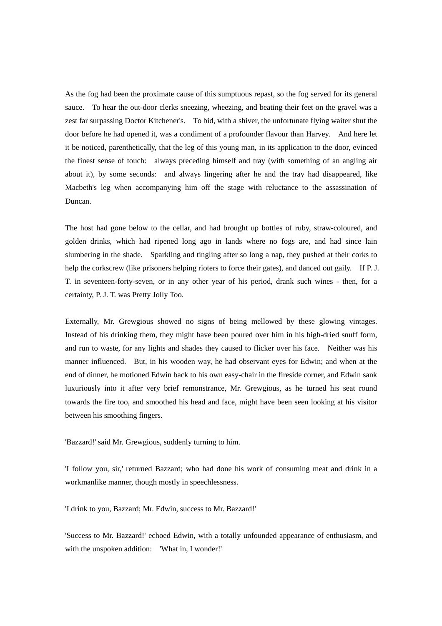As the fog had been the proximate cause of this sumptuous repast, so the fog served for its general sauce. To hear the out-door clerks sneezing, wheezing, and beating their feet on the gravel was a zest far surpassing Doctor Kitchener's. To bid, with a shiver, the unfortunate flying waiter shut the door before he had opened it, was a condiment of a profounder flavour than Harvey. And here let it be noticed, parenthetically, that the leg of this young man, in its application to the door, evinced the finest sense of touch: always preceding himself and tray (with something of an angling air about it), by some seconds: and always lingering after he and the tray had disappeared, like Macbeth's leg when accompanying him off the stage with reluctance to the assassination of Duncan.

The host had gone below to the cellar, and had brought up bottles of ruby, straw-coloured, and golden drinks, which had ripened long ago in lands where no fogs are, and had since lain slumbering in the shade. Sparkling and tingling after so long a nap, they pushed at their corks to help the corkscrew (like prisoners helping rioters to force their gates), and danced out gaily. If P. J. T. in seventeen-forty-seven, or in any other year of his period, drank such wines - then, for a certainty, P. J. T. was Pretty Jolly Too.

Externally, Mr. Grewgious showed no signs of being mellowed by these glowing vintages. Instead of his drinking them, they might have been poured over him in his high-dried snuff form, and run to waste, for any lights and shades they caused to flicker over his face. Neither was his manner influenced. But, in his wooden way, he had observant eyes for Edwin; and when at the end of dinner, he motioned Edwin back to his own easy-chair in the fireside corner, and Edwin sank luxuriously into it after very brief remonstrance, Mr. Grewgious, as he turned his seat round towards the fire too, and smoothed his head and face, might have been seen looking at his visitor between his smoothing fingers.

'Bazzard!' said Mr. Grewgious, suddenly turning to him.

'I follow you, sir,' returned Bazzard; who had done his work of consuming meat and drink in a workmanlike manner, though mostly in speechlessness.

'I drink to you, Bazzard; Mr. Edwin, success to Mr. Bazzard!'

'Success to Mr. Bazzard!' echoed Edwin, with a totally unfounded appearance of enthusiasm, and with the unspoken addition: 'What in, I wonder!'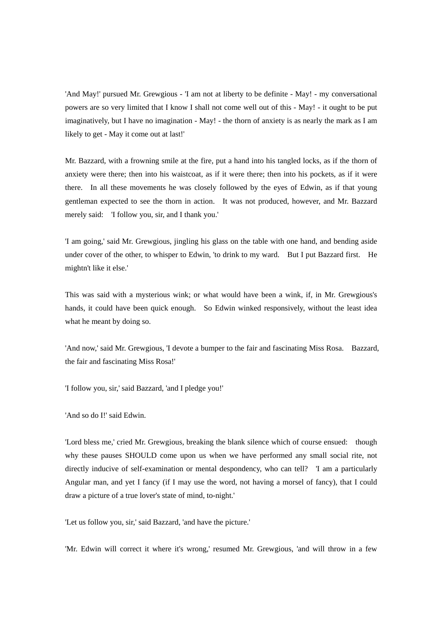'And May!' pursued Mr. Grewgious - 'I am not at liberty to be definite - May! - my conversational powers are so very limited that I know I shall not come well out of this - May! - it ought to be put imaginatively, but I have no imagination - May! - the thorn of anxiety is as nearly the mark as I am likely to get - May it come out at last!'

Mr. Bazzard, with a frowning smile at the fire, put a hand into his tangled locks, as if the thorn of anxiety were there; then into his waistcoat, as if it were there; then into his pockets, as if it were there. In all these movements he was closely followed by the eyes of Edwin, as if that young gentleman expected to see the thorn in action. It was not produced, however, and Mr. Bazzard merely said: 'I follow you, sir, and I thank you.'

'I am going,' said Mr. Grewgious, jingling his glass on the table with one hand, and bending aside under cover of the other, to whisper to Edwin, 'to drink to my ward. But I put Bazzard first. He mightn't like it else.'

This was said with a mysterious wink; or what would have been a wink, if, in Mr. Grewgious's hands, it could have been quick enough. So Edwin winked responsively, without the least idea what he meant by doing so.

'And now,' said Mr. Grewgious, 'I devote a bumper to the fair and fascinating Miss Rosa. Bazzard, the fair and fascinating Miss Rosa!'

'I follow you, sir,' said Bazzard, 'and I pledge you!'

'And so do I!' said Edwin.

'Lord bless me,' cried Mr. Grewgious, breaking the blank silence which of course ensued: though why these pauses SHOULD come upon us when we have performed any small social rite, not directly inducive of self-examination or mental despondency, who can tell? 'I am a particularly Angular man, and yet I fancy (if I may use the word, not having a morsel of fancy), that I could draw a picture of a true lover's state of mind, to-night.'

'Let us follow you, sir,' said Bazzard, 'and have the picture.'

'Mr. Edwin will correct it where it's wrong,' resumed Mr. Grewgious, 'and will throw in a few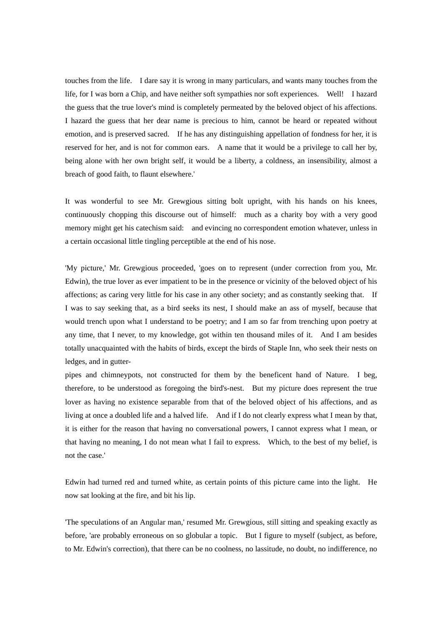touches from the life. I dare say it is wrong in many particulars, and wants many touches from the life, for I was born a Chip, and have neither soft sympathies nor soft experiences. Well! I hazard the guess that the true lover's mind is completely permeated by the beloved object of his affections. I hazard the guess that her dear name is precious to him, cannot be heard or repeated without emotion, and is preserved sacred. If he has any distinguishing appellation of fondness for her, it is reserved for her, and is not for common ears. A name that it would be a privilege to call her by, being alone with her own bright self, it would be a liberty, a coldness, an insensibility, almost a breach of good faith, to flaunt elsewhere.'

It was wonderful to see Mr. Grewgious sitting bolt upright, with his hands on his knees, continuously chopping this discourse out of himself: much as a charity boy with a very good memory might get his catechism said: and evincing no correspondent emotion whatever, unless in a certain occasional little tingling perceptible at the end of his nose.

'My picture,' Mr. Grewgious proceeded, 'goes on to represent (under correction from you, Mr. Edwin), the true lover as ever impatient to be in the presence or vicinity of the beloved object of his affections; as caring very little for his case in any other society; and as constantly seeking that. If I was to say seeking that, as a bird seeks its nest, I should make an ass of myself, because that would trench upon what I understand to be poetry; and I am so far from trenching upon poetry at any time, that I never, to my knowledge, got within ten thousand miles of it. And I am besides totally unacquainted with the habits of birds, except the birds of Staple Inn, who seek their nests on ledges, and in gutter-

pipes and chimneypots, not constructed for them by the beneficent hand of Nature. I beg, therefore, to be understood as foregoing the bird's-nest. But my picture does represent the true lover as having no existence separable from that of the beloved object of his affections, and as living at once a doubled life and a halved life. And if I do not clearly express what I mean by that, it is either for the reason that having no conversational powers, I cannot express what I mean, or that having no meaning, I do not mean what I fail to express. Which, to the best of my belief, is not the case.'

Edwin had turned red and turned white, as certain points of this picture came into the light. He now sat looking at the fire, and bit his lip.

'The speculations of an Angular man,' resumed Mr. Grewgious, still sitting and speaking exactly as before, 'are probably erroneous on so globular a topic. But I figure to myself (subject, as before, to Mr. Edwin's correction), that there can be no coolness, no lassitude, no doubt, no indifference, no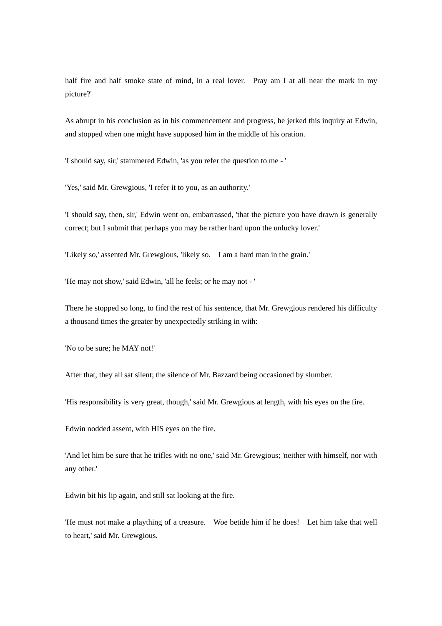half fire and half smoke state of mind, in a real lover. Pray am I at all near the mark in my picture?'

As abrupt in his conclusion as in his commencement and progress, he jerked this inquiry at Edwin, and stopped when one might have supposed him in the middle of his oration.

'I should say, sir,' stammered Edwin, 'as you refer the question to me - '

'Yes,' said Mr. Grewgious, 'I refer it to you, as an authority.'

'I should say, then, sir,' Edwin went on, embarrassed, 'that the picture you have drawn is generally correct; but I submit that perhaps you may be rather hard upon the unlucky lover.'

'Likely so,' assented Mr. Grewgious, 'likely so. I am a hard man in the grain.'

'He may not show,' said Edwin, 'all he feels; or he may not - '

There he stopped so long, to find the rest of his sentence, that Mr. Grewgious rendered his difficulty a thousand times the greater by unexpectedly striking in with:

'No to be sure; he MAY not!'

After that, they all sat silent; the silence of Mr. Bazzard being occasioned by slumber.

'His responsibility is very great, though,' said Mr. Grewgious at length, with his eyes on the fire.

Edwin nodded assent, with HIS eyes on the fire.

'And let him be sure that he trifles with no one,' said Mr. Grewgious; 'neither with himself, nor with any other.'

Edwin bit his lip again, and still sat looking at the fire.

'He must not make a plaything of a treasure. Woe betide him if he does! Let him take that well to heart,' said Mr. Grewgious.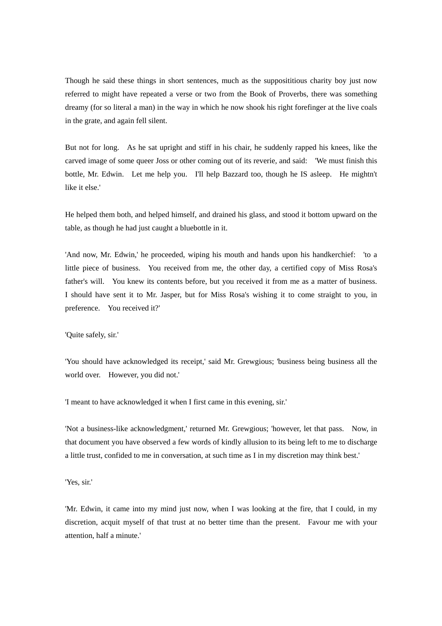Though he said these things in short sentences, much as the supposititious charity boy just now referred to might have repeated a verse or two from the Book of Proverbs, there was something dreamy (for so literal a man) in the way in which he now shook his right forefinger at the live coals in the grate, and again fell silent.

But not for long. As he sat upright and stiff in his chair, he suddenly rapped his knees, like the carved image of some queer Joss or other coming out of its reverie, and said: 'We must finish this bottle, Mr. Edwin. Let me help you. I'll help Bazzard too, though he IS asleep. He mightn't like it else.'

He helped them both, and helped himself, and drained his glass, and stood it bottom upward on the table, as though he had just caught a bluebottle in it.

'And now, Mr. Edwin,' he proceeded, wiping his mouth and hands upon his handkerchief: 'to a little piece of business. You received from me, the other day, a certified copy of Miss Rosa's father's will. You knew its contents before, but you received it from me as a matter of business. I should have sent it to Mr. Jasper, but for Miss Rosa's wishing it to come straight to you, in preference. You received it?'

# 'Quite safely, sir.'

'You should have acknowledged its receipt,' said Mr. Grewgious; 'business being business all the world over. However, you did not.'

'I meant to have acknowledged it when I first came in this evening, sir.'

'Not a business-like acknowledgment,' returned Mr. Grewgious; 'however, let that pass. Now, in that document you have observed a few words of kindly allusion to its being left to me to discharge a little trust, confided to me in conversation, at such time as I in my discretion may think best.'

'Yes, sir.'

'Mr. Edwin, it came into my mind just now, when I was looking at the fire, that I could, in my discretion, acquit myself of that trust at no better time than the present. Favour me with your attention, half a minute.'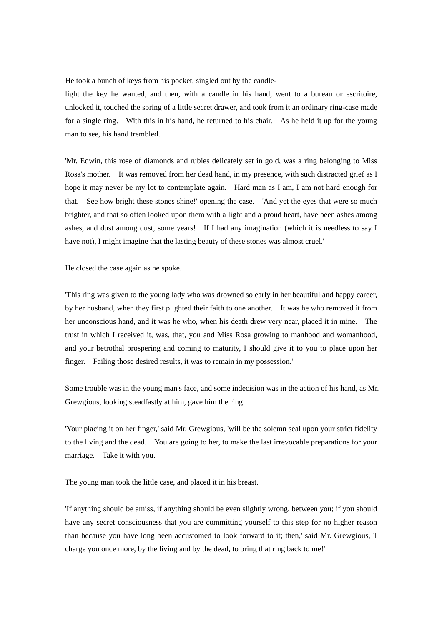He took a bunch of keys from his pocket, singled out by the candle-

light the key he wanted, and then, with a candle in his hand, went to a bureau or escritoire, unlocked it, touched the spring of a little secret drawer, and took from it an ordinary ring-case made for a single ring. With this in his hand, he returned to his chair. As he held it up for the young man to see, his hand trembled.

'Mr. Edwin, this rose of diamonds and rubies delicately set in gold, was a ring belonging to Miss Rosa's mother. It was removed from her dead hand, in my presence, with such distracted grief as I hope it may never be my lot to contemplate again. Hard man as I am, I am not hard enough for that. See how bright these stones shine!' opening the case. 'And yet the eyes that were so much brighter, and that so often looked upon them with a light and a proud heart, have been ashes among ashes, and dust among dust, some years! If I had any imagination (which it is needless to say I have not), I might imagine that the lasting beauty of these stones was almost cruel.'

He closed the case again as he spoke.

'This ring was given to the young lady who was drowned so early in her beautiful and happy career, by her husband, when they first plighted their faith to one another. It was he who removed it from her unconscious hand, and it was he who, when his death drew very near, placed it in mine. The trust in which I received it, was, that, you and Miss Rosa growing to manhood and womanhood, and your betrothal prospering and coming to maturity, I should give it to you to place upon her finger. Failing those desired results, it was to remain in my possession.'

Some trouble was in the young man's face, and some indecision was in the action of his hand, as Mr. Grewgious, looking steadfastly at him, gave him the ring.

'Your placing it on her finger,' said Mr. Grewgious, 'will be the solemn seal upon your strict fidelity to the living and the dead. You are going to her, to make the last irrevocable preparations for your marriage. Take it with you.'

The young man took the little case, and placed it in his breast.

'If anything should be amiss, if anything should be even slightly wrong, between you; if you should have any secret consciousness that you are committing yourself to this step for no higher reason than because you have long been accustomed to look forward to it; then,' said Mr. Grewgious, 'I charge you once more, by the living and by the dead, to bring that ring back to me!'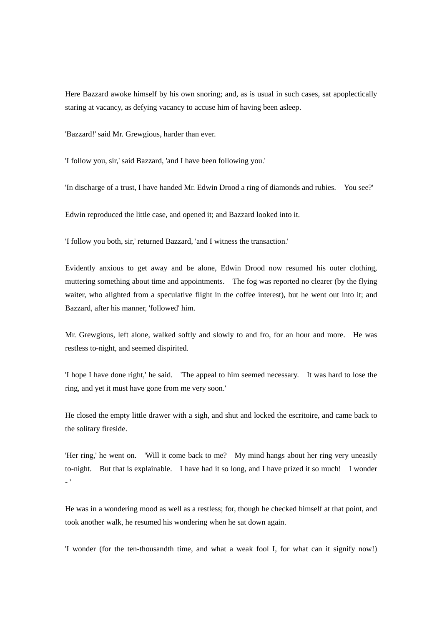Here Bazzard awoke himself by his own snoring; and, as is usual in such cases, sat apoplectically staring at vacancy, as defying vacancy to accuse him of having been asleep.

'Bazzard!' said Mr. Grewgious, harder than ever.

'I follow you, sir,' said Bazzard, 'and I have been following you.'

'In discharge of a trust, I have handed Mr. Edwin Drood a ring of diamonds and rubies. You see?'

Edwin reproduced the little case, and opened it; and Bazzard looked into it.

'I follow you both, sir,' returned Bazzard, 'and I witness the transaction.'

Evidently anxious to get away and be alone, Edwin Drood now resumed his outer clothing, muttering something about time and appointments. The fog was reported no clearer (by the flying waiter, who alighted from a speculative flight in the coffee interest), but he went out into it; and Bazzard, after his manner, 'followed' him.

Mr. Grewgious, left alone, walked softly and slowly to and fro, for an hour and more. He was restless to-night, and seemed dispirited.

'I hope I have done right,' he said. 'The appeal to him seemed necessary. It was hard to lose the ring, and yet it must have gone from me very soon.'

He closed the empty little drawer with a sigh, and shut and locked the escritoire, and came back to the solitary fireside.

'Her ring,' he went on. 'Will it come back to me? My mind hangs about her ring very uneasily to-night. But that is explainable. I have had it so long, and I have prized it so much! I wonder  $-$  '

He was in a wondering mood as well as a restless; for, though he checked himself at that point, and took another walk, he resumed his wondering when he sat down again.

'I wonder (for the ten-thousandth time, and what a weak fool I, for what can it signify now!)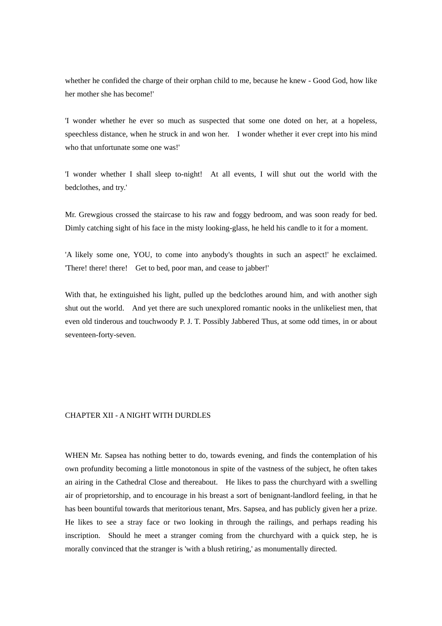whether he confided the charge of their orphan child to me, because he knew - Good God, how like her mother she has become!'

'I wonder whether he ever so much as suspected that some one doted on her, at a hopeless, speechless distance, when he struck in and won her. I wonder whether it ever crept into his mind who that unfortunate some one was!'

'I wonder whether I shall sleep to-night! At all events, I will shut out the world with the bedclothes, and try.'

Mr. Grewgious crossed the staircase to his raw and foggy bedroom, and was soon ready for bed. Dimly catching sight of his face in the misty looking-glass, he held his candle to it for a moment.

'A likely some one, YOU, to come into anybody's thoughts in such an aspect!' he exclaimed. 'There! there! there! Get to bed, poor man, and cease to jabber!'

With that, he extinguished his light, pulled up the bedclothes around him, and with another sigh shut out the world. And yet there are such unexplored romantic nooks in the unlikeliest men, that even old tinderous and touchwoody P. J. T. Possibly Jabbered Thus, at some odd times, in or about seventeen-forty-seven.

### CHAPTER XII - A NIGHT WITH DURDLES

WHEN Mr. Sapsea has nothing better to do, towards evening, and finds the contemplation of his own profundity becoming a little monotonous in spite of the vastness of the subject, he often takes an airing in the Cathedral Close and thereabout. He likes to pass the churchyard with a swelling air of proprietorship, and to encourage in his breast a sort of benignant-landlord feeling, in that he has been bountiful towards that meritorious tenant, Mrs. Sapsea, and has publicly given her a prize. He likes to see a stray face or two looking in through the railings, and perhaps reading his inscription. Should he meet a stranger coming from the churchyard with a quick step, he is morally convinced that the stranger is 'with a blush retiring,' as monumentally directed.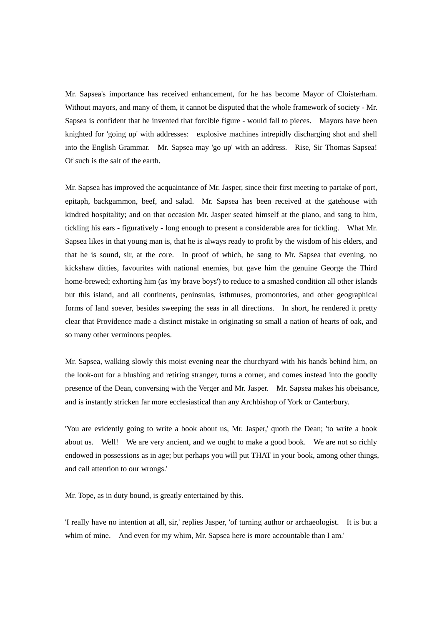Mr. Sapsea's importance has received enhancement, for he has become Mayor of Cloisterham. Without mayors, and many of them, it cannot be disputed that the whole framework of society - Mr. Sapsea is confident that he invented that forcible figure - would fall to pieces. Mayors have been knighted for 'going up' with addresses: explosive machines intrepidly discharging shot and shell into the English Grammar. Mr. Sapsea may 'go up' with an address. Rise, Sir Thomas Sapsea! Of such is the salt of the earth.

Mr. Sapsea has improved the acquaintance of Mr. Jasper, since their first meeting to partake of port, epitaph, backgammon, beef, and salad. Mr. Sapsea has been received at the gatehouse with kindred hospitality; and on that occasion Mr. Jasper seated himself at the piano, and sang to him, tickling his ears - figuratively - long enough to present a considerable area for tickling. What Mr. Sapsea likes in that young man is, that he is always ready to profit by the wisdom of his elders, and that he is sound, sir, at the core. In proof of which, he sang to Mr. Sapsea that evening, no kickshaw ditties, favourites with national enemies, but gave him the genuine George the Third home-brewed; exhorting him (as 'my brave boys') to reduce to a smashed condition all other islands but this island, and all continents, peninsulas, isthmuses, promontories, and other geographical forms of land soever, besides sweeping the seas in all directions. In short, he rendered it pretty clear that Providence made a distinct mistake in originating so small a nation of hearts of oak, and so many other verminous peoples.

Mr. Sapsea, walking slowly this moist evening near the churchyard with his hands behind him, on the look-out for a blushing and retiring stranger, turns a corner, and comes instead into the goodly presence of the Dean, conversing with the Verger and Mr. Jasper. Mr. Sapsea makes his obeisance, and is instantly stricken far more ecclesiastical than any Archbishop of York or Canterbury.

'You are evidently going to write a book about us, Mr. Jasper,' quoth the Dean; 'to write a book about us. Well! We are very ancient, and we ought to make a good book. We are not so richly endowed in possessions as in age; but perhaps you will put THAT in your book, among other things, and call attention to our wrongs.'

Mr. Tope, as in duty bound, is greatly entertained by this.

'I really have no intention at all, sir,' replies Jasper, 'of turning author or archaeologist. It is but a whim of mine. And even for my whim, Mr. Sapsea here is more accountable than I am.'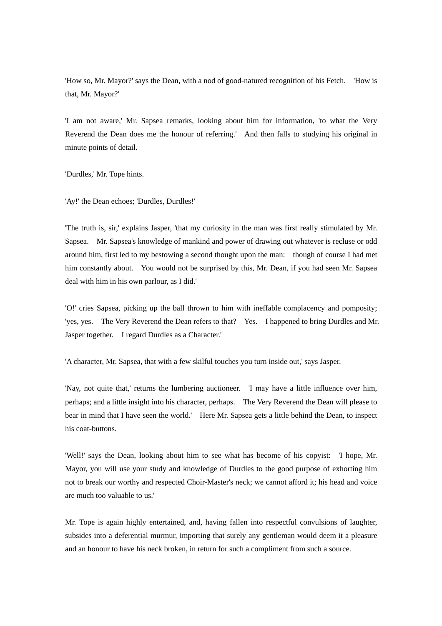'How so, Mr. Mayor?' says the Dean, with a nod of good-natured recognition of his Fetch. 'How is that, Mr. Mayor?'

'I am not aware,' Mr. Sapsea remarks, looking about him for information, 'to what the Very Reverend the Dean does me the honour of referring.' And then falls to studying his original in minute points of detail.

'Durdles,' Mr. Tope hints.

'Ay!' the Dean echoes; 'Durdles, Durdles!'

'The truth is, sir,' explains Jasper, 'that my curiosity in the man was first really stimulated by Mr. Sapsea. Mr. Sapsea's knowledge of mankind and power of drawing out whatever is recluse or odd around him, first led to my bestowing a second thought upon the man: though of course I had met him constantly about. You would not be surprised by this, Mr. Dean, if you had seen Mr. Sapsea deal with him in his own parlour, as I did.'

'O!' cries Sapsea, picking up the ball thrown to him with ineffable complacency and pomposity; 'yes, yes. The Very Reverend the Dean refers to that? Yes. I happened to bring Durdles and Mr. Jasper together. I regard Durdles as a Character.'

'A character, Mr. Sapsea, that with a few skilful touches you turn inside out,' says Jasper.

'Nay, not quite that,' returns the lumbering auctioneer. 'I may have a little influence over him, perhaps; and a little insight into his character, perhaps. The Very Reverend the Dean will please to bear in mind that I have seen the world.' Here Mr. Sapsea gets a little behind the Dean, to inspect his coat-buttons.

'Well!' says the Dean, looking about him to see what has become of his copyist: 'I hope, Mr. Mayor, you will use your study and knowledge of Durdles to the good purpose of exhorting him not to break our worthy and respected Choir-Master's neck; we cannot afford it; his head and voice are much too valuable to us.'

Mr. Tope is again highly entertained, and, having fallen into respectful convulsions of laughter, subsides into a deferential murmur, importing that surely any gentleman would deem it a pleasure and an honour to have his neck broken, in return for such a compliment from such a source.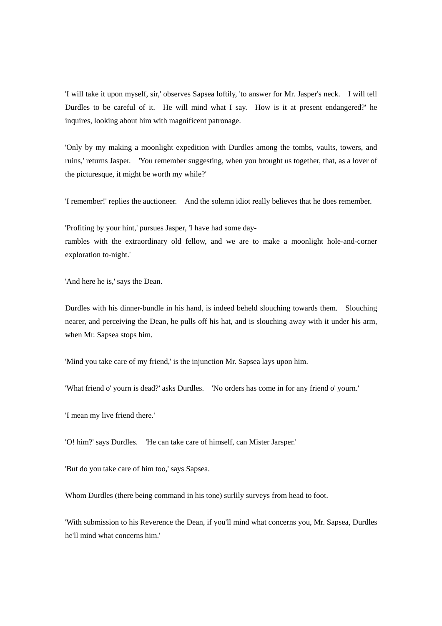'I will take it upon myself, sir,' observes Sapsea loftily, 'to answer for Mr. Jasper's neck. I will tell Durdles to be careful of it. He will mind what I say. How is it at present endangered?' he inquires, looking about him with magnificent patronage.

'Only by my making a moonlight expedition with Durdles among the tombs, vaults, towers, and ruins,' returns Jasper. 'You remember suggesting, when you brought us together, that, as a lover of the picturesque, it might be worth my while?'

'I remember!' replies the auctioneer. And the solemn idiot really believes that he does remember.

'Profiting by your hint,' pursues Jasper, 'I have had some day-

rambles with the extraordinary old fellow, and we are to make a moonlight hole-and-corner exploration to-night.'

'And here he is,' says the Dean.

Durdles with his dinner-bundle in his hand, is indeed beheld slouching towards them. Slouching nearer, and perceiving the Dean, he pulls off his hat, and is slouching away with it under his arm, when Mr. Sapsea stops him.

'Mind you take care of my friend,' is the injunction Mr. Sapsea lays upon him.

'What friend o' yourn is dead?' asks Durdles. 'No orders has come in for any friend o' yourn.'

'I mean my live friend there.'

'O! him?' says Durdles. 'He can take care of himself, can Mister Jarsper.'

'But do you take care of him too,' says Sapsea.

Whom Durdles (there being command in his tone) surlily surveys from head to foot.

'With submission to his Reverence the Dean, if you'll mind what concerns you, Mr. Sapsea, Durdles he'll mind what concerns him.'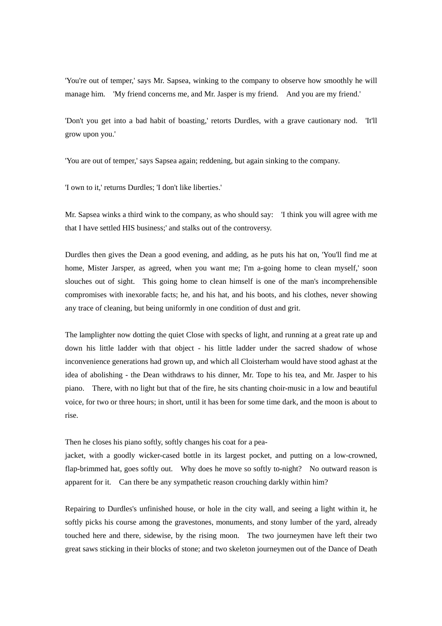'You're out of temper,' says Mr. Sapsea, winking to the company to observe how smoothly he will manage him. 'My friend concerns me, and Mr. Jasper is my friend. And you are my friend.'

'Don't you get into a bad habit of boasting,' retorts Durdles, with a grave cautionary nod. 'It'll grow upon you.'

'You are out of temper,' says Sapsea again; reddening, but again sinking to the company.

'I own to it,' returns Durdles; 'I don't like liberties.'

Mr. Sapsea winks a third wink to the company, as who should say: 'I think you will agree with me that I have settled HIS business;' and stalks out of the controversy.

Durdles then gives the Dean a good evening, and adding, as he puts his hat on, 'You'll find me at home, Mister Jarsper, as agreed, when you want me; I'm a-going home to clean myself,' soon slouches out of sight. This going home to clean himself is one of the man's incomprehensible compromises with inexorable facts; he, and his hat, and his boots, and his clothes, never showing any trace of cleaning, but being uniformly in one condition of dust and grit.

The lamplighter now dotting the quiet Close with specks of light, and running at a great rate up and down his little ladder with that object - his little ladder under the sacred shadow of whose inconvenience generations had grown up, and which all Cloisterham would have stood aghast at the idea of abolishing - the Dean withdraws to his dinner, Mr. Tope to his tea, and Mr. Jasper to his piano. There, with no light but that of the fire, he sits chanting choir-music in a low and beautiful voice, for two or three hours; in short, until it has been for some time dark, and the moon is about to rise.

Then he closes his piano softly, softly changes his coat for a pea-

jacket, with a goodly wicker-cased bottle in its largest pocket, and putting on a low-crowned, flap-brimmed hat, goes softly out. Why does he move so softly to-night? No outward reason is apparent for it. Can there be any sympathetic reason crouching darkly within him?

Repairing to Durdles's unfinished house, or hole in the city wall, and seeing a light within it, he softly picks his course among the gravestones, monuments, and stony lumber of the yard, already touched here and there, sidewise, by the rising moon. The two journeymen have left their two great saws sticking in their blocks of stone; and two skeleton journeymen out of the Dance of Death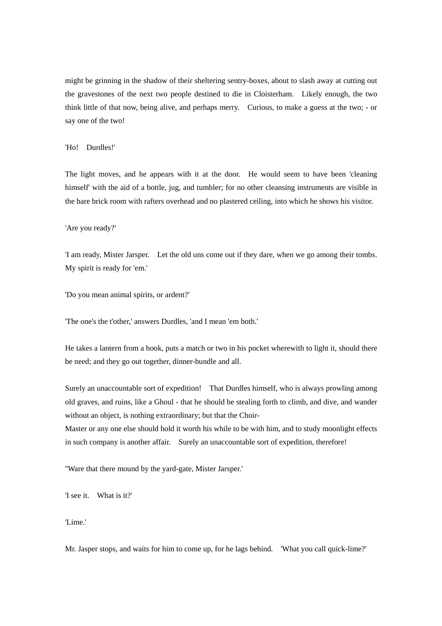might be grinning in the shadow of their sheltering sentry-boxes, about to slash away at cutting out the gravestones of the next two people destined to die in Cloisterham. Likely enough, the two think little of that now, being alive, and perhaps merry. Curious, to make a guess at the two; - or say one of the two!

### 'Ho! Durdles!'

The light moves, and he appears with it at the door. He would seem to have been 'cleaning himself' with the aid of a bottle, jug, and tumbler; for no other cleansing instruments are visible in the bare brick room with rafters overhead and no plastered ceiling, into which he shows his visitor.

#### 'Are you ready?'

'I am ready, Mister Jarsper. Let the old uns come out if they dare, when we go among their tombs. My spirit is ready for 'em.'

'Do you mean animal spirits, or ardent?'

'The one's the t'other,' answers Durdles, 'and I mean 'em both.'

He takes a lantern from a hook, puts a match or two in his pocket wherewith to light it, should there be need; and they go out together, dinner-bundle and all.

Surely an unaccountable sort of expedition! That Durdles himself, who is always prowling among old graves, and ruins, like a Ghoul - that he should be stealing forth to climb, and dive, and wander without an object, is nothing extraordinary; but that the Choir-

Master or any one else should hold it worth his while to be with him, and to study moonlight effects in such company is another affair. Surely an unaccountable sort of expedition, therefore!

''Ware that there mound by the yard-gate, Mister Jarsper.'

'I see it. What is it?'

'Lime.'

Mr. Jasper stops, and waits for him to come up, for he lags behind. 'What you call quick-lime?'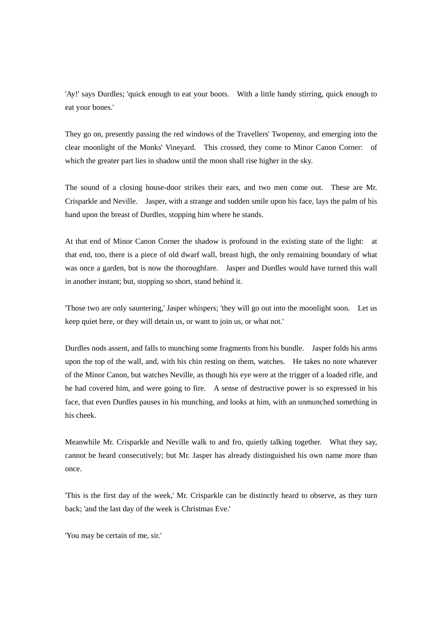'Ay!' says Durdles; 'quick enough to eat your boots. With a little handy stirring, quick enough to eat your bones.'

They go on, presently passing the red windows of the Travellers' Twopenny, and emerging into the clear moonlight of the Monks' Vineyard. This crossed, they come to Minor Canon Corner: of which the greater part lies in shadow until the moon shall rise higher in the sky.

The sound of a closing house-door strikes their ears, and two men come out. These are Mr. Crisparkle and Neville. Jasper, with a strange and sudden smile upon his face, lays the palm of his hand upon the breast of Durdles, stopping him where he stands.

At that end of Minor Canon Corner the shadow is profound in the existing state of the light: at that end, too, there is a piece of old dwarf wall, breast high, the only remaining boundary of what was once a garden, but is now the thoroughfare. Jasper and Durdles would have turned this wall in another instant; but, stopping so short, stand behind it.

'Those two are only sauntering,' Jasper whispers; 'they will go out into the moonlight soon. Let us keep quiet here, or they will detain us, or want to join us, or what not.'

Durdles nods assent, and falls to munching some fragments from his bundle. Jasper folds his arms upon the top of the wall, and, with his chin resting on them, watches. He takes no note whatever of the Minor Canon, but watches Neville, as though his eye were at the trigger of a loaded rifle, and he had covered him, and were going to fire. A sense of destructive power is so expressed in his face, that even Durdles pauses in his munching, and looks at him, with an unmunched something in his cheek.

Meanwhile Mr. Crisparkle and Neville walk to and fro, quietly talking together. What they say, cannot be heard consecutively; but Mr. Jasper has already distinguished his own name more than once.

'This is the first day of the week,' Mr. Crisparkle can be distinctly heard to observe, as they turn back; 'and the last day of the week is Christmas Eve.'

'You may be certain of me, sir.'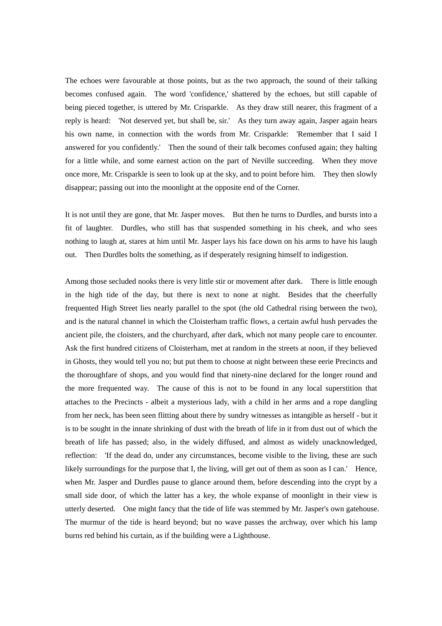The echoes were favourable at those points, but as the two approach, the sound of their talking becomes confused again. The word 'confidence,' shattered by the echoes, but still capable of being pieced together, is uttered by Mr. Crisparkle. As they draw still nearer, this fragment of a reply is heard: 'Not deserved yet, but shall be, sir.' As they turn away again, Jasper again hears his own name, in connection with the words from Mr. Crisparkle: 'Remember that I said I answered for you confidently.' Then the sound of their talk becomes confused again; they halting for a little while, and some earnest action on the part of Neville succeeding. When they move once more, Mr. Crisparkle is seen to look up at the sky, and to point before him. They then slowly disappear; passing out into the moonlight at the opposite end of the Corner.

It is not until they are gone, that Mr. Jasper moves. But then he turns to Durdles, and bursts into a fit of laughter. Durdles, who still has that suspended something in his cheek, and who sees nothing to laugh at, stares at him until Mr. Jasper lays his face down on his arms to have his laugh out. Then Durdles bolts the something, as if desperately resigning himself to indigestion.

Among those secluded nooks there is very little stir or movement after dark. There is little enough in the high tide of the day, but there is next to none at night. Besides that the cheerfully frequented High Street lies nearly parallel to the spot (the old Cathedral rising between the two), and is the natural channel in which the Cloisterham traffic flows, a certain awful hush pervades the ancient pile, the cloisters, and the churchyard, after dark, which not many people care to encounter. Ask the first hundred citizens of Cloisterham, met at random in the streets at noon, if they believed in Ghosts, they would tell you no; but put them to choose at night between these eerie Precincts and the thoroughfare of shops, and you would find that ninety-nine declared for the longer round and the more frequented way. The cause of this is not to be found in any local superstition that attaches to the Precincts - albeit a mysterious lady, with a child in her arms and a rope dangling from her neck, has been seen flitting about there by sundry witnesses as intangible as herself - but it is to be sought in the innate shrinking of dust with the breath of life in it from dust out of which the breath of life has passed; also, in the widely diffused, and almost as widely unacknowledged, reflection: 'If the dead do, under any circumstances, become visible to the living, these are such likely surroundings for the purpose that I, the living, will get out of them as soon as I can.' Hence, when Mr. Jasper and Durdles pause to glance around them, before descending into the crypt by a small side door, of which the latter has a key, the whole expanse of moonlight in their view is utterly deserted. One might fancy that the tide of life was stemmed by Mr. Jasper's own gatehouse. The murmur of the tide is heard beyond; but no wave passes the archway, over which his lamp burns red behind his curtain, as if the building were a Lighthouse.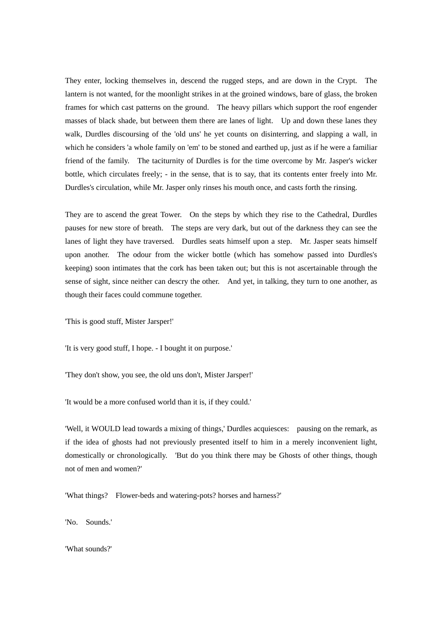They enter, locking themselves in, descend the rugged steps, and are down in the Crypt. The lantern is not wanted, for the moonlight strikes in at the groined windows, bare of glass, the broken frames for which cast patterns on the ground. The heavy pillars which support the roof engender masses of black shade, but between them there are lanes of light. Up and down these lanes they walk, Durdles discoursing of the 'old uns' he yet counts on disinterring, and slapping a wall, in which he considers 'a whole family on 'em' to be stoned and earthed up, just as if he were a familiar friend of the family. The taciturnity of Durdles is for the time overcome by Mr. Jasper's wicker bottle, which circulates freely; - in the sense, that is to say, that its contents enter freely into Mr. Durdles's circulation, while Mr. Jasper only rinses his mouth once, and casts forth the rinsing.

They are to ascend the great Tower. On the steps by which they rise to the Cathedral, Durdles pauses for new store of breath. The steps are very dark, but out of the darkness they can see the lanes of light they have traversed. Durdles seats himself upon a step. Mr. Jasper seats himself upon another. The odour from the wicker bottle (which has somehow passed into Durdles's keeping) soon intimates that the cork has been taken out; but this is not ascertainable through the sense of sight, since neither can descry the other. And yet, in talking, they turn to one another, as though their faces could commune together.

'This is good stuff, Mister Jarsper!'

'It is very good stuff, I hope. - I bought it on purpose.'

'They don't show, you see, the old uns don't, Mister Jarsper!'

'It would be a more confused world than it is, if they could.'

'Well, it WOULD lead towards a mixing of things,' Durdles acquiesces: pausing on the remark, as if the idea of ghosts had not previously presented itself to him in a merely inconvenient light, domestically or chronologically. 'But do you think there may be Ghosts of other things, though not of men and women?'

'What things? Flower-beds and watering-pots? horses and harness?'

'No. Sounds.'

'What sounds?'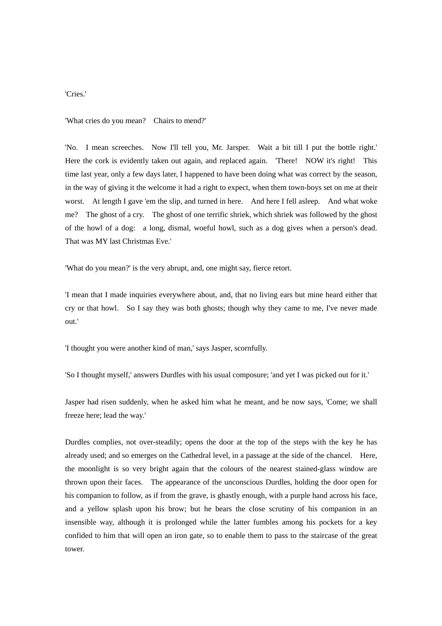## 'Cries.'

'What cries do you mean? Chairs to mend?'

'No. I mean screeches. Now I'll tell you, Mr. Jarsper. Wait a bit till I put the bottle right.' Here the cork is evidently taken out again, and replaced again. 'There! NOW it's right! This time last year, only a few days later, I happened to have been doing what was correct by the season, in the way of giving it the welcome it had a right to expect, when them town-boys set on me at their worst. At length I gave 'em the slip, and turned in here. And here I fell asleep. And what woke me? The ghost of a cry. The ghost of one terrific shriek, which shriek was followed by the ghost of the howl of a dog: a long, dismal, woeful howl, such as a dog gives when a person's dead. That was MY last Christmas Eve.'

'What do you mean?' is the very abrupt, and, one might say, fierce retort.

'I mean that I made inquiries everywhere about, and, that no living ears but mine heard either that cry or that howl. So I say they was both ghosts; though why they came to me, I've never made out.'

'I thought you were another kind of man,' says Jasper, scornfully.

'So I thought myself,' answers Durdles with his usual composure; 'and yet I was picked out for it.'

Jasper had risen suddenly, when he asked him what he meant, and he now says, 'Come; we shall freeze here; lead the way.'

Durdles complies, not over-steadily; opens the door at the top of the steps with the key he has already used; and so emerges on the Cathedral level, in a passage at the side of the chancel. Here, the moonlight is so very bright again that the colours of the nearest stained-glass window are thrown upon their faces. The appearance of the unconscious Durdles, holding the door open for his companion to follow, as if from the grave, is ghastly enough, with a purple hand across his face, and a yellow splash upon his brow; but he bears the close scrutiny of his companion in an insensible way, although it is prolonged while the latter fumbles among his pockets for a key confided to him that will open an iron gate, so to enable them to pass to the staircase of the great tower.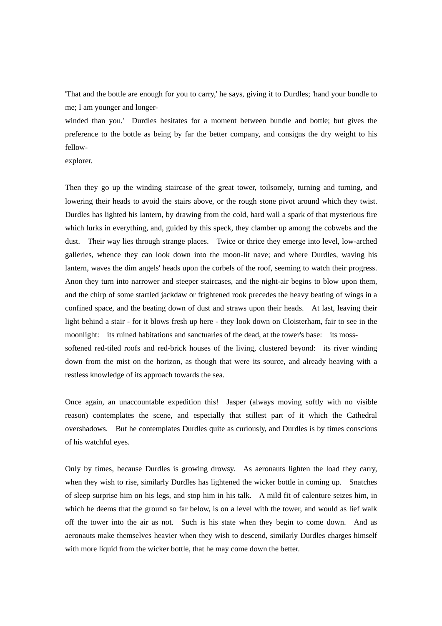'That and the bottle are enough for you to carry,' he says, giving it to Durdles; 'hand your bundle to me; I am younger and longer-

winded than you.' Durdles hesitates for a moment between bundle and bottle; but gives the preference to the bottle as being by far the better company, and consigns the dry weight to his fellow-

explorer.

Then they go up the winding staircase of the great tower, toilsomely, turning and turning, and lowering their heads to avoid the stairs above, or the rough stone pivot around which they twist. Durdles has lighted his lantern, by drawing from the cold, hard wall a spark of that mysterious fire which lurks in everything, and, guided by this speck, they clamber up among the cobwebs and the dust. Their way lies through strange places. Twice or thrice they emerge into level, low-arched galleries, whence they can look down into the moon-lit nave; and where Durdles, waving his lantern, waves the dim angels' heads upon the corbels of the roof, seeming to watch their progress. Anon they turn into narrower and steeper staircases, and the night-air begins to blow upon them, and the chirp of some startled jackdaw or frightened rook precedes the heavy beating of wings in a confined space, and the beating down of dust and straws upon their heads. At last, leaving their light behind a stair - for it blows fresh up here - they look down on Cloisterham, fair to see in the moonlight: its ruined habitations and sanctuaries of the dead, at the tower's base: its mosssoftened red-tiled roofs and red-brick houses of the living, clustered beyond: its river winding down from the mist on the horizon, as though that were its source, and already heaving with a restless knowledge of its approach towards the sea.

Once again, an unaccountable expedition this! Jasper (always moving softly with no visible reason) contemplates the scene, and especially that stillest part of it which the Cathedral overshadows. But he contemplates Durdles quite as curiously, and Durdles is by times conscious of his watchful eyes.

Only by times, because Durdles is growing drowsy. As aeronauts lighten the load they carry, when they wish to rise, similarly Durdles has lightened the wicker bottle in coming up. Snatches of sleep surprise him on his legs, and stop him in his talk. A mild fit of calenture seizes him, in which he deems that the ground so far below, is on a level with the tower, and would as lief walk off the tower into the air as not. Such is his state when they begin to come down. And as aeronauts make themselves heavier when they wish to descend, similarly Durdles charges himself with more liquid from the wicker bottle, that he may come down the better.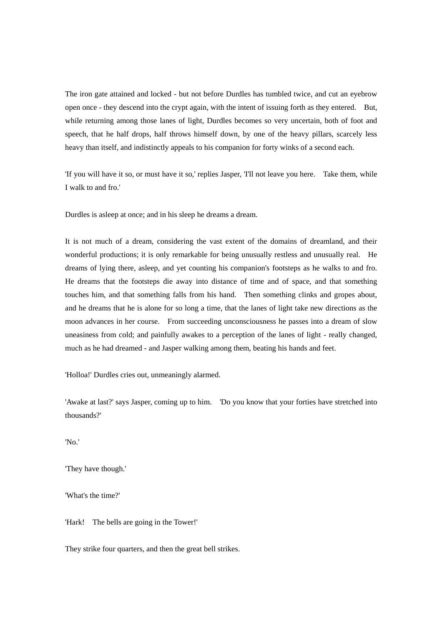The iron gate attained and locked - but not before Durdles has tumbled twice, and cut an eyebrow open once - they descend into the crypt again, with the intent of issuing forth as they entered. But, while returning among those lanes of light, Durdles becomes so very uncertain, both of foot and speech, that he half drops, half throws himself down, by one of the heavy pillars, scarcely less heavy than itself, and indistinctly appeals to his companion for forty winks of a second each.

'If you will have it so, or must have it so,' replies Jasper, 'I'll not leave you here. Take them, while I walk to and fro.'

Durdles is asleep at once; and in his sleep he dreams a dream.

It is not much of a dream, considering the vast extent of the domains of dreamland, and their wonderful productions; it is only remarkable for being unusually restless and unusually real. He dreams of lying there, asleep, and yet counting his companion's footsteps as he walks to and fro. He dreams that the footsteps die away into distance of time and of space, and that something touches him, and that something falls from his hand. Then something clinks and gropes about, and he dreams that he is alone for so long a time, that the lanes of light take new directions as the moon advances in her course. From succeeding unconsciousness he passes into a dream of slow uneasiness from cold; and painfully awakes to a perception of the lanes of light - really changed, much as he had dreamed - and Jasper walking among them, beating his hands and feet.

'Holloa!' Durdles cries out, unmeaningly alarmed.

'Awake at last?' says Jasper, coming up to him. 'Do you know that your forties have stretched into thousands?'

'No.'

'They have though.'

'What's the time?'

'Hark! The bells are going in the Tower!'

They strike four quarters, and then the great bell strikes.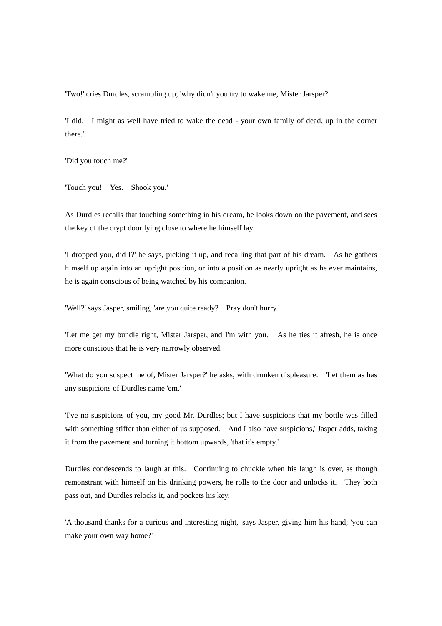'Two!' cries Durdles, scrambling up; 'why didn't you try to wake me, Mister Jarsper?'

'I did. I might as well have tried to wake the dead - your own family of dead, up in the corner there.'

'Did you touch me?'

'Touch you! Yes. Shook you.'

As Durdles recalls that touching something in his dream, he looks down on the pavement, and sees the key of the crypt door lying close to where he himself lay.

'I dropped you, did I?' he says, picking it up, and recalling that part of his dream. As he gathers himself up again into an upright position, or into a position as nearly upright as he ever maintains, he is again conscious of being watched by his companion.

'Well?' says Jasper, smiling, 'are you quite ready? Pray don't hurry.'

'Let me get my bundle right, Mister Jarsper, and I'm with you.' As he ties it afresh, he is once more conscious that he is very narrowly observed.

'What do you suspect me of, Mister Jarsper?' he asks, with drunken displeasure. 'Let them as has any suspicions of Durdles name 'em.'

'I've no suspicions of you, my good Mr. Durdles; but I have suspicions that my bottle was filled with something stiffer than either of us supposed. And I also have suspicions,' Jasper adds, taking it from the pavement and turning it bottom upwards, 'that it's empty.'

Durdles condescends to laugh at this. Continuing to chuckle when his laugh is over, as though remonstrant with himself on his drinking powers, he rolls to the door and unlocks it. They both pass out, and Durdles relocks it, and pockets his key.

'A thousand thanks for a curious and interesting night,' says Jasper, giving him his hand; 'you can make your own way home?'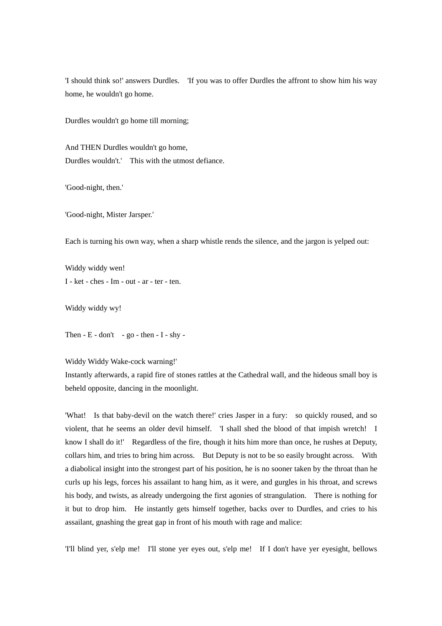'I should think so!' answers Durdles. 'If you was to offer Durdles the affront to show him his way home, he wouldn't go home.

Durdles wouldn't go home till morning;

And THEN Durdles wouldn't go home, Durdles wouldn't.' This with the utmost defiance.

'Good-night, then.'

'Good-night, Mister Jarsper.'

Each is turning his own way, when a sharp whistle rends the silence, and the jargon is yelped out:

Widdy widdy wen! I - ket - ches - Im - out - ar - ter - ten.

Widdy widdy wy!

Then  $- E - don't - go - then - I - shy -$ 

Widdy Widdy Wake-cock warning!'

Instantly afterwards, a rapid fire of stones rattles at the Cathedral wall, and the hideous small boy is beheld opposite, dancing in the moonlight.

'What! Is that baby-devil on the watch there!' cries Jasper in a fury: so quickly roused, and so violent, that he seems an older devil himself. 'I shall shed the blood of that impish wretch! I know I shall do it!' Regardless of the fire, though it hits him more than once, he rushes at Deputy, collars him, and tries to bring him across. But Deputy is not to be so easily brought across. With a diabolical insight into the strongest part of his position, he is no sooner taken by the throat than he curls up his legs, forces his assailant to hang him, as it were, and gurgles in his throat, and screws his body, and twists, as already undergoing the first agonies of strangulation. There is nothing for it but to drop him. He instantly gets himself together, backs over to Durdles, and cries to his assailant, gnashing the great gap in front of his mouth with rage and malice:

'I'll blind yer, s'elp me! I'll stone yer eyes out, s'elp me! If I don't have yer eyesight, bellows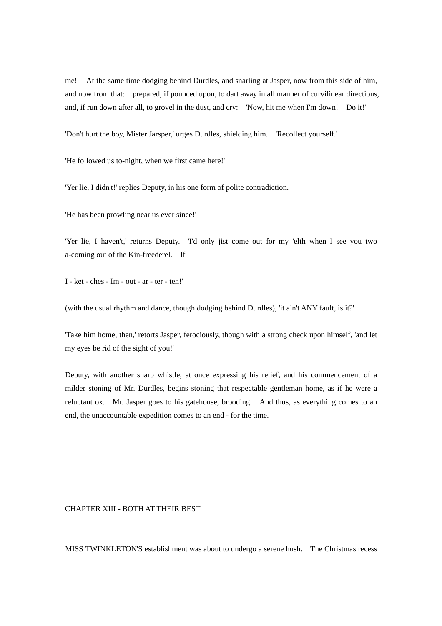me!' At the same time dodging behind Durdles, and snarling at Jasper, now from this side of him, and now from that: prepared, if pounced upon, to dart away in all manner of curvilinear directions, and, if run down after all, to grovel in the dust, and cry: 'Now, hit me when I'm down! Do it!'

'Don't hurt the boy, Mister Jarsper,' urges Durdles, shielding him. 'Recollect yourself.'

'He followed us to-night, when we first came here!'

'Yer lie, I didn't!' replies Deputy, in his one form of polite contradiction.

'He has been prowling near us ever since!'

'Yer lie, I haven't,' returns Deputy. 'I'd only jist come out for my 'elth when I see you two a-coming out of the Kin-freederel. If

I - ket - ches - Im - out - ar - ter - ten!'

(with the usual rhythm and dance, though dodging behind Durdles), 'it ain't ANY fault, is it?'

'Take him home, then,' retorts Jasper, ferociously, though with a strong check upon himself, 'and let my eyes be rid of the sight of you!'

Deputy, with another sharp whistle, at once expressing his relief, and his commencement of a milder stoning of Mr. Durdles, begins stoning that respectable gentleman home, as if he were a reluctant ox. Mr. Jasper goes to his gatehouse, brooding. And thus, as everything comes to an end, the unaccountable expedition comes to an end - for the time.

# CHAPTER XIII - BOTH AT THEIR BEST

MISS TWINKLETON'S establishment was about to undergo a serene hush. The Christmas recess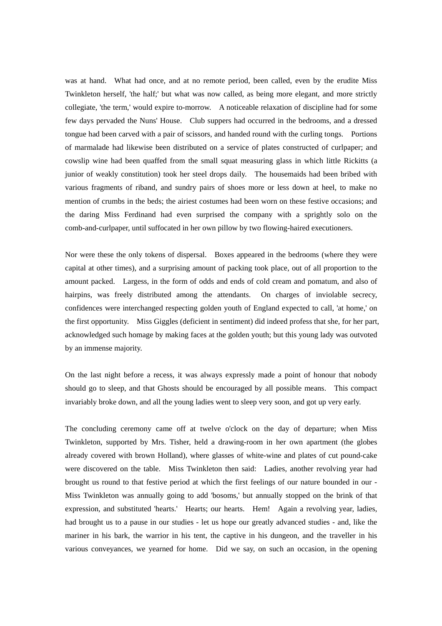was at hand. What had once, and at no remote period, been called, even by the erudite Miss Twinkleton herself, 'the half;' but what was now called, as being more elegant, and more strictly collegiate, 'the term,' would expire to-morrow. A noticeable relaxation of discipline had for some few days pervaded the Nuns' House. Club suppers had occurred in the bedrooms, and a dressed tongue had been carved with a pair of scissors, and handed round with the curling tongs. Portions of marmalade had likewise been distributed on a service of plates constructed of curlpaper; and cowslip wine had been quaffed from the small squat measuring glass in which little Rickitts (a junior of weakly constitution) took her steel drops daily. The housemaids had been bribed with various fragments of riband, and sundry pairs of shoes more or less down at heel, to make no mention of crumbs in the beds; the airiest costumes had been worn on these festive occasions; and the daring Miss Ferdinand had even surprised the company with a sprightly solo on the comb-and-curlpaper, until suffocated in her own pillow by two flowing-haired executioners.

Nor were these the only tokens of dispersal. Boxes appeared in the bedrooms (where they were capital at other times), and a surprising amount of packing took place, out of all proportion to the amount packed. Largess, in the form of odds and ends of cold cream and pomatum, and also of hairpins, was freely distributed among the attendants. On charges of inviolable secrecy, confidences were interchanged respecting golden youth of England expected to call, 'at home,' on the first opportunity. Miss Giggles (deficient in sentiment) did indeed profess that she, for her part, acknowledged such homage by making faces at the golden youth; but this young lady was outvoted by an immense majority.

On the last night before a recess, it was always expressly made a point of honour that nobody should go to sleep, and that Ghosts should be encouraged by all possible means. This compact invariably broke down, and all the young ladies went to sleep very soon, and got up very early.

The concluding ceremony came off at twelve o'clock on the day of departure; when Miss Twinkleton, supported by Mrs. Tisher, held a drawing-room in her own apartment (the globes already covered with brown Holland), where glasses of white-wine and plates of cut pound-cake were discovered on the table. Miss Twinkleton then said: Ladies, another revolving year had brought us round to that festive period at which the first feelings of our nature bounded in our - Miss Twinkleton was annually going to add 'bosoms,' but annually stopped on the brink of that expression, and substituted 'hearts.' Hearts; our hearts. Hem! Again a revolving year, ladies, had brought us to a pause in our studies - let us hope our greatly advanced studies - and, like the mariner in his bark, the warrior in his tent, the captive in his dungeon, and the traveller in his various conveyances, we yearned for home. Did we say, on such an occasion, in the opening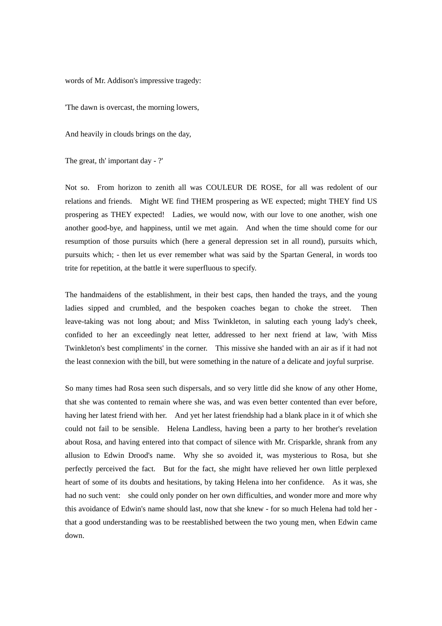words of Mr. Addison's impressive tragedy:

'The dawn is overcast, the morning lowers,

And heavily in clouds brings on the day,

The great, th' important day - ?'

Not so. From horizon to zenith all was COULEUR DE ROSE, for all was redolent of our relations and friends. Might WE find THEM prospering as WE expected; might THEY find US prospering as THEY expected! Ladies, we would now, with our love to one another, wish one another good-bye, and happiness, until we met again. And when the time should come for our resumption of those pursuits which (here a general depression set in all round), pursuits which, pursuits which; - then let us ever remember what was said by the Spartan General, in words too trite for repetition, at the battle it were superfluous to specify.

The handmaidens of the establishment, in their best caps, then handed the trays, and the young ladies sipped and crumbled, and the bespoken coaches began to choke the street. Then leave-taking was not long about; and Miss Twinkleton, in saluting each young lady's cheek, confided to her an exceedingly neat letter, addressed to her next friend at law, 'with Miss Twinkleton's best compliments' in the corner. This missive she handed with an air as if it had not the least connexion with the bill, but were something in the nature of a delicate and joyful surprise.

So many times had Rosa seen such dispersals, and so very little did she know of any other Home, that she was contented to remain where she was, and was even better contented than ever before, having her latest friend with her. And yet her latest friendship had a blank place in it of which she could not fail to be sensible. Helena Landless, having been a party to her brother's revelation about Rosa, and having entered into that compact of silence with Mr. Crisparkle, shrank from any allusion to Edwin Drood's name. Why she so avoided it, was mysterious to Rosa, but she perfectly perceived the fact. But for the fact, she might have relieved her own little perplexed heart of some of its doubts and hesitations, by taking Helena into her confidence. As it was, she had no such vent: she could only ponder on her own difficulties, and wonder more and more why this avoidance of Edwin's name should last, now that she knew - for so much Helena had told her that a good understanding was to be reestablished between the two young men, when Edwin came down.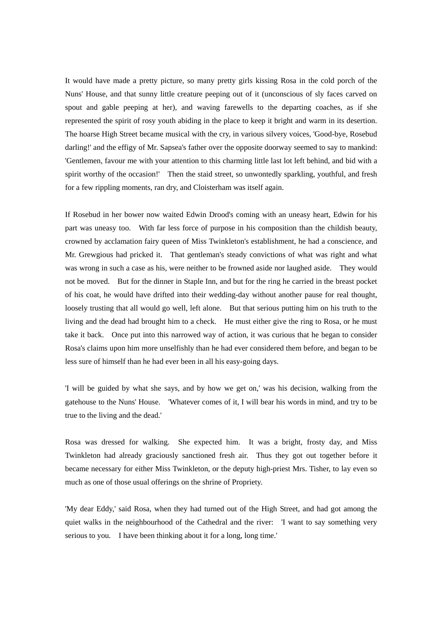It would have made a pretty picture, so many pretty girls kissing Rosa in the cold porch of the Nuns' House, and that sunny little creature peeping out of it (unconscious of sly faces carved on spout and gable peeping at her), and waving farewells to the departing coaches, as if she represented the spirit of rosy youth abiding in the place to keep it bright and warm in its desertion. The hoarse High Street became musical with the cry, in various silvery voices, 'Good-bye, Rosebud darling!' and the effigy of Mr. Sapsea's father over the opposite doorway seemed to say to mankind: 'Gentlemen, favour me with your attention to this charming little last lot left behind, and bid with a spirit worthy of the occasion!' Then the staid street, so unwontedly sparkling, youthful, and fresh for a few rippling moments, ran dry, and Cloisterham was itself again.

If Rosebud in her bower now waited Edwin Drood's coming with an uneasy heart, Edwin for his part was uneasy too. With far less force of purpose in his composition than the childish beauty, crowned by acclamation fairy queen of Miss Twinkleton's establishment, he had a conscience, and Mr. Grewgious had pricked it. That gentleman's steady convictions of what was right and what was wrong in such a case as his, were neither to be frowned aside nor laughed aside. They would not be moved. But for the dinner in Staple Inn, and but for the ring he carried in the breast pocket of his coat, he would have drifted into their wedding-day without another pause for real thought, loosely trusting that all would go well, left alone. But that serious putting him on his truth to the living and the dead had brought him to a check. He must either give the ring to Rosa, or he must take it back. Once put into this narrowed way of action, it was curious that he began to consider Rosa's claims upon him more unselfishly than he had ever considered them before, and began to be less sure of himself than he had ever been in all his easy-going days.

'I will be guided by what she says, and by how we get on,' was his decision, walking from the gatehouse to the Nuns' House. 'Whatever comes of it, I will bear his words in mind, and try to be true to the living and the dead.'

Rosa was dressed for walking. She expected him. It was a bright, frosty day, and Miss Twinkleton had already graciously sanctioned fresh air. Thus they got out together before it became necessary for either Miss Twinkleton, or the deputy high-priest Mrs. Tisher, to lay even so much as one of those usual offerings on the shrine of Propriety.

'My dear Eddy,' said Rosa, when they had turned out of the High Street, and had got among the quiet walks in the neighbourhood of the Cathedral and the river: 'I want to say something very serious to you. I have been thinking about it for a long, long time.'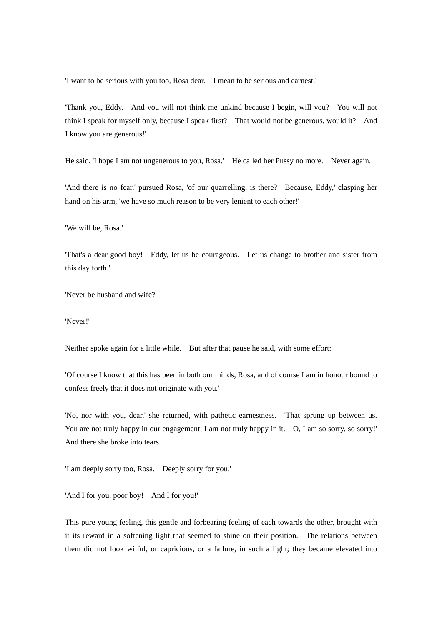'I want to be serious with you too, Rosa dear. I mean to be serious and earnest.'

'Thank you, Eddy. And you will not think me unkind because I begin, will you? You will not think I speak for myself only, because I speak first? That would not be generous, would it? And I know you are generous!'

He said, 'I hope I am not ungenerous to you, Rosa.' He called her Pussy no more. Never again.

'And there is no fear,' pursued Rosa, 'of our quarrelling, is there? Because, Eddy,' clasping her hand on his arm, 'we have so much reason to be very lenient to each other!'

'We will be, Rosa.'

'That's a dear good boy! Eddy, let us be courageous. Let us change to brother and sister from this day forth.'

'Never be husband and wife?'

'Never!'

Neither spoke again for a little while. But after that pause he said, with some effort:

'Of course I know that this has been in both our minds, Rosa, and of course I am in honour bound to confess freely that it does not originate with you.'

'No, nor with you, dear,' she returned, with pathetic earnestness. 'That sprung up between us. You are not truly happy in our engagement; I am not truly happy in it. O, I am so sorry, so sorry!' And there she broke into tears.

'I am deeply sorry too, Rosa. Deeply sorry for you.'

'And I for you, poor boy! And I for you!'

This pure young feeling, this gentle and forbearing feeling of each towards the other, brought with it its reward in a softening light that seemed to shine on their position. The relations between them did not look wilful, or capricious, or a failure, in such a light; they became elevated into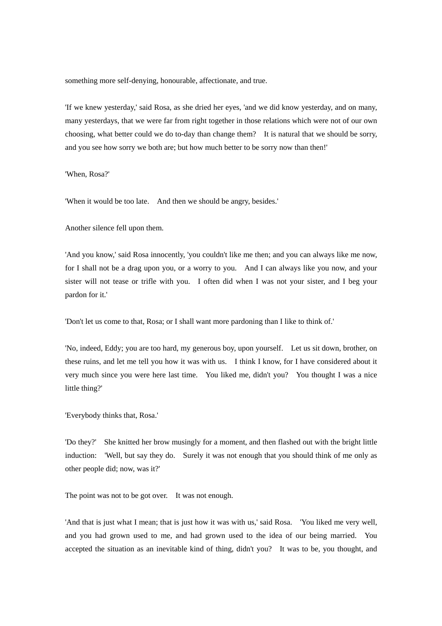something more self-denying, honourable, affectionate, and true.

'If we knew yesterday,' said Rosa, as she dried her eyes, 'and we did know yesterday, and on many, many yesterdays, that we were far from right together in those relations which were not of our own choosing, what better could we do to-day than change them? It is natural that we should be sorry, and you see how sorry we both are; but how much better to be sorry now than then!'

'When, Rosa?'

'When it would be too late. And then we should be angry, besides.'

Another silence fell upon them.

'And you know,' said Rosa innocently, 'you couldn't like me then; and you can always like me now, for I shall not be a drag upon you, or a worry to you. And I can always like you now, and your sister will not tease or trifle with you. I often did when I was not your sister, and I beg your pardon for it.'

'Don't let us come to that, Rosa; or I shall want more pardoning than I like to think of.'

'No, indeed, Eddy; you are too hard, my generous boy, upon yourself. Let us sit down, brother, on these ruins, and let me tell you how it was with us. I think I know, for I have considered about it very much since you were here last time. You liked me, didn't you? You thought I was a nice little thing?'

'Everybody thinks that, Rosa.'

'Do they?' She knitted her brow musingly for a moment, and then flashed out with the bright little induction: 'Well, but say they do. Surely it was not enough that you should think of me only as other people did; now, was it?'

The point was not to be got over. It was not enough.

'And that is just what I mean; that is just how it was with us,' said Rosa. 'You liked me very well, and you had grown used to me, and had grown used to the idea of our being married. You accepted the situation as an inevitable kind of thing, didn't you? It was to be, you thought, and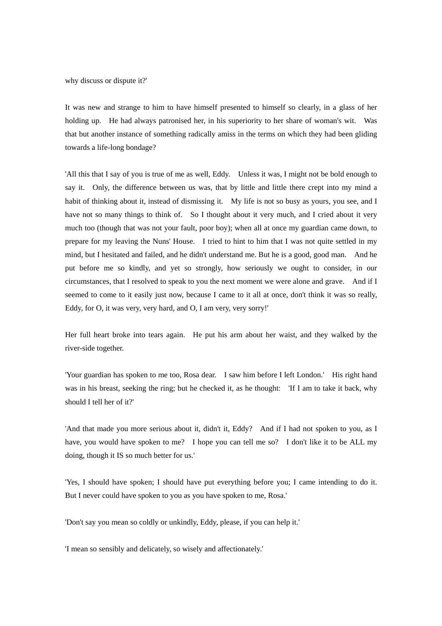why discuss or dispute it?'

It was new and strange to him to have himself presented to himself so clearly, in a glass of her holding up. He had always patronised her, in his superiority to her share of woman's wit. Was that but another instance of something radically amiss in the terms on which they had been gliding towards a life-long bondage?

'All this that I say of you is true of me as well, Eddy. Unless it was, I might not be bold enough to say it. Only, the difference between us was, that by little and little there crept into my mind a habit of thinking about it, instead of dismissing it. My life is not so busy as yours, you see, and I have not so many things to think of. So I thought about it very much, and I cried about it very much too (though that was not your fault, poor boy); when all at once my guardian came down, to prepare for my leaving the Nuns' House. I tried to hint to him that I was not quite settled in my mind, but I hesitated and failed, and he didn't understand me. But he is a good, good man. And he put before me so kindly, and yet so strongly, how seriously we ought to consider, in our circumstances, that I resolved to speak to you the next moment we were alone and grave. And if I seemed to come to it easily just now, because I came to it all at once, don't think it was so really, Eddy, for O, it was very, very hard, and O, I am very, very sorry!'

Her full heart broke into tears again. He put his arm about her waist, and they walked by the river-side together.

'Your guardian has spoken to me too, Rosa dear. I saw him before I left London.' His right hand was in his breast, seeking the ring; but he checked it, as he thought: 'If I am to take it back, why should I tell her of it?'

'And that made you more serious about it, didn't it, Eddy? And if I had not spoken to you, as I have, you would have spoken to me? I hope you can tell me so? I don't like it to be ALL my doing, though it IS so much better for us.'

'Yes, I should have spoken; I should have put everything before you; I came intending to do it. But I never could have spoken to you as you have spoken to me, Rosa.'

'Don't say you mean so coldly or unkindly, Eddy, please, if you can help it.'

'I mean so sensibly and delicately, so wisely and affectionately.'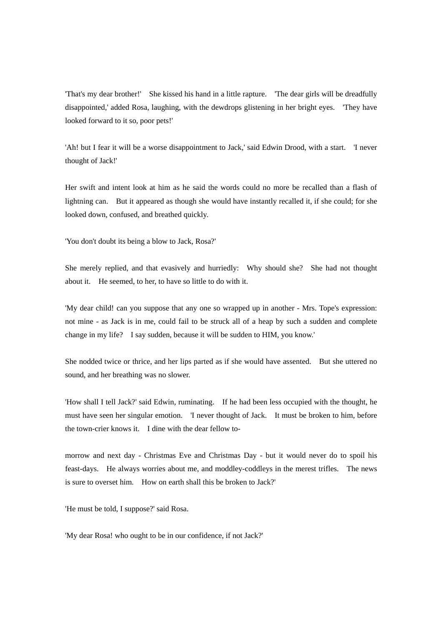'That's my dear brother!' She kissed his hand in a little rapture. 'The dear girls will be dreadfully disappointed,' added Rosa, laughing, with the dewdrops glistening in her bright eyes. 'They have looked forward to it so, poor pets!'

'Ah! but I fear it will be a worse disappointment to Jack,' said Edwin Drood, with a start. 'I never thought of Jack!'

Her swift and intent look at him as he said the words could no more be recalled than a flash of lightning can. But it appeared as though she would have instantly recalled it, if she could; for she looked down, confused, and breathed quickly.

'You don't doubt its being a blow to Jack, Rosa?'

She merely replied, and that evasively and hurriedly: Why should she? She had not thought about it. He seemed, to her, to have so little to do with it.

'My dear child! can you suppose that any one so wrapped up in another - Mrs. Tope's expression: not mine - as Jack is in me, could fail to be struck all of a heap by such a sudden and complete change in my life? I say sudden, because it will be sudden to HIM, you know.'

She nodded twice or thrice, and her lips parted as if she would have assented. But she uttered no sound, and her breathing was no slower.

'How shall I tell Jack?' said Edwin, ruminating. If he had been less occupied with the thought, he must have seen her singular emotion. 'I never thought of Jack. It must be broken to him, before the town-crier knows it. I dine with the dear fellow to-

morrow and next day - Christmas Eve and Christmas Day - but it would never do to spoil his feast-days. He always worries about me, and moddley-coddleys in the merest trifles. The news is sure to overset him. How on earth shall this be broken to Jack?'

'He must be told, I suppose?' said Rosa.

'My dear Rosa! who ought to be in our confidence, if not Jack?'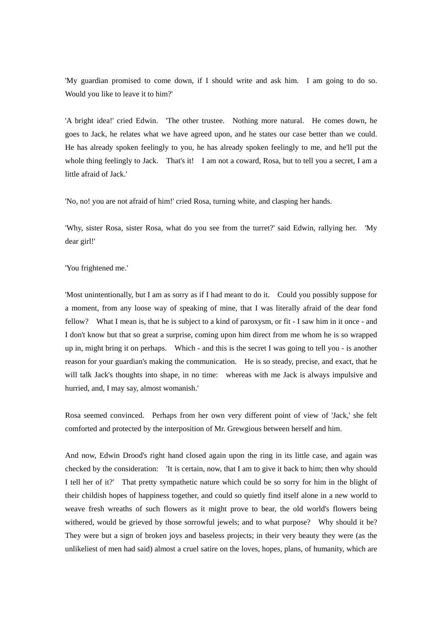'My guardian promised to come down, if I should write and ask him. I am going to do so. Would you like to leave it to him?'

'A bright idea!' cried Edwin. 'The other trustee. Nothing more natural. He comes down, he goes to Jack, he relates what we have agreed upon, and he states our case better than we could. He has already spoken feelingly to you, he has already spoken feelingly to me, and he'll put the whole thing feelingly to Jack. That's it! I am not a coward, Rosa, but to tell you a secret, I am a little afraid of Jack.'

'No, no! you are not afraid of him!' cried Rosa, turning white, and clasping her hands.

'Why, sister Rosa, sister Rosa, what do you see from the turret?' said Edwin, rallying her. 'My dear girl!'

## 'You frightened me.'

'Most unintentionally, but I am as sorry as if I had meant to do it. Could you possibly suppose for a moment, from any loose way of speaking of mine, that I was literally afraid of the dear fond fellow? What I mean is, that he is subject to a kind of paroxysm, or fit - I saw him in it once - and I don't know but that so great a surprise, coming upon him direct from me whom he is so wrapped up in, might bring it on perhaps. Which - and this is the secret I was going to tell you - is another reason for your guardian's making the communication. He is so steady, precise, and exact, that he will talk Jack's thoughts into shape, in no time: whereas with me Jack is always impulsive and hurried, and, I may say, almost womanish.'

Rosa seemed convinced. Perhaps from her own very different point of view of 'Jack,' she felt comforted and protected by the interposition of Mr. Grewgious between herself and him.

And now, Edwin Drood's right hand closed again upon the ring in its little case, and again was checked by the consideration: 'It is certain, now, that I am to give it back to him; then why should I tell her of it?' That pretty sympathetic nature which could be so sorry for him in the blight of their childish hopes of happiness together, and could so quietly find itself alone in a new world to weave fresh wreaths of such flowers as it might prove to bear, the old world's flowers being withered, would be grieved by those sorrowful jewels; and to what purpose? Why should it be? They were but a sign of broken joys and baseless projects; in their very beauty they were (as the unlikeliest of men had said) almost a cruel satire on the loves, hopes, plans, of humanity, which are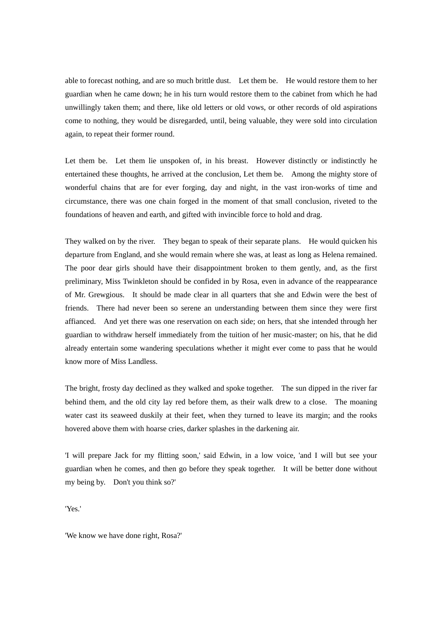able to forecast nothing, and are so much brittle dust. Let them be. He would restore them to her guardian when he came down; he in his turn would restore them to the cabinet from which he had unwillingly taken them; and there, like old letters or old vows, or other records of old aspirations come to nothing, they would be disregarded, until, being valuable, they were sold into circulation again, to repeat their former round.

Let them be. Let them lie unspoken of, in his breast. However distinctly or indistinctly he entertained these thoughts, he arrived at the conclusion, Let them be. Among the mighty store of wonderful chains that are for ever forging, day and night, in the vast iron-works of time and circumstance, there was one chain forged in the moment of that small conclusion, riveted to the foundations of heaven and earth, and gifted with invincible force to hold and drag.

They walked on by the river. They began to speak of their separate plans. He would quicken his departure from England, and she would remain where she was, at least as long as Helena remained. The poor dear girls should have their disappointment broken to them gently, and, as the first preliminary, Miss Twinkleton should be confided in by Rosa, even in advance of the reappearance of Mr. Grewgious. It should be made clear in all quarters that she and Edwin were the best of friends. There had never been so serene an understanding between them since they were first affianced. And yet there was one reservation on each side; on hers, that she intended through her guardian to withdraw herself immediately from the tuition of her music-master; on his, that he did already entertain some wandering speculations whether it might ever come to pass that he would know more of Miss Landless.

The bright, frosty day declined as they walked and spoke together. The sun dipped in the river far behind them, and the old city lay red before them, as their walk drew to a close. The moaning water cast its seaweed duskily at their feet, when they turned to leave its margin; and the rooks hovered above them with hoarse cries, darker splashes in the darkening air.

'I will prepare Jack for my flitting soon,' said Edwin, in a low voice, 'and I will but see your guardian when he comes, and then go before they speak together. It will be better done without my being by. Don't you think so?'

'Yes.'

'We know we have done right, Rosa?'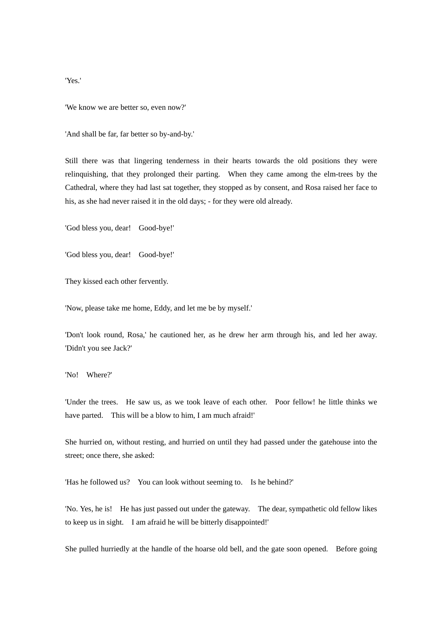'Yes.'

'We know we are better so, even now?'

'And shall be far, far better so by-and-by.'

Still there was that lingering tenderness in their hearts towards the old positions they were relinquishing, that they prolonged their parting. When they came among the elm-trees by the Cathedral, where they had last sat together, they stopped as by consent, and Rosa raised her face to his, as she had never raised it in the old days; - for they were old already.

'God bless you, dear! Good-bye!'

'God bless you, dear! Good-bye!'

They kissed each other fervently.

'Now, please take me home, Eddy, and let me be by myself.'

'Don't look round, Rosa,' he cautioned her, as he drew her arm through his, and led her away. 'Didn't you see Jack?'

'No! Where?'

'Under the trees. He saw us, as we took leave of each other. Poor fellow! he little thinks we have parted. This will be a blow to him, I am much afraid!'

She hurried on, without resting, and hurried on until they had passed under the gatehouse into the street; once there, she asked:

'Has he followed us? You can look without seeming to. Is he behind?'

'No. Yes, he is! He has just passed out under the gateway. The dear, sympathetic old fellow likes to keep us in sight. I am afraid he will be bitterly disappointed!'

She pulled hurriedly at the handle of the hoarse old bell, and the gate soon opened. Before going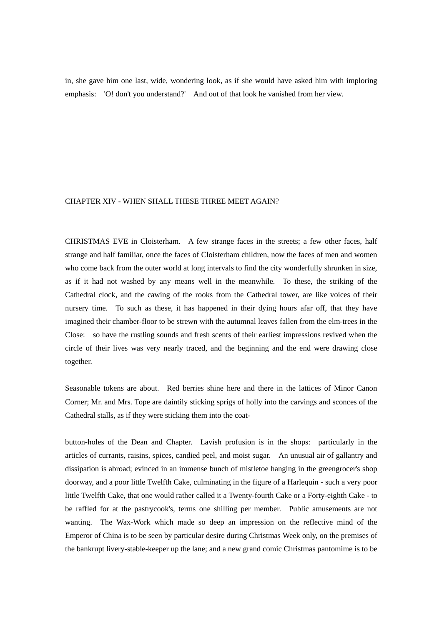in, she gave him one last, wide, wondering look, as if she would have asked him with imploring emphasis: 'O! don't you understand?' And out of that look he vanished from her view.

# CHAPTER XIV - WHEN SHALL THESE THREE MEET AGAIN?

CHRISTMAS EVE in Cloisterham. A few strange faces in the streets; a few other faces, half strange and half familiar, once the faces of Cloisterham children, now the faces of men and women who come back from the outer world at long intervals to find the city wonderfully shrunken in size, as if it had not washed by any means well in the meanwhile. To these, the striking of the Cathedral clock, and the cawing of the rooks from the Cathedral tower, are like voices of their nursery time. To such as these, it has happened in their dying hours afar off, that they have imagined their chamber-floor to be strewn with the autumnal leaves fallen from the elm-trees in the Close: so have the rustling sounds and fresh scents of their earliest impressions revived when the circle of their lives was very nearly traced, and the beginning and the end were drawing close together.

Seasonable tokens are about. Red berries shine here and there in the lattices of Minor Canon Corner; Mr. and Mrs. Tope are daintily sticking sprigs of holly into the carvings and sconces of the Cathedral stalls, as if they were sticking them into the coat-

button-holes of the Dean and Chapter. Lavish profusion is in the shops: particularly in the articles of currants, raisins, spices, candied peel, and moist sugar. An unusual air of gallantry and dissipation is abroad; evinced in an immense bunch of mistletoe hanging in the greengrocer's shop doorway, and a poor little Twelfth Cake, culminating in the figure of a Harlequin - such a very poor little Twelfth Cake, that one would rather called it a Twenty-fourth Cake or a Forty-eighth Cake - to be raffled for at the pastrycook's, terms one shilling per member. Public amusements are not wanting. The Wax-Work which made so deep an impression on the reflective mind of the Emperor of China is to be seen by particular desire during Christmas Week only, on the premises of the bankrupt livery-stable-keeper up the lane; and a new grand comic Christmas pantomime is to be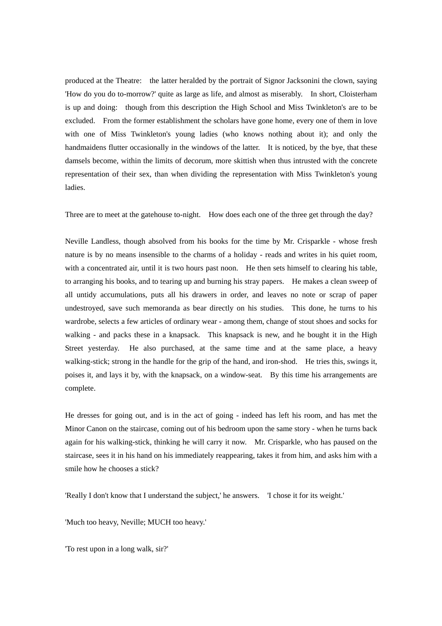produced at the Theatre: the latter heralded by the portrait of Signor Jacksonini the clown, saying 'How do you do to-morrow?' quite as large as life, and almost as miserably. In short, Cloisterham is up and doing: though from this description the High School and Miss Twinkleton's are to be excluded. From the former establishment the scholars have gone home, every one of them in love with one of Miss Twinkleton's young ladies (who knows nothing about it); and only the handmaidens flutter occasionally in the windows of the latter. It is noticed, by the bye, that these damsels become, within the limits of decorum, more skittish when thus intrusted with the concrete representation of their sex, than when dividing the representation with Miss Twinkleton's young ladies.

Three are to meet at the gatehouse to-night. How does each one of the three get through the day?

Neville Landless, though absolved from his books for the time by Mr. Crisparkle - whose fresh nature is by no means insensible to the charms of a holiday - reads and writes in his quiet room, with a concentrated air, until it is two hours past noon. He then sets himself to clearing his table, to arranging his books, and to tearing up and burning his stray papers. He makes a clean sweep of all untidy accumulations, puts all his drawers in order, and leaves no note or scrap of paper undestroyed, save such memoranda as bear directly on his studies. This done, he turns to his wardrobe, selects a few articles of ordinary wear - among them, change of stout shoes and socks for walking - and packs these in a knapsack. This knapsack is new, and he bought it in the High Street yesterday. He also purchased, at the same time and at the same place, a heavy walking-stick; strong in the handle for the grip of the hand, and iron-shod. He tries this, swings it, poises it, and lays it by, with the knapsack, on a window-seat. By this time his arrangements are complete.

He dresses for going out, and is in the act of going - indeed has left his room, and has met the Minor Canon on the staircase, coming out of his bedroom upon the same story - when he turns back again for his walking-stick, thinking he will carry it now. Mr. Crisparkle, who has paused on the staircase, sees it in his hand on his immediately reappearing, takes it from him, and asks him with a smile how he chooses a stick?

'Really I don't know that I understand the subject,' he answers. 'I chose it for its weight.'

'Much too heavy, Neville; MUCH too heavy.'

'To rest upon in a long walk, sir?'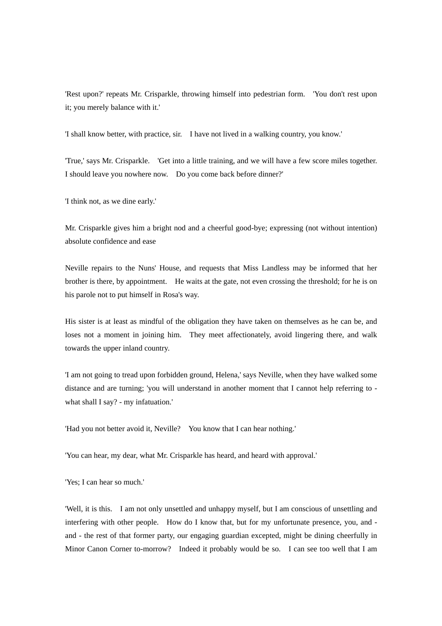'Rest upon?' repeats Mr. Crisparkle, throwing himself into pedestrian form. 'You don't rest upon it; you merely balance with it.'

'I shall know better, with practice, sir. I have not lived in a walking country, you know.'

'True,' says Mr. Crisparkle. 'Get into a little training, and we will have a few score miles together. I should leave you nowhere now. Do you come back before dinner?'

'I think not, as we dine early.'

Mr. Crisparkle gives him a bright nod and a cheerful good-bye; expressing (not without intention) absolute confidence and ease

Neville repairs to the Nuns' House, and requests that Miss Landless may be informed that her brother is there, by appointment. He waits at the gate, not even crossing the threshold; for he is on his parole not to put himself in Rosa's way.

His sister is at least as mindful of the obligation they have taken on themselves as he can be, and loses not a moment in joining him. They meet affectionately, avoid lingering there, and walk towards the upper inland country.

'I am not going to tread upon forbidden ground, Helena,' says Neville, when they have walked some distance and are turning; 'you will understand in another moment that I cannot help referring to what shall I say? - my infatuation.'

'Had you not better avoid it, Neville? You know that I can hear nothing.'

'You can hear, my dear, what Mr. Crisparkle has heard, and heard with approval.'

'Yes; I can hear so much.'

'Well, it is this. I am not only unsettled and unhappy myself, but I am conscious of unsettling and interfering with other people. How do I know that, but for my unfortunate presence, you, and and - the rest of that former party, our engaging guardian excepted, might be dining cheerfully in Minor Canon Corner to-morrow? Indeed it probably would be so. I can see too well that I am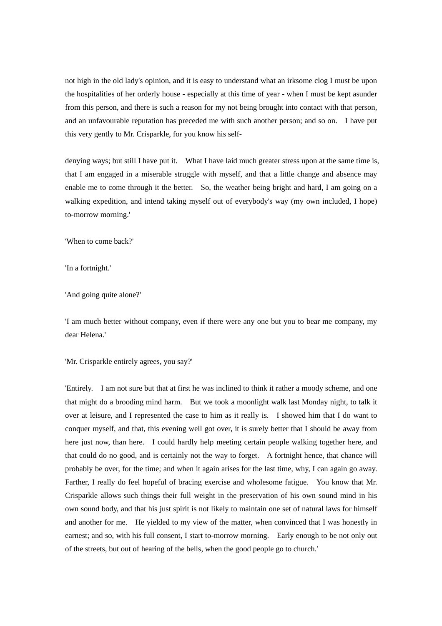not high in the old lady's opinion, and it is easy to understand what an irksome clog I must be upon the hospitalities of her orderly house - especially at this time of year - when I must be kept asunder from this person, and there is such a reason for my not being brought into contact with that person, and an unfavourable reputation has preceded me with such another person; and so on. I have put this very gently to Mr. Crisparkle, for you know his self-

denying ways; but still I have put it. What I have laid much greater stress upon at the same time is, that I am engaged in a miserable struggle with myself, and that a little change and absence may enable me to come through it the better. So, the weather being bright and hard, I am going on a walking expedition, and intend taking myself out of everybody's way (my own included, I hope) to-morrow morning.'

'When to come back?'

'In a fortnight.'

'And going quite alone?'

'I am much better without company, even if there were any one but you to bear me company, my dear Helena.'

'Mr. Crisparkle entirely agrees, you say?'

'Entirely. I am not sure but that at first he was inclined to think it rather a moody scheme, and one that might do a brooding mind harm. But we took a moonlight walk last Monday night, to talk it over at leisure, and I represented the case to him as it really is. I showed him that I do want to conquer myself, and that, this evening well got over, it is surely better that I should be away from here just now, than here. I could hardly help meeting certain people walking together here, and that could do no good, and is certainly not the way to forget. A fortnight hence, that chance will probably be over, for the time; and when it again arises for the last time, why, I can again go away. Farther, I really do feel hopeful of bracing exercise and wholesome fatigue. You know that Mr. Crisparkle allows such things their full weight in the preservation of his own sound mind in his own sound body, and that his just spirit is not likely to maintain one set of natural laws for himself and another for me. He yielded to my view of the matter, when convinced that I was honestly in earnest; and so, with his full consent, I start to-morrow morning. Early enough to be not only out of the streets, but out of hearing of the bells, when the good people go to church.'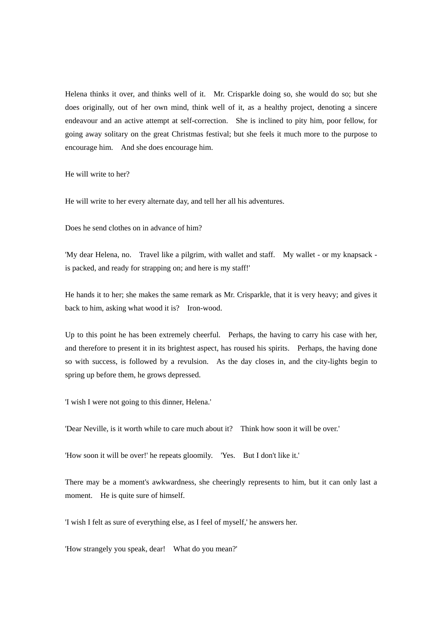Helena thinks it over, and thinks well of it. Mr. Crisparkle doing so, she would do so; but she does originally, out of her own mind, think well of it, as a healthy project, denoting a sincere endeavour and an active attempt at self-correction. She is inclined to pity him, poor fellow, for going away solitary on the great Christmas festival; but she feels it much more to the purpose to encourage him. And she does encourage him.

He will write to her?

He will write to her every alternate day, and tell her all his adventures.

Does he send clothes on in advance of him?

'My dear Helena, no. Travel like a pilgrim, with wallet and staff. My wallet - or my knapsack is packed, and ready for strapping on; and here is my staff!'

He hands it to her; she makes the same remark as Mr. Crisparkle, that it is very heavy; and gives it back to him, asking what wood it is? Iron-wood.

Up to this point he has been extremely cheerful. Perhaps, the having to carry his case with her, and therefore to present it in its brightest aspect, has roused his spirits. Perhaps, the having done so with success, is followed by a revulsion. As the day closes in, and the city-lights begin to spring up before them, he grows depressed.

'I wish I were not going to this dinner, Helena.'

'Dear Neville, is it worth while to care much about it? Think how soon it will be over.'

'How soon it will be over!' he repeats gloomily. 'Yes. But I don't like it.'

There may be a moment's awkwardness, she cheeringly represents to him, but it can only last a moment. He is quite sure of himself.

'I wish I felt as sure of everything else, as I feel of myself,' he answers her.

'How strangely you speak, dear! What do you mean?'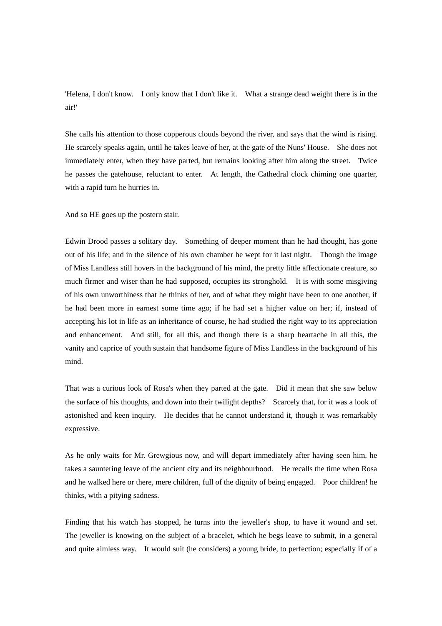'Helena, I don't know. I only know that I don't like it. What a strange dead weight there is in the air!'

She calls his attention to those copperous clouds beyond the river, and says that the wind is rising. He scarcely speaks again, until he takes leave of her, at the gate of the Nuns' House. She does not immediately enter, when they have parted, but remains looking after him along the street. Twice he passes the gatehouse, reluctant to enter. At length, the Cathedral clock chiming one quarter, with a rapid turn he hurries in.

And so HE goes up the postern stair.

Edwin Drood passes a solitary day. Something of deeper moment than he had thought, has gone out of his life; and in the silence of his own chamber he wept for it last night. Though the image of Miss Landless still hovers in the background of his mind, the pretty little affectionate creature, so much firmer and wiser than he had supposed, occupies its stronghold. It is with some misgiving of his own unworthiness that he thinks of her, and of what they might have been to one another, if he had been more in earnest some time ago; if he had set a higher value on her; if, instead of accepting his lot in life as an inheritance of course, he had studied the right way to its appreciation and enhancement. And still, for all this, and though there is a sharp heartache in all this, the vanity and caprice of youth sustain that handsome figure of Miss Landless in the background of his mind.

That was a curious look of Rosa's when they parted at the gate. Did it mean that she saw below the surface of his thoughts, and down into their twilight depths? Scarcely that, for it was a look of astonished and keen inquiry. He decides that he cannot understand it, though it was remarkably expressive.

As he only waits for Mr. Grewgious now, and will depart immediately after having seen him, he takes a sauntering leave of the ancient city and its neighbourhood. He recalls the time when Rosa and he walked here or there, mere children, full of the dignity of being engaged. Poor children! he thinks, with a pitying sadness.

Finding that his watch has stopped, he turns into the jeweller's shop, to have it wound and set. The jeweller is knowing on the subject of a bracelet, which he begs leave to submit, in a general and quite aimless way. It would suit (he considers) a young bride, to perfection; especially if of a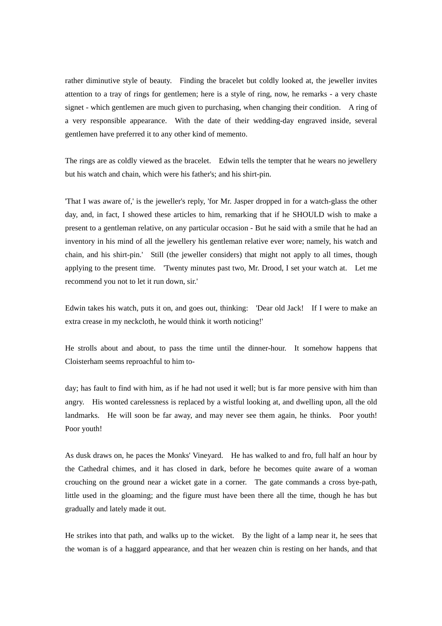rather diminutive style of beauty. Finding the bracelet but coldly looked at, the jeweller invites attention to a tray of rings for gentlemen; here is a style of ring, now, he remarks - a very chaste signet - which gentlemen are much given to purchasing, when changing their condition. A ring of a very responsible appearance. With the date of their wedding-day engraved inside, several gentlemen have preferred it to any other kind of memento.

The rings are as coldly viewed as the bracelet. Edwin tells the tempter that he wears no jewellery but his watch and chain, which were his father's; and his shirt-pin.

'That I was aware of,' is the jeweller's reply, 'for Mr. Jasper dropped in for a watch-glass the other day, and, in fact, I showed these articles to him, remarking that if he SHOULD wish to make a present to a gentleman relative, on any particular occasion - But he said with a smile that he had an inventory in his mind of all the jewellery his gentleman relative ever wore; namely, his watch and chain, and his shirt-pin.' Still (the jeweller considers) that might not apply to all times, though applying to the present time. 'Twenty minutes past two, Mr. Drood, I set your watch at. Let me recommend you not to let it run down, sir.'

Edwin takes his watch, puts it on, and goes out, thinking: 'Dear old Jack! If I were to make an extra crease in my neckcloth, he would think it worth noticing!'

He strolls about and about, to pass the time until the dinner-hour. It somehow happens that Cloisterham seems reproachful to him to-

day; has fault to find with him, as if he had not used it well; but is far more pensive with him than angry. His wonted carelessness is replaced by a wistful looking at, and dwelling upon, all the old landmarks. He will soon be far away, and may never see them again, he thinks. Poor youth! Poor youth!

As dusk draws on, he paces the Monks' Vineyard. He has walked to and fro, full half an hour by the Cathedral chimes, and it has closed in dark, before he becomes quite aware of a woman crouching on the ground near a wicket gate in a corner. The gate commands a cross bye-path, little used in the gloaming; and the figure must have been there all the time, though he has but gradually and lately made it out.

He strikes into that path, and walks up to the wicket. By the light of a lamp near it, he sees that the woman is of a haggard appearance, and that her weazen chin is resting on her hands, and that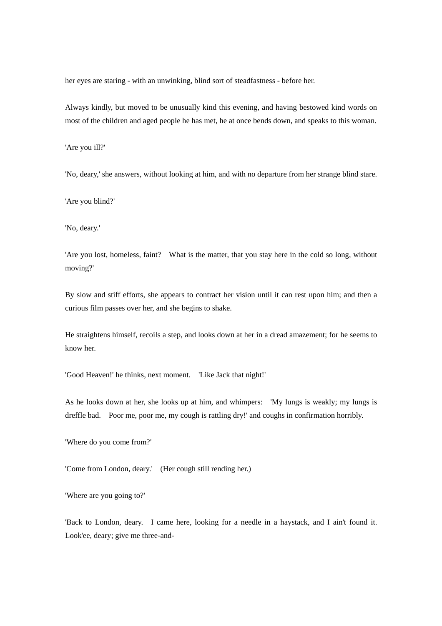her eyes are staring - with an unwinking, blind sort of steadfastness - before her.

Always kindly, but moved to be unusually kind this evening, and having bestowed kind words on most of the children and aged people he has met, he at once bends down, and speaks to this woman.

'Are you ill?'

'No, deary,' she answers, without looking at him, and with no departure from her strange blind stare.

'Are you blind?'

'No, deary.'

'Are you lost, homeless, faint? What is the matter, that you stay here in the cold so long, without moving?'

By slow and stiff efforts, she appears to contract her vision until it can rest upon him; and then a curious film passes over her, and she begins to shake.

He straightens himself, recoils a step, and looks down at her in a dread amazement; for he seems to know her.

'Good Heaven!' he thinks, next moment. 'Like Jack that night!'

As he looks down at her, she looks up at him, and whimpers: 'My lungs is weakly; my lungs is dreffle bad. Poor me, poor me, my cough is rattling dry!' and coughs in confirmation horribly.

'Where do you come from?'

'Come from London, deary.' (Her cough still rending her.)

'Where are you going to?'

'Back to London, deary. I came here, looking for a needle in a haystack, and I ain't found it. Look'ee, deary; give me three-and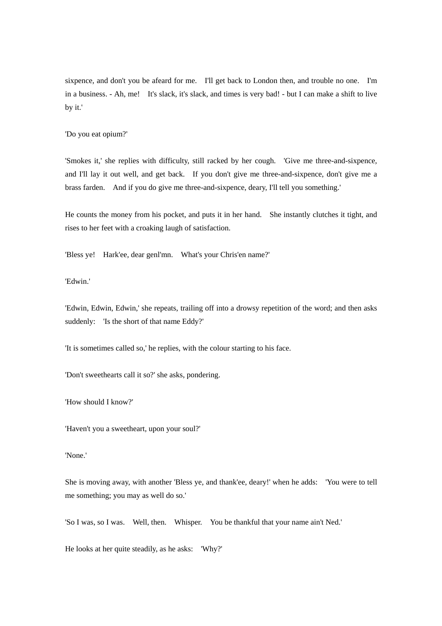sixpence, and don't you be afeard for me. I'll get back to London then, and trouble no one. I'm in a business. - Ah, me! It's slack, it's slack, and times is very bad! - but I can make a shift to live by it.'

'Do you eat opium?'

'Smokes it,' she replies with difficulty, still racked by her cough. 'Give me three-and-sixpence, and I'll lay it out well, and get back. If you don't give me three-and-sixpence, don't give me a brass farden. And if you do give me three-and-sixpence, deary, I'll tell you something.'

He counts the money from his pocket, and puts it in her hand. She instantly clutches it tight, and rises to her feet with a croaking laugh of satisfaction.

'Bless ye! Hark'ee, dear genl'mn. What's your Chris'en name?'

'Edwin.'

'Edwin, Edwin, Edwin,' she repeats, trailing off into a drowsy repetition of the word; and then asks suddenly: 'Is the short of that name Eddy?'

'It is sometimes called so,' he replies, with the colour starting to his face.

'Don't sweethearts call it so?' she asks, pondering.

'How should I know?'

'Haven't you a sweetheart, upon your soul?'

'None.'

She is moving away, with another 'Bless ye, and thank'ee, deary!' when he adds: 'You were to tell me something; you may as well do so.'

'So I was, so I was. Well, then. Whisper. You be thankful that your name ain't Ned.'

He looks at her quite steadily, as he asks: 'Why?'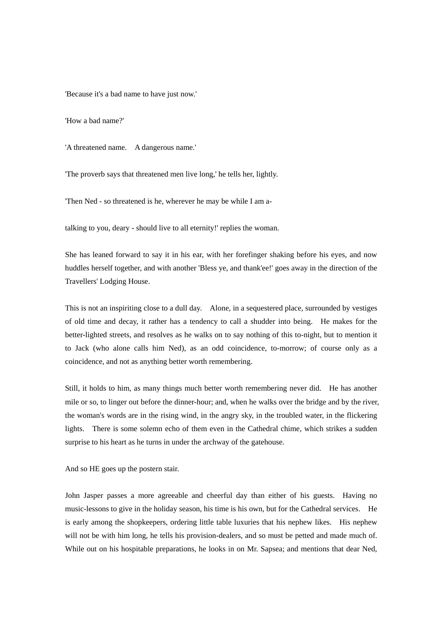'Because it's a bad name to have just now.'

'How a bad name?'

'A threatened name. A dangerous name.'

'The proverb says that threatened men live long,' he tells her, lightly.

'Then Ned - so threatened is he, wherever he may be while I am a-

talking to you, deary - should live to all eternity!' replies the woman.

She has leaned forward to say it in his ear, with her forefinger shaking before his eyes, and now huddles herself together, and with another 'Bless ye, and thank'ee!' goes away in the direction of the Travellers' Lodging House.

This is not an inspiriting close to a dull day. Alone, in a sequestered place, surrounded by vestiges of old time and decay, it rather has a tendency to call a shudder into being. He makes for the better-lighted streets, and resolves as he walks on to say nothing of this to-night, but to mention it to Jack (who alone calls him Ned), as an odd coincidence, to-morrow; of course only as a coincidence, and not as anything better worth remembering.

Still, it holds to him, as many things much better worth remembering never did. He has another mile or so, to linger out before the dinner-hour; and, when he walks over the bridge and by the river, the woman's words are in the rising wind, in the angry sky, in the troubled water, in the flickering lights. There is some solemn echo of them even in the Cathedral chime, which strikes a sudden surprise to his heart as he turns in under the archway of the gatehouse.

And so HE goes up the postern stair.

John Jasper passes a more agreeable and cheerful day than either of his guests. Having no music-lessons to give in the holiday season, his time is his own, but for the Cathedral services. He is early among the shopkeepers, ordering little table luxuries that his nephew likes. His nephew will not be with him long, he tells his provision-dealers, and so must be petted and made much of. While out on his hospitable preparations, he looks in on Mr. Sapsea; and mentions that dear Ned,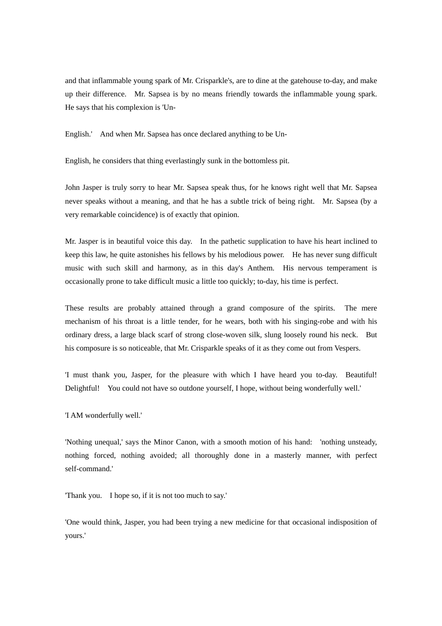and that inflammable young spark of Mr. Crisparkle's, are to dine at the gatehouse to-day, and make up their difference. Mr. Sapsea is by no means friendly towards the inflammable young spark. He says that his complexion is 'Un-

English.' And when Mr. Sapsea has once declared anything to be Un-

English, he considers that thing everlastingly sunk in the bottomless pit.

John Jasper is truly sorry to hear Mr. Sapsea speak thus, for he knows right well that Mr. Sapsea never speaks without a meaning, and that he has a subtle trick of being right. Mr. Sapsea (by a very remarkable coincidence) is of exactly that opinion.

Mr. Jasper is in beautiful voice this day. In the pathetic supplication to have his heart inclined to keep this law, he quite astonishes his fellows by his melodious power. He has never sung difficult music with such skill and harmony, as in this day's Anthem. His nervous temperament is occasionally prone to take difficult music a little too quickly; to-day, his time is perfect.

These results are probably attained through a grand composure of the spirits. The mere mechanism of his throat is a little tender, for he wears, both with his singing-robe and with his ordinary dress, a large black scarf of strong close-woven silk, slung loosely round his neck. But his composure is so noticeable, that Mr. Crisparkle speaks of it as they come out from Vespers.

'I must thank you, Jasper, for the pleasure with which I have heard you to-day. Beautiful! Delightful! You could not have so outdone yourself, I hope, without being wonderfully well.'

'I AM wonderfully well.'

'Nothing unequal,' says the Minor Canon, with a smooth motion of his hand: 'nothing unsteady, nothing forced, nothing avoided; all thoroughly done in a masterly manner, with perfect self-command.'

'Thank you. I hope so, if it is not too much to say.'

'One would think, Jasper, you had been trying a new medicine for that occasional indisposition of yours.'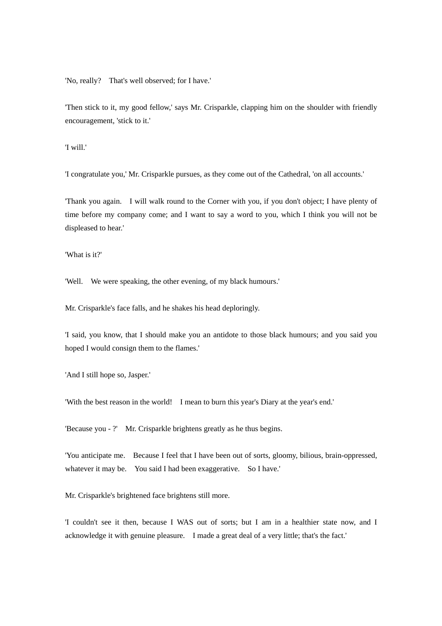'No, really? That's well observed; for I have.'

'Then stick to it, my good fellow,' says Mr. Crisparkle, clapping him on the shoulder with friendly encouragement, 'stick to it.'

'I will.'

'I congratulate you,' Mr. Crisparkle pursues, as they come out of the Cathedral, 'on all accounts.'

'Thank you again. I will walk round to the Corner with you, if you don't object; I have plenty of time before my company come; and I want to say a word to you, which I think you will not be displeased to hear.'

'What is it?'

'Well. We were speaking, the other evening, of my black humours.'

Mr. Crisparkle's face falls, and he shakes his head deploringly.

'I said, you know, that I should make you an antidote to those black humours; and you said you hoped I would consign them to the flames.'

'And I still hope so, Jasper.'

'With the best reason in the world! I mean to burn this year's Diary at the year's end.'

'Because you - ?' Mr. Crisparkle brightens greatly as he thus begins.

'You anticipate me. Because I feel that I have been out of sorts, gloomy, bilious, brain-oppressed, whatever it may be. You said I had been exaggerative. So I have.'

Mr. Crisparkle's brightened face brightens still more.

'I couldn't see it then, because I WAS out of sorts; but I am in a healthier state now, and I acknowledge it with genuine pleasure. I made a great deal of a very little; that's the fact.'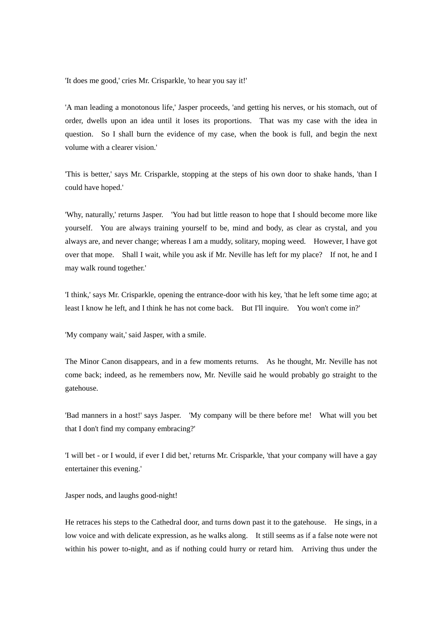'It does me good,' cries Mr. Crisparkle, 'to hear you say it!'

'A man leading a monotonous life,' Jasper proceeds, 'and getting his nerves, or his stomach, out of order, dwells upon an idea until it loses its proportions. That was my case with the idea in question. So I shall burn the evidence of my case, when the book is full, and begin the next volume with a clearer vision.'

'This is better,' says Mr. Crisparkle, stopping at the steps of his own door to shake hands, 'than I could have hoped.'

'Why, naturally,' returns Jasper. 'You had but little reason to hope that I should become more like yourself. You are always training yourself to be, mind and body, as clear as crystal, and you always are, and never change; whereas I am a muddy, solitary, moping weed. However, I have got over that mope. Shall I wait, while you ask if Mr. Neville has left for my place? If not, he and I may walk round together.'

'I think,' says Mr. Crisparkle, opening the entrance-door with his key, 'that he left some time ago; at least I know he left, and I think he has not come back. But I'll inquire. You won't come in?'

'My company wait,' said Jasper, with a smile.

The Minor Canon disappears, and in a few moments returns. As he thought, Mr. Neville has not come back; indeed, as he remembers now, Mr. Neville said he would probably go straight to the gatehouse.

'Bad manners in a host!' says Jasper. 'My company will be there before me! What will you bet that I don't find my company embracing?'

'I will bet - or I would, if ever I did bet,' returns Mr. Crisparkle, 'that your company will have a gay entertainer this evening.'

Jasper nods, and laughs good-night!

He retraces his steps to the Cathedral door, and turns down past it to the gatehouse. He sings, in a low voice and with delicate expression, as he walks along. It still seems as if a false note were not within his power to-night, and as if nothing could hurry or retard him. Arriving thus under the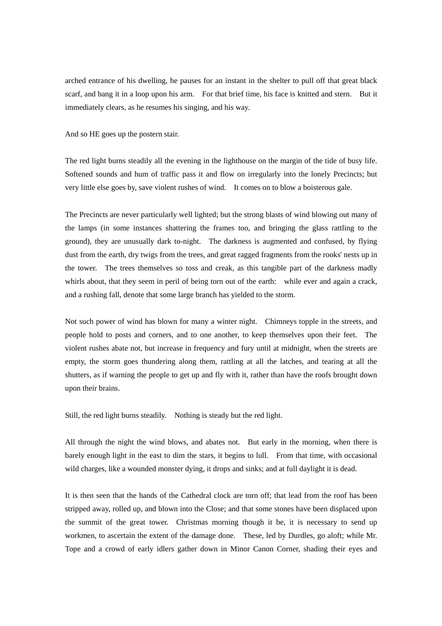arched entrance of his dwelling, he pauses for an instant in the shelter to pull off that great black scarf, and bang it in a loop upon his arm. For that brief time, his face is knitted and stern. But it immediately clears, as he resumes his singing, and his way.

And so HE goes up the postern stair.

The red light burns steadily all the evening in the lighthouse on the margin of the tide of busy life. Softened sounds and hum of traffic pass it and flow on irregularly into the lonely Precincts; but very little else goes by, save violent rushes of wind. It comes on to blow a boisterous gale.

The Precincts are never particularly well lighted; but the strong blasts of wind blowing out many of the lamps (in some instances shattering the frames too, and bringing the glass rattling to the ground), they are unusually dark to-night. The darkness is augmented and confused, by flying dust from the earth, dry twigs from the trees, and great ragged fragments from the rooks' nests up in the tower. The trees themselves so toss and creak, as this tangible part of the darkness madly whirls about, that they seem in peril of being torn out of the earth: while ever and again a crack, and a rushing fall, denote that some large branch has yielded to the storm.

Not such power of wind has blown for many a winter night. Chimneys topple in the streets, and people hold to posts and corners, and to one another, to keep themselves upon their feet. The violent rushes abate not, but increase in frequency and fury until at midnight, when the streets are empty, the storm goes thundering along them, rattling at all the latches, and tearing at all the shutters, as if warning the people to get up and fly with it, rather than have the roofs brought down upon their brains.

Still, the red light burns steadily. Nothing is steady but the red light.

All through the night the wind blows, and abates not. But early in the morning, when there is barely enough light in the east to dim the stars, it begins to lull. From that time, with occasional wild charges, like a wounded monster dying, it drops and sinks; and at full daylight it is dead.

It is then seen that the hands of the Cathedral clock are torn off; that lead from the roof has been stripped away, rolled up, and blown into the Close; and that some stones have been displaced upon the summit of the great tower. Christmas morning though it be, it is necessary to send up workmen, to ascertain the extent of the damage done. These, led by Durdles, go aloft; while Mr. Tope and a crowd of early idlers gather down in Minor Canon Corner, shading their eyes and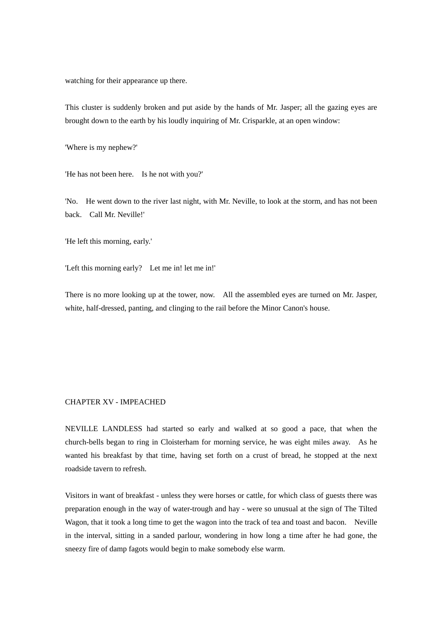watching for their appearance up there.

This cluster is suddenly broken and put aside by the hands of Mr. Jasper; all the gazing eyes are brought down to the earth by his loudly inquiring of Mr. Crisparkle, at an open window:

'Where is my nephew?'

'He has not been here. Is he not with you?'

'No. He went down to the river last night, with Mr. Neville, to look at the storm, and has not been back. Call Mr. Neville!'

'He left this morning, early.'

'Left this morning early? Let me in! let me in!'

There is no more looking up at the tower, now. All the assembled eyes are turned on Mr. Jasper, white, half-dressed, panting, and clinging to the rail before the Minor Canon's house.

## CHAPTER XV - IMPEACHED

NEVILLE LANDLESS had started so early and walked at so good a pace, that when the church-bells began to ring in Cloisterham for morning service, he was eight miles away. As he wanted his breakfast by that time, having set forth on a crust of bread, he stopped at the next roadside tavern to refresh.

Visitors in want of breakfast - unless they were horses or cattle, for which class of guests there was preparation enough in the way of water-trough and hay - were so unusual at the sign of The Tilted Wagon, that it took a long time to get the wagon into the track of tea and toast and bacon. Neville in the interval, sitting in a sanded parlour, wondering in how long a time after he had gone, the sneezy fire of damp fagots would begin to make somebody else warm.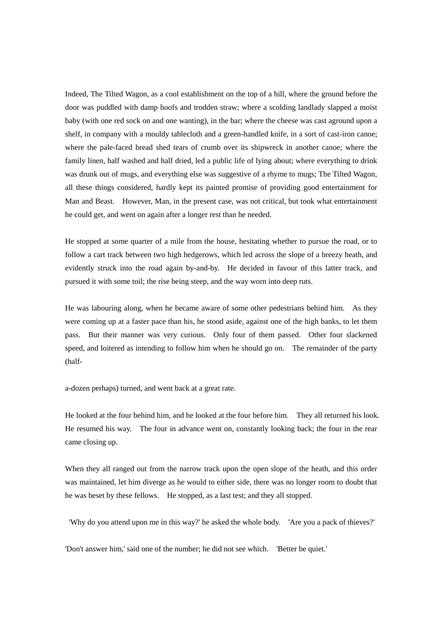Indeed, The Tilted Wagon, as a cool establishment on the top of a hill, where the ground before the door was puddled with damp hoofs and trodden straw; where a scolding landlady slapped a moist baby (with one red sock on and one wanting), in the bar; where the cheese was cast aground upon a shelf, in company with a mouldy tablecloth and a green-handled knife, in a sort of cast-iron canoe; where the pale-faced bread shed tears of crumb over its shipwreck in another canoe; where the family linen, half washed and half dried, led a public life of lying about; where everything to drink was drunk out of mugs, and everything else was suggestive of a rhyme to mugs; The Tilted Wagon, all these things considered, hardly kept its painted promise of providing good entertainment for Man and Beast. However, Man, in the present case, was not critical, but took what entertainment he could get, and went on again after a longer rest than he needed.

He stopped at some quarter of a mile from the house, hesitating whether to pursue the road, or to follow a cart track between two high hedgerows, which led across the slope of a breezy heath, and evidently struck into the road again by-and-by. He decided in favour of this latter track, and pursued it with some toil; the rise being steep, and the way worn into deep ruts.

He was labouring along, when he became aware of some other pedestrians behind him. As they were coming up at a faster pace than his, he stood aside, against one of the high banks, to let them pass. But their manner was very curious. Only four of them passed. Other four slackened speed, and loitered as intending to follow him when he should go on. The remainder of the party (half-

a-dozen perhaps) turned, and went back at a great rate.

He looked at the four behind him, and he looked at the four before him. They all returned his look. He resumed his way. The four in advance went on, constantly looking back; the four in the rear came closing up.

When they all ranged out from the narrow track upon the open slope of the heath, and this order was maintained, let him diverge as he would to either side, there was no longer room to doubt that he was beset by these fellows. He stopped, as a last test; and they all stopped.

'Why do you attend upon me in this way?' he asked the whole body. 'Are you a pack of thieves?'

'Don't answer him,' said one of the number; he did not see which. 'Better be quiet.'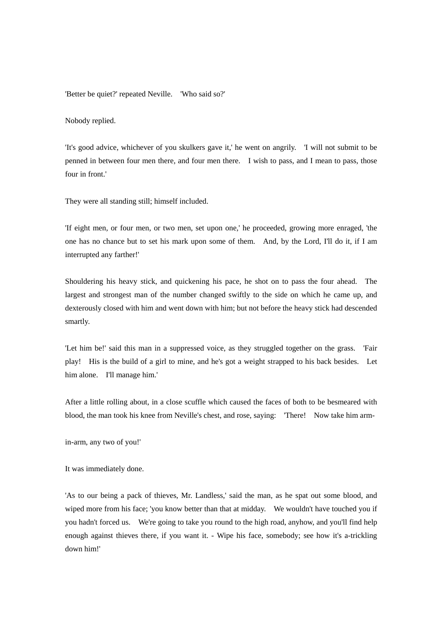'Better be quiet?' repeated Neville. 'Who said so?'

Nobody replied.

'It's good advice, whichever of you skulkers gave it,' he went on angrily. 'I will not submit to be penned in between four men there, and four men there. I wish to pass, and I mean to pass, those four in front.'

They were all standing still; himself included.

'If eight men, or four men, or two men, set upon one,' he proceeded, growing more enraged, 'the one has no chance but to set his mark upon some of them. And, by the Lord, I'll do it, if I am interrupted any farther!'

Shouldering his heavy stick, and quickening his pace, he shot on to pass the four ahead. The largest and strongest man of the number changed swiftly to the side on which he came up, and dexterously closed with him and went down with him; but not before the heavy stick had descended smartly.

'Let him be!' said this man in a suppressed voice, as they struggled together on the grass. 'Fair play! His is the build of a girl to mine, and he's got a weight strapped to his back besides. Let him alone. I'll manage him.'

After a little rolling about, in a close scuffle which caused the faces of both to be besmeared with blood, the man took his knee from Neville's chest, and rose, saying: 'There! Now take him arm-

in-arm, any two of you!'

It was immediately done.

'As to our being a pack of thieves, Mr. Landless,' said the man, as he spat out some blood, and wiped more from his face; 'you know better than that at midday. We wouldn't have touched you if you hadn't forced us. We're going to take you round to the high road, anyhow, and you'll find help enough against thieves there, if you want it. - Wipe his face, somebody; see how it's a-trickling down him!'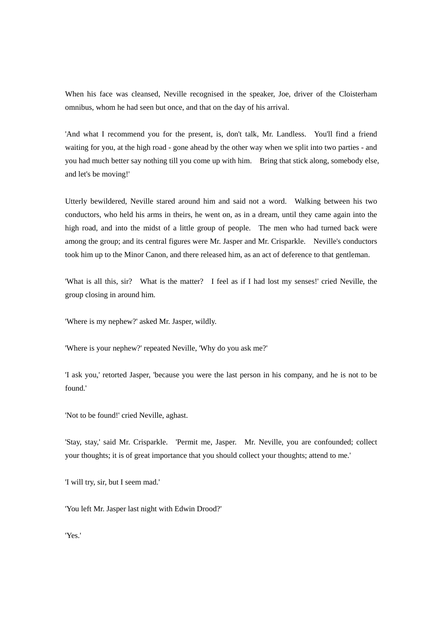When his face was cleansed, Neville recognised in the speaker, Joe, driver of the Cloisterham omnibus, whom he had seen but once, and that on the day of his arrival.

'And what I recommend you for the present, is, don't talk, Mr. Landless. You'll find a friend waiting for you, at the high road - gone ahead by the other way when we split into two parties - and you had much better say nothing till you come up with him. Bring that stick along, somebody else, and let's be moving!'

Utterly bewildered, Neville stared around him and said not a word. Walking between his two conductors, who held his arms in theirs, he went on, as in a dream, until they came again into the high road, and into the midst of a little group of people. The men who had turned back were among the group; and its central figures were Mr. Jasper and Mr. Crisparkle. Neville's conductors took him up to the Minor Canon, and there released him, as an act of deference to that gentleman.

'What is all this, sir? What is the matter? I feel as if I had lost my senses!' cried Neville, the group closing in around him.

'Where is my nephew?' asked Mr. Jasper, wildly.

'Where is your nephew?' repeated Neville, 'Why do you ask me?'

'I ask you,' retorted Jasper, 'because you were the last person in his company, and he is not to be found.'

'Not to be found!' cried Neville, aghast.

'Stay, stay,' said Mr. Crisparkle. 'Permit me, Jasper. Mr. Neville, you are confounded; collect your thoughts; it is of great importance that you should collect your thoughts; attend to me.'

'I will try, sir, but I seem mad.'

'You left Mr. Jasper last night with Edwin Drood?'

'Yes.'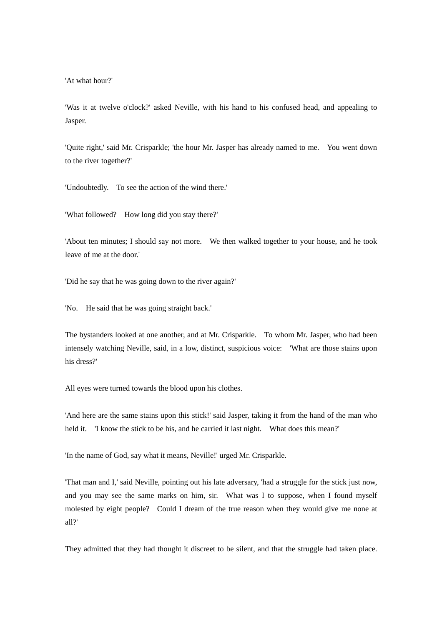'At what hour?'

'Was it at twelve o'clock?' asked Neville, with his hand to his confused head, and appealing to Jasper.

'Quite right,' said Mr. Crisparkle; 'the hour Mr. Jasper has already named to me. You went down to the river together?'

'Undoubtedly. To see the action of the wind there.'

'What followed? How long did you stay there?'

'About ten minutes; I should say not more. We then walked together to your house, and he took leave of me at the door.'

'Did he say that he was going down to the river again?'

'No. He said that he was going straight back.'

The bystanders looked at one another, and at Mr. Crisparkle. To whom Mr. Jasper, who had been intensely watching Neville, said, in a low, distinct, suspicious voice: 'What are those stains upon his dress?'

All eyes were turned towards the blood upon his clothes.

'And here are the same stains upon this stick!' said Jasper, taking it from the hand of the man who held it. 'I know the stick to be his, and he carried it last night. What does this mean?'

'In the name of God, say what it means, Neville!' urged Mr. Crisparkle.

'That man and I,' said Neville, pointing out his late adversary, 'had a struggle for the stick just now, and you may see the same marks on him, sir. What was I to suppose, when I found myself molested by eight people? Could I dream of the true reason when they would give me none at all?'

They admitted that they had thought it discreet to be silent, and that the struggle had taken place.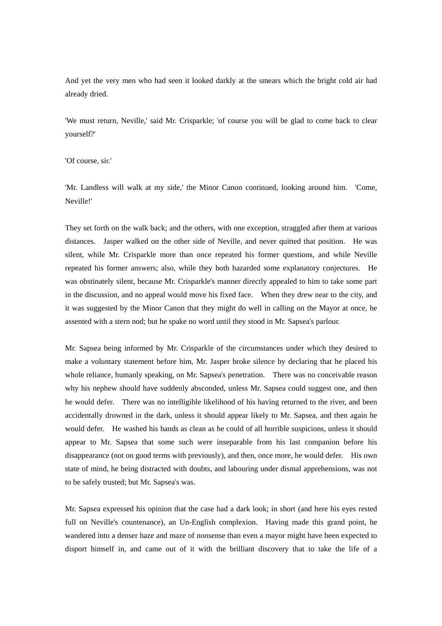And yet the very men who had seen it looked darkly at the smears which the bright cold air had already dried.

'We must return, Neville,' said Mr. Crisparkle; 'of course you will be glad to come back to clear yourself?'

'Of course, sir.'

'Mr. Landless will walk at my side,' the Minor Canon continued, looking around him. 'Come, Neville!'

They set forth on the walk back; and the others, with one exception, straggled after them at various distances. Jasper walked on the other side of Neville, and never quitted that position. He was silent, while Mr. Crisparkle more than once repeated his former questions, and while Neville repeated his former answers; also, while they both hazarded some explanatory conjectures. He was obstinately silent, because Mr. Crisparkle's manner directly appealed to him to take some part in the discussion, and no appeal would move his fixed face. When they drew near to the city, and it was suggested by the Minor Canon that they might do well in calling on the Mayor at once, he assented with a stern nod; but he spake no word until they stood in Mr. Sapsea's parlour.

Mr. Sapsea being informed by Mr. Crisparkle of the circumstances under which they desired to make a voluntary statement before him, Mr. Jasper broke silence by declaring that he placed his whole reliance, humanly speaking, on Mr. Sapsea's penetration. There was no conceivable reason why his nephew should have suddenly absconded, unless Mr. Sapsea could suggest one, and then he would defer. There was no intelligible likelihood of his having returned to the river, and been accidentally drowned in the dark, unless it should appear likely to Mr. Sapsea, and then again he would defer. He washed his hands as clean as he could of all horrible suspicions, unless it should appear to Mr. Sapsea that some such were inseparable from his last companion before his disappearance (not on good terms with previously), and then, once more, he would defer. His own state of mind, he being distracted with doubts, and labouring under dismal apprehensions, was not to be safely trusted; but Mr. Sapsea's was.

Mr. Sapsea expressed his opinion that the case had a dark look; in short (and here his eyes rested full on Neville's countenance), an Un-English complexion. Having made this grand point, he wandered into a denser haze and maze of nonsense than even a mayor might have been expected to disport himself in, and came out of it with the brilliant discovery that to take the life of a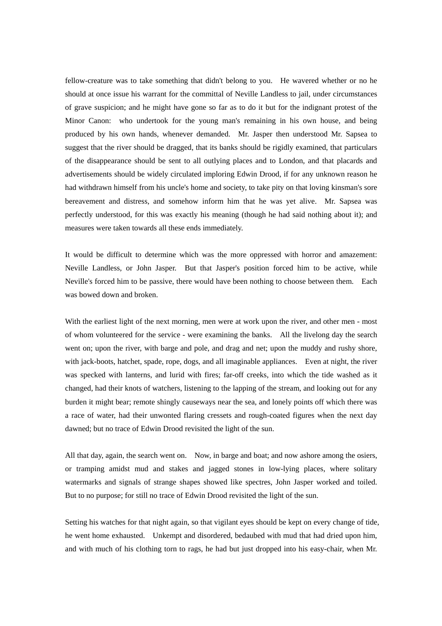fellow-creature was to take something that didn't belong to you. He wavered whether or no he should at once issue his warrant for the committal of Neville Landless to jail, under circumstances of grave suspicion; and he might have gone so far as to do it but for the indignant protest of the Minor Canon: who undertook for the young man's remaining in his own house, and being produced by his own hands, whenever demanded. Mr. Jasper then understood Mr. Sapsea to suggest that the river should be dragged, that its banks should be rigidly examined, that particulars of the disappearance should be sent to all outlying places and to London, and that placards and advertisements should be widely circulated imploring Edwin Drood, if for any unknown reason he had withdrawn himself from his uncle's home and society, to take pity on that loving kinsman's sore bereavement and distress, and somehow inform him that he was yet alive. Mr. Sapsea was perfectly understood, for this was exactly his meaning (though he had said nothing about it); and measures were taken towards all these ends immediately.

It would be difficult to determine which was the more oppressed with horror and amazement: Neville Landless, or John Jasper. But that Jasper's position forced him to be active, while Neville's forced him to be passive, there would have been nothing to choose between them. Each was bowed down and broken.

With the earliest light of the next morning, men were at work upon the river, and other men - most of whom volunteered for the service - were examining the banks. All the livelong day the search went on; upon the river, with barge and pole, and drag and net; upon the muddy and rushy shore, with jack-boots, hatchet, spade, rope, dogs, and all imaginable appliances. Even at night, the river was specked with lanterns, and lurid with fires; far-off creeks, into which the tide washed as it changed, had their knots of watchers, listening to the lapping of the stream, and looking out for any burden it might bear; remote shingly causeways near the sea, and lonely points off which there was a race of water, had their unwonted flaring cressets and rough-coated figures when the next day dawned; but no trace of Edwin Drood revisited the light of the sun.

All that day, again, the search went on. Now, in barge and boat; and now ashore among the osiers, or tramping amidst mud and stakes and jagged stones in low-lying places, where solitary watermarks and signals of strange shapes showed like spectres, John Jasper worked and toiled. But to no purpose; for still no trace of Edwin Drood revisited the light of the sun.

Setting his watches for that night again, so that vigilant eyes should be kept on every change of tide, he went home exhausted. Unkempt and disordered, bedaubed with mud that had dried upon him, and with much of his clothing torn to rags, he had but just dropped into his easy-chair, when Mr.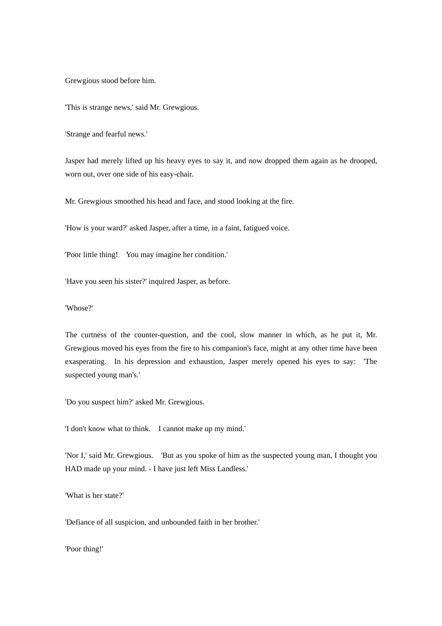Grewgious stood before him.

'This is strange news,' said Mr. Grewgious.

'Strange and fearful news.'

Jasper had merely lifted up his heavy eyes to say it, and now dropped them again as he drooped, worn out, over one side of his easy-chair.

Mr. Grewgious smoothed his head and face, and stood looking at the fire.

'How is your ward?' asked Jasper, after a time, in a faint, fatigued voice.

'Poor little thing! You may imagine her condition.'

'Have you seen his sister?' inquired Jasper, as before.

## 'Whose?'

The curtness of the counter-question, and the cool, slow manner in which, as he put it, Mr. Grewgious moved his eyes from the fire to his companion's face, might at any other time have been exasperating. In his depression and exhaustion, Jasper merely opened his eyes to say: 'The suspected young man's.'

'Do you suspect him?' asked Mr. Grewgious.

'I don't know what to think. I cannot make up my mind.'

'Nor I,' said Mr. Grewgious. 'But as you spoke of him as the suspected young man, I thought you HAD made up your mind. - I have just left Miss Landless.'

'What is her state?'

'Defiance of all suspicion, and unbounded faith in her brother.'

'Poor thing!'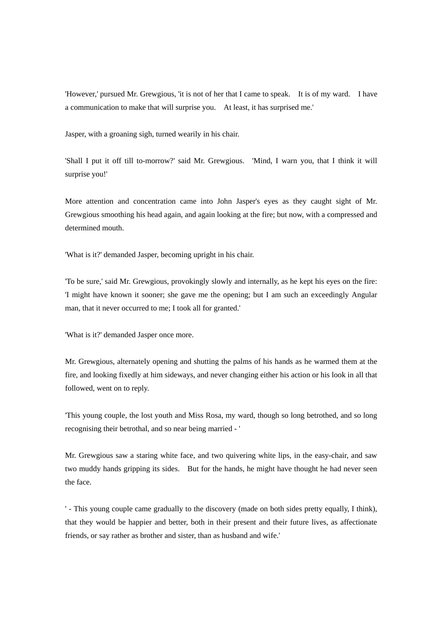'However,' pursued Mr. Grewgious, 'it is not of her that I came to speak. It is of my ward. I have a communication to make that will surprise you. At least, it has surprised me.'

Jasper, with a groaning sigh, turned wearily in his chair.

'Shall I put it off till to-morrow?' said Mr. Grewgious. 'Mind, I warn you, that I think it will surprise you!'

More attention and concentration came into John Jasper's eyes as they caught sight of Mr. Grewgious smoothing his head again, and again looking at the fire; but now, with a compressed and determined mouth.

'What is it?' demanded Jasper, becoming upright in his chair.

'To be sure,' said Mr. Grewgious, provokingly slowly and internally, as he kept his eyes on the fire: 'I might have known it sooner; she gave me the opening; but I am such an exceedingly Angular man, that it never occurred to me; I took all for granted.'

'What is it?' demanded Jasper once more.

Mr. Grewgious, alternately opening and shutting the palms of his hands as he warmed them at the fire, and looking fixedly at him sideways, and never changing either his action or his look in all that followed, went on to reply.

'This young couple, the lost youth and Miss Rosa, my ward, though so long betrothed, and so long recognising their betrothal, and so near being married - '

Mr. Grewgious saw a staring white face, and two quivering white lips, in the easy-chair, and saw two muddy hands gripping its sides. But for the hands, he might have thought he had never seen the face.

' - This young couple came gradually to the discovery (made on both sides pretty equally, I think), that they would be happier and better, both in their present and their future lives, as affectionate friends, or say rather as brother and sister, than as husband and wife.'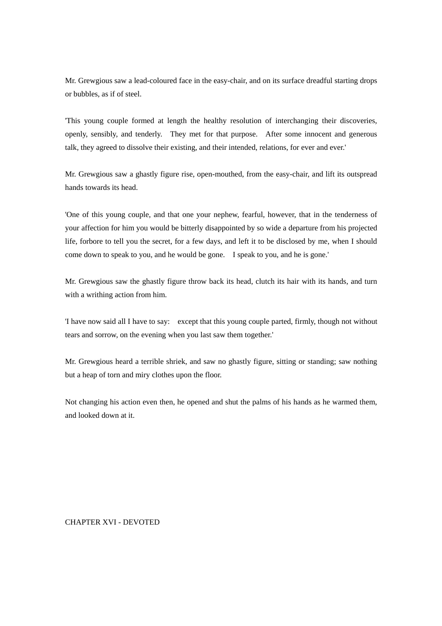Mr. Grewgious saw a lead-coloured face in the easy-chair, and on its surface dreadful starting drops or bubbles, as if of steel.

'This young couple formed at length the healthy resolution of interchanging their discoveries, openly, sensibly, and tenderly. They met for that purpose. After some innocent and generous talk, they agreed to dissolve their existing, and their intended, relations, for ever and ever.'

Mr. Grewgious saw a ghastly figure rise, open-mouthed, from the easy-chair, and lift its outspread hands towards its head.

'One of this young couple, and that one your nephew, fearful, however, that in the tenderness of your affection for him you would be bitterly disappointed by so wide a departure from his projected life, forbore to tell you the secret, for a few days, and left it to be disclosed by me, when I should come down to speak to you, and he would be gone. I speak to you, and he is gone.'

Mr. Grewgious saw the ghastly figure throw back its head, clutch its hair with its hands, and turn with a writhing action from him.

'I have now said all I have to say: except that this young couple parted, firmly, though not without tears and sorrow, on the evening when you last saw them together.'

Mr. Grewgious heard a terrible shriek, and saw no ghastly figure, sitting or standing; saw nothing but a heap of torn and miry clothes upon the floor.

Not changing his action even then, he opened and shut the palms of his hands as he warmed them, and looked down at it.

CHAPTER XVI - DEVOTED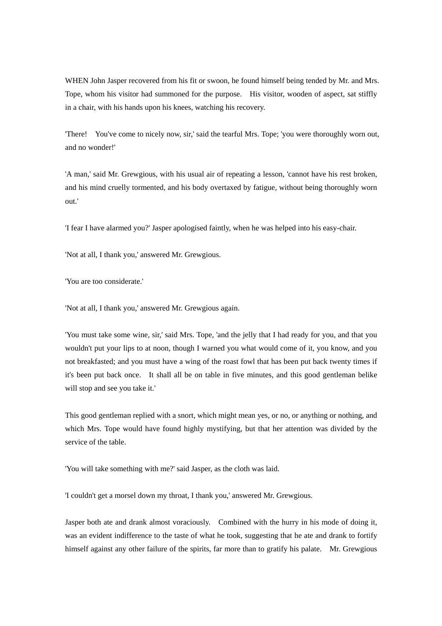WHEN John Jasper recovered from his fit or swoon, he found himself being tended by Mr. and Mrs. Tope, whom his visitor had summoned for the purpose. His visitor, wooden of aspect, sat stiffly in a chair, with his hands upon his knees, watching his recovery.

'There! You've come to nicely now, sir,' said the tearful Mrs. Tope; 'you were thoroughly worn out, and no wonder!'

'A man,' said Mr. Grewgious, with his usual air of repeating a lesson, 'cannot have his rest broken, and his mind cruelly tormented, and his body overtaxed by fatigue, without being thoroughly worn out.'

'I fear I have alarmed you?' Jasper apologised faintly, when he was helped into his easy-chair.

'Not at all, I thank you,' answered Mr. Grewgious.

'You are too considerate.'

'Not at all, I thank you,' answered Mr. Grewgious again.

'You must take some wine, sir,' said Mrs. Tope, 'and the jelly that I had ready for you, and that you wouldn't put your lips to at noon, though I warned you what would come of it, you know, and you not breakfasted; and you must have a wing of the roast fowl that has been put back twenty times if it's been put back once. It shall all be on table in five minutes, and this good gentleman belike will stop and see you take it.'

This good gentleman replied with a snort, which might mean yes, or no, or anything or nothing, and which Mrs. Tope would have found highly mystifying, but that her attention was divided by the service of the table.

'You will take something with me?' said Jasper, as the cloth was laid.

'I couldn't get a morsel down my throat, I thank you,' answered Mr. Grewgious.

Jasper both ate and drank almost voraciously. Combined with the hurry in his mode of doing it, was an evident indifference to the taste of what he took, suggesting that he ate and drank to fortify himself against any other failure of the spirits, far more than to gratify his palate. Mr. Grewgious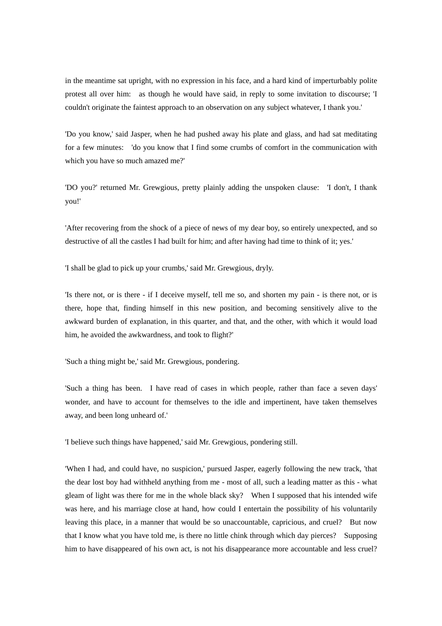in the meantime sat upright, with no expression in his face, and a hard kind of imperturbably polite protest all over him: as though he would have said, in reply to some invitation to discourse; 'I couldn't originate the faintest approach to an observation on any subject whatever, I thank you.'

'Do you know,' said Jasper, when he had pushed away his plate and glass, and had sat meditating for a few minutes: 'do you know that I find some crumbs of comfort in the communication with which you have so much amazed me?'

'DO you?' returned Mr. Grewgious, pretty plainly adding the unspoken clause: 'I don't, I thank you!'

'After recovering from the shock of a piece of news of my dear boy, so entirely unexpected, and so destructive of all the castles I had built for him; and after having had time to think of it; yes.'

'I shall be glad to pick up your crumbs,' said Mr. Grewgious, dryly.

'Is there not, or is there - if I deceive myself, tell me so, and shorten my pain - is there not, or is there, hope that, finding himself in this new position, and becoming sensitively alive to the awkward burden of explanation, in this quarter, and that, and the other, with which it would load him, he avoided the awkwardness, and took to flight?'

'Such a thing might be,' said Mr. Grewgious, pondering.

'Such a thing has been. I have read of cases in which people, rather than face a seven days' wonder, and have to account for themselves to the idle and impertinent, have taken themselves away, and been long unheard of.'

'I believe such things have happened,' said Mr. Grewgious, pondering still.

'When I had, and could have, no suspicion,' pursued Jasper, eagerly following the new track, 'that the dear lost boy had withheld anything from me - most of all, such a leading matter as this - what gleam of light was there for me in the whole black sky? When I supposed that his intended wife was here, and his marriage close at hand, how could I entertain the possibility of his voluntarily leaving this place, in a manner that would be so unaccountable, capricious, and cruel? But now that I know what you have told me, is there no little chink through which day pierces? Supposing him to have disappeared of his own act, is not his disappearance more accountable and less cruel?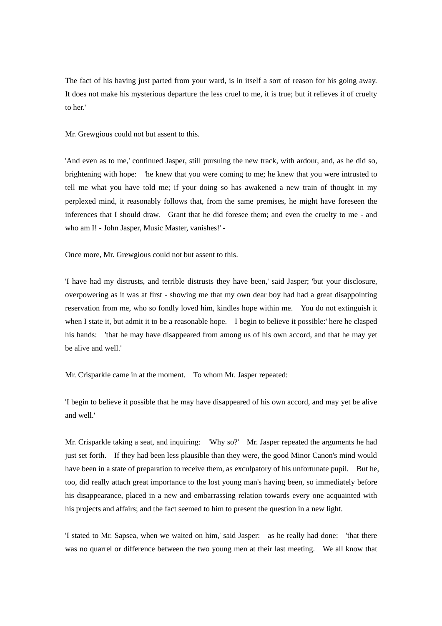The fact of his having just parted from your ward, is in itself a sort of reason for his going away. It does not make his mysterious departure the less cruel to me, it is true; but it relieves it of cruelty to her!

## Mr. Grewgious could not but assent to this.

'And even as to me,' continued Jasper, still pursuing the new track, with ardour, and, as he did so, brightening with hope: 'he knew that you were coming to me; he knew that you were intrusted to tell me what you have told me; if your doing so has awakened a new train of thought in my perplexed mind, it reasonably follows that, from the same premises, he might have foreseen the inferences that I should draw. Grant that he did foresee them; and even the cruelty to me - and who am I! - John Jasper, Music Master, vanishes!' -

Once more, Mr. Grewgious could not but assent to this.

'I have had my distrusts, and terrible distrusts they have been,' said Jasper; 'but your disclosure, overpowering as it was at first - showing me that my own dear boy had had a great disappointing reservation from me, who so fondly loved him, kindles hope within me. You do not extinguish it when I state it, but admit it to be a reasonable hope. I begin to believe it possible:' here he clasped his hands: 'that he may have disappeared from among us of his own accord, and that he may yet be alive and well.'

Mr. Crisparkle came in at the moment. To whom Mr. Jasper repeated:

'I begin to believe it possible that he may have disappeared of his own accord, and may yet be alive and well.'

Mr. Crisparkle taking a seat, and inquiring: 'Why so?' Mr. Jasper repeated the arguments he had just set forth. If they had been less plausible than they were, the good Minor Canon's mind would have been in a state of preparation to receive them, as exculpatory of his unfortunate pupil. But he, too, did really attach great importance to the lost young man's having been, so immediately before his disappearance, placed in a new and embarrassing relation towards every one acquainted with his projects and affairs; and the fact seemed to him to present the question in a new light.

'I stated to Mr. Sapsea, when we waited on him,' said Jasper: as he really had done: 'that there was no quarrel or difference between the two young men at their last meeting. We all know that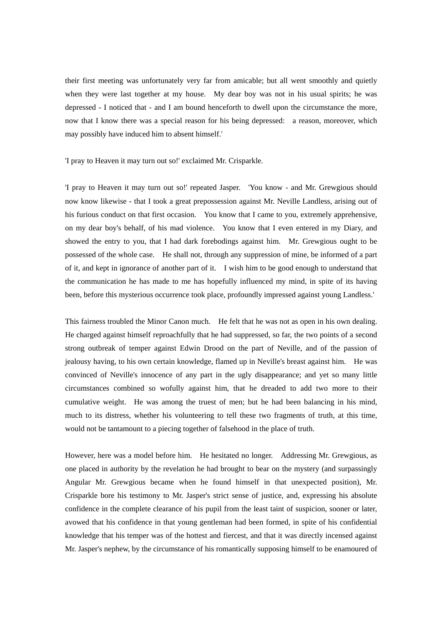their first meeting was unfortunately very far from amicable; but all went smoothly and quietly when they were last together at my house. My dear boy was not in his usual spirits; he was depressed - I noticed that - and I am bound henceforth to dwell upon the circumstance the more, now that I know there was a special reason for his being depressed: a reason, moreover, which may possibly have induced him to absent himself.'

'I pray to Heaven it may turn out so!' exclaimed Mr. Crisparkle.

'I pray to Heaven it may turn out so!' repeated Jasper. 'You know - and Mr. Grewgious should now know likewise - that I took a great prepossession against Mr. Neville Landless, arising out of his furious conduct on that first occasion. You know that I came to you, extremely apprehensive, on my dear boy's behalf, of his mad violence. You know that I even entered in my Diary, and showed the entry to you, that I had dark forebodings against him. Mr. Grewgious ought to be possessed of the whole case. He shall not, through any suppression of mine, be informed of a part of it, and kept in ignorance of another part of it. I wish him to be good enough to understand that the communication he has made to me has hopefully influenced my mind, in spite of its having been, before this mysterious occurrence took place, profoundly impressed against young Landless.'

This fairness troubled the Minor Canon much. He felt that he was not as open in his own dealing. He charged against himself reproachfully that he had suppressed, so far, the two points of a second strong outbreak of temper against Edwin Drood on the part of Neville, and of the passion of jealousy having, to his own certain knowledge, flamed up in Neville's breast against him. He was convinced of Neville's innocence of any part in the ugly disappearance; and yet so many little circumstances combined so wofully against him, that he dreaded to add two more to their cumulative weight. He was among the truest of men; but he had been balancing in his mind, much to its distress, whether his volunteering to tell these two fragments of truth, at this time, would not be tantamount to a piecing together of falsehood in the place of truth.

However, here was a model before him. He hesitated no longer. Addressing Mr. Grewgious, as one placed in authority by the revelation he had brought to bear on the mystery (and surpassingly Angular Mr. Grewgious became when he found himself in that unexpected position), Mr. Crisparkle bore his testimony to Mr. Jasper's strict sense of justice, and, expressing his absolute confidence in the complete clearance of his pupil from the least taint of suspicion, sooner or later, avowed that his confidence in that young gentleman had been formed, in spite of his confidential knowledge that his temper was of the hottest and fiercest, and that it was directly incensed against Mr. Jasper's nephew, by the circumstance of his romantically supposing himself to be enamoured of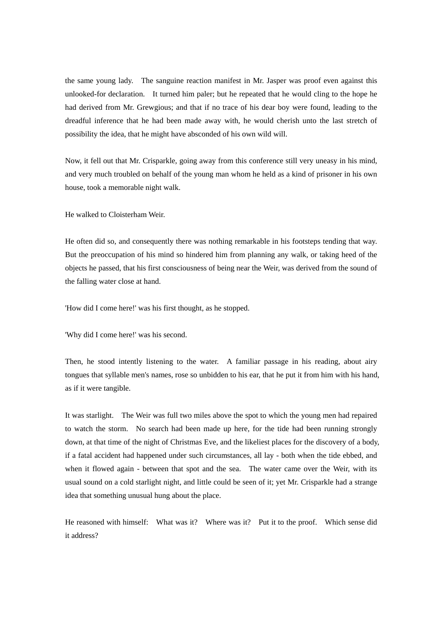the same young lady. The sanguine reaction manifest in Mr. Jasper was proof even against this unlooked-for declaration. It turned him paler; but he repeated that he would cling to the hope he had derived from Mr. Grewgious; and that if no trace of his dear boy were found, leading to the dreadful inference that he had been made away with, he would cherish unto the last stretch of possibility the idea, that he might have absconded of his own wild will.

Now, it fell out that Mr. Crisparkle, going away from this conference still very uneasy in his mind, and very much troubled on behalf of the young man whom he held as a kind of prisoner in his own house, took a memorable night walk.

He walked to Cloisterham Weir.

He often did so, and consequently there was nothing remarkable in his footsteps tending that way. But the preoccupation of his mind so hindered him from planning any walk, or taking heed of the objects he passed, that his first consciousness of being near the Weir, was derived from the sound of the falling water close at hand.

'How did I come here!' was his first thought, as he stopped.

'Why did I come here!' was his second.

Then, he stood intently listening to the water. A familiar passage in his reading, about airy tongues that syllable men's names, rose so unbidden to his ear, that he put it from him with his hand, as if it were tangible.

It was starlight. The Weir was full two miles above the spot to which the young men had repaired to watch the storm. No search had been made up here, for the tide had been running strongly down, at that time of the night of Christmas Eve, and the likeliest places for the discovery of a body, if a fatal accident had happened under such circumstances, all lay - both when the tide ebbed, and when it flowed again - between that spot and the sea. The water came over the Weir, with its usual sound on a cold starlight night, and little could be seen of it; yet Mr. Crisparkle had a strange idea that something unusual hung about the place.

He reasoned with himself: What was it? Where was it? Put it to the proof. Which sense did it address?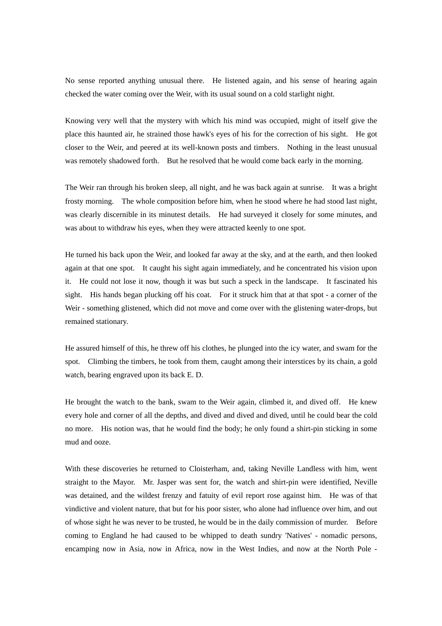No sense reported anything unusual there. He listened again, and his sense of hearing again checked the water coming over the Weir, with its usual sound on a cold starlight night.

Knowing very well that the mystery with which his mind was occupied, might of itself give the place this haunted air, he strained those hawk's eyes of his for the correction of his sight. He got closer to the Weir, and peered at its well-known posts and timbers. Nothing in the least unusual was remotely shadowed forth. But he resolved that he would come back early in the morning.

The Weir ran through his broken sleep, all night, and he was back again at sunrise. It was a bright frosty morning. The whole composition before him, when he stood where he had stood last night, was clearly discernible in its minutest details. He had surveyed it closely for some minutes, and was about to withdraw his eyes, when they were attracted keenly to one spot.

He turned his back upon the Weir, and looked far away at the sky, and at the earth, and then looked again at that one spot. It caught his sight again immediately, and he concentrated his vision upon it. He could not lose it now, though it was but such a speck in the landscape. It fascinated his sight. His hands began plucking off his coat. For it struck him that at that spot - a corner of the Weir - something glistened, which did not move and come over with the glistening water-drops, but remained stationary.

He assured himself of this, he threw off his clothes, he plunged into the icy water, and swam for the spot. Climbing the timbers, he took from them, caught among their interstices by its chain, a gold watch, bearing engraved upon its back E. D.

He brought the watch to the bank, swam to the Weir again, climbed it, and dived off. He knew every hole and corner of all the depths, and dived and dived and dived, until he could bear the cold no more. His notion was, that he would find the body; he only found a shirt-pin sticking in some mud and ooze.

With these discoveries he returned to Cloisterham, and, taking Neville Landless with him, went straight to the Mayor. Mr. Jasper was sent for, the watch and shirt-pin were identified, Neville was detained, and the wildest frenzy and fatuity of evil report rose against him. He was of that vindictive and violent nature, that but for his poor sister, who alone had influence over him, and out of whose sight he was never to be trusted, he would be in the daily commission of murder. Before coming to England he had caused to be whipped to death sundry 'Natives' - nomadic persons, encamping now in Asia, now in Africa, now in the West Indies, and now at the North Pole -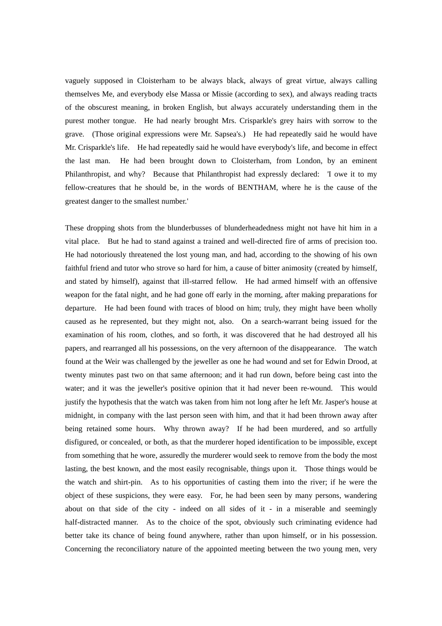vaguely supposed in Cloisterham to be always black, always of great virtue, always calling themselves Me, and everybody else Massa or Missie (according to sex), and always reading tracts of the obscurest meaning, in broken English, but always accurately understanding them in the purest mother tongue. He had nearly brought Mrs. Crisparkle's grey hairs with sorrow to the grave. (Those original expressions were Mr. Sapsea's.) He had repeatedly said he would have Mr. Crisparkle's life. He had repeatedly said he would have everybody's life, and become in effect the last man. He had been brought down to Cloisterham, from London, by an eminent Philanthropist, and why? Because that Philanthropist had expressly declared: 'I owe it to my fellow-creatures that he should be, in the words of BENTHAM, where he is the cause of the greatest danger to the smallest number.'

These dropping shots from the blunderbusses of blunderheadedness might not have hit him in a vital place. But he had to stand against a trained and well-directed fire of arms of precision too. He had notoriously threatened the lost young man, and had, according to the showing of his own faithful friend and tutor who strove so hard for him, a cause of bitter animosity (created by himself, and stated by himself), against that ill-starred fellow. He had armed himself with an offensive weapon for the fatal night, and he had gone off early in the morning, after making preparations for departure. He had been found with traces of blood on him; truly, they might have been wholly caused as he represented, but they might not, also. On a search-warrant being issued for the examination of his room, clothes, and so forth, it was discovered that he had destroyed all his papers, and rearranged all his possessions, on the very afternoon of the disappearance. The watch found at the Weir was challenged by the jeweller as one he had wound and set for Edwin Drood, at twenty minutes past two on that same afternoon; and it had run down, before being cast into the water; and it was the jeweller's positive opinion that it had never been re-wound. This would justify the hypothesis that the watch was taken from him not long after he left Mr. Jasper's house at midnight, in company with the last person seen with him, and that it had been thrown away after being retained some hours. Why thrown away? If he had been murdered, and so artfully disfigured, or concealed, or both, as that the murderer hoped identification to be impossible, except from something that he wore, assuredly the murderer would seek to remove from the body the most lasting, the best known, and the most easily recognisable, things upon it. Those things would be the watch and shirt-pin. As to his opportunities of casting them into the river; if he were the object of these suspicions, they were easy. For, he had been seen by many persons, wandering about on that side of the city - indeed on all sides of it - in a miserable and seemingly half-distracted manner. As to the choice of the spot, obviously such criminating evidence had better take its chance of being found anywhere, rather than upon himself, or in his possession. Concerning the reconciliatory nature of the appointed meeting between the two young men, very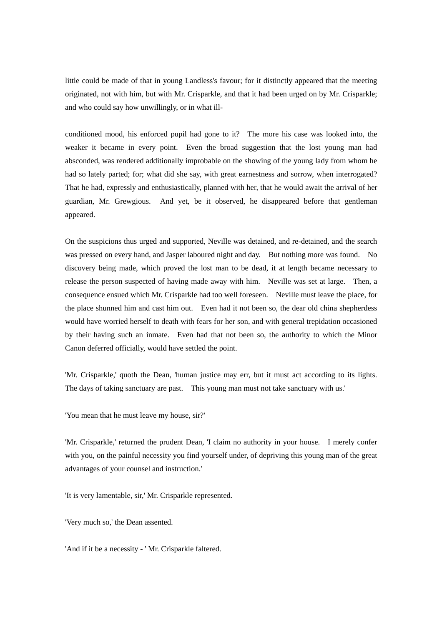little could be made of that in young Landless's favour; for it distinctly appeared that the meeting originated, not with him, but with Mr. Crisparkle, and that it had been urged on by Mr. Crisparkle; and who could say how unwillingly, or in what ill-

conditioned mood, his enforced pupil had gone to it? The more his case was looked into, the weaker it became in every point. Even the broad suggestion that the lost young man had absconded, was rendered additionally improbable on the showing of the young lady from whom he had so lately parted; for; what did she say, with great earnestness and sorrow, when interrogated? That he had, expressly and enthusiastically, planned with her, that he would await the arrival of her guardian, Mr. Grewgious. And yet, be it observed, he disappeared before that gentleman appeared.

On the suspicions thus urged and supported, Neville was detained, and re-detained, and the search was pressed on every hand, and Jasper laboured night and day. But nothing more was found. No discovery being made, which proved the lost man to be dead, it at length became necessary to release the person suspected of having made away with him. Neville was set at large. Then, a consequence ensued which Mr. Crisparkle had too well foreseen. Neville must leave the place, for the place shunned him and cast him out. Even had it not been so, the dear old china shepherdess would have worried herself to death with fears for her son, and with general trepidation occasioned by their having such an inmate. Even had that not been so, the authority to which the Minor Canon deferred officially, would have settled the point.

'Mr. Crisparkle,' quoth the Dean, 'human justice may err, but it must act according to its lights. The days of taking sanctuary are past. This young man must not take sanctuary with us.'

'You mean that he must leave my house, sir?'

'Mr. Crisparkle,' returned the prudent Dean, 'I claim no authority in your house. I merely confer with you, on the painful necessity you find yourself under, of depriving this young man of the great advantages of your counsel and instruction.'

'It is very lamentable, sir,' Mr. Crisparkle represented.

'Very much so,' the Dean assented.

'And if it be a necessity - ' Mr. Crisparkle faltered.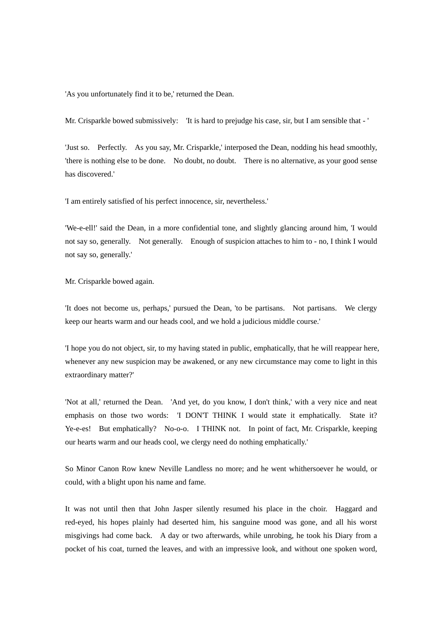'As you unfortunately find it to be,' returned the Dean.

Mr. Crisparkle bowed submissively: 'It is hard to prejudge his case, sir, but I am sensible that - '

'Just so. Perfectly. As you say, Mr. Crisparkle,' interposed the Dean, nodding his head smoothly, 'there is nothing else to be done. No doubt, no doubt. There is no alternative, as your good sense has discovered.'

'I am entirely satisfied of his perfect innocence, sir, nevertheless.'

'We-e-ell!' said the Dean, in a more confidential tone, and slightly glancing around him, 'I would not say so, generally. Not generally. Enough of suspicion attaches to him to - no, I think I would not say so, generally.'

Mr. Crisparkle bowed again.

'It does not become us, perhaps,' pursued the Dean, 'to be partisans. Not partisans. We clergy keep our hearts warm and our heads cool, and we hold a judicious middle course.'

'I hope you do not object, sir, to my having stated in public, emphatically, that he will reappear here, whenever any new suspicion may be awakened, or any new circumstance may come to light in this extraordinary matter?'

'Not at all,' returned the Dean. 'And yet, do you know, I don't think,' with a very nice and neat emphasis on those two words: 'I DON'T THINK I would state it emphatically. State it? Ye-e-es! But emphatically? No-o-o. I THINK not. In point of fact, Mr. Crisparkle, keeping our hearts warm and our heads cool, we clergy need do nothing emphatically.'

So Minor Canon Row knew Neville Landless no more; and he went whithersoever he would, or could, with a blight upon his name and fame.

It was not until then that John Jasper silently resumed his place in the choir. Haggard and red-eyed, his hopes plainly had deserted him, his sanguine mood was gone, and all his worst misgivings had come back. A day or two afterwards, while unrobing, he took his Diary from a pocket of his coat, turned the leaves, and with an impressive look, and without one spoken word,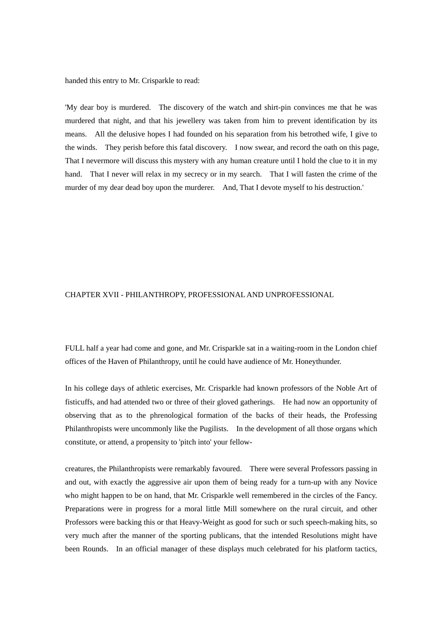handed this entry to Mr. Crisparkle to read:

'My dear boy is murdered. The discovery of the watch and shirt-pin convinces me that he was murdered that night, and that his jewellery was taken from him to prevent identification by its means. All the delusive hopes I had founded on his separation from his betrothed wife, I give to the winds. They perish before this fatal discovery. I now swear, and record the oath on this page, That I nevermore will discuss this mystery with any human creature until I hold the clue to it in my hand. That I never will relax in my secrecy or in my search. That I will fasten the crime of the murder of my dear dead boy upon the murderer. And, That I devote myself to his destruction.'

## CHAPTER XVII - PHILANTHROPY, PROFESSIONAL AND UNPROFESSIONAL

FULL half a year had come and gone, and Mr. Crisparkle sat in a waiting-room in the London chief offices of the Haven of Philanthropy, until he could have audience of Mr. Honeythunder.

In his college days of athletic exercises, Mr. Crisparkle had known professors of the Noble Art of fisticuffs, and had attended two or three of their gloved gatherings. He had now an opportunity of observing that as to the phrenological formation of the backs of their heads, the Professing Philanthropists were uncommonly like the Pugilists. In the development of all those organs which constitute, or attend, a propensity to 'pitch into' your fellow-

creatures, the Philanthropists were remarkably favoured. There were several Professors passing in and out, with exactly the aggressive air upon them of being ready for a turn-up with any Novice who might happen to be on hand, that Mr. Crisparkle well remembered in the circles of the Fancy. Preparations were in progress for a moral little Mill somewhere on the rural circuit, and other Professors were backing this or that Heavy-Weight as good for such or such speech-making hits, so very much after the manner of the sporting publicans, that the intended Resolutions might have been Rounds. In an official manager of these displays much celebrated for his platform tactics,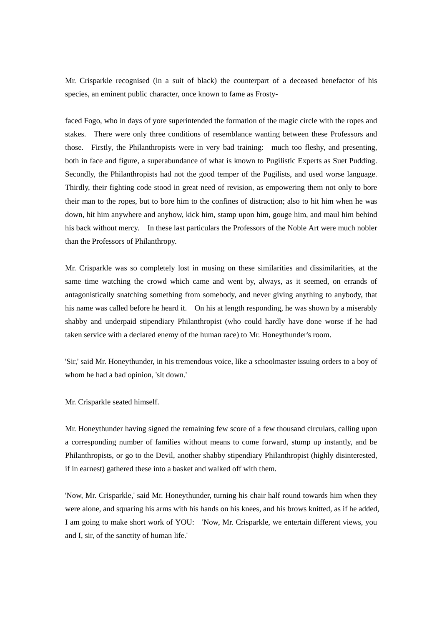Mr. Crisparkle recognised (in a suit of black) the counterpart of a deceased benefactor of his species, an eminent public character, once known to fame as Frosty-

faced Fogo, who in days of yore superintended the formation of the magic circle with the ropes and stakes. There were only three conditions of resemblance wanting between these Professors and those. Firstly, the Philanthropists were in very bad training: much too fleshy, and presenting, both in face and figure, a superabundance of what is known to Pugilistic Experts as Suet Pudding. Secondly, the Philanthropists had not the good temper of the Pugilists, and used worse language. Thirdly, their fighting code stood in great need of revision, as empowering them not only to bore their man to the ropes, but to bore him to the confines of distraction; also to hit him when he was down, hit him anywhere and anyhow, kick him, stamp upon him, gouge him, and maul him behind his back without mercy. In these last particulars the Professors of the Noble Art were much nobler than the Professors of Philanthropy.

Mr. Crisparkle was so completely lost in musing on these similarities and dissimilarities, at the same time watching the crowd which came and went by, always, as it seemed, on errands of antagonistically snatching something from somebody, and never giving anything to anybody, that his name was called before he heard it. On his at length responding, he was shown by a miserably shabby and underpaid stipendiary Philanthropist (who could hardly have done worse if he had taken service with a declared enemy of the human race) to Mr. Honeythunder's room.

'Sir,' said Mr. Honeythunder, in his tremendous voice, like a schoolmaster issuing orders to a boy of whom he had a bad opinion, 'sit down.'

Mr. Crisparkle seated himself.

Mr. Honeythunder having signed the remaining few score of a few thousand circulars, calling upon a corresponding number of families without means to come forward, stump up instantly, and be Philanthropists, or go to the Devil, another shabby stipendiary Philanthropist (highly disinterested, if in earnest) gathered these into a basket and walked off with them.

'Now, Mr. Crisparkle,' said Mr. Honeythunder, turning his chair half round towards him when they were alone, and squaring his arms with his hands on his knees, and his brows knitted, as if he added, I am going to make short work of YOU: 'Now, Mr. Crisparkle, we entertain different views, you and I, sir, of the sanctity of human life.'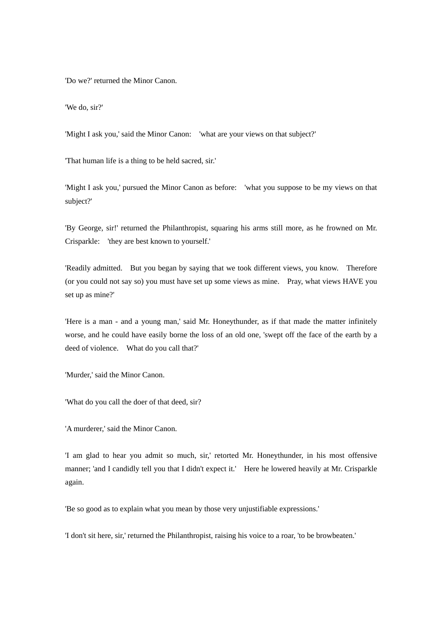'Do we?' returned the Minor Canon.

'We do, sir?'

'Might I ask you,' said the Minor Canon: 'what are your views on that subject?'

'That human life is a thing to be held sacred, sir.'

'Might I ask you,' pursued the Minor Canon as before: 'what you suppose to be my views on that subject?'

'By George, sir!' returned the Philanthropist, squaring his arms still more, as he frowned on Mr. Crisparkle: 'they are best known to yourself.'

'Readily admitted. But you began by saying that we took different views, you know. Therefore (or you could not say so) you must have set up some views as mine. Pray, what views HAVE you set up as mine?'

'Here is a man - and a young man,' said Mr. Honeythunder, as if that made the matter infinitely worse, and he could have easily borne the loss of an old one, 'swept off the face of the earth by a deed of violence. What do you call that?'

'Murder,' said the Minor Canon.

'What do you call the doer of that deed, sir?

'A murderer,' said the Minor Canon.

'I am glad to hear you admit so much, sir,' retorted Mr. Honeythunder, in his most offensive manner; 'and I candidly tell you that I didn't expect it.' Here he lowered heavily at Mr. Crisparkle again.

'Be so good as to explain what you mean by those very unjustifiable expressions.'

'I don't sit here, sir,' returned the Philanthropist, raising his voice to a roar, 'to be browbeaten.'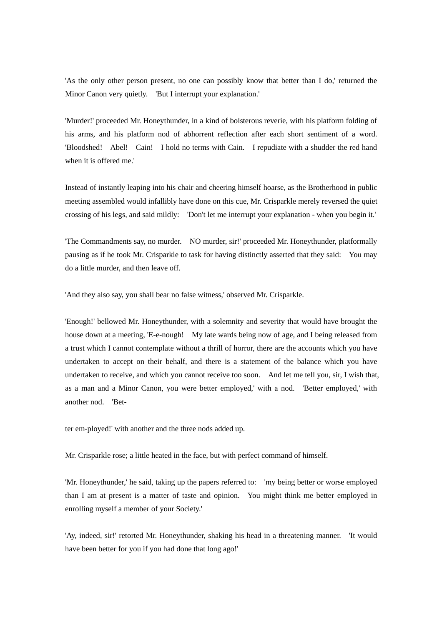'As the only other person present, no one can possibly know that better than I do,' returned the Minor Canon very quietly. 'But I interrupt your explanation.'

'Murder!' proceeded Mr. Honeythunder, in a kind of boisterous reverie, with his platform folding of his arms, and his platform nod of abhorrent reflection after each short sentiment of a word. 'Bloodshed! Abel! Cain! I hold no terms with Cain. I repudiate with a shudder the red hand when it is offered me.'

Instead of instantly leaping into his chair and cheering himself hoarse, as the Brotherhood in public meeting assembled would infallibly have done on this cue, Mr. Crisparkle merely reversed the quiet crossing of his legs, and said mildly: 'Don't let me interrupt your explanation - when you begin it.'

'The Commandments say, no murder. NO murder, sir!' proceeded Mr. Honeythunder, platformally pausing as if he took Mr. Crisparkle to task for having distinctly asserted that they said: You may do a little murder, and then leave off.

'And they also say, you shall bear no false witness,' observed Mr. Crisparkle.

'Enough!' bellowed Mr. Honeythunder, with a solemnity and severity that would have brought the house down at a meeting, 'E-e-nough! My late wards being now of age, and I being released from a trust which I cannot contemplate without a thrill of horror, there are the accounts which you have undertaken to accept on their behalf, and there is a statement of the balance which you have undertaken to receive, and which you cannot receive too soon. And let me tell you, sir, I wish that, as a man and a Minor Canon, you were better employed,' with a nod. 'Better employed,' with another nod. 'Bet-

ter em-ployed!' with another and the three nods added up.

Mr. Crisparkle rose; a little heated in the face, but with perfect command of himself.

'Mr. Honeythunder,' he said, taking up the papers referred to: 'my being better or worse employed than I am at present is a matter of taste and opinion. You might think me better employed in enrolling myself a member of your Society.'

'Ay, indeed, sir!' retorted Mr. Honeythunder, shaking his head in a threatening manner. 'It would have been better for you if you had done that long ago!'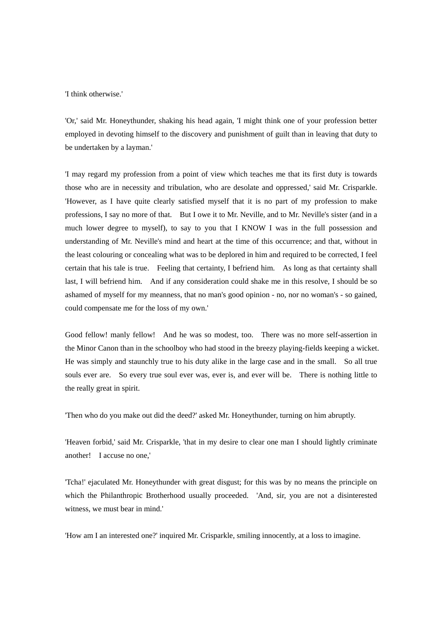'I think otherwise.'

'Or,' said Mr. Honeythunder, shaking his head again, 'I might think one of your profession better employed in devoting himself to the discovery and punishment of guilt than in leaving that duty to be undertaken by a layman.'

'I may regard my profession from a point of view which teaches me that its first duty is towards those who are in necessity and tribulation, who are desolate and oppressed,' said Mr. Crisparkle. 'However, as I have quite clearly satisfied myself that it is no part of my profession to make professions, I say no more of that. But I owe it to Mr. Neville, and to Mr. Neville's sister (and in a much lower degree to myself), to say to you that I KNOW I was in the full possession and understanding of Mr. Neville's mind and heart at the time of this occurrence; and that, without in the least colouring or concealing what was to be deplored in him and required to be corrected, I feel certain that his tale is true. Feeling that certainty, I befriend him. As long as that certainty shall last, I will befriend him. And if any consideration could shake me in this resolve, I should be so ashamed of myself for my meanness, that no man's good opinion - no, nor no woman's - so gained, could compensate me for the loss of my own.'

Good fellow! manly fellow! And he was so modest, too. There was no more self-assertion in the Minor Canon than in the schoolboy who had stood in the breezy playing-fields keeping a wicket. He was simply and staunchly true to his duty alike in the large case and in the small. So all true souls ever are. So every true soul ever was, ever is, and ever will be. There is nothing little to the really great in spirit.

'Then who do you make out did the deed?' asked Mr. Honeythunder, turning on him abruptly.

'Heaven forbid,' said Mr. Crisparkle, 'that in my desire to clear one man I should lightly criminate another! I accuse no one,'

'Tcha!' ejaculated Mr. Honeythunder with great disgust; for this was by no means the principle on which the Philanthropic Brotherhood usually proceeded. 'And, sir, you are not a disinterested witness, we must bear in mind.'

'How am I an interested one?' inquired Mr. Crisparkle, smiling innocently, at a loss to imagine.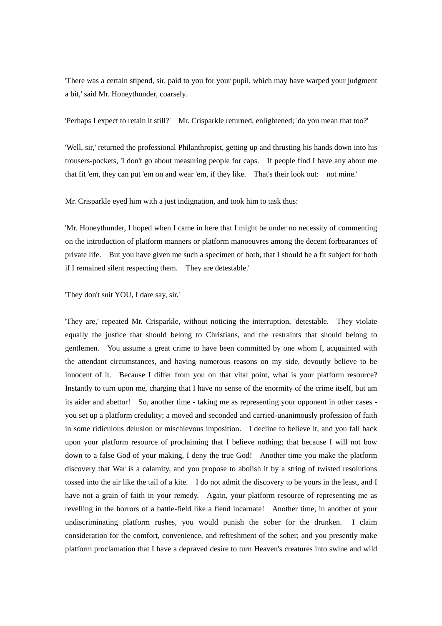'There was a certain stipend, sir, paid to you for your pupil, which may have warped your judgment a bit,' said Mr. Honeythunder, coarsely.

'Perhaps I expect to retain it still?' Mr. Crisparkle returned, enlightened; 'do you mean that too?'

'Well, sir,' returned the professional Philanthropist, getting up and thrusting his hands down into his trousers-pockets, 'I don't go about measuring people for caps. If people find I have any about me that fit 'em, they can put 'em on and wear 'em, if they like. That's their look out: not mine.'

Mr. Crisparkle eyed him with a just indignation, and took him to task thus:

'Mr. Honeythunder, I hoped when I came in here that I might be under no necessity of commenting on the introduction of platform manners or platform manoeuvres among the decent forbearances of private life. But you have given me such a specimen of both, that I should be a fit subject for both if I remained silent respecting them. They are detestable.'

'They don't suit YOU, I dare say, sir.'

'They are,' repeated Mr. Crisparkle, without noticing the interruption, 'detestable. They violate equally the justice that should belong to Christians, and the restraints that should belong to gentlemen. You assume a great crime to have been committed by one whom I, acquainted with the attendant circumstances, and having numerous reasons on my side, devoutly believe to be innocent of it. Because I differ from you on that vital point, what is your platform resource? Instantly to turn upon me, charging that I have no sense of the enormity of the crime itself, but am its aider and abettor! So, another time - taking me as representing your opponent in other cases you set up a platform credulity; a moved and seconded and carried-unanimously profession of faith in some ridiculous delusion or mischievous imposition. I decline to believe it, and you fall back upon your platform resource of proclaiming that I believe nothing; that because I will not bow down to a false God of your making, I deny the true God! Another time you make the platform discovery that War is a calamity, and you propose to abolish it by a string of twisted resolutions tossed into the air like the tail of a kite. I do not admit the discovery to be yours in the least, and I have not a grain of faith in your remedy. Again, your platform resource of representing me as revelling in the horrors of a battle-field like a fiend incarnate! Another time, in another of your undiscriminating platform rushes, you would punish the sober for the drunken. I claim consideration for the comfort, convenience, and refreshment of the sober; and you presently make platform proclamation that I have a depraved desire to turn Heaven's creatures into swine and wild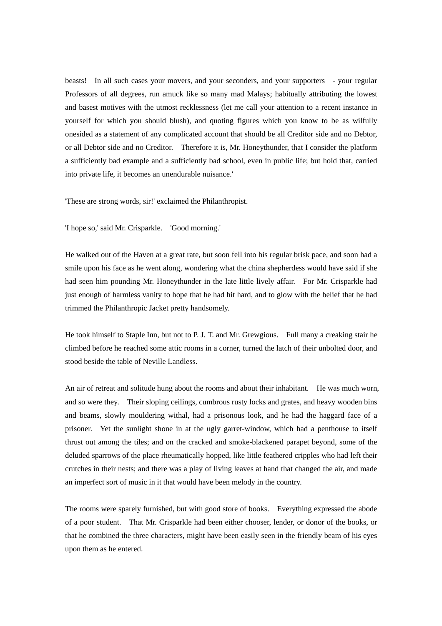beasts! In all such cases your movers, and your seconders, and your supporters - your regular Professors of all degrees, run amuck like so many mad Malays; habitually attributing the lowest and basest motives with the utmost recklessness (let me call your attention to a recent instance in yourself for which you should blush), and quoting figures which you know to be as wilfully onesided as a statement of any complicated account that should be all Creditor side and no Debtor, or all Debtor side and no Creditor. Therefore it is, Mr. Honeythunder, that I consider the platform a sufficiently bad example and a sufficiently bad school, even in public life; but hold that, carried into private life, it becomes an unendurable nuisance.'

'These are strong words, sir!' exclaimed the Philanthropist.

'I hope so,' said Mr. Crisparkle. 'Good morning.'

He walked out of the Haven at a great rate, but soon fell into his regular brisk pace, and soon had a smile upon his face as he went along, wondering what the china shepherdess would have said if she had seen him pounding Mr. Honeythunder in the late little lively affair. For Mr. Crisparkle had just enough of harmless vanity to hope that he had hit hard, and to glow with the belief that he had trimmed the Philanthropic Jacket pretty handsomely.

He took himself to Staple Inn, but not to P. J. T. and Mr. Grewgious. Full many a creaking stair he climbed before he reached some attic rooms in a corner, turned the latch of their unbolted door, and stood beside the table of Neville Landless.

An air of retreat and solitude hung about the rooms and about their inhabitant. He was much worn, and so were they. Their sloping ceilings, cumbrous rusty locks and grates, and heavy wooden bins and beams, slowly mouldering withal, had a prisonous look, and he had the haggard face of a prisoner. Yet the sunlight shone in at the ugly garret-window, which had a penthouse to itself thrust out among the tiles; and on the cracked and smoke-blackened parapet beyond, some of the deluded sparrows of the place rheumatically hopped, like little feathered cripples who had left their crutches in their nests; and there was a play of living leaves at hand that changed the air, and made an imperfect sort of music in it that would have been melody in the country.

The rooms were sparely furnished, but with good store of books. Everything expressed the abode of a poor student. That Mr. Crisparkle had been either chooser, lender, or donor of the books, or that he combined the three characters, might have been easily seen in the friendly beam of his eyes upon them as he entered.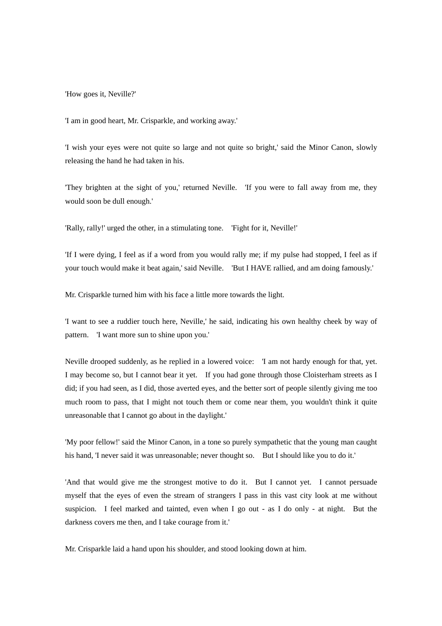'How goes it, Neville?'

'I am in good heart, Mr. Crisparkle, and working away.'

'I wish your eyes were not quite so large and not quite so bright,' said the Minor Canon, slowly releasing the hand he had taken in his.

'They brighten at the sight of you,' returned Neville. 'If you were to fall away from me, they would soon be dull enough.'

'Rally, rally!' urged the other, in a stimulating tone. 'Fight for it, Neville!'

'If I were dying, I feel as if a word from you would rally me; if my pulse had stopped, I feel as if your touch would make it beat again,' said Neville. 'But I HAVE rallied, and am doing famously.'

Mr. Crisparkle turned him with his face a little more towards the light.

'I want to see a ruddier touch here, Neville,' he said, indicating his own healthy cheek by way of pattern. 'I want more sun to shine upon you.'

Neville drooped suddenly, as he replied in a lowered voice: 'I am not hardy enough for that, yet. I may become so, but I cannot bear it yet. If you had gone through those Cloisterham streets as I did; if you had seen, as I did, those averted eyes, and the better sort of people silently giving me too much room to pass, that I might not touch them or come near them, you wouldn't think it quite unreasonable that I cannot go about in the daylight.'

'My poor fellow!' said the Minor Canon, in a tone so purely sympathetic that the young man caught his hand, 'I never said it was unreasonable; never thought so. But I should like you to do it.'

'And that would give me the strongest motive to do it. But I cannot yet. I cannot persuade myself that the eyes of even the stream of strangers I pass in this vast city look at me without suspicion. I feel marked and tainted, even when I go out - as I do only - at night. But the darkness covers me then, and I take courage from it.'

Mr. Crisparkle laid a hand upon his shoulder, and stood looking down at him.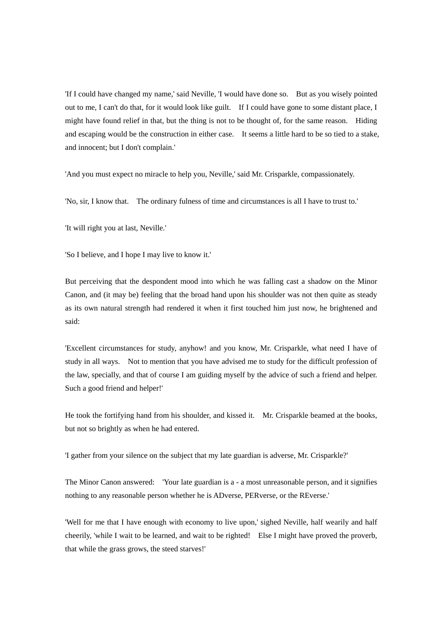'If I could have changed my name,' said Neville, 'I would have done so. But as you wisely pointed out to me, I can't do that, for it would look like guilt. If I could have gone to some distant place, I might have found relief in that, but the thing is not to be thought of, for the same reason. Hiding and escaping would be the construction in either case. It seems a little hard to be so tied to a stake, and innocent; but I don't complain.'

'And you must expect no miracle to help you, Neville,' said Mr. Crisparkle, compassionately.

'No, sir, I know that. The ordinary fulness of time and circumstances is all I have to trust to.'

'It will right you at last, Neville.'

'So I believe, and I hope I may live to know it.'

But perceiving that the despondent mood into which he was falling cast a shadow on the Minor Canon, and (it may be) feeling that the broad hand upon his shoulder was not then quite as steady as its own natural strength had rendered it when it first touched him just now, he brightened and said:

'Excellent circumstances for study, anyhow! and you know, Mr. Crisparkle, what need I have of study in all ways. Not to mention that you have advised me to study for the difficult profession of the law, specially, and that of course I am guiding myself by the advice of such a friend and helper. Such a good friend and helper!'

He took the fortifying hand from his shoulder, and kissed it. Mr. Crisparkle beamed at the books, but not so brightly as when he had entered.

'I gather from your silence on the subject that my late guardian is adverse, Mr. Crisparkle?'

The Minor Canon answered: 'Your late guardian is a - a most unreasonable person, and it signifies nothing to any reasonable person whether he is ADverse, PERverse, or the REverse.'

'Well for me that I have enough with economy to live upon,' sighed Neville, half wearily and half cheerily, 'while I wait to be learned, and wait to be righted! Else I might have proved the proverb, that while the grass grows, the steed starves!'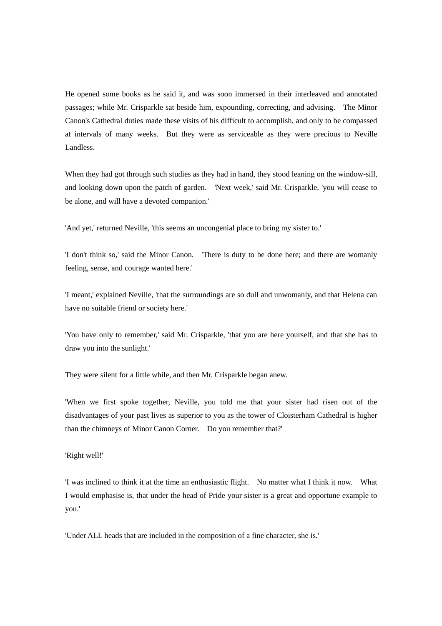He opened some books as he said it, and was soon immersed in their interleaved and annotated passages; while Mr. Crisparkle sat beside him, expounding, correcting, and advising. The Minor Canon's Cathedral duties made these visits of his difficult to accomplish, and only to be compassed at intervals of many weeks. But they were as serviceable as they were precious to Neville Landless.

When they had got through such studies as they had in hand, they stood leaning on the window-sill, and looking down upon the patch of garden. 'Next week,' said Mr. Crisparkle, 'you will cease to be alone, and will have a devoted companion.'

'And yet,' returned Neville, 'this seems an uncongenial place to bring my sister to.'

'I don't think so,' said the Minor Canon. 'There is duty to be done here; and there are womanly feeling, sense, and courage wanted here.'

'I meant,' explained Neville, 'that the surroundings are so dull and unwomanly, and that Helena can have no suitable friend or society here.'

'You have only to remember,' said Mr. Crisparkle, 'that you are here yourself, and that she has to draw you into the sunlight.'

They were silent for a little while, and then Mr. Crisparkle began anew.

'When we first spoke together, Neville, you told me that your sister had risen out of the disadvantages of your past lives as superior to you as the tower of Cloisterham Cathedral is higher than the chimneys of Minor Canon Corner. Do you remember that?'

'Right well!'

'I was inclined to think it at the time an enthusiastic flight. No matter what I think it now. What I would emphasise is, that under the head of Pride your sister is a great and opportune example to you.'

'Under ALL heads that are included in the composition of a fine character, she is.'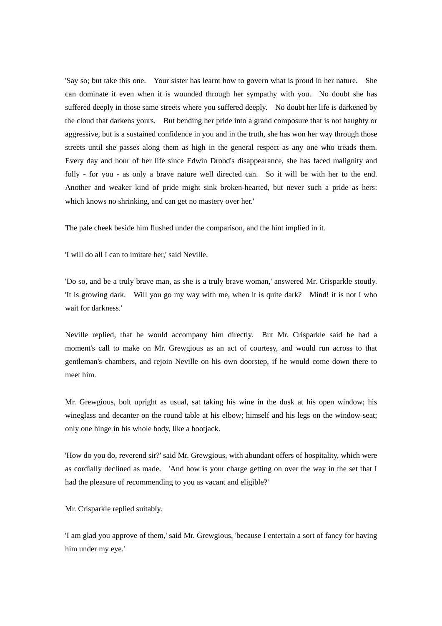'Say so; but take this one. Your sister has learnt how to govern what is proud in her nature. She can dominate it even when it is wounded through her sympathy with you. No doubt she has suffered deeply in those same streets where you suffered deeply. No doubt her life is darkened by the cloud that darkens yours. But bending her pride into a grand composure that is not haughty or aggressive, but is a sustained confidence in you and in the truth, she has won her way through those streets until she passes along them as high in the general respect as any one who treads them. Every day and hour of her life since Edwin Drood's disappearance, she has faced malignity and folly - for you - as only a brave nature well directed can. So it will be with her to the end. Another and weaker kind of pride might sink broken-hearted, but never such a pride as hers: which knows no shrinking, and can get no mastery over her.'

The pale cheek beside him flushed under the comparison, and the hint implied in it.

'I will do all I can to imitate her,' said Neville.

'Do so, and be a truly brave man, as she is a truly brave woman,' answered Mr. Crisparkle stoutly. 'It is growing dark. Will you go my way with me, when it is quite dark? Mind! it is not I who wait for darkness.'

Neville replied, that he would accompany him directly. But Mr. Crisparkle said he had a moment's call to make on Mr. Grewgious as an act of courtesy, and would run across to that gentleman's chambers, and rejoin Neville on his own doorstep, if he would come down there to meet him.

Mr. Grewgious, bolt upright as usual, sat taking his wine in the dusk at his open window; his wineglass and decanter on the round table at his elbow; himself and his legs on the window-seat; only one hinge in his whole body, like a bootjack.

'How do you do, reverend sir?' said Mr. Grewgious, with abundant offers of hospitality, which were as cordially declined as made. 'And how is your charge getting on over the way in the set that I had the pleasure of recommending to you as vacant and eligible?'

Mr. Crisparkle replied suitably.

'I am glad you approve of them,' said Mr. Grewgious, 'because I entertain a sort of fancy for having him under my eye.'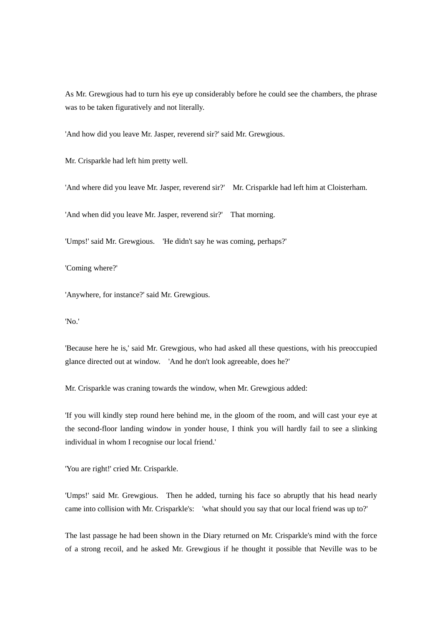As Mr. Grewgious had to turn his eye up considerably before he could see the chambers, the phrase was to be taken figuratively and not literally.

'And how did you leave Mr. Jasper, reverend sir?' said Mr. Grewgious.

Mr. Crisparkle had left him pretty well.

'And where did you leave Mr. Jasper, reverend sir?' Mr. Crisparkle had left him at Cloisterham.

'And when did you leave Mr. Jasper, reverend sir?' That morning.

'Umps!' said Mr. Grewgious. 'He didn't say he was coming, perhaps?'

'Coming where?'

'Anywhere, for instance?' said Mr. Grewgious.

'No.'

'Because here he is,' said Mr. Grewgious, who had asked all these questions, with his preoccupied glance directed out at window. 'And he don't look agreeable, does he?'

Mr. Crisparkle was craning towards the window, when Mr. Grewgious added:

'If you will kindly step round here behind me, in the gloom of the room, and will cast your eye at the second-floor landing window in yonder house, I think you will hardly fail to see a slinking individual in whom I recognise our local friend.'

'You are right!' cried Mr. Crisparkle.

'Umps!' said Mr. Grewgious. Then he added, turning his face so abruptly that his head nearly came into collision with Mr. Crisparkle's: 'what should you say that our local friend was up to?'

The last passage he had been shown in the Diary returned on Mr. Crisparkle's mind with the force of a strong recoil, and he asked Mr. Grewgious if he thought it possible that Neville was to be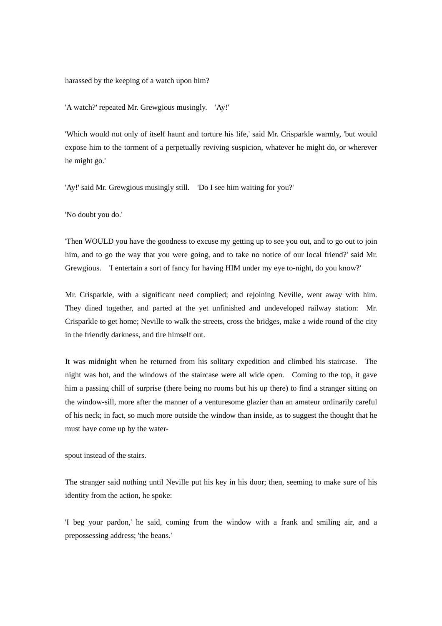harassed by the keeping of a watch upon him?

'A watch?' repeated Mr. Grewgious musingly. 'Ay!'

'Which would not only of itself haunt and torture his life,' said Mr. Crisparkle warmly, 'but would expose him to the torment of a perpetually reviving suspicion, whatever he might do, or wherever he might go.'

'Ay!' said Mr. Grewgious musingly still. 'Do I see him waiting for you?'

'No doubt you do.'

'Then WOULD you have the goodness to excuse my getting up to see you out, and to go out to join him, and to go the way that you were going, and to take no notice of our local friend?' said Mr. Grewgious. 'I entertain a sort of fancy for having HIM under my eye to-night, do you know?'

Mr. Crisparkle, with a significant need complied; and rejoining Neville, went away with him. They dined together, and parted at the yet unfinished and undeveloped railway station: Mr. Crisparkle to get home; Neville to walk the streets, cross the bridges, make a wide round of the city in the friendly darkness, and tire himself out.

It was midnight when he returned from his solitary expedition and climbed his staircase. The night was hot, and the windows of the staircase were all wide open. Coming to the top, it gave him a passing chill of surprise (there being no rooms but his up there) to find a stranger sitting on the window-sill, more after the manner of a venturesome glazier than an amateur ordinarily careful of his neck; in fact, so much more outside the window than inside, as to suggest the thought that he must have come up by the water-

spout instead of the stairs.

The stranger said nothing until Neville put his key in his door; then, seeming to make sure of his identity from the action, he spoke:

'I beg your pardon,' he said, coming from the window with a frank and smiling air, and a prepossessing address; 'the beans.'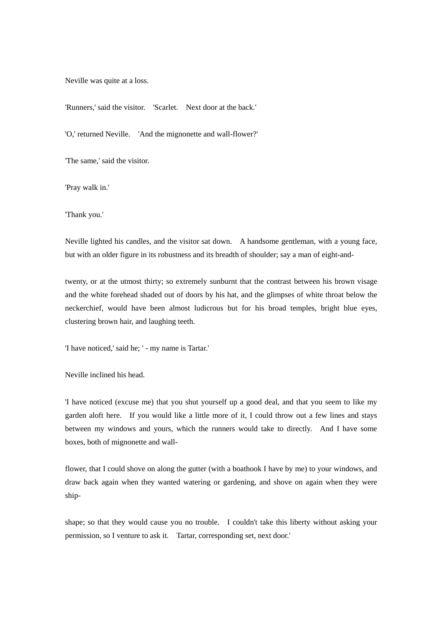Neville was quite at a loss.

'Runners,' said the visitor. 'Scarlet. Next door at the back.'

'O,' returned Neville. 'And the mignonette and wall-flower?'

'The same,' said the visitor.

'Pray walk in.'

'Thank you.'

Neville lighted his candles, and the visitor sat down. A handsome gentleman, with a young face, but with an older figure in its robustness and its breadth of shoulder; say a man of eight-and-

twenty, or at the utmost thirty; so extremely sunburnt that the contrast between his brown visage and the white forehead shaded out of doors by his hat, and the glimpses of white throat below the neckerchief, would have been almost ludicrous but for his broad temples, bright blue eyes, clustering brown hair, and laughing teeth.

'I have noticed,' said he; ' - my name is Tartar.'

Neville inclined his head.

'I have noticed (excuse me) that you shut yourself up a good deal, and that you seem to like my garden aloft here. If you would like a little more of it, I could throw out a few lines and stays between my windows and yours, which the runners would take to directly. And I have some boxes, both of mignonette and wall-

flower, that I could shove on along the gutter (with a boathook I have by me) to your windows, and draw back again when they wanted watering or gardening, and shove on again when they were ship-

shape; so that they would cause you no trouble. I couldn't take this liberty without asking your permission, so I venture to ask it. Tartar, corresponding set, next door.'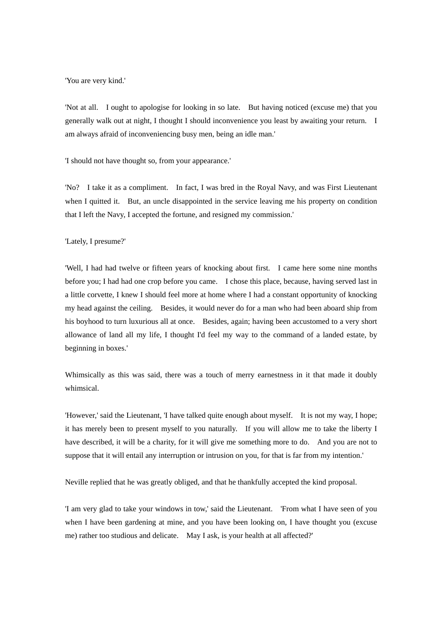'You are very kind.'

'Not at all. I ought to apologise for looking in so late. But having noticed (excuse me) that you generally walk out at night, I thought I should inconvenience you least by awaiting your return. I am always afraid of inconveniencing busy men, being an idle man.'

'I should not have thought so, from your appearance.'

'No? I take it as a compliment. In fact, I was bred in the Royal Navy, and was First Lieutenant when I quitted it. But, an uncle disappointed in the service leaving me his property on condition that I left the Navy, I accepted the fortune, and resigned my commission.'

'Lately, I presume?'

'Well, I had had twelve or fifteen years of knocking about first. I came here some nine months before you; I had had one crop before you came. I chose this place, because, having served last in a little corvette, I knew I should feel more at home where I had a constant opportunity of knocking my head against the ceiling. Besides, it would never do for a man who had been aboard ship from his boyhood to turn luxurious all at once. Besides, again; having been accustomed to a very short allowance of land all my life, I thought I'd feel my way to the command of a landed estate, by beginning in boxes.'

Whimsically as this was said, there was a touch of merry earnestness in it that made it doubly whimsical.

'However,' said the Lieutenant, 'I have talked quite enough about myself. It is not my way, I hope; it has merely been to present myself to you naturally. If you will allow me to take the liberty I have described, it will be a charity, for it will give me something more to do. And you are not to suppose that it will entail any interruption or intrusion on you, for that is far from my intention.'

Neville replied that he was greatly obliged, and that he thankfully accepted the kind proposal.

'I am very glad to take your windows in tow,' said the Lieutenant. 'From what I have seen of you when I have been gardening at mine, and you have been looking on, I have thought you (excuse me) rather too studious and delicate. May I ask, is your health at all affected?'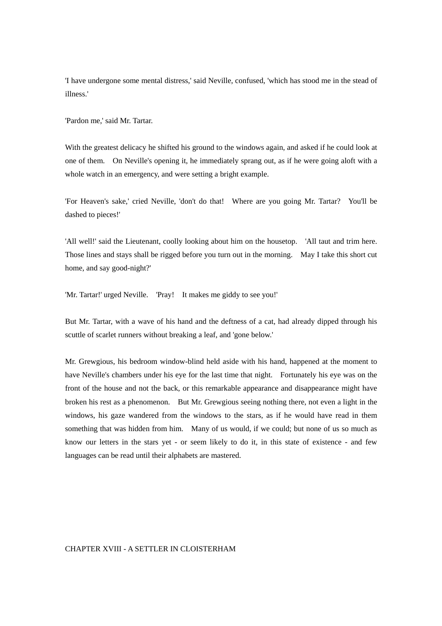'I have undergone some mental distress,' said Neville, confused, 'which has stood me in the stead of illness.'

'Pardon me,' said Mr. Tartar.

With the greatest delicacy he shifted his ground to the windows again, and asked if he could look at one of them. On Neville's opening it, he immediately sprang out, as if he were going aloft with a whole watch in an emergency, and were setting a bright example.

'For Heaven's sake,' cried Neville, 'don't do that! Where are you going Mr. Tartar? You'll be dashed to pieces!'

'All well!' said the Lieutenant, coolly looking about him on the housetop. 'All taut and trim here. Those lines and stays shall be rigged before you turn out in the morning. May I take this short cut home, and say good-night?'

'Mr. Tartar!' urged Neville. 'Pray! It makes me giddy to see you!'

But Mr. Tartar, with a wave of his hand and the deftness of a cat, had already dipped through his scuttle of scarlet runners without breaking a leaf, and 'gone below.'

Mr. Grewgious, his bedroom window-blind held aside with his hand, happened at the moment to have Neville's chambers under his eye for the last time that night. Fortunately his eye was on the front of the house and not the back, or this remarkable appearance and disappearance might have broken his rest as a phenomenon. But Mr. Grewgious seeing nothing there, not even a light in the windows, his gaze wandered from the windows to the stars, as if he would have read in them something that was hidden from him. Many of us would, if we could; but none of us so much as know our letters in the stars yet - or seem likely to do it, in this state of existence - and few languages can be read until their alphabets are mastered.

## CHAPTER XVIII - A SETTLER IN CLOISTERHAM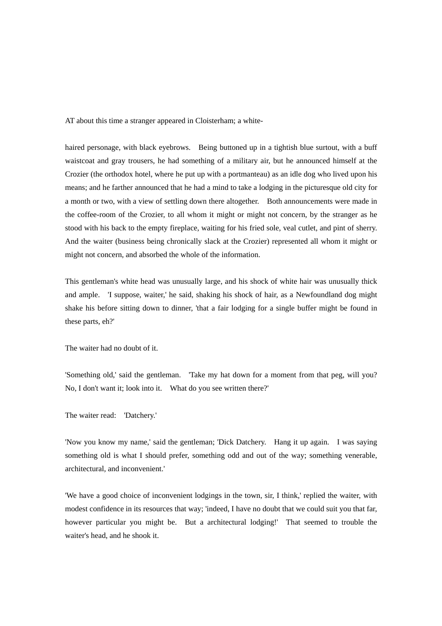AT about this time a stranger appeared in Cloisterham; a white-

haired personage, with black eyebrows. Being buttoned up in a tightish blue surtout, with a buff waistcoat and gray trousers, he had something of a military air, but he announced himself at the Crozier (the orthodox hotel, where he put up with a portmanteau) as an idle dog who lived upon his means; and he farther announced that he had a mind to take a lodging in the picturesque old city for a month or two, with a view of settling down there altogether. Both announcements were made in the coffee-room of the Crozier, to all whom it might or might not concern, by the stranger as he stood with his back to the empty fireplace, waiting for his fried sole, veal cutlet, and pint of sherry. And the waiter (business being chronically slack at the Crozier) represented all whom it might or might not concern, and absorbed the whole of the information.

This gentleman's white head was unusually large, and his shock of white hair was unusually thick and ample. 'I suppose, waiter,' he said, shaking his shock of hair, as a Newfoundland dog might shake his before sitting down to dinner, 'that a fair lodging for a single buffer might be found in these parts, eh?'

The waiter had no doubt of it.

'Something old,' said the gentleman. 'Take my hat down for a moment from that peg, will you? No, I don't want it; look into it. What do you see written there?'

The waiter read: 'Datchery.'

'Now you know my name,' said the gentleman; 'Dick Datchery. Hang it up again. I was saying something old is what I should prefer, something odd and out of the way; something venerable, architectural, and inconvenient.'

'We have a good choice of inconvenient lodgings in the town, sir, I think,' replied the waiter, with modest confidence in its resources that way; 'indeed, I have no doubt that we could suit you that far, however particular you might be. But a architectural lodging!' That seemed to trouble the waiter's head, and he shook it.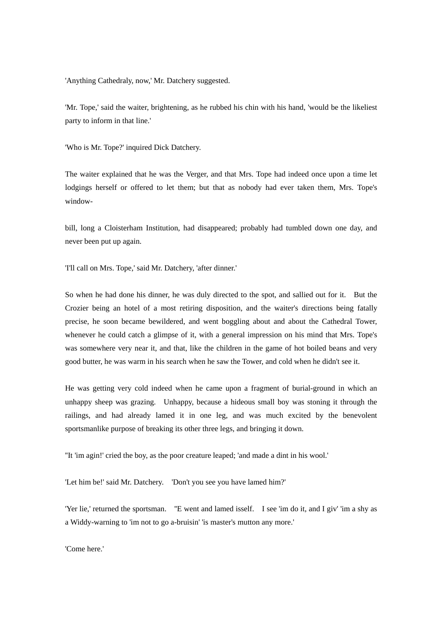'Anything Cathedraly, now,' Mr. Datchery suggested.

'Mr. Tope,' said the waiter, brightening, as he rubbed his chin with his hand, 'would be the likeliest party to inform in that line.'

'Who is Mr. Tope?' inquired Dick Datchery.

The waiter explained that he was the Verger, and that Mrs. Tope had indeed once upon a time let lodgings herself or offered to let them; but that as nobody had ever taken them, Mrs. Tope's window-

bill, long a Cloisterham Institution, had disappeared; probably had tumbled down one day, and never been put up again.

'I'll call on Mrs. Tope,' said Mr. Datchery, 'after dinner.'

So when he had done his dinner, he was duly directed to the spot, and sallied out for it. But the Crozier being an hotel of a most retiring disposition, and the waiter's directions being fatally precise, he soon became bewildered, and went boggling about and about the Cathedral Tower, whenever he could catch a glimpse of it, with a general impression on his mind that Mrs. Tope's was somewhere very near it, and that, like the children in the game of hot boiled beans and very good butter, he was warm in his search when he saw the Tower, and cold when he didn't see it.

He was getting very cold indeed when he came upon a fragment of burial-ground in which an unhappy sheep was grazing. Unhappy, because a hideous small boy was stoning it through the railings, and had already lamed it in one leg, and was much excited by the benevolent sportsmanlike purpose of breaking its other three legs, and bringing it down.

''It 'im agin!' cried the boy, as the poor creature leaped; 'and made a dint in his wool.'

'Let him be!' said Mr. Datchery. 'Don't you see you have lamed him?'

'Yer lie,' returned the sportsman. ''E went and lamed isself. I see 'im do it, and I giv' 'im a shy as a Widdy-warning to 'im not to go a-bruisin' 'is master's mutton any more.'

'Come here.'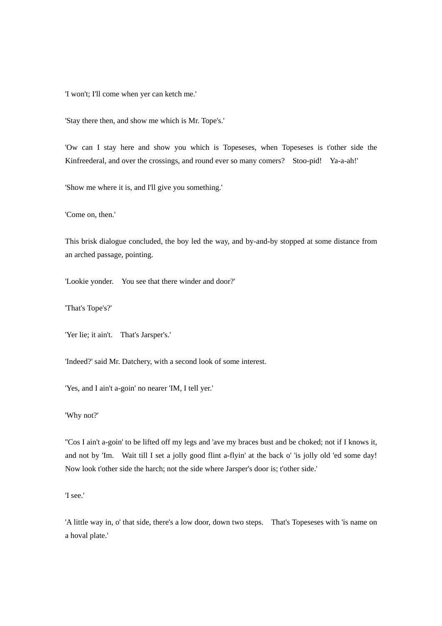'I won't; I'll come when yer can ketch me.'

'Stay there then, and show me which is Mr. Tope's.'

'Ow can I stay here and show you which is Topeseses, when Topeseses is t'other side the Kinfreederal, and over the crossings, and round ever so many comers? Stoo-pid! Ya-a-ah!'

'Show me where it is, and I'll give you something.'

'Come on, then.'

This brisk dialogue concluded, the boy led the way, and by-and-by stopped at some distance from an arched passage, pointing.

'Lookie yonder. You see that there winder and door?'

'That's Tope's?'

'Yer lie; it ain't. That's Jarsper's.'

'Indeed?' said Mr. Datchery, with a second look of some interest.

'Yes, and I ain't a-goin' no nearer 'IM, I tell yer.'

'Why not?'

''Cos I ain't a-goin' to be lifted off my legs and 'ave my braces bust and be choked; not if I knows it, and not by 'Im. Wait till I set a jolly good flint a-flyin' at the back o' 'is jolly old 'ed some day! Now look t'other side the harch; not the side where Jarsper's door is; t'other side.'

'I see.'

'A little way in, o' that side, there's a low door, down two steps. That's Topeseses with 'is name on a hoval plate.'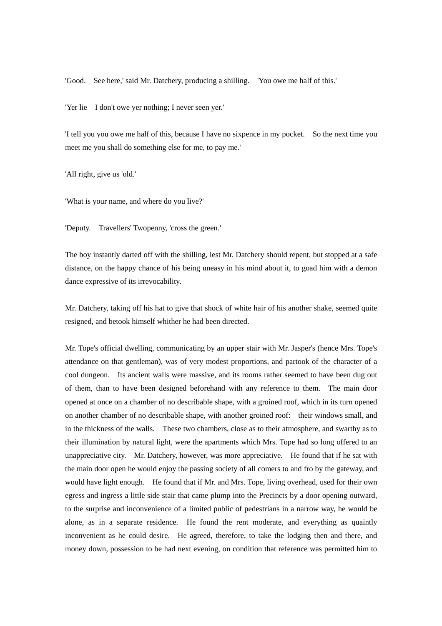'Good. See here,' said Mr. Datchery, producing a shilling. 'You owe me half of this.'

'Yer lie I don't owe yer nothing; I never seen yer.'

'I tell you you owe me half of this, because I have no sixpence in my pocket. So the next time you meet me you shall do something else for me, to pay me.'

'All right, give us 'old.'

'What is your name, and where do you live?'

'Deputy. Travellers' Twopenny, 'cross the green.'

The boy instantly darted off with the shilling, lest Mr. Datchery should repent, but stopped at a safe distance, on the happy chance of his being uneasy in his mind about it, to goad him with a demon dance expressive of its irrevocability.

Mr. Datchery, taking off his hat to give that shock of white hair of his another shake, seemed quite resigned, and betook himself whither he had been directed.

Mr. Tope's official dwelling, communicating by an upper stair with Mr. Jasper's (hence Mrs. Tope's attendance on that gentleman), was of very modest proportions, and partook of the character of a cool dungeon. Its ancient walls were massive, and its rooms rather seemed to have been dug out of them, than to have been designed beforehand with any reference to them. The main door opened at once on a chamber of no describable shape, with a groined roof, which in its turn opened on another chamber of no describable shape, with another groined roof: their windows small, and in the thickness of the walls. These two chambers, close as to their atmosphere, and swarthy as to their illumination by natural light, were the apartments which Mrs. Tope had so long offered to an unappreciative city. Mr. Datchery, however, was more appreciative. He found that if he sat with the main door open he would enjoy the passing society of all comers to and fro by the gateway, and would have light enough. He found that if Mr. and Mrs. Tope, living overhead, used for their own egress and ingress a little side stair that came plump into the Precincts by a door opening outward, to the surprise and inconvenience of a limited public of pedestrians in a narrow way, he would be alone, as in a separate residence. He found the rent moderate, and everything as quaintly inconvenient as he could desire. He agreed, therefore, to take the lodging then and there, and money down, possession to be had next evening, on condition that reference was permitted him to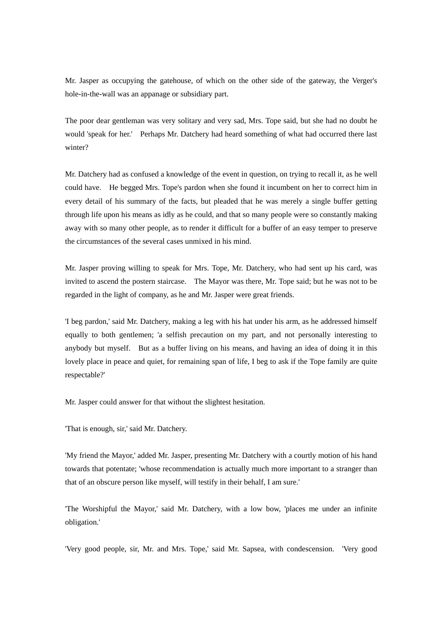Mr. Jasper as occupying the gatehouse, of which on the other side of the gateway, the Verger's hole-in-the-wall was an appanage or subsidiary part.

The poor dear gentleman was very solitary and very sad, Mrs. Tope said, but she had no doubt he would 'speak for her.' Perhaps Mr. Datchery had heard something of what had occurred there last winter?

Mr. Datchery had as confused a knowledge of the event in question, on trying to recall it, as he well could have. He begged Mrs. Tope's pardon when she found it incumbent on her to correct him in every detail of his summary of the facts, but pleaded that he was merely a single buffer getting through life upon his means as idly as he could, and that so many people were so constantly making away with so many other people, as to render it difficult for a buffer of an easy temper to preserve the circumstances of the several cases unmixed in his mind.

Mr. Jasper proving willing to speak for Mrs. Tope, Mr. Datchery, who had sent up his card, was invited to ascend the postern staircase. The Mayor was there, Mr. Tope said; but he was not to be regarded in the light of company, as he and Mr. Jasper were great friends.

'I beg pardon,' said Mr. Datchery, making a leg with his hat under his arm, as he addressed himself equally to both gentlemen; 'a selfish precaution on my part, and not personally interesting to anybody but myself. But as a buffer living on his means, and having an idea of doing it in this lovely place in peace and quiet, for remaining span of life, I beg to ask if the Tope family are quite respectable?'

Mr. Jasper could answer for that without the slightest hesitation.

'That is enough, sir,' said Mr. Datchery.

'My friend the Mayor,' added Mr. Jasper, presenting Mr. Datchery with a courtly motion of his hand towards that potentate; 'whose recommendation is actually much more important to a stranger than that of an obscure person like myself, will testify in their behalf, I am sure.'

'The Worshipful the Mayor,' said Mr. Datchery, with a low bow, 'places me under an infinite obligation.'

'Very good people, sir, Mr. and Mrs. Tope,' said Mr. Sapsea, with condescension. 'Very good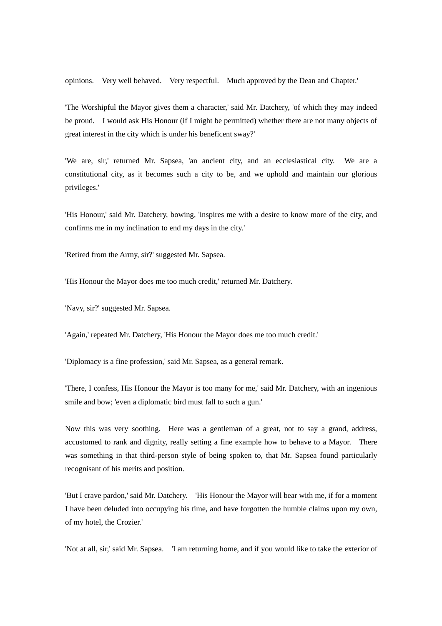opinions. Very well behaved. Very respectful. Much approved by the Dean and Chapter.'

'The Worshipful the Mayor gives them a character,' said Mr. Datchery, 'of which they may indeed be proud. I would ask His Honour (if I might be permitted) whether there are not many objects of great interest in the city which is under his beneficent sway?'

'We are, sir,' returned Mr. Sapsea, 'an ancient city, and an ecclesiastical city. We are a constitutional city, as it becomes such a city to be, and we uphold and maintain our glorious privileges.'

'His Honour,' said Mr. Datchery, bowing, 'inspires me with a desire to know more of the city, and confirms me in my inclination to end my days in the city.'

'Retired from the Army, sir?' suggested Mr. Sapsea.

'His Honour the Mayor does me too much credit,' returned Mr. Datchery.

'Navy, sir?' suggested Mr. Sapsea.

'Again,' repeated Mr. Datchery, 'His Honour the Mayor does me too much credit.'

'Diplomacy is a fine profession,' said Mr. Sapsea, as a general remark.

'There, I confess, His Honour the Mayor is too many for me,' said Mr. Datchery, with an ingenious smile and bow; 'even a diplomatic bird must fall to such a gun.'

Now this was very soothing. Here was a gentleman of a great, not to say a grand, address, accustomed to rank and dignity, really setting a fine example how to behave to a Mayor. There was something in that third-person style of being spoken to, that Mr. Sapsea found particularly recognisant of his merits and position.

'But I crave pardon,' said Mr. Datchery. 'His Honour the Mayor will bear with me, if for a moment I have been deluded into occupying his time, and have forgotten the humble claims upon my own, of my hotel, the Crozier.'

'Not at all, sir,' said Mr. Sapsea. 'I am returning home, and if you would like to take the exterior of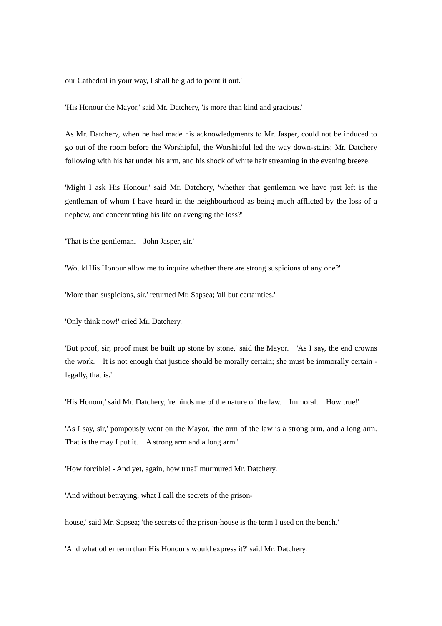our Cathedral in your way, I shall be glad to point it out.'

'His Honour the Mayor,' said Mr. Datchery, 'is more than kind and gracious.'

As Mr. Datchery, when he had made his acknowledgments to Mr. Jasper, could not be induced to go out of the room before the Worshipful, the Worshipful led the way down-stairs; Mr. Datchery following with his hat under his arm, and his shock of white hair streaming in the evening breeze.

'Might I ask His Honour,' said Mr. Datchery, 'whether that gentleman we have just left is the gentleman of whom I have heard in the neighbourhood as being much afflicted by the loss of a nephew, and concentrating his life on avenging the loss?'

'That is the gentleman. John Jasper, sir.'

'Would His Honour allow me to inquire whether there are strong suspicions of any one?'

'More than suspicions, sir,' returned Mr. Sapsea; 'all but certainties.'

'Only think now!' cried Mr. Datchery.

'But proof, sir, proof must be built up stone by stone,' said the Mayor. 'As I say, the end crowns the work. It is not enough that justice should be morally certain; she must be immorally certain legally, that is.'

'His Honour,' said Mr. Datchery, 'reminds me of the nature of the law. Immoral. How true!'

'As I say, sir,' pompously went on the Mayor, 'the arm of the law is a strong arm, and a long arm. That is the may I put it. A strong arm and a long arm.'

'How forcible! - And yet, again, how true!' murmured Mr. Datchery.

'And without betraying, what I call the secrets of the prison-

house,' said Mr. Sapsea; 'the secrets of the prison-house is the term I used on the bench.'

'And what other term than His Honour's would express it?' said Mr. Datchery.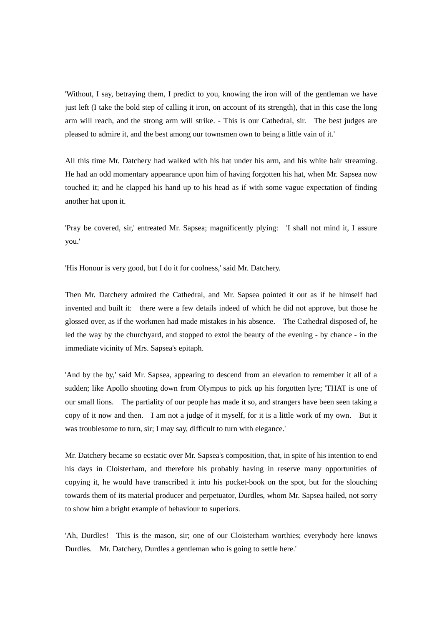'Without, I say, betraying them, I predict to you, knowing the iron will of the gentleman we have just left (I take the bold step of calling it iron, on account of its strength), that in this case the long arm will reach, and the strong arm will strike. - This is our Cathedral, sir. The best judges are pleased to admire it, and the best among our townsmen own to being a little vain of it.'

All this time Mr. Datchery had walked with his hat under his arm, and his white hair streaming. He had an odd momentary appearance upon him of having forgotten his hat, when Mr. Sapsea now touched it; and he clapped his hand up to his head as if with some vague expectation of finding another hat upon it.

'Pray be covered, sir,' entreated Mr. Sapsea; magnificently plying: 'I shall not mind it, I assure you.'

'His Honour is very good, but I do it for coolness,' said Mr. Datchery.

Then Mr. Datchery admired the Cathedral, and Mr. Sapsea pointed it out as if he himself had invented and built it: there were a few details indeed of which he did not approve, but those he glossed over, as if the workmen had made mistakes in his absence. The Cathedral disposed of, he led the way by the churchyard, and stopped to extol the beauty of the evening - by chance - in the immediate vicinity of Mrs. Sapsea's epitaph.

'And by the by,' said Mr. Sapsea, appearing to descend from an elevation to remember it all of a sudden; like Apollo shooting down from Olympus to pick up his forgotten lyre; 'THAT is one of our small lions. The partiality of our people has made it so, and strangers have been seen taking a copy of it now and then. I am not a judge of it myself, for it is a little work of my own. But it was troublesome to turn, sir; I may say, difficult to turn with elegance.'

Mr. Datchery became so ecstatic over Mr. Sapsea's composition, that, in spite of his intention to end his days in Cloisterham, and therefore his probably having in reserve many opportunities of copying it, he would have transcribed it into his pocket-book on the spot, but for the slouching towards them of its material producer and perpetuator, Durdles, whom Mr. Sapsea hailed, not sorry to show him a bright example of behaviour to superiors.

'Ah, Durdles! This is the mason, sir; one of our Cloisterham worthies; everybody here knows Durdles. Mr. Datchery, Durdles a gentleman who is going to settle here.'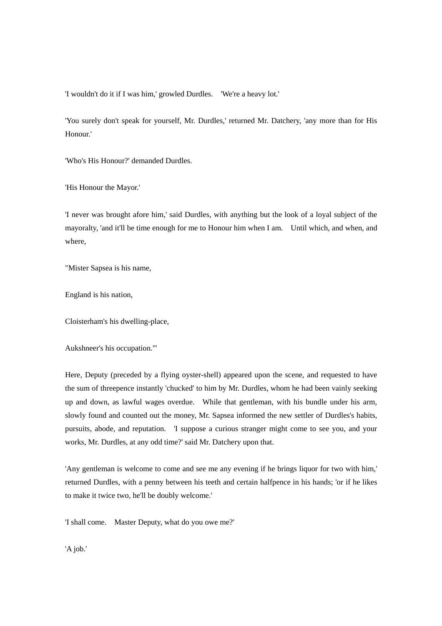'I wouldn't do it if I was him,' growled Durdles. 'We're a heavy lot.'

'You surely don't speak for yourself, Mr. Durdles,' returned Mr. Datchery, 'any more than for His Honour.'

'Who's His Honour?' demanded Durdles.

'His Honour the Mayor.'

'I never was brought afore him,' said Durdles, with anything but the look of a loyal subject of the mayoralty, 'and it'll be time enough for me to Honour him when I am. Until which, and when, and where,

"Mister Sapsea is his name,

England is his nation,

Cloisterham's his dwelling-place,

Aukshneer's his occupation."'

Here, Deputy (preceded by a flying oyster-shell) appeared upon the scene, and requested to have the sum of threepence instantly 'chucked' to him by Mr. Durdles, whom he had been vainly seeking up and down, as lawful wages overdue. While that gentleman, with his bundle under his arm, slowly found and counted out the money, Mr. Sapsea informed the new settler of Durdles's habits, pursuits, abode, and reputation. 'I suppose a curious stranger might come to see you, and your works, Mr. Durdles, at any odd time?' said Mr. Datchery upon that.

'Any gentleman is welcome to come and see me any evening if he brings liquor for two with him,' returned Durdles, with a penny between his teeth and certain halfpence in his hands; 'or if he likes to make it twice two, he'll be doubly welcome.'

'I shall come. Master Deputy, what do you owe me?'

'A job.'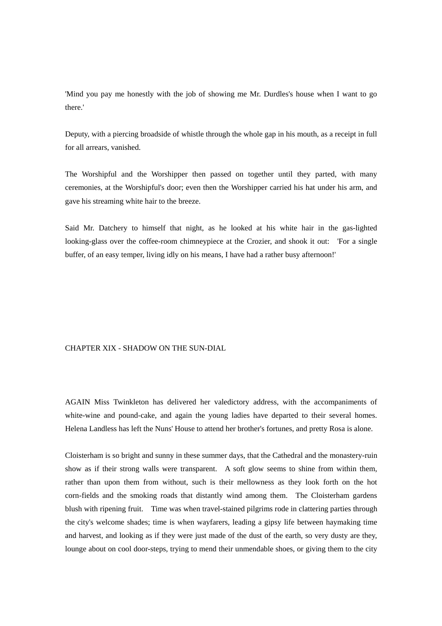'Mind you pay me honestly with the job of showing me Mr. Durdles's house when I want to go there.'

Deputy, with a piercing broadside of whistle through the whole gap in his mouth, as a receipt in full for all arrears, vanished.

The Worshipful and the Worshipper then passed on together until they parted, with many ceremonies, at the Worshipful's door; even then the Worshipper carried his hat under his arm, and gave his streaming white hair to the breeze.

Said Mr. Datchery to himself that night, as he looked at his white hair in the gas-lighted looking-glass over the coffee-room chimneypiece at the Crozier, and shook it out: 'For a single buffer, of an easy temper, living idly on his means, I have had a rather busy afternoon!'

## CHAPTER XIX - SHADOW ON THE SUN-DIAL

AGAIN Miss Twinkleton has delivered her valedictory address, with the accompaniments of white-wine and pound-cake, and again the young ladies have departed to their several homes. Helena Landless has left the Nuns' House to attend her brother's fortunes, and pretty Rosa is alone.

Cloisterham is so bright and sunny in these summer days, that the Cathedral and the monastery-ruin show as if their strong walls were transparent. A soft glow seems to shine from within them, rather than upon them from without, such is their mellowness as they look forth on the hot corn-fields and the smoking roads that distantly wind among them. The Cloisterham gardens blush with ripening fruit. Time was when travel-stained pilgrims rode in clattering parties through the city's welcome shades; time is when wayfarers, leading a gipsy life between haymaking time and harvest, and looking as if they were just made of the dust of the earth, so very dusty are they, lounge about on cool door-steps, trying to mend their unmendable shoes, or giving them to the city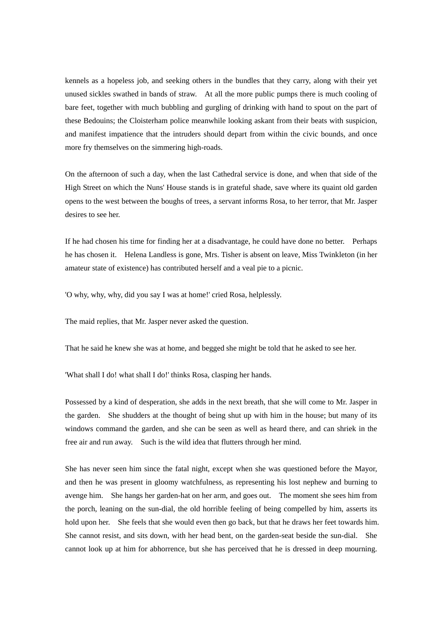kennels as a hopeless job, and seeking others in the bundles that they carry, along with their yet unused sickles swathed in bands of straw. At all the more public pumps there is much cooling of bare feet, together with much bubbling and gurgling of drinking with hand to spout on the part of these Bedouins; the Cloisterham police meanwhile looking askant from their beats with suspicion, and manifest impatience that the intruders should depart from within the civic bounds, and once more fry themselves on the simmering high-roads.

On the afternoon of such a day, when the last Cathedral service is done, and when that side of the High Street on which the Nuns' House stands is in grateful shade, save where its quaint old garden opens to the west between the boughs of trees, a servant informs Rosa, to her terror, that Mr. Jasper desires to see her.

If he had chosen his time for finding her at a disadvantage, he could have done no better. Perhaps he has chosen it. Helena Landless is gone, Mrs. Tisher is absent on leave, Miss Twinkleton (in her amateur state of existence) has contributed herself and a veal pie to a picnic.

'O why, why, why, did you say I was at home!' cried Rosa, helplessly.

The maid replies, that Mr. Jasper never asked the question.

That he said he knew she was at home, and begged she might be told that he asked to see her.

'What shall I do! what shall I do!' thinks Rosa, clasping her hands.

Possessed by a kind of desperation, she adds in the next breath, that she will come to Mr. Jasper in the garden. She shudders at the thought of being shut up with him in the house; but many of its windows command the garden, and she can be seen as well as heard there, and can shriek in the free air and run away. Such is the wild idea that flutters through her mind.

She has never seen him since the fatal night, except when she was questioned before the Mayor, and then he was present in gloomy watchfulness, as representing his lost nephew and burning to avenge him. She hangs her garden-hat on her arm, and goes out. The moment she sees him from the porch, leaning on the sun-dial, the old horrible feeling of being compelled by him, asserts its hold upon her. She feels that she would even then go back, but that he draws her feet towards him. She cannot resist, and sits down, with her head bent, on the garden-seat beside the sun-dial. She cannot look up at him for abhorrence, but she has perceived that he is dressed in deep mourning.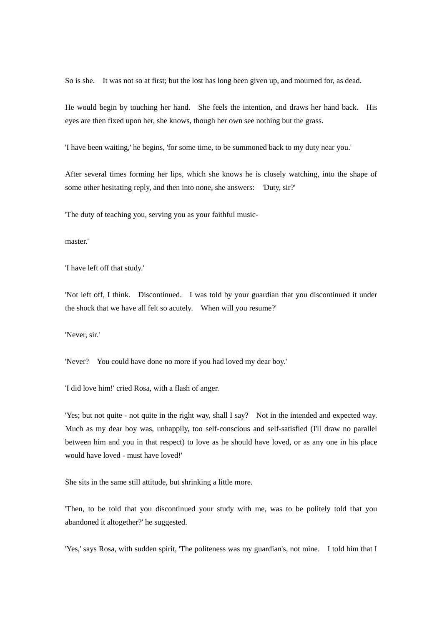So is she. It was not so at first; but the lost has long been given up, and mourned for, as dead.

He would begin by touching her hand. She feels the intention, and draws her hand back. His eyes are then fixed upon her, she knows, though her own see nothing but the grass.

'I have been waiting,' he begins, 'for some time, to be summoned back to my duty near you.'

After several times forming her lips, which she knows he is closely watching, into the shape of some other hesitating reply, and then into none, she answers: 'Duty, sir?'

'The duty of teaching you, serving you as your faithful music-

master.'

'I have left off that study.'

'Not left off, I think. Discontinued. I was told by your guardian that you discontinued it under the shock that we have all felt so acutely. When will you resume?'

'Never, sir.'

'Never? You could have done no more if you had loved my dear boy.'

'I did love him!' cried Rosa, with a flash of anger.

'Yes; but not quite - not quite in the right way, shall I say? Not in the intended and expected way. Much as my dear boy was, unhappily, too self-conscious and self-satisfied (I'll draw no parallel between him and you in that respect) to love as he should have loved, or as any one in his place would have loved - must have loved!'

She sits in the same still attitude, but shrinking a little more.

'Then, to be told that you discontinued your study with me, was to be politely told that you abandoned it altogether?' he suggested.

'Yes,' says Rosa, with sudden spirit, 'The politeness was my guardian's, not mine. I told him that I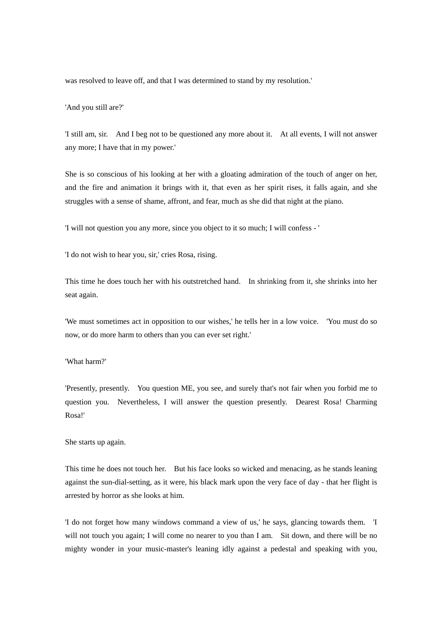was resolved to leave off, and that I was determined to stand by my resolution.'

'And you still are?'

'I still am, sir. And I beg not to be questioned any more about it. At all events, I will not answer any more; I have that in my power.'

She is so conscious of his looking at her with a gloating admiration of the touch of anger on her, and the fire and animation it brings with it, that even as her spirit rises, it falls again, and she struggles with a sense of shame, affront, and fear, much as she did that night at the piano.

'I will not question you any more, since you object to it so much; I will confess - '

'I do not wish to hear you, sir,' cries Rosa, rising.

This time he does touch her with his outstretched hand. In shrinking from it, she shrinks into her seat again.

'We must sometimes act in opposition to our wishes,' he tells her in a low voice. 'You must do so now, or do more harm to others than you can ever set right.'

'What harm?'

'Presently, presently. You question ME, you see, and surely that's not fair when you forbid me to question you. Nevertheless, I will answer the question presently. Dearest Rosa! Charming Rosa!'

## She starts up again.

This time he does not touch her. But his face looks so wicked and menacing, as he stands leaning against the sun-dial-setting, as it were, his black mark upon the very face of day - that her flight is arrested by horror as she looks at him.

'I do not forget how many windows command a view of us,' he says, glancing towards them. 'I will not touch you again; I will come no nearer to you than I am. Sit down, and there will be no mighty wonder in your music-master's leaning idly against a pedestal and speaking with you,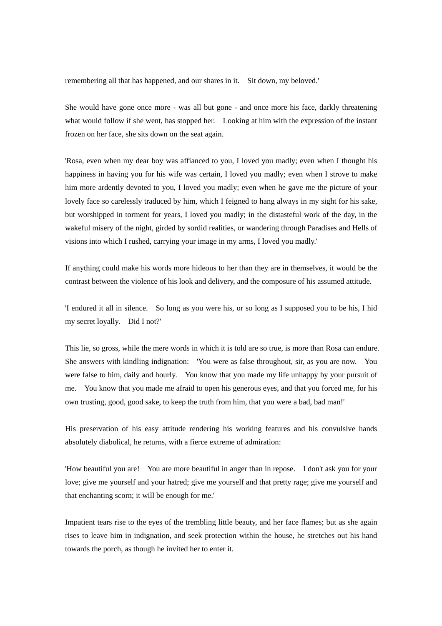remembering all that has happened, and our shares in it. Sit down, my beloved.'

She would have gone once more - was all but gone - and once more his face, darkly threatening what would follow if she went, has stopped her. Looking at him with the expression of the instant frozen on her face, she sits down on the seat again.

'Rosa, even when my dear boy was affianced to you, I loved you madly; even when I thought his happiness in having you for his wife was certain, I loved you madly; even when I strove to make him more ardently devoted to you, I loved you madly; even when he gave me the picture of your lovely face so carelessly traduced by him, which I feigned to hang always in my sight for his sake, but worshipped in torment for years, I loved you madly; in the distasteful work of the day, in the wakeful misery of the night, girded by sordid realities, or wandering through Paradises and Hells of visions into which I rushed, carrying your image in my arms, I loved you madly.'

If anything could make his words more hideous to her than they are in themselves, it would be the contrast between the violence of his look and delivery, and the composure of his assumed attitude.

'I endured it all in silence. So long as you were his, or so long as I supposed you to be his, I hid my secret loyally. Did I not?'

This lie, so gross, while the mere words in which it is told are so true, is more than Rosa can endure. She answers with kindling indignation: 'You were as false throughout, sir, as you are now. You were false to him, daily and hourly. You know that you made my life unhappy by your pursuit of me. You know that you made me afraid to open his generous eyes, and that you forced me, for his own trusting, good, good sake, to keep the truth from him, that you were a bad, bad man!'

His preservation of his easy attitude rendering his working features and his convulsive hands absolutely diabolical, he returns, with a fierce extreme of admiration:

'How beautiful you are! You are more beautiful in anger than in repose. I don't ask you for your love; give me yourself and your hatred; give me yourself and that pretty rage; give me yourself and that enchanting scorn; it will be enough for me.'

Impatient tears rise to the eyes of the trembling little beauty, and her face flames; but as she again rises to leave him in indignation, and seek protection within the house, he stretches out his hand towards the porch, as though he invited her to enter it.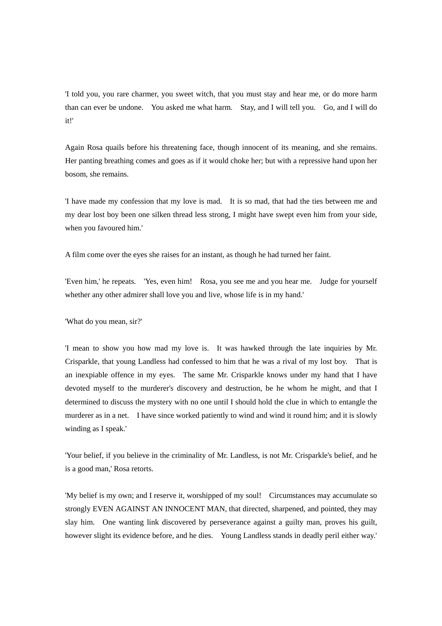'I told you, you rare charmer, you sweet witch, that you must stay and hear me, or do more harm than can ever be undone. You asked me what harm. Stay, and I will tell you. Go, and I will do it!'

Again Rosa quails before his threatening face, though innocent of its meaning, and she remains. Her panting breathing comes and goes as if it would choke her; but with a repressive hand upon her bosom, she remains.

'I have made my confession that my love is mad. It is so mad, that had the ties between me and my dear lost boy been one silken thread less strong, I might have swept even him from your side, when you favoured him.'

A film come over the eyes she raises for an instant, as though he had turned her faint.

'Even him,' he repeats. 'Yes, even him! Rosa, you see me and you hear me. Judge for yourself whether any other admirer shall love you and live, whose life is in my hand.'

'What do you mean, sir?'

'I mean to show you how mad my love is. It was hawked through the late inquiries by Mr. Crisparkle, that young Landless had confessed to him that he was a rival of my lost boy. That is an inexpiable offence in my eyes. The same Mr. Crisparkle knows under my hand that I have devoted myself to the murderer's discovery and destruction, be he whom he might, and that I determined to discuss the mystery with no one until I should hold the clue in which to entangle the murderer as in a net. I have since worked patiently to wind and wind it round him; and it is slowly winding as I speak.'

'Your belief, if you believe in the criminality of Mr. Landless, is not Mr. Crisparkle's belief, and he is a good man,' Rosa retorts.

'My belief is my own; and I reserve it, worshipped of my soul! Circumstances may accumulate so strongly EVEN AGAINST AN INNOCENT MAN, that directed, sharpened, and pointed, they may slay him. One wanting link discovered by perseverance against a guilty man, proves his guilt, however slight its evidence before, and he dies. Young Landless stands in deadly peril either way.'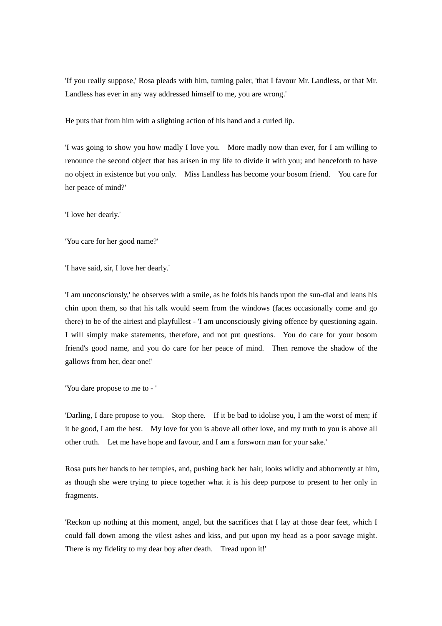'If you really suppose,' Rosa pleads with him, turning paler, 'that I favour Mr. Landless, or that Mr. Landless has ever in any way addressed himself to me, you are wrong.'

He puts that from him with a slighting action of his hand and a curled lip.

'I was going to show you how madly I love you. More madly now than ever, for I am willing to renounce the second object that has arisen in my life to divide it with you; and henceforth to have no object in existence but you only. Miss Landless has become your bosom friend. You care for her peace of mind?'

'I love her dearly.'

'You care for her good name?'

'I have said, sir, I love her dearly.'

'I am unconsciously,' he observes with a smile, as he folds his hands upon the sun-dial and leans his chin upon them, so that his talk would seem from the windows (faces occasionally come and go there) to be of the airiest and playfullest - 'I am unconsciously giving offence by questioning again. I will simply make statements, therefore, and not put questions. You do care for your bosom friend's good name, and you do care for her peace of mind. Then remove the shadow of the gallows from her, dear one!'

'You dare propose to me to - '

'Darling, I dare propose to you. Stop there. If it be bad to idolise you, I am the worst of men; if it be good, I am the best. My love for you is above all other love, and my truth to you is above all other truth. Let me have hope and favour, and I am a forsworn man for your sake.'

Rosa puts her hands to her temples, and, pushing back her hair, looks wildly and abhorrently at him, as though she were trying to piece together what it is his deep purpose to present to her only in fragments.

'Reckon up nothing at this moment, angel, but the sacrifices that I lay at those dear feet, which I could fall down among the vilest ashes and kiss, and put upon my head as a poor savage might. There is my fidelity to my dear boy after death. Tread upon it!'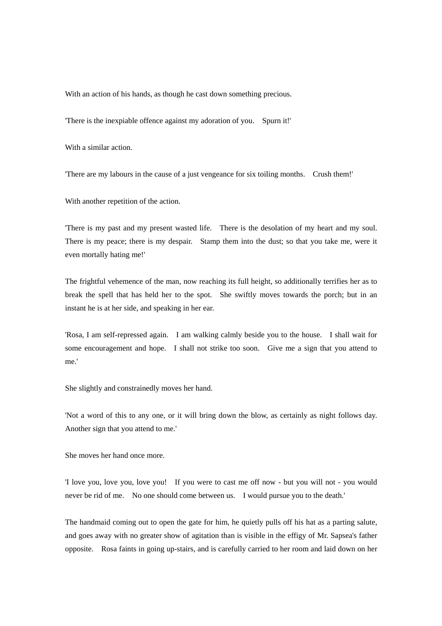With an action of his hands, as though he cast down something precious.

'There is the inexpiable offence against my adoration of you. Spurn it!'

With a similar action.

'There are my labours in the cause of a just vengeance for six toiling months. Crush them!'

With another repetition of the action.

'There is my past and my present wasted life. There is the desolation of my heart and my soul. There is my peace; there is my despair. Stamp them into the dust; so that you take me, were it even mortally hating me!'

The frightful vehemence of the man, now reaching its full height, so additionally terrifies her as to break the spell that has held her to the spot. She swiftly moves towards the porch; but in an instant he is at her side, and speaking in her ear.

'Rosa, I am self-repressed again. I am walking calmly beside you to the house. I shall wait for some encouragement and hope. I shall not strike too soon. Give me a sign that you attend to me.'

She slightly and constrainedly moves her hand.

'Not a word of this to any one, or it will bring down the blow, as certainly as night follows day. Another sign that you attend to me.'

She moves her hand once more.

'I love you, love you, love you! If you were to cast me off now - but you will not - you would never be rid of me. No one should come between us. I would pursue you to the death.'

The handmaid coming out to open the gate for him, he quietly pulls off his hat as a parting salute, and goes away with no greater show of agitation than is visible in the effigy of Mr. Sapsea's father opposite. Rosa faints in going up-stairs, and is carefully carried to her room and laid down on her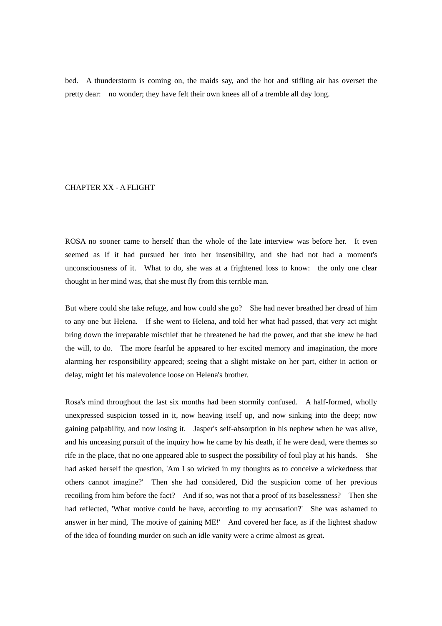bed. A thunderstorm is coming on, the maids say, and the hot and stifling air has overset the pretty dear: no wonder; they have felt their own knees all of a tremble all day long.

## CHAPTER XX - A FLIGHT

ROSA no sooner came to herself than the whole of the late interview was before her. It even seemed as if it had pursued her into her insensibility, and she had not had a moment's unconsciousness of it. What to do, she was at a frightened loss to know: the only one clear thought in her mind was, that she must fly from this terrible man.

But where could she take refuge, and how could she go? She had never breathed her dread of him to any one but Helena. If she went to Helena, and told her what had passed, that very act might bring down the irreparable mischief that he threatened he had the power, and that she knew he had the will, to do. The more fearful he appeared to her excited memory and imagination, the more alarming her responsibility appeared; seeing that a slight mistake on her part, either in action or delay, might let his malevolence loose on Helena's brother.

Rosa's mind throughout the last six months had been stormily confused. A half-formed, wholly unexpressed suspicion tossed in it, now heaving itself up, and now sinking into the deep; now gaining palpability, and now losing it. Jasper's self-absorption in his nephew when he was alive, and his unceasing pursuit of the inquiry how he came by his death, if he were dead, were themes so rife in the place, that no one appeared able to suspect the possibility of foul play at his hands. She had asked herself the question, 'Am I so wicked in my thoughts as to conceive a wickedness that others cannot imagine?' Then she had considered, Did the suspicion come of her previous recoiling from him before the fact? And if so, was not that a proof of its baselessness? Then she had reflected, 'What motive could he have, according to my accusation?' She was ashamed to answer in her mind, 'The motive of gaining ME!' And covered her face, as if the lightest shadow of the idea of founding murder on such an idle vanity were a crime almost as great.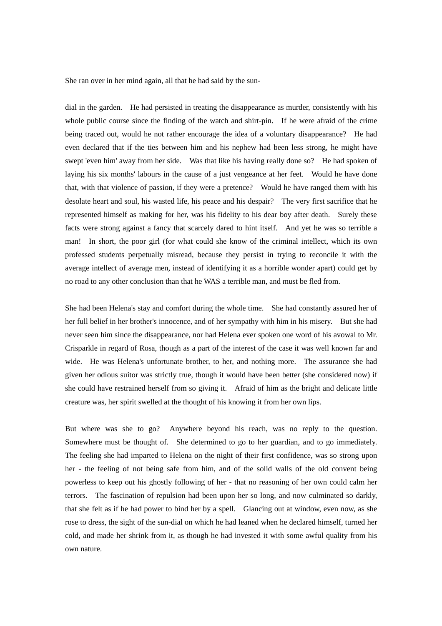She ran over in her mind again, all that he had said by the sun-

dial in the garden. He had persisted in treating the disappearance as murder, consistently with his whole public course since the finding of the watch and shirt-pin. If he were afraid of the crime being traced out, would he not rather encourage the idea of a voluntary disappearance? He had even declared that if the ties between him and his nephew had been less strong, he might have swept 'even him' away from her side. Was that like his having really done so? He had spoken of laying his six months' labours in the cause of a just vengeance at her feet. Would he have done that, with that violence of passion, if they were a pretence? Would he have ranged them with his desolate heart and soul, his wasted life, his peace and his despair? The very first sacrifice that he represented himself as making for her, was his fidelity to his dear boy after death. Surely these facts were strong against a fancy that scarcely dared to hint itself. And yet he was so terrible a man! In short, the poor girl (for what could she know of the criminal intellect, which its own professed students perpetually misread, because they persist in trying to reconcile it with the average intellect of average men, instead of identifying it as a horrible wonder apart) could get by no road to any other conclusion than that he WAS a terrible man, and must be fled from.

She had been Helena's stay and comfort during the whole time. She had constantly assured her of her full belief in her brother's innocence, and of her sympathy with him in his misery. But she had never seen him since the disappearance, nor had Helena ever spoken one word of his avowal to Mr. Crisparkle in regard of Rosa, though as a part of the interest of the case it was well known far and wide. He was Helena's unfortunate brother, to her, and nothing more. The assurance she had given her odious suitor was strictly true, though it would have been better (she considered now) if she could have restrained herself from so giving it. Afraid of him as the bright and delicate little creature was, her spirit swelled at the thought of his knowing it from her own lips.

But where was she to go? Anywhere beyond his reach, was no reply to the question. Somewhere must be thought of. She determined to go to her guardian, and to go immediately. The feeling she had imparted to Helena on the night of their first confidence, was so strong upon her - the feeling of not being safe from him, and of the solid walls of the old convent being powerless to keep out his ghostly following of her - that no reasoning of her own could calm her terrors. The fascination of repulsion had been upon her so long, and now culminated so darkly, that she felt as if he had power to bind her by a spell. Glancing out at window, even now, as she rose to dress, the sight of the sun-dial on which he had leaned when he declared himself, turned her cold, and made her shrink from it, as though he had invested it with some awful quality from his own nature.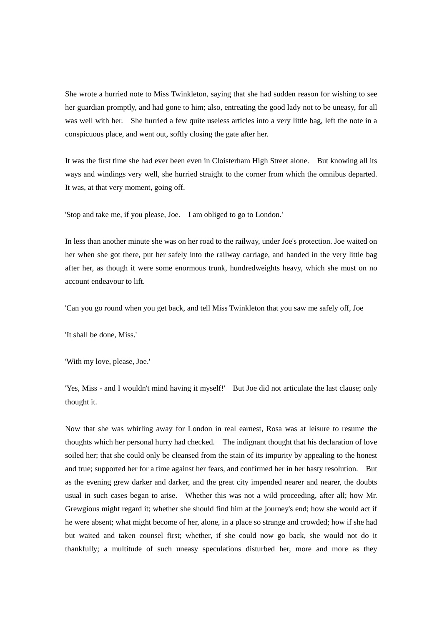She wrote a hurried note to Miss Twinkleton, saying that she had sudden reason for wishing to see her guardian promptly, and had gone to him; also, entreating the good lady not to be uneasy, for all was well with her. She hurried a few quite useless articles into a very little bag, left the note in a conspicuous place, and went out, softly closing the gate after her.

It was the first time she had ever been even in Cloisterham High Street alone. But knowing all its ways and windings very well, she hurried straight to the corner from which the omnibus departed. It was, at that very moment, going off.

'Stop and take me, if you please, Joe. I am obliged to go to London.'

In less than another minute she was on her road to the railway, under Joe's protection. Joe waited on her when she got there, put her safely into the railway carriage, and handed in the very little bag after her, as though it were some enormous trunk, hundredweights heavy, which she must on no account endeavour to lift.

'Can you go round when you get back, and tell Miss Twinkleton that you saw me safely off, Joe

'It shall be done, Miss.'

'With my love, please, Joe.'

'Yes, Miss - and I wouldn't mind having it myself!' But Joe did not articulate the last clause; only thought it.

Now that she was whirling away for London in real earnest, Rosa was at leisure to resume the thoughts which her personal hurry had checked. The indignant thought that his declaration of love soiled her; that she could only be cleansed from the stain of its impurity by appealing to the honest and true; supported her for a time against her fears, and confirmed her in her hasty resolution. But as the evening grew darker and darker, and the great city impended nearer and nearer, the doubts usual in such cases began to arise. Whether this was not a wild proceeding, after all; how Mr. Grewgious might regard it; whether she should find him at the journey's end; how she would act if he were absent; what might become of her, alone, in a place so strange and crowded; how if she had but waited and taken counsel first; whether, if she could now go back, she would not do it thankfully; a multitude of such uneasy speculations disturbed her, more and more as they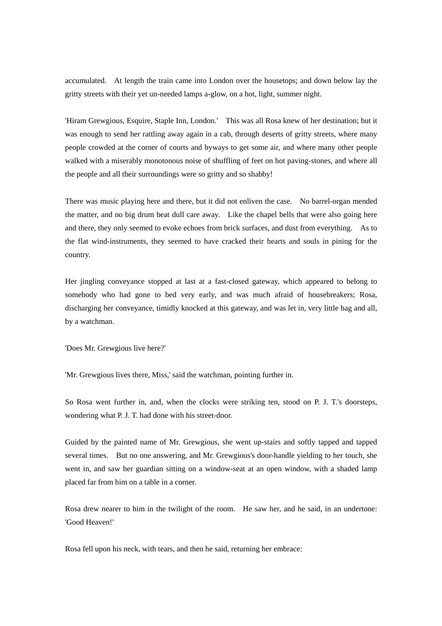accumulated. At length the train came into London over the housetops; and down below lay the gritty streets with their yet un-needed lamps a-glow, on a hot, light, summer night.

'Hiram Grewgious, Esquire, Staple Inn, London.' This was all Rosa knew of her destination; but it was enough to send her rattling away again in a cab, through deserts of gritty streets, where many people crowded at the corner of courts and byways to get some air, and where many other people walked with a miserably monotonous noise of shuffling of feet on hot paving-stones, and where all the people and all their surroundings were so gritty and so shabby!

There was music playing here and there, but it did not enliven the case. No barrel-organ mended the matter, and no big drum beat dull care away. Like the chapel bells that were also going here and there, they only seemed to evoke echoes from brick surfaces, and dust from everything. As to the flat wind-instruments, they seemed to have cracked their hearts and souls in pining for the country.

Her jingling conveyance stopped at last at a fast-closed gateway, which appeared to belong to somebody who had gone to bed very early, and was much afraid of housebreakers; Rosa, discharging her conveyance, timidly knocked at this gateway, and was let in, very little bag and all, by a watchman.

'Does Mr. Grewgious live here?'

'Mr. Grewgious lives there, Miss,' said the watchman, pointing further in.

So Rosa went further in, and, when the clocks were striking ten, stood on P. J. T.'s doorsteps, wondering what P. J. T. had done with his street-door.

Guided by the painted name of Mr. Grewgious, she went up-stairs and softly tapped and tapped several times. But no one answering, and Mr. Grewgious's door-handle yielding to her touch, she went in, and saw her guardian sitting on a window-seat at an open window, with a shaded lamp placed far from him on a table in a corner.

Rosa drew nearer to him in the twilight of the room. He saw her, and he said, in an undertone: 'Good Heaven!'

Rosa fell upon his neck, with tears, and then he said, returning her embrace: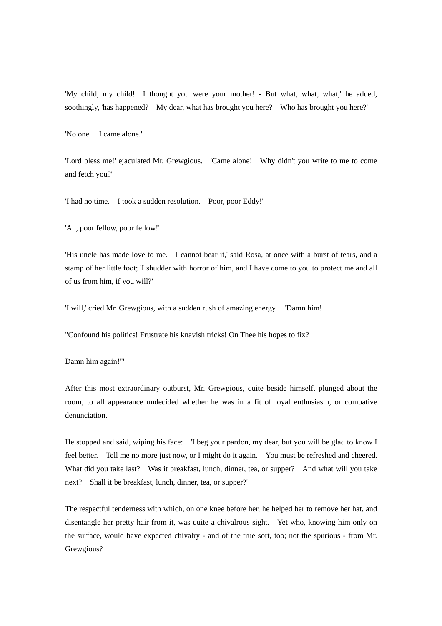'My child, my child! I thought you were your mother! - But what, what, what,' he added, soothingly, 'has happened? My dear, what has brought you here? Who has brought you here?'

'No one. I came alone.'

'Lord bless me!' ejaculated Mr. Grewgious. 'Came alone! Why didn't you write to me to come and fetch you?'

'I had no time. I took a sudden resolution. Poor, poor Eddy!'

'Ah, poor fellow, poor fellow!'

'His uncle has made love to me. I cannot bear it,' said Rosa, at once with a burst of tears, and a stamp of her little foot; 'I shudder with horror of him, and I have come to you to protect me and all of us from him, if you will?'

'I will,' cried Mr. Grewgious, with a sudden rush of amazing energy. 'Damn him!

"Confound his politics! Frustrate his knavish tricks! On Thee his hopes to fix?

Damn him again!"'

After this most extraordinary outburst, Mr. Grewgious, quite beside himself, plunged about the room, to all appearance undecided whether he was in a fit of loyal enthusiasm, or combative denunciation.

He stopped and said, wiping his face: 'I beg your pardon, my dear, but you will be glad to know I feel better. Tell me no more just now, or I might do it again. You must be refreshed and cheered. What did you take last? Was it breakfast, lunch, dinner, tea, or supper? And what will you take next? Shall it be breakfast, lunch, dinner, tea, or supper?'

The respectful tenderness with which, on one knee before her, he helped her to remove her hat, and disentangle her pretty hair from it, was quite a chivalrous sight. Yet who, knowing him only on the surface, would have expected chivalry - and of the true sort, too; not the spurious - from Mr. Grewgious?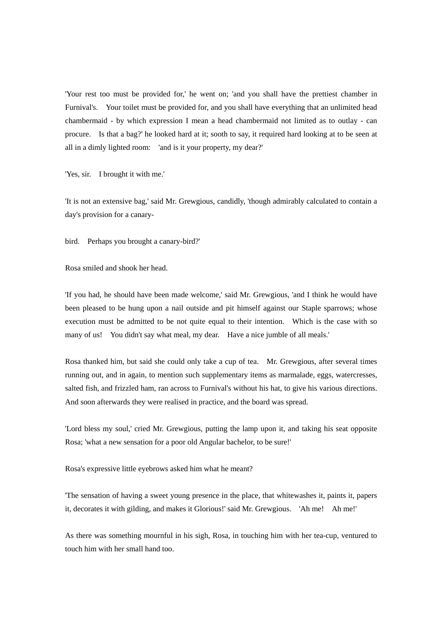'Your rest too must be provided for,' he went on; 'and you shall have the prettiest chamber in Furnival's. Your toilet must be provided for, and you shall have everything that an unlimited head chambermaid - by which expression I mean a head chambermaid not limited as to outlay - can procure. Is that a bag?' he looked hard at it; sooth to say, it required hard looking at to be seen at all in a dimly lighted room: 'and is it your property, my dear?'

'Yes, sir. I brought it with me.'

'It is not an extensive bag,' said Mr. Grewgious, candidly, 'though admirably calculated to contain a day's provision for a canary-

bird. Perhaps you brought a canary-bird?'

Rosa smiled and shook her head.

'If you had, he should have been made welcome,' said Mr. Grewgious, 'and I think he would have been pleased to be hung upon a nail outside and pit himself against our Staple sparrows; whose execution must be admitted to be not quite equal to their intention. Which is the case with so many of us! You didn't say what meal, my dear. Have a nice jumble of all meals.'

Rosa thanked him, but said she could only take a cup of tea. Mr. Grewgious, after several times running out, and in again, to mention such supplementary items as marmalade, eggs, watercresses, salted fish, and frizzled ham, ran across to Furnival's without his hat, to give his various directions. And soon afterwards they were realised in practice, and the board was spread.

'Lord bless my soul,' cried Mr. Grewgious, putting the lamp upon it, and taking his seat opposite Rosa; 'what a new sensation for a poor old Angular bachelor, to be sure!'

Rosa's expressive little eyebrows asked him what he meant?

'The sensation of having a sweet young presence in the place, that whitewashes it, paints it, papers it, decorates it with gilding, and makes it Glorious!' said Mr. Grewgious. 'Ah me! Ah me!'

As there was something mournful in his sigh, Rosa, in touching him with her tea-cup, ventured to touch him with her small hand too.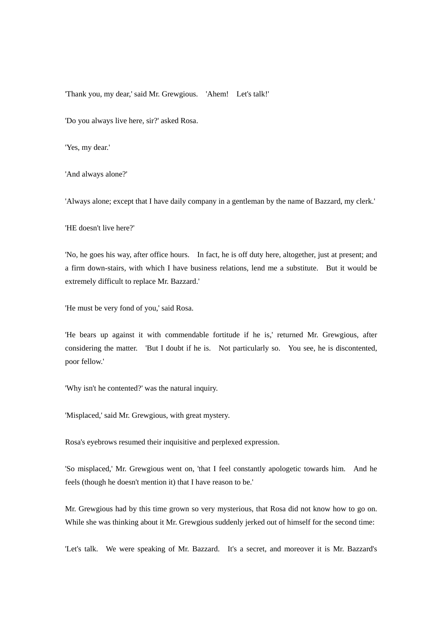'Thank you, my dear,' said Mr. Grewgious. 'Ahem! Let's talk!'

'Do you always live here, sir?' asked Rosa.

'Yes, my dear.'

'And always alone?'

'Always alone; except that I have daily company in a gentleman by the name of Bazzard, my clerk.'

'HE doesn't live here?'

'No, he goes his way, after office hours. In fact, he is off duty here, altogether, just at present; and a firm down-stairs, with which I have business relations, lend me a substitute. But it would be extremely difficult to replace Mr. Bazzard.'

'He must be very fond of you,' said Rosa.

'He bears up against it with commendable fortitude if he is,' returned Mr. Grewgious, after considering the matter. 'But I doubt if he is. Not particularly so. You see, he is discontented, poor fellow.'

'Why isn't he contented?' was the natural inquiry.

'Misplaced,' said Mr. Grewgious, with great mystery.

Rosa's eyebrows resumed their inquisitive and perplexed expression.

'So misplaced,' Mr. Grewgious went on, 'that I feel constantly apologetic towards him. And he feels (though he doesn't mention it) that I have reason to be.'

Mr. Grewgious had by this time grown so very mysterious, that Rosa did not know how to go on. While she was thinking about it Mr. Grewgious suddenly jerked out of himself for the second time:

'Let's talk. We were speaking of Mr. Bazzard. It's a secret, and moreover it is Mr. Bazzard's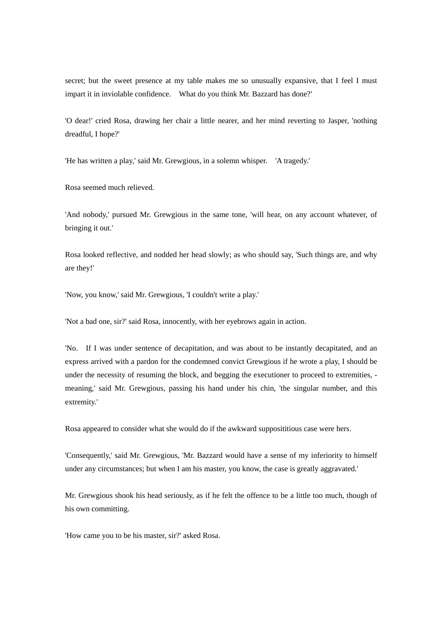secret; but the sweet presence at my table makes me so unusually expansive, that I feel I must impart it in inviolable confidence. What do you think Mr. Bazzard has done?'

'O dear!' cried Rosa, drawing her chair a little nearer, and her mind reverting to Jasper, 'nothing dreadful, I hope?'

'He has written a play,' said Mr. Grewgious, in a solemn whisper. 'A tragedy.'

Rosa seemed much relieved.

'And nobody,' pursued Mr. Grewgious in the same tone, 'will hear, on any account whatever, of bringing it out.'

Rosa looked reflective, and nodded her head slowly; as who should say, 'Such things are, and why are they!'

'Now, you know,' said Mr. Grewgious, 'I couldn't write a play.'

'Not a bad one, sir?' said Rosa, innocently, with her eyebrows again in action.

'No. If I was under sentence of decapitation, and was about to be instantly decapitated, and an express arrived with a pardon for the condemned convict Grewgious if he wrote a play, I should be under the necessity of resuming the block, and begging the executioner to proceed to extremities, meaning,' said Mr. Grewgious, passing his hand under his chin, 'the singular number, and this extremity.'

Rosa appeared to consider what she would do if the awkward supposititious case were hers.

'Consequently,' said Mr. Grewgious, 'Mr. Bazzard would have a sense of my inferiority to himself under any circumstances; but when I am his master, you know, the case is greatly aggravated.'

Mr. Grewgious shook his head seriously, as if he felt the offence to be a little too much, though of his own committing.

'How came you to be his master, sir?' asked Rosa.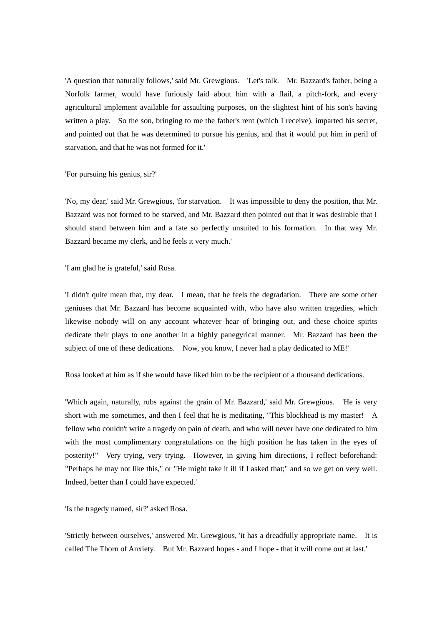'A question that naturally follows,' said Mr. Grewgious. 'Let's talk. Mr. Bazzard's father, being a Norfolk farmer, would have furiously laid about him with a flail, a pitch-fork, and every agricultural implement available for assaulting purposes, on the slightest hint of his son's having written a play. So the son, bringing to me the father's rent (which I receive), imparted his secret, and pointed out that he was determined to pursue his genius, and that it would put him in peril of starvation, and that he was not formed for it.'

'For pursuing his genius, sir?'

'No, my dear,' said Mr. Grewgious, 'for starvation. It was impossible to deny the position, that Mr. Bazzard was not formed to be starved, and Mr. Bazzard then pointed out that it was desirable that I should stand between him and a fate so perfectly unsuited to his formation. In that way Mr. Bazzard became my clerk, and he feels it very much.'

'I am glad he is grateful,' said Rosa.

'I didn't quite mean that, my dear. I mean, that he feels the degradation. There are some other geniuses that Mr. Bazzard has become acquainted with, who have also written tragedies, which likewise nobody will on any account whatever hear of bringing out, and these choice spirits dedicate their plays to one another in a highly panegyrical manner. Mr. Bazzard has been the subject of one of these dedications. Now, you know, I never had a play dedicated to ME!'

Rosa looked at him as if she would have liked him to be the recipient of a thousand dedications.

'Which again, naturally, rubs against the grain of Mr. Bazzard,' said Mr. Grewgious. 'He is very short with me sometimes, and then I feel that he is meditating, "This blockhead is my master! A fellow who couldn't write a tragedy on pain of death, and who will never have one dedicated to him with the most complimentary congratulations on the high position he has taken in the eyes of posterity!" Very trying, very trying. However, in giving him directions, I reflect beforehand: "Perhaps he may not like this," or "He might take it ill if I asked that;" and so we get on very well. Indeed, better than I could have expected.'

'Is the tragedy named, sir?' asked Rosa.

'Strictly between ourselves,' answered Mr. Grewgious, 'it has a dreadfully appropriate name. It is called The Thorn of Anxiety. But Mr. Bazzard hopes - and I hope - that it will come out at last.'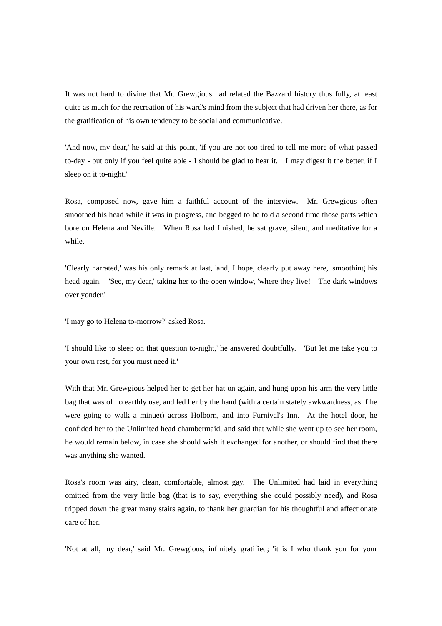It was not hard to divine that Mr. Grewgious had related the Bazzard history thus fully, at least quite as much for the recreation of his ward's mind from the subject that had driven her there, as for the gratification of his own tendency to be social and communicative.

'And now, my dear,' he said at this point, 'if you are not too tired to tell me more of what passed to-day - but only if you feel quite able - I should be glad to hear it. I may digest it the better, if I sleep on it to-night.'

Rosa, composed now, gave him a faithful account of the interview. Mr. Grewgious often smoothed his head while it was in progress, and begged to be told a second time those parts which bore on Helena and Neville. When Rosa had finished, he sat grave, silent, and meditative for a while.

'Clearly narrated,' was his only remark at last, 'and, I hope, clearly put away here,' smoothing his head again. 'See, my dear,' taking her to the open window, 'where they live! The dark windows over yonder.'

'I may go to Helena to-morrow?' asked Rosa.

'I should like to sleep on that question to-night,' he answered doubtfully. 'But let me take you to your own rest, for you must need it.'

With that Mr. Grewgious helped her to get her hat on again, and hung upon his arm the very little bag that was of no earthly use, and led her by the hand (with a certain stately awkwardness, as if he were going to walk a minuet) across Holborn, and into Furnival's Inn. At the hotel door, he confided her to the Unlimited head chambermaid, and said that while she went up to see her room, he would remain below, in case she should wish it exchanged for another, or should find that there was anything she wanted.

Rosa's room was airy, clean, comfortable, almost gay. The Unlimited had laid in everything omitted from the very little bag (that is to say, everything she could possibly need), and Rosa tripped down the great many stairs again, to thank her guardian for his thoughtful and affectionate care of her.

'Not at all, my dear,' said Mr. Grewgious, infinitely gratified; 'it is I who thank you for your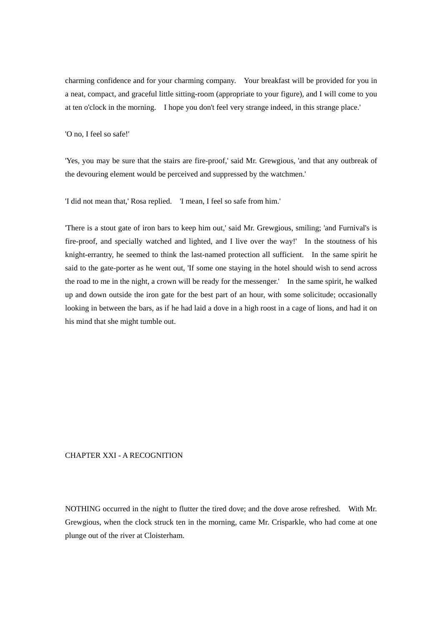charming confidence and for your charming company. Your breakfast will be provided for you in a neat, compact, and graceful little sitting-room (appropriate to your figure), and I will come to you at ten o'clock in the morning. I hope you don't feel very strange indeed, in this strange place.'

'O no, I feel so safe!'

'Yes, you may be sure that the stairs are fire-proof,' said Mr. Grewgious, 'and that any outbreak of the devouring element would be perceived and suppressed by the watchmen.'

'I did not mean that,' Rosa replied. 'I mean, I feel so safe from him.'

'There is a stout gate of iron bars to keep him out,' said Mr. Grewgious, smiling; 'and Furnival's is fire-proof, and specially watched and lighted, and I live over the way!' In the stoutness of his knight-errantry, he seemed to think the last-named protection all sufficient. In the same spirit he said to the gate-porter as he went out, 'If some one staying in the hotel should wish to send across the road to me in the night, a crown will be ready for the messenger.' In the same spirit, he walked up and down outside the iron gate for the best part of an hour, with some solicitude; occasionally looking in between the bars, as if he had laid a dove in a high roost in a cage of lions, and had it on his mind that she might tumble out.

## CHAPTER XXI - A RECOGNITION

NOTHING occurred in the night to flutter the tired dove; and the dove arose refreshed. With Mr. Grewgious, when the clock struck ten in the morning, came Mr. Crisparkle, who had come at one plunge out of the river at Cloisterham.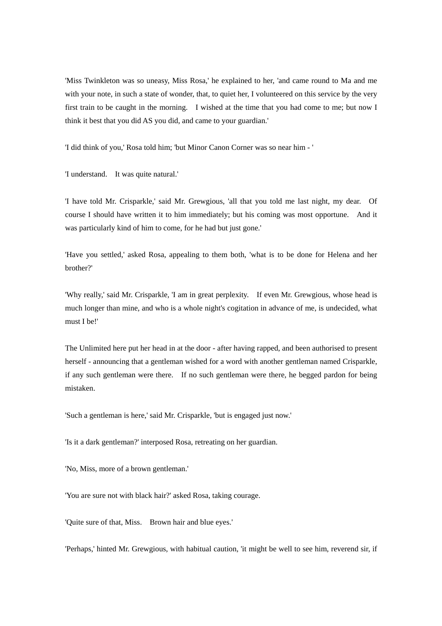'Miss Twinkleton was so uneasy, Miss Rosa,' he explained to her, 'and came round to Ma and me with your note, in such a state of wonder, that, to quiet her, I volunteered on this service by the very first train to be caught in the morning. I wished at the time that you had come to me; but now I think it best that you did AS you did, and came to your guardian.'

'I did think of you,' Rosa told him; 'but Minor Canon Corner was so near him - '

'I understand. It was quite natural.'

'I have told Mr. Crisparkle,' said Mr. Grewgious, 'all that you told me last night, my dear. Of course I should have written it to him immediately; but his coming was most opportune. And it was particularly kind of him to come, for he had but just gone.'

'Have you settled,' asked Rosa, appealing to them both, 'what is to be done for Helena and her brother?'

'Why really,' said Mr. Crisparkle, 'I am in great perplexity. If even Mr. Grewgious, whose head is much longer than mine, and who is a whole night's cogitation in advance of me, is undecided, what must I be!'

The Unlimited here put her head in at the door - after having rapped, and been authorised to present herself - announcing that a gentleman wished for a word with another gentleman named Crisparkle, if any such gentleman were there. If no such gentleman were there, he begged pardon for being mistaken.

'Such a gentleman is here,' said Mr. Crisparkle, 'but is engaged just now.'

'Is it a dark gentleman?' interposed Rosa, retreating on her guardian.

'No, Miss, more of a brown gentleman.'

'You are sure not with black hair?' asked Rosa, taking courage.

'Quite sure of that, Miss. Brown hair and blue eyes.'

'Perhaps,' hinted Mr. Grewgious, with habitual caution, 'it might be well to see him, reverend sir, if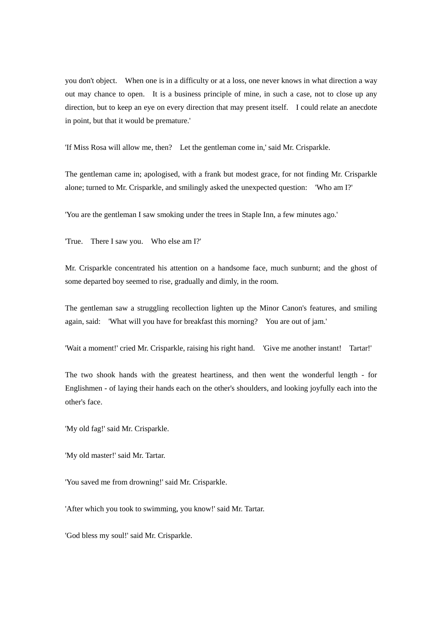you don't object. When one is in a difficulty or at a loss, one never knows in what direction a way out may chance to open. It is a business principle of mine, in such a case, not to close up any direction, but to keep an eye on every direction that may present itself. I could relate an anecdote in point, but that it would be premature.'

'If Miss Rosa will allow me, then? Let the gentleman come in,' said Mr. Crisparkle.

The gentleman came in; apologised, with a frank but modest grace, for not finding Mr. Crisparkle alone; turned to Mr. Crisparkle, and smilingly asked the unexpected question: 'Who am I?'

'You are the gentleman I saw smoking under the trees in Staple Inn, a few minutes ago.'

'True. There I saw you. Who else am I?'

Mr. Crisparkle concentrated his attention on a handsome face, much sunburnt; and the ghost of some departed boy seemed to rise, gradually and dimly, in the room.

The gentleman saw a struggling recollection lighten up the Minor Canon's features, and smiling again, said: 'What will you have for breakfast this morning? You are out of jam.'

'Wait a moment!' cried Mr. Crisparkle, raising his right hand. 'Give me another instant! Tartar!'

The two shook hands with the greatest heartiness, and then went the wonderful length - for Englishmen - of laying their hands each on the other's shoulders, and looking joyfully each into the other's face.

'My old fag!' said Mr. Crisparkle.

'My old master!' said Mr. Tartar.

'You saved me from drowning!' said Mr. Crisparkle.

'After which you took to swimming, you know!' said Mr. Tartar.

'God bless my soul!' said Mr. Crisparkle.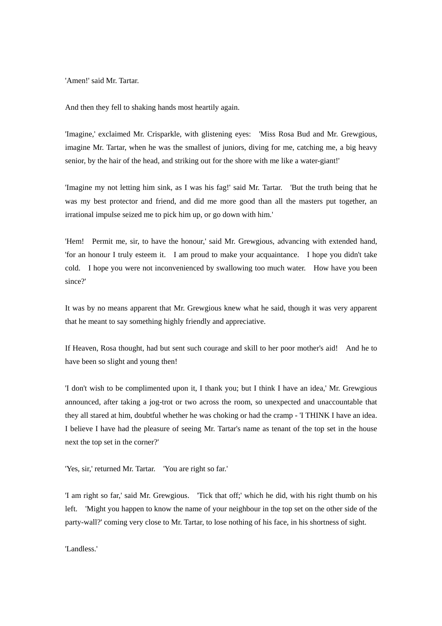'Amen!' said Mr. Tartar.

And then they fell to shaking hands most heartily again.

'Imagine,' exclaimed Mr. Crisparkle, with glistening eyes: 'Miss Rosa Bud and Mr. Grewgious, imagine Mr. Tartar, when he was the smallest of juniors, diving for me, catching me, a big heavy senior, by the hair of the head, and striking out for the shore with me like a water-giant!'

'Imagine my not letting him sink, as I was his fag!' said Mr. Tartar. 'But the truth being that he was my best protector and friend, and did me more good than all the masters put together, an irrational impulse seized me to pick him up, or go down with him.'

'Hem! Permit me, sir, to have the honour,' said Mr. Grewgious, advancing with extended hand, 'for an honour I truly esteem it. I am proud to make your acquaintance. I hope you didn't take cold. I hope you were not inconvenienced by swallowing too much water. How have you been since?'

It was by no means apparent that Mr. Grewgious knew what he said, though it was very apparent that he meant to say something highly friendly and appreciative.

If Heaven, Rosa thought, had but sent such courage and skill to her poor mother's aid! And he to have been so slight and young then!

'I don't wish to be complimented upon it, I thank you; but I think I have an idea,' Mr. Grewgious announced, after taking a jog-trot or two across the room, so unexpected and unaccountable that they all stared at him, doubtful whether he was choking or had the cramp - 'I THINK I have an idea. I believe I have had the pleasure of seeing Mr. Tartar's name as tenant of the top set in the house next the top set in the corner?'

'Yes, sir,' returned Mr. Tartar. 'You are right so far.'

'I am right so far,' said Mr. Grewgious. 'Tick that off;' which he did, with his right thumb on his left. 'Might you happen to know the name of your neighbour in the top set on the other side of the party-wall?' coming very close to Mr. Tartar, to lose nothing of his face, in his shortness of sight.

'Landless.'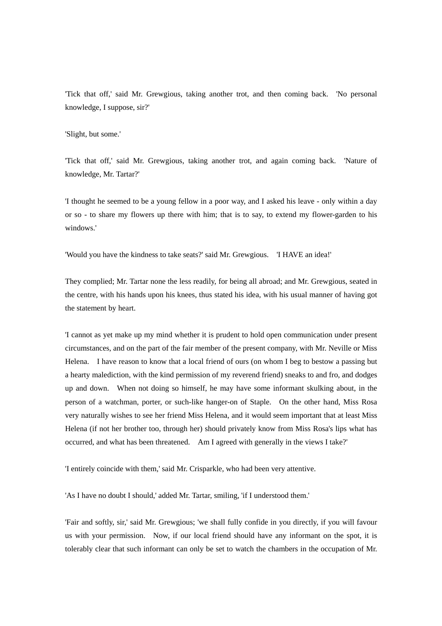'Tick that off,' said Mr. Grewgious, taking another trot, and then coming back. 'No personal knowledge, I suppose, sir?'

'Slight, but some.'

'Tick that off,' said Mr. Grewgious, taking another trot, and again coming back. 'Nature of knowledge, Mr. Tartar?'

'I thought he seemed to be a young fellow in a poor way, and I asked his leave - only within a day or so - to share my flowers up there with him; that is to say, to extend my flower-garden to his windows.'

'Would you have the kindness to take seats?' said Mr. Grewgious. 'I HAVE an idea!'

They complied; Mr. Tartar none the less readily, for being all abroad; and Mr. Grewgious, seated in the centre, with his hands upon his knees, thus stated his idea, with his usual manner of having got the statement by heart.

'I cannot as yet make up my mind whether it is prudent to hold open communication under present circumstances, and on the part of the fair member of the present company, with Mr. Neville or Miss Helena. I have reason to know that a local friend of ours (on whom I beg to bestow a passing but a hearty malediction, with the kind permission of my reverend friend) sneaks to and fro, and dodges up and down. When not doing so himself, he may have some informant skulking about, in the person of a watchman, porter, or such-like hanger-on of Staple. On the other hand, Miss Rosa very naturally wishes to see her friend Miss Helena, and it would seem important that at least Miss Helena (if not her brother too, through her) should privately know from Miss Rosa's lips what has occurred, and what has been threatened. Am I agreed with generally in the views I take?'

'I entirely coincide with them,' said Mr. Crisparkle, who had been very attentive.

'As I have no doubt I should,' added Mr. Tartar, smiling, 'if I understood them.'

'Fair and softly, sir,' said Mr. Grewgious; 'we shall fully confide in you directly, if you will favour us with your permission. Now, if our local friend should have any informant on the spot, it is tolerably clear that such informant can only be set to watch the chambers in the occupation of Mr.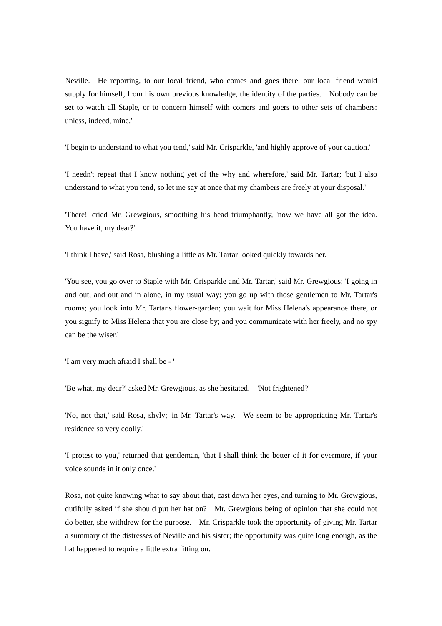Neville. He reporting, to our local friend, who comes and goes there, our local friend would supply for himself, from his own previous knowledge, the identity of the parties. Nobody can be set to watch all Staple, or to concern himself with comers and goers to other sets of chambers: unless, indeed, mine.'

'I begin to understand to what you tend,' said Mr. Crisparkle, 'and highly approve of your caution.'

'I needn't repeat that I know nothing yet of the why and wherefore,' said Mr. Tartar; 'but I also understand to what you tend, so let me say at once that my chambers are freely at your disposal.'

'There!' cried Mr. Grewgious, smoothing his head triumphantly, 'now we have all got the idea. You have it, my dear?'

'I think I have,' said Rosa, blushing a little as Mr. Tartar looked quickly towards her.

'You see, you go over to Staple with Mr. Crisparkle and Mr. Tartar,' said Mr. Grewgious; 'I going in and out, and out and in alone, in my usual way; you go up with those gentlemen to Mr. Tartar's rooms; you look into Mr. Tartar's flower-garden; you wait for Miss Helena's appearance there, or you signify to Miss Helena that you are close by; and you communicate with her freely, and no spy can be the wiser.'

'I am very much afraid I shall be - '

'Be what, my dear?' asked Mr. Grewgious, as she hesitated. 'Not frightened?'

'No, not that,' said Rosa, shyly; 'in Mr. Tartar's way. We seem to be appropriating Mr. Tartar's residence so very coolly.'

'I protest to you,' returned that gentleman, 'that I shall think the better of it for evermore, if your voice sounds in it only once.'

Rosa, not quite knowing what to say about that, cast down her eyes, and turning to Mr. Grewgious, dutifully asked if she should put her hat on? Mr. Grewgious being of opinion that she could not do better, she withdrew for the purpose. Mr. Crisparkle took the opportunity of giving Mr. Tartar a summary of the distresses of Neville and his sister; the opportunity was quite long enough, as the hat happened to require a little extra fitting on.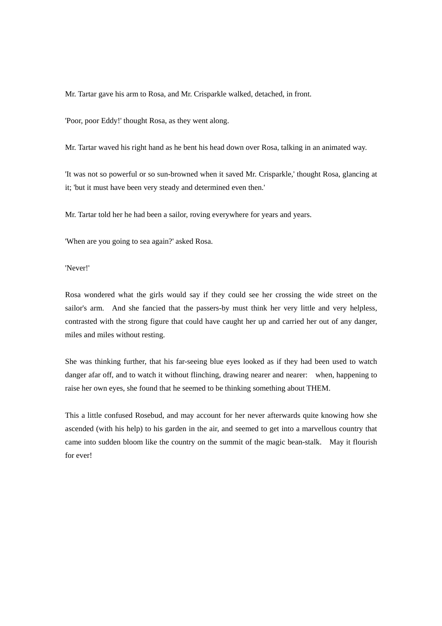Mr. Tartar gave his arm to Rosa, and Mr. Crisparkle walked, detached, in front.

'Poor, poor Eddy!' thought Rosa, as they went along.

Mr. Tartar waved his right hand as he bent his head down over Rosa, talking in an animated way.

'It was not so powerful or so sun-browned when it saved Mr. Crisparkle,' thought Rosa, glancing at it; 'but it must have been very steady and determined even then.'

Mr. Tartar told her he had been a sailor, roving everywhere for years and years.

'When are you going to sea again?' asked Rosa.

'Never!'

Rosa wondered what the girls would say if they could see her crossing the wide street on the sailor's arm. And she fancied that the passers-by must think her very little and very helpless, contrasted with the strong figure that could have caught her up and carried her out of any danger, miles and miles without resting.

She was thinking further, that his far-seeing blue eyes looked as if they had been used to watch danger afar off, and to watch it without flinching, drawing nearer and nearer: when, happening to raise her own eyes, she found that he seemed to be thinking something about THEM.

This a little confused Rosebud, and may account for her never afterwards quite knowing how she ascended (with his help) to his garden in the air, and seemed to get into a marvellous country that came into sudden bloom like the country on the summit of the magic bean-stalk. May it flourish for ever!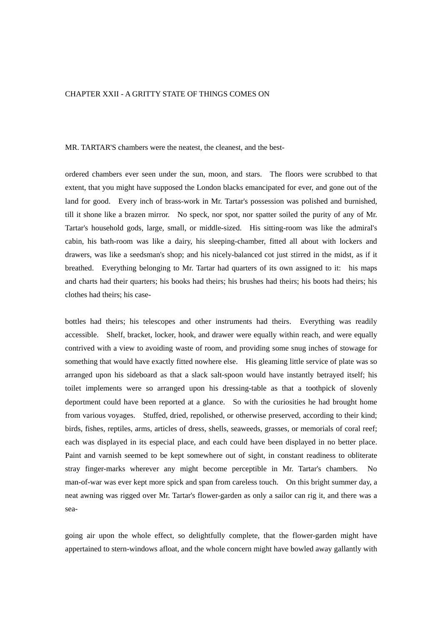### CHAPTER XXII - A GRITTY STATE OF THINGS COMES ON

MR. TARTAR'S chambers were the neatest, the cleanest, and the best-

ordered chambers ever seen under the sun, moon, and stars. The floors were scrubbed to that extent, that you might have supposed the London blacks emancipated for ever, and gone out of the land for good. Every inch of brass-work in Mr. Tartar's possession was polished and burnished, till it shone like a brazen mirror. No speck, nor spot, nor spatter soiled the purity of any of Mr. Tartar's household gods, large, small, or middle-sized. His sitting-room was like the admiral's cabin, his bath-room was like a dairy, his sleeping-chamber, fitted all about with lockers and drawers, was like a seedsman's shop; and his nicely-balanced cot just stirred in the midst, as if it breathed. Everything belonging to Mr. Tartar had quarters of its own assigned to it: his maps and charts had their quarters; his books had theirs; his brushes had theirs; his boots had theirs; his clothes had theirs; his case-

bottles had theirs; his telescopes and other instruments had theirs. Everything was readily accessible. Shelf, bracket, locker, hook, and drawer were equally within reach, and were equally contrived with a view to avoiding waste of room, and providing some snug inches of stowage for something that would have exactly fitted nowhere else. His gleaming little service of plate was so arranged upon his sideboard as that a slack salt-spoon would have instantly betrayed itself; his toilet implements were so arranged upon his dressing-table as that a toothpick of slovenly deportment could have been reported at a glance. So with the curiosities he had brought home from various voyages. Stuffed, dried, repolished, or otherwise preserved, according to their kind; birds, fishes, reptiles, arms, articles of dress, shells, seaweeds, grasses, or memorials of coral reef; each was displayed in its especial place, and each could have been displayed in no better place. Paint and varnish seemed to be kept somewhere out of sight, in constant readiness to obliterate stray finger-marks wherever any might become perceptible in Mr. Tartar's chambers. No man-of-war was ever kept more spick and span from careless touch. On this bright summer day, a neat awning was rigged over Mr. Tartar's flower-garden as only a sailor can rig it, and there was a sea-

going air upon the whole effect, so delightfully complete, that the flower-garden might have appertained to stern-windows afloat, and the whole concern might have bowled away gallantly with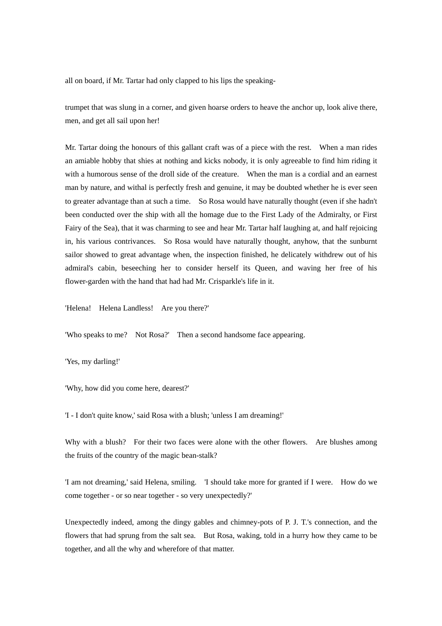all on board, if Mr. Tartar had only clapped to his lips the speaking-

trumpet that was slung in a corner, and given hoarse orders to heave the anchor up, look alive there, men, and get all sail upon her!

Mr. Tartar doing the honours of this gallant craft was of a piece with the rest. When a man rides an amiable hobby that shies at nothing and kicks nobody, it is only agreeable to find him riding it with a humorous sense of the droll side of the creature. When the man is a cordial and an earnest man by nature, and withal is perfectly fresh and genuine, it may be doubted whether he is ever seen to greater advantage than at such a time. So Rosa would have naturally thought (even if she hadn't been conducted over the ship with all the homage due to the First Lady of the Admiralty, or First Fairy of the Sea), that it was charming to see and hear Mr. Tartar half laughing at, and half rejoicing in, his various contrivances. So Rosa would have naturally thought, anyhow, that the sunburnt sailor showed to great advantage when, the inspection finished, he delicately withdrew out of his admiral's cabin, beseeching her to consider herself its Queen, and waving her free of his flower-garden with the hand that had had Mr. Crisparkle's life in it.

'Helena! Helena Landless! Are you there?'

'Who speaks to me? Not Rosa?' Then a second handsome face appearing.

'Yes, my darling!'

'Why, how did you come here, dearest?'

'I - I don't quite know,' said Rosa with a blush; 'unless I am dreaming!'

Why with a blush? For their two faces were alone with the other flowers. Are blushes among the fruits of the country of the magic bean-stalk?

'I am not dreaming,' said Helena, smiling. 'I should take more for granted if I were. How do we come together - or so near together - so very unexpectedly?'

Unexpectedly indeed, among the dingy gables and chimney-pots of P. J. T.'s connection, and the flowers that had sprung from the salt sea. But Rosa, waking, told in a hurry how they came to be together, and all the why and wherefore of that matter.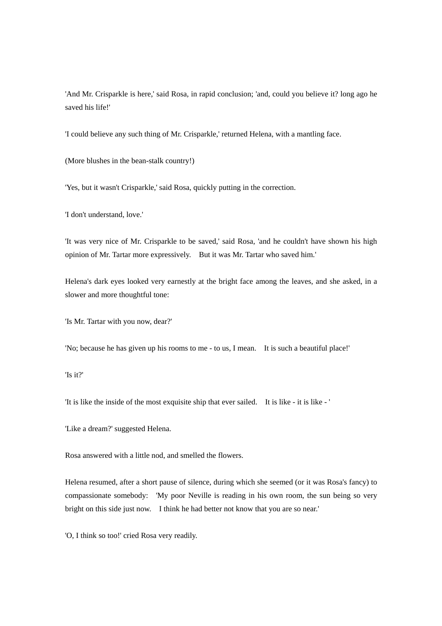'And Mr. Crisparkle is here,' said Rosa, in rapid conclusion; 'and, could you believe it? long ago he saved his life!'

'I could believe any such thing of Mr. Crisparkle,' returned Helena, with a mantling face.

(More blushes in the bean-stalk country!)

'Yes, but it wasn't Crisparkle,' said Rosa, quickly putting in the correction.

'I don't understand, love.'

'It was very nice of Mr. Crisparkle to be saved,' said Rosa, 'and he couldn't have shown his high opinion of Mr. Tartar more expressively. But it was Mr. Tartar who saved him.'

Helena's dark eyes looked very earnestly at the bright face among the leaves, and she asked, in a slower and more thoughtful tone:

'Is Mr. Tartar with you now, dear?'

'No; because he has given up his rooms to me - to us, I mean. It is such a beautiful place!'

'Is it?'

'It is like the inside of the most exquisite ship that ever sailed. It is like - it is like - '

'Like a dream?' suggested Helena.

Rosa answered with a little nod, and smelled the flowers.

Helena resumed, after a short pause of silence, during which she seemed (or it was Rosa's fancy) to compassionate somebody: 'My poor Neville is reading in his own room, the sun being so very bright on this side just now. I think he had better not know that you are so near.'

'O, I think so too!' cried Rosa very readily.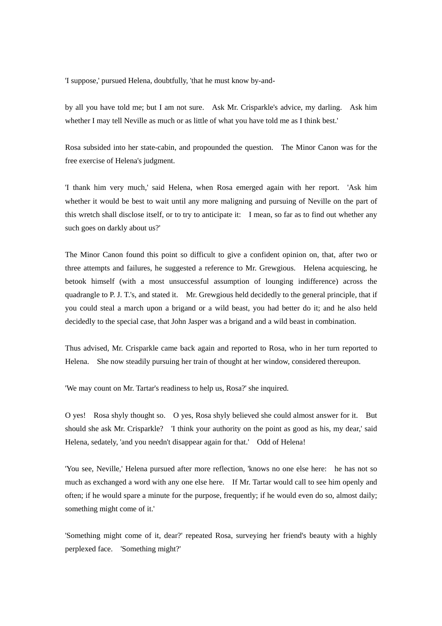'I suppose,' pursued Helena, doubtfully, 'that he must know by-and-

by all you have told me; but I am not sure. Ask Mr. Crisparkle's advice, my darling. Ask him whether I may tell Neville as much or as little of what you have told me as I think best.'

Rosa subsided into her state-cabin, and propounded the question. The Minor Canon was for the free exercise of Helena's judgment.

'I thank him very much,' said Helena, when Rosa emerged again with her report. 'Ask him whether it would be best to wait until any more maligning and pursuing of Neville on the part of this wretch shall disclose itself, or to try to anticipate it: I mean, so far as to find out whether any such goes on darkly about us?'

The Minor Canon found this point so difficult to give a confident opinion on, that, after two or three attempts and failures, he suggested a reference to Mr. Grewgious. Helena acquiescing, he betook himself (with a most unsuccessful assumption of lounging indifference) across the quadrangle to P. J. T.'s, and stated it. Mr. Grewgious held decidedly to the general principle, that if you could steal a march upon a brigand or a wild beast, you had better do it; and he also held decidedly to the special case, that John Jasper was a brigand and a wild beast in combination.

Thus advised, Mr. Crisparkle came back again and reported to Rosa, who in her turn reported to Helena. She now steadily pursuing her train of thought at her window, considered thereupon.

'We may count on Mr. Tartar's readiness to help us, Rosa?' she inquired.

O yes! Rosa shyly thought so. O yes, Rosa shyly believed she could almost answer for it. But should she ask Mr. Crisparkle? 'I think your authority on the point as good as his, my dear,' said Helena, sedately, 'and you needn't disappear again for that.' Odd of Helena!

'You see, Neville,' Helena pursued after more reflection, 'knows no one else here: he has not so much as exchanged a word with any one else here. If Mr. Tartar would call to see him openly and often; if he would spare a minute for the purpose, frequently; if he would even do so, almost daily; something might come of it.'

'Something might come of it, dear?' repeated Rosa, surveying her friend's beauty with a highly perplexed face. 'Something might?'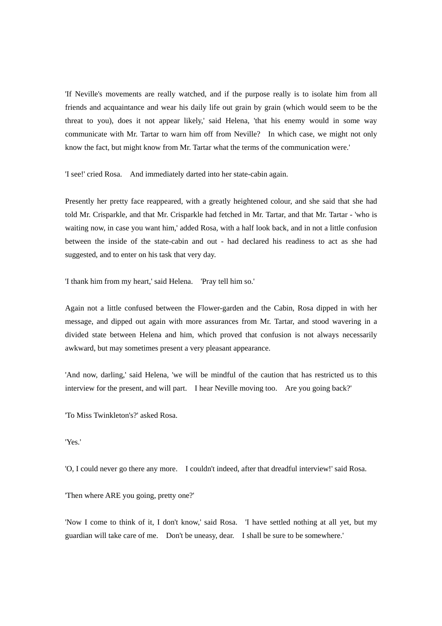'If Neville's movements are really watched, and if the purpose really is to isolate him from all friends and acquaintance and wear his daily life out grain by grain (which would seem to be the threat to you), does it not appear likely,' said Helena, 'that his enemy would in some way communicate with Mr. Tartar to warn him off from Neville? In which case, we might not only know the fact, but might know from Mr. Tartar what the terms of the communication were.'

'I see!' cried Rosa. And immediately darted into her state-cabin again.

Presently her pretty face reappeared, with a greatly heightened colour, and she said that she had told Mr. Crisparkle, and that Mr. Crisparkle had fetched in Mr. Tartar, and that Mr. Tartar - 'who is waiting now, in case you want him,' added Rosa, with a half look back, and in not a little confusion between the inside of the state-cabin and out - had declared his readiness to act as she had suggested, and to enter on his task that very day.

'I thank him from my heart,' said Helena. 'Pray tell him so.'

Again not a little confused between the Flower-garden and the Cabin, Rosa dipped in with her message, and dipped out again with more assurances from Mr. Tartar, and stood wavering in a divided state between Helena and him, which proved that confusion is not always necessarily awkward, but may sometimes present a very pleasant appearance.

'And now, darling,' said Helena, 'we will be mindful of the caution that has restricted us to this interview for the present, and will part. I hear Neville moving too. Are you going back?'

'To Miss Twinkleton's?' asked Rosa.

'Yes.'

'O, I could never go there any more. I couldn't indeed, after that dreadful interview!' said Rosa.

'Then where ARE you going, pretty one?'

'Now I come to think of it, I don't know,' said Rosa. 'I have settled nothing at all yet, but my guardian will take care of me. Don't be uneasy, dear. I shall be sure to be somewhere.'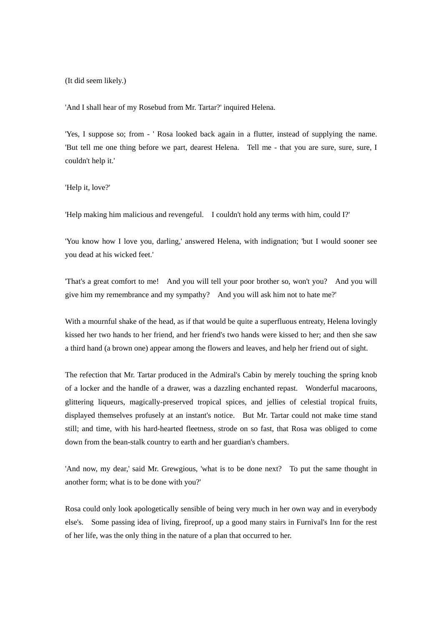(It did seem likely.)

'And I shall hear of my Rosebud from Mr. Tartar?' inquired Helena.

'Yes, I suppose so; from - ' Rosa looked back again in a flutter, instead of supplying the name. 'But tell me one thing before we part, dearest Helena. Tell me - that you are sure, sure, sure, I couldn't help it.'

'Help it, love?'

'Help making him malicious and revengeful. I couldn't hold any terms with him, could I?'

'You know how I love you, darling,' answered Helena, with indignation; 'but I would sooner see you dead at his wicked feet.'

'That's a great comfort to me! And you will tell your poor brother so, won't you? And you will give him my remembrance and my sympathy? And you will ask him not to hate me?'

With a mournful shake of the head, as if that would be quite a superfluous entreaty, Helena lovingly kissed her two hands to her friend, and her friend's two hands were kissed to her; and then she saw a third hand (a brown one) appear among the flowers and leaves, and help her friend out of sight.

The refection that Mr. Tartar produced in the Admiral's Cabin by merely touching the spring knob of a locker and the handle of a drawer, was a dazzling enchanted repast. Wonderful macaroons, glittering liqueurs, magically-preserved tropical spices, and jellies of celestial tropical fruits, displayed themselves profusely at an instant's notice. But Mr. Tartar could not make time stand still; and time, with his hard-hearted fleetness, strode on so fast, that Rosa was obliged to come down from the bean-stalk country to earth and her guardian's chambers.

'And now, my dear,' said Mr. Grewgious, 'what is to be done next? To put the same thought in another form; what is to be done with you?'

Rosa could only look apologetically sensible of being very much in her own way and in everybody else's. Some passing idea of living, fireproof, up a good many stairs in Furnival's Inn for the rest of her life, was the only thing in the nature of a plan that occurred to her.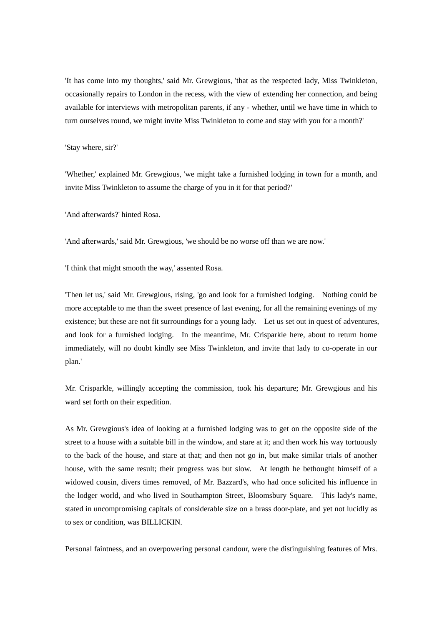'It has come into my thoughts,' said Mr. Grewgious, 'that as the respected lady, Miss Twinkleton, occasionally repairs to London in the recess, with the view of extending her connection, and being available for interviews with metropolitan parents, if any - whether, until we have time in which to turn ourselves round, we might invite Miss Twinkleton to come and stay with you for a month?'

#### 'Stay where, sir?'

'Whether,' explained Mr. Grewgious, 'we might take a furnished lodging in town for a month, and invite Miss Twinkleton to assume the charge of you in it for that period?'

'And afterwards?' hinted Rosa.

'And afterwards,' said Mr. Grewgious, 'we should be no worse off than we are now.'

'I think that might smooth the way,' assented Rosa.

'Then let us,' said Mr. Grewgious, rising, 'go and look for a furnished lodging. Nothing could be more acceptable to me than the sweet presence of last evening, for all the remaining evenings of my existence; but these are not fit surroundings for a young lady. Let us set out in quest of adventures, and look for a furnished lodging. In the meantime, Mr. Crisparkle here, about to return home immediately, will no doubt kindly see Miss Twinkleton, and invite that lady to co-operate in our plan.'

Mr. Crisparkle, willingly accepting the commission, took his departure; Mr. Grewgious and his ward set forth on their expedition.

As Mr. Grewgious's idea of looking at a furnished lodging was to get on the opposite side of the street to a house with a suitable bill in the window, and stare at it; and then work his way tortuously to the back of the house, and stare at that; and then not go in, but make similar trials of another house, with the same result; their progress was but slow. At length he bethought himself of a widowed cousin, divers times removed, of Mr. Bazzard's, who had once solicited his influence in the lodger world, and who lived in Southampton Street, Bloomsbury Square. This lady's name, stated in uncompromising capitals of considerable size on a brass door-plate, and yet not lucidly as to sex or condition, was BILLICKIN.

Personal faintness, and an overpowering personal candour, were the distinguishing features of Mrs.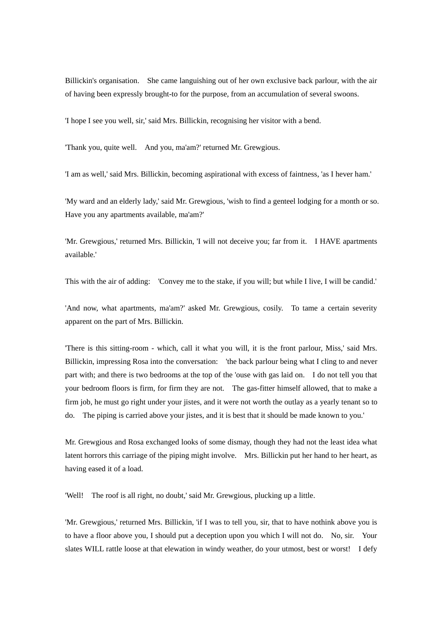Billickin's organisation. She came languishing out of her own exclusive back parlour, with the air of having been expressly brought-to for the purpose, from an accumulation of several swoons.

'I hope I see you well, sir,' said Mrs. Billickin, recognising her visitor with a bend.

'Thank you, quite well. And you, ma'am?' returned Mr. Grewgious.

'I am as well,' said Mrs. Billickin, becoming aspirational with excess of faintness, 'as I hever ham.'

'My ward and an elderly lady,' said Mr. Grewgious, 'wish to find a genteel lodging for a month or so. Have you any apartments available, ma'am?'

'Mr. Grewgious,' returned Mrs. Billickin, 'I will not deceive you; far from it. I HAVE apartments available.'

This with the air of adding: 'Convey me to the stake, if you will; but while I live, I will be candid.'

'And now, what apartments, ma'am?' asked Mr. Grewgious, cosily. To tame a certain severity apparent on the part of Mrs. Billickin.

'There is this sitting-room - which, call it what you will, it is the front parlour, Miss,' said Mrs. Billickin, impressing Rosa into the conversation: 'the back parlour being what I cling to and never part with; and there is two bedrooms at the top of the 'ouse with gas laid on. I do not tell you that your bedroom floors is firm, for firm they are not. The gas-fitter himself allowed, that to make a firm job, he must go right under your jistes, and it were not worth the outlay as a yearly tenant so to do. The piping is carried above your jistes, and it is best that it should be made known to you.'

Mr. Grewgious and Rosa exchanged looks of some dismay, though they had not the least idea what latent horrors this carriage of the piping might involve. Mrs. Billickin put her hand to her heart, as having eased it of a load.

'Well! The roof is all right, no doubt,' said Mr. Grewgious, plucking up a little.

'Mr. Grewgious,' returned Mrs. Billickin, 'if I was to tell you, sir, that to have nothink above you is to have a floor above you, I should put a deception upon you which I will not do. No, sir. Your slates WILL rattle loose at that elewation in windy weather, do your utmost, best or worst! I defy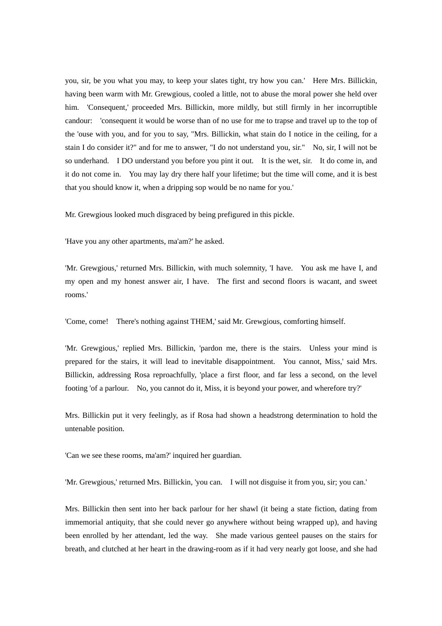you, sir, be you what you may, to keep your slates tight, try how you can.' Here Mrs. Billickin, having been warm with Mr. Grewgious, cooled a little, not to abuse the moral power she held over him. 'Consequent,' proceeded Mrs. Billickin, more mildly, but still firmly in her incorruptible candour: 'consequent it would be worse than of no use for me to trapse and travel up to the top of the 'ouse with you, and for you to say, "Mrs. Billickin, what stain do I notice in the ceiling, for a stain I do consider it?" and for me to answer, "I do not understand you, sir." No, sir, I will not be so underhand. I DO understand you before you pint it out. It is the wet, sir. It do come in, and it do not come in. You may lay dry there half your lifetime; but the time will come, and it is best that you should know it, when a dripping sop would be no name for you.'

Mr. Grewgious looked much disgraced by being prefigured in this pickle.

'Have you any other apartments, ma'am?' he asked.

'Mr. Grewgious,' returned Mrs. Billickin, with much solemnity, 'I have. You ask me have I, and my open and my honest answer air, I have. The first and second floors is wacant, and sweet rooms.'

'Come, come! There's nothing against THEM,' said Mr. Grewgious, comforting himself.

'Mr. Grewgious,' replied Mrs. Billickin, 'pardon me, there is the stairs. Unless your mind is prepared for the stairs, it will lead to inevitable disappointment. You cannot, Miss,' said Mrs. Billickin, addressing Rosa reproachfully, 'place a first floor, and far less a second, on the level footing 'of a parlour. No, you cannot do it, Miss, it is beyond your power, and wherefore try?'

Mrs. Billickin put it very feelingly, as if Rosa had shown a headstrong determination to hold the untenable position.

'Can we see these rooms, ma'am?' inquired her guardian.

'Mr. Grewgious,' returned Mrs. Billickin, 'you can. I will not disguise it from you, sir; you can.'

Mrs. Billickin then sent into her back parlour for her shawl (it being a state fiction, dating from immemorial antiquity, that she could never go anywhere without being wrapped up), and having been enrolled by her attendant, led the way. She made various genteel pauses on the stairs for breath, and clutched at her heart in the drawing-room as if it had very nearly got loose, and she had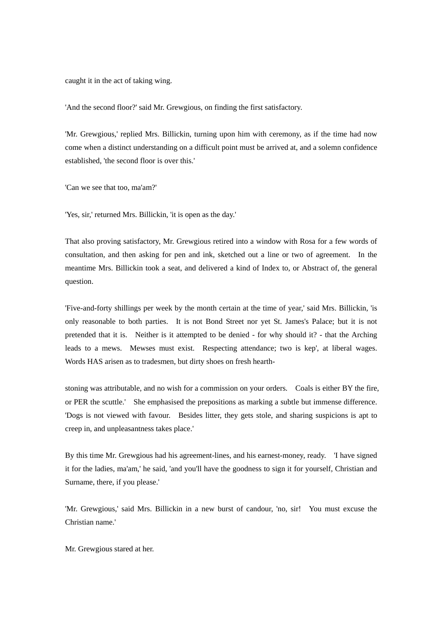caught it in the act of taking wing.

'And the second floor?' said Mr. Grewgious, on finding the first satisfactory.

'Mr. Grewgious,' replied Mrs. Billickin, turning upon him with ceremony, as if the time had now come when a distinct understanding on a difficult point must be arrived at, and a solemn confidence established, 'the second floor is over this.'

'Can we see that too, ma'am?'

'Yes, sir,' returned Mrs. Billickin, 'it is open as the day.'

That also proving satisfactory, Mr. Grewgious retired into a window with Rosa for a few words of consultation, and then asking for pen and ink, sketched out a line or two of agreement. In the meantime Mrs. Billickin took a seat, and delivered a kind of Index to, or Abstract of, the general question.

'Five-and-forty shillings per week by the month certain at the time of year,' said Mrs. Billickin, 'is only reasonable to both parties. It is not Bond Street nor yet St. James's Palace; but it is not pretended that it is. Neither is it attempted to be denied - for why should it? - that the Arching leads to a mews. Mewses must exist. Respecting attendance; two is kep', at liberal wages. Words HAS arisen as to tradesmen, but dirty shoes on fresh hearth-

stoning was attributable, and no wish for a commission on your orders. Coals is either BY the fire, or PER the scuttle.' She emphasised the prepositions as marking a subtle but immense difference. 'Dogs is not viewed with favour. Besides litter, they gets stole, and sharing suspicions is apt to creep in, and unpleasantness takes place.'

By this time Mr. Grewgious had his agreement-lines, and his earnest-money, ready. 'I have signed it for the ladies, ma'am,' he said, 'and you'll have the goodness to sign it for yourself, Christian and Surname, there, if you please.'

'Mr. Grewgious,' said Mrs. Billickin in a new burst of candour, 'no, sir! You must excuse the Christian name.'

Mr. Grewgious stared at her.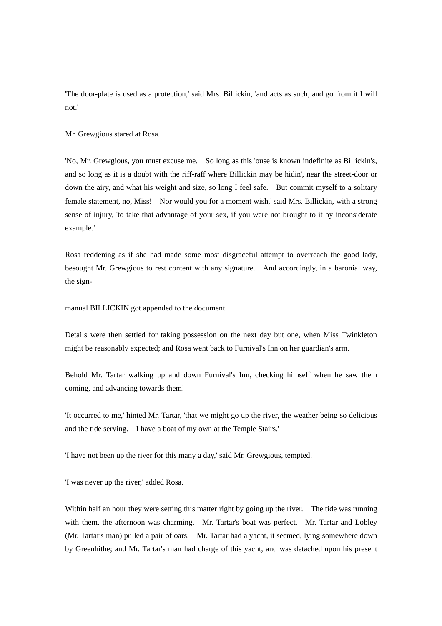'The door-plate is used as a protection,' said Mrs. Billickin, 'and acts as such, and go from it I will not.'

Mr. Grewgious stared at Rosa.

'No, Mr. Grewgious, you must excuse me. So long as this 'ouse is known indefinite as Billickin's, and so long as it is a doubt with the riff-raff where Billickin may be hidin', near the street-door or down the airy, and what his weight and size, so long I feel safe. But commit myself to a solitary female statement, no, Miss! Nor would you for a moment wish,' said Mrs. Billickin, with a strong sense of injury, 'to take that advantage of your sex, if you were not brought to it by inconsiderate example.'

Rosa reddening as if she had made some most disgraceful attempt to overreach the good lady, besought Mr. Grewgious to rest content with any signature. And accordingly, in a baronial way, the sign-

manual BILLICKIN got appended to the document.

Details were then settled for taking possession on the next day but one, when Miss Twinkleton might be reasonably expected; and Rosa went back to Furnival's Inn on her guardian's arm.

Behold Mr. Tartar walking up and down Furnival's Inn, checking himself when he saw them coming, and advancing towards them!

'It occurred to me,' hinted Mr. Tartar, 'that we might go up the river, the weather being so delicious and the tide serving. I have a boat of my own at the Temple Stairs.'

'I have not been up the river for this many a day,' said Mr. Grewgious, tempted.

'I was never up the river,' added Rosa.

Within half an hour they were setting this matter right by going up the river. The tide was running with them, the afternoon was charming. Mr. Tartar's boat was perfect. Mr. Tartar and Lobley (Mr. Tartar's man) pulled a pair of oars. Mr. Tartar had a yacht, it seemed, lying somewhere down by Greenhithe; and Mr. Tartar's man had charge of this yacht, and was detached upon his present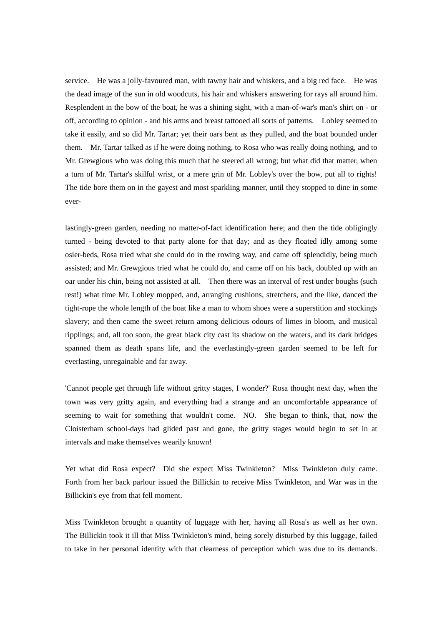service. He was a jolly-favoured man, with tawny hair and whiskers, and a big red face. He was the dead image of the sun in old woodcuts, his hair and whiskers answering for rays all around him. Resplendent in the bow of the boat, he was a shining sight, with a man-of-war's man's shirt on - or off, according to opinion - and his arms and breast tattooed all sorts of patterns. Lobley seemed to take it easily, and so did Mr. Tartar; yet their oars bent as they pulled, and the boat bounded under them. Mr. Tartar talked as if he were doing nothing, to Rosa who was really doing nothing, and to Mr. Grewgious who was doing this much that he steered all wrong; but what did that matter, when a turn of Mr. Tartar's skilful wrist, or a mere grin of Mr. Lobley's over the bow, put all to rights! The tide bore them on in the gayest and most sparkling manner, until they stopped to dine in some ever-

lastingly-green garden, needing no matter-of-fact identification here; and then the tide obligingly turned - being devoted to that party alone for that day; and as they floated idly among some osier-beds, Rosa tried what she could do in the rowing way, and came off splendidly, being much assisted; and Mr. Grewgious tried what he could do, and came off on his back, doubled up with an oar under his chin, being not assisted at all. Then there was an interval of rest under boughs (such rest!) what time Mr. Lobley mopped, and, arranging cushions, stretchers, and the like, danced the tight-rope the whole length of the boat like a man to whom shoes were a superstition and stockings slavery; and then came the sweet return among delicious odours of limes in bloom, and musical ripplings; and, all too soon, the great black city cast its shadow on the waters, and its dark bridges spanned them as death spans life, and the everlastingly-green garden seemed to be left for everlasting, unregainable and far away.

'Cannot people get through life without gritty stages, I wonder?' Rosa thought next day, when the town was very gritty again, and everything had a strange and an uncomfortable appearance of seeming to wait for something that wouldn't come. NO. She began to think, that, now the Cloisterham school-days had glided past and gone, the gritty stages would begin to set in at intervals and make themselves wearily known!

Yet what did Rosa expect? Did she expect Miss Twinkleton? Miss Twinkleton duly came. Forth from her back parlour issued the Billickin to receive Miss Twinkleton, and War was in the Billickin's eye from that fell moment.

Miss Twinkleton brought a quantity of luggage with her, having all Rosa's as well as her own. The Billickin took it ill that Miss Twinkleton's mind, being sorely disturbed by this luggage, failed to take in her personal identity with that clearness of perception which was due to its demands.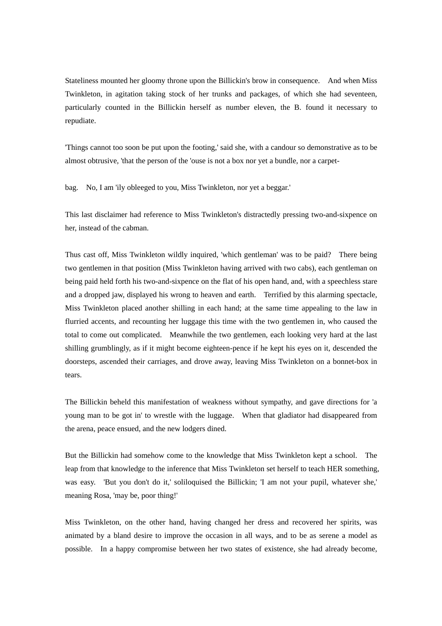Stateliness mounted her gloomy throne upon the Billickin's brow in consequence. And when Miss Twinkleton, in agitation taking stock of her trunks and packages, of which she had seventeen, particularly counted in the Billickin herself as number eleven, the B. found it necessary to repudiate.

'Things cannot too soon be put upon the footing,' said she, with a candour so demonstrative as to be almost obtrusive, 'that the person of the 'ouse is not a box nor yet a bundle, nor a carpet-

bag. No, I am 'ily obleeged to you, Miss Twinkleton, nor yet a beggar.'

This last disclaimer had reference to Miss Twinkleton's distractedly pressing two-and-sixpence on her, instead of the cabman.

Thus cast off, Miss Twinkleton wildly inquired, 'which gentleman' was to be paid? There being two gentlemen in that position (Miss Twinkleton having arrived with two cabs), each gentleman on being paid held forth his two-and-sixpence on the flat of his open hand, and, with a speechless stare and a dropped jaw, displayed his wrong to heaven and earth. Terrified by this alarming spectacle, Miss Twinkleton placed another shilling in each hand; at the same time appealing to the law in flurried accents, and recounting her luggage this time with the two gentlemen in, who caused the total to come out complicated. Meanwhile the two gentlemen, each looking very hard at the last shilling grumblingly, as if it might become eighteen-pence if he kept his eyes on it, descended the doorsteps, ascended their carriages, and drove away, leaving Miss Twinkleton on a bonnet-box in tears.

The Billickin beheld this manifestation of weakness without sympathy, and gave directions for 'a young man to be got in' to wrestle with the luggage. When that gladiator had disappeared from the arena, peace ensued, and the new lodgers dined.

But the Billickin had somehow come to the knowledge that Miss Twinkleton kept a school. The leap from that knowledge to the inference that Miss Twinkleton set herself to teach HER something, was easy. 'But you don't do it,' soliloquised the Billickin; 'I am not your pupil, whatever she,' meaning Rosa, 'may be, poor thing!'

Miss Twinkleton, on the other hand, having changed her dress and recovered her spirits, was animated by a bland desire to improve the occasion in all ways, and to be as serene a model as possible. In a happy compromise between her two states of existence, she had already become,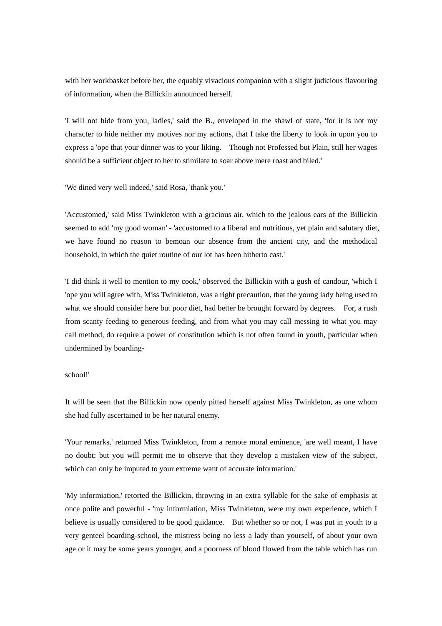with her workbasket before her, the equably vivacious companion with a slight judicious flavouring of information, when the Billickin announced herself.

'I will not hide from you, ladies,' said the B., enveloped in the shawl of state, 'for it is not my character to hide neither my motives nor my actions, that I take the liberty to look in upon you to express a 'ope that your dinner was to your liking. Though not Professed but Plain, still her wages should be a sufficient object to her to stimilate to soar above mere roast and biled.'

'We dined very well indeed,' said Rosa, 'thank you.'

'Accustomed,' said Miss Twinkleton with a gracious air, which to the jealous ears of the Billickin seemed to add 'my good woman' - 'accustomed to a liberal and nutritious, yet plain and salutary diet, we have found no reason to bemoan our absence from the ancient city, and the methodical household, in which the quiet routine of our lot has been hitherto cast.'

'I did think it well to mention to my cook,' observed the Billickin with a gush of candour, 'which I 'ope you will agree with, Miss Twinkleton, was a right precaution, that the young lady being used to what we should consider here but poor diet, had better be brought forward by degrees. For, a rush from scanty feeding to generous feeding, and from what you may call messing to what you may call method, do require a power of constitution which is not often found in youth, particular when undermined by boarding-

### school!'

It will be seen that the Billickin now openly pitted herself against Miss Twinkleton, as one whom she had fully ascertained to be her natural enemy.

'Your remarks,' returned Miss Twinkleton, from a remote moral eminence, 'are well meant, I have no doubt; but you will permit me to observe that they develop a mistaken view of the subject, which can only be imputed to your extreme want of accurate information.'

'My informiation,' retorted the Billickin, throwing in an extra syllable for the sake of emphasis at once polite and powerful - 'my informiation, Miss Twinkleton, were my own experience, which I believe is usually considered to be good guidance. But whether so or not, I was put in youth to a very genteel boarding-school, the mistress being no less a lady than yourself, of about your own age or it may be some years younger, and a poorness of blood flowed from the table which has run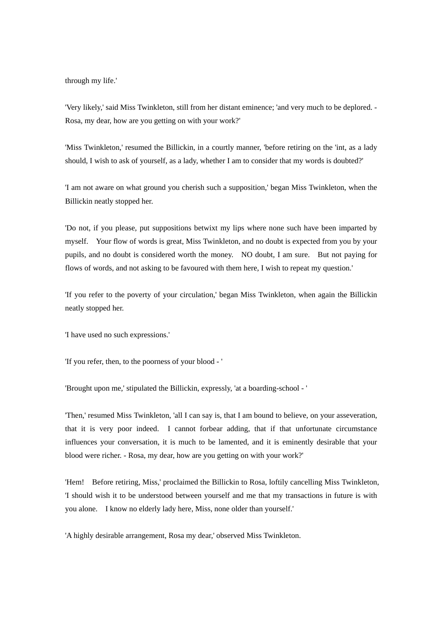through my life.'

'Very likely,' said Miss Twinkleton, still from her distant eminence; 'and very much to be deplored. - Rosa, my dear, how are you getting on with your work?'

'Miss Twinkleton,' resumed the Billickin, in a courtly manner, 'before retiring on the 'int, as a lady should, I wish to ask of yourself, as a lady, whether I am to consider that my words is doubted?'

'I am not aware on what ground you cherish such a supposition,' began Miss Twinkleton, when the Billickin neatly stopped her.

'Do not, if you please, put suppositions betwixt my lips where none such have been imparted by myself. Your flow of words is great, Miss Twinkleton, and no doubt is expected from you by your pupils, and no doubt is considered worth the money. NO doubt, I am sure. But not paying for flows of words, and not asking to be favoured with them here, I wish to repeat my question.'

'If you refer to the poverty of your circulation,' began Miss Twinkleton, when again the Billickin neatly stopped her.

'I have used no such expressions.'

'If you refer, then, to the poorness of your blood - '

'Brought upon me,' stipulated the Billickin, expressly, 'at a boarding-school - '

'Then,' resumed Miss Twinkleton, 'all I can say is, that I am bound to believe, on your asseveration, that it is very poor indeed. I cannot forbear adding, that if that unfortunate circumstance influences your conversation, it is much to be lamented, and it is eminently desirable that your blood were richer. - Rosa, my dear, how are you getting on with your work?'

'Hem! Before retiring, Miss,' proclaimed the Billickin to Rosa, loftily cancelling Miss Twinkleton, 'I should wish it to be understood between yourself and me that my transactions in future is with you alone. I know no elderly lady here, Miss, none older than yourself.'

'A highly desirable arrangement, Rosa my dear,' observed Miss Twinkleton.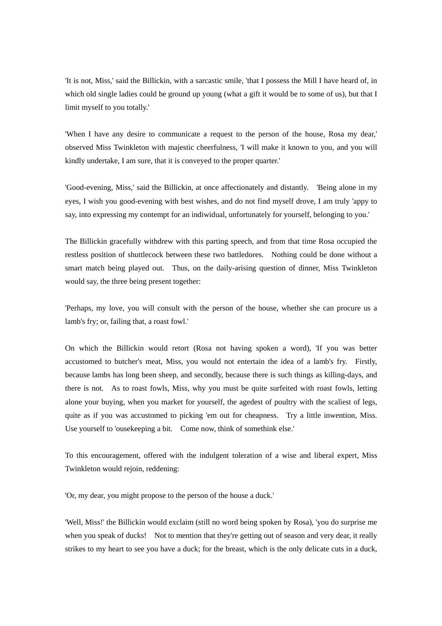'It is not, Miss,' said the Billickin, with a sarcastic smile, 'that I possess the Mill I have heard of, in which old single ladies could be ground up young (what a gift it would be to some of us), but that I limit myself to you totally.'

'When I have any desire to communicate a request to the person of the house, Rosa my dear,' observed Miss Twinkleton with majestic cheerfulness, 'I will make it known to you, and you will kindly undertake, I am sure, that it is conveyed to the proper quarter.'

'Good-evening, Miss,' said the Billickin, at once affectionately and distantly. 'Being alone in my eyes, I wish you good-evening with best wishes, and do not find myself drove, I am truly 'appy to say, into expressing my contempt for an indiwidual, unfortunately for yourself, belonging to you.'

The Billickin gracefully withdrew with this parting speech, and from that time Rosa occupied the restless position of shuttlecock between these two battledores. Nothing could be done without a smart match being played out. Thus, on the daily-arising question of dinner, Miss Twinkleton would say, the three being present together:

'Perhaps, my love, you will consult with the person of the house, whether she can procure us a lamb's fry; or, failing that, a roast fowl.'

On which the Billickin would retort (Rosa not having spoken a word), 'If you was better accustomed to butcher's meat, Miss, you would not entertain the idea of a lamb's fry. Firstly, because lambs has long been sheep, and secondly, because there is such things as killing-days, and there is not. As to roast fowls, Miss, why you must be quite surfeited with roast fowls, letting alone your buying, when you market for yourself, the agedest of poultry with the scaliest of legs, quite as if you was accustomed to picking 'em out for cheapness. Try a little inwention, Miss. Use yourself to 'ousekeeping a bit. Come now, think of somethink else.'

To this encouragement, offered with the indulgent toleration of a wise and liberal expert, Miss Twinkleton would rejoin, reddening:

'Or, my dear, you might propose to the person of the house a duck.'

'Well, Miss!' the Billickin would exclaim (still no word being spoken by Rosa), 'you do surprise me when you speak of ducks! Not to mention that they're getting out of season and very dear, it really strikes to my heart to see you have a duck; for the breast, which is the only delicate cuts in a duck,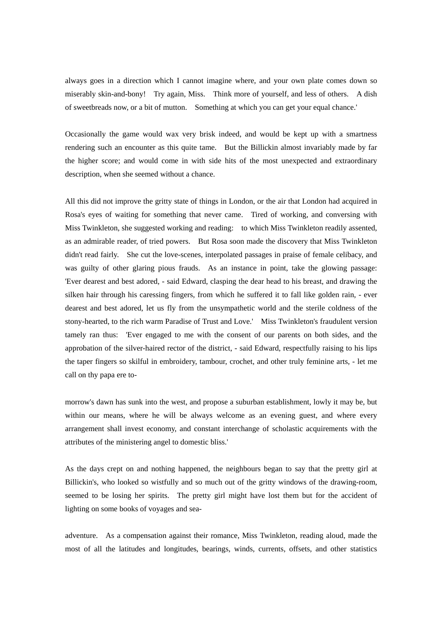always goes in a direction which I cannot imagine where, and your own plate comes down so miserably skin-and-bony! Try again, Miss. Think more of yourself, and less of others. A dish of sweetbreads now, or a bit of mutton. Something at which you can get your equal chance.'

Occasionally the game would wax very brisk indeed, and would be kept up with a smartness rendering such an encounter as this quite tame. But the Billickin almost invariably made by far the higher score; and would come in with side hits of the most unexpected and extraordinary description, when she seemed without a chance.

All this did not improve the gritty state of things in London, or the air that London had acquired in Rosa's eyes of waiting for something that never came. Tired of working, and conversing with Miss Twinkleton, she suggested working and reading: to which Miss Twinkleton readily assented, as an admirable reader, of tried powers. But Rosa soon made the discovery that Miss Twinkleton didn't read fairly. She cut the love-scenes, interpolated passages in praise of female celibacy, and was guilty of other glaring pious frauds. As an instance in point, take the glowing passage: 'Ever dearest and best adored, - said Edward, clasping the dear head to his breast, and drawing the silken hair through his caressing fingers, from which he suffered it to fall like golden rain, - ever dearest and best adored, let us fly from the unsympathetic world and the sterile coldness of the stony-hearted, to the rich warm Paradise of Trust and Love.' Miss Twinkleton's fraudulent version tamely ran thus: 'Ever engaged to me with the consent of our parents on both sides, and the approbation of the silver-haired rector of the district, - said Edward, respectfully raising to his lips the taper fingers so skilful in embroidery, tambour, crochet, and other truly feminine arts, - let me call on thy papa ere to-

morrow's dawn has sunk into the west, and propose a suburban establishment, lowly it may be, but within our means, where he will be always welcome as an evening guest, and where every arrangement shall invest economy, and constant interchange of scholastic acquirements with the attributes of the ministering angel to domestic bliss.'

As the days crept on and nothing happened, the neighbours began to say that the pretty girl at Billickin's, who looked so wistfully and so much out of the gritty windows of the drawing-room, seemed to be losing her spirits. The pretty girl might have lost them but for the accident of lighting on some books of voyages and sea-

adventure. As a compensation against their romance, Miss Twinkleton, reading aloud, made the most of all the latitudes and longitudes, bearings, winds, currents, offsets, and other statistics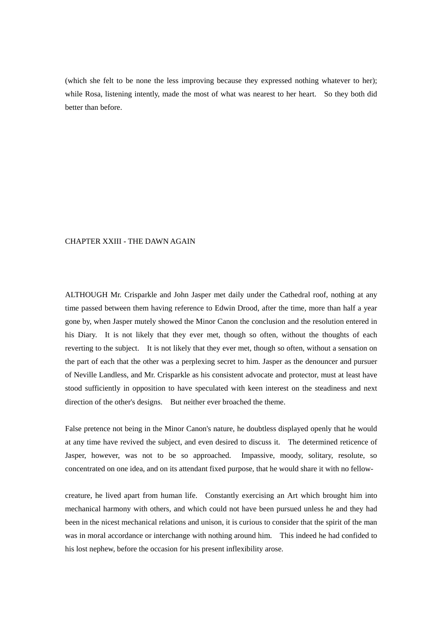(which she felt to be none the less improving because they expressed nothing whatever to her); while Rosa, listening intently, made the most of what was nearest to her heart. So they both did better than before.

# CHAPTER XXIII - THE DAWN AGAIN

ALTHOUGH Mr. Crisparkle and John Jasper met daily under the Cathedral roof, nothing at any time passed between them having reference to Edwin Drood, after the time, more than half a year gone by, when Jasper mutely showed the Minor Canon the conclusion and the resolution entered in his Diary. It is not likely that they ever met, though so often, without the thoughts of each reverting to the subject. It is not likely that they ever met, though so often, without a sensation on the part of each that the other was a perplexing secret to him. Jasper as the denouncer and pursuer of Neville Landless, and Mr. Crisparkle as his consistent advocate and protector, must at least have stood sufficiently in opposition to have speculated with keen interest on the steadiness and next direction of the other's designs. But neither ever broached the theme.

False pretence not being in the Minor Canon's nature, he doubtless displayed openly that he would at any time have revived the subject, and even desired to discuss it. The determined reticence of Jasper, however, was not to be so approached. Impassive, moody, solitary, resolute, so concentrated on one idea, and on its attendant fixed purpose, that he would share it with no fellow-

creature, he lived apart from human life. Constantly exercising an Art which brought him into mechanical harmony with others, and which could not have been pursued unless he and they had been in the nicest mechanical relations and unison, it is curious to consider that the spirit of the man was in moral accordance or interchange with nothing around him. This indeed he had confided to his lost nephew, before the occasion for his present inflexibility arose.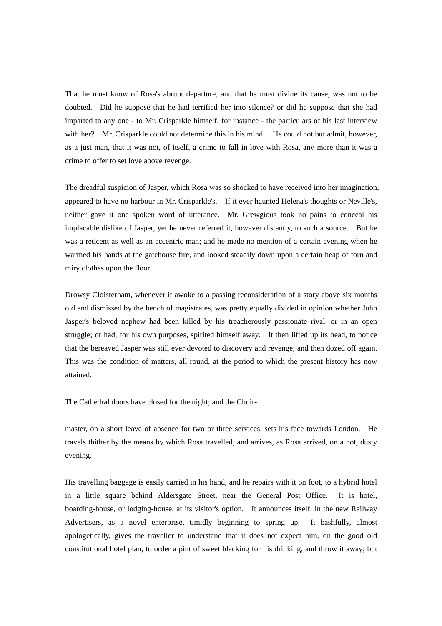That he must know of Rosa's abrupt departure, and that he must divine its cause, was not to be doubted. Did he suppose that he had terrified her into silence? or did he suppose that she had imparted to any one - to Mr. Crisparkle himself, for instance - the particulars of his last interview with her? Mr. Crisparkle could not determine this in his mind. He could not but admit, however, as a just man, that it was not, of itself, a crime to fall in love with Rosa, any more than it was a crime to offer to set love above revenge.

The dreadful suspicion of Jasper, which Rosa was so shocked to have received into her imagination, appeared to have no harbour in Mr. Crisparkle's. If it ever haunted Helena's thoughts or Neville's, neither gave it one spoken word of utterance. Mr. Grewgious took no pains to conceal his implacable dislike of Jasper, yet he never referred it, however distantly, to such a source. But he was a reticent as well as an eccentric man; and he made no mention of a certain evening when he warmed his hands at the gatehouse fire, and looked steadily down upon a certain heap of torn and miry clothes upon the floor.

Drowsy Cloisterham, whenever it awoke to a passing reconsideration of a story above six months old and dismissed by the bench of magistrates, was pretty equally divided in opinion whether John Jasper's beloved nephew had been killed by his treacherously passionate rival, or in an open struggle; or had, for his own purposes, spirited himself away. It then lifted up its head, to notice that the bereaved Jasper was still ever devoted to discovery and revenge; and then dozed off again. This was the condition of matters, all round, at the period to which the present history has now attained.

The Cathedral doors have closed for the night; and the Choir-

master, on a short leave of absence for two or three services, sets his face towards London. He travels thither by the means by which Rosa travelled, and arrives, as Rosa arrived, on a hot, dusty evening.

His travelling baggage is easily carried in his hand, and he repairs with it on foot, to a hybrid hotel in a little square behind Aldersgate Street, near the General Post Office. It is hotel, boarding-house, or lodging-house, at its visitor's option. It announces itself, in the new Railway Advertisers, as a novel enterprise, timidly beginning to spring up. It bashfully, almost apologetically, gives the traveller to understand that it does not expect him, on the good old constitutional hotel plan, to order a pint of sweet blacking for his drinking, and throw it away; but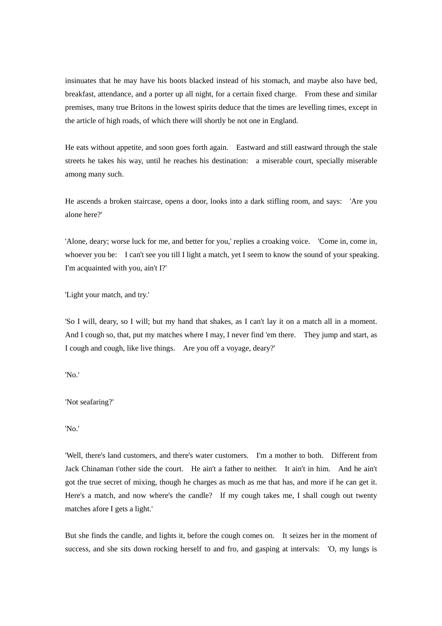insinuates that he may have his boots blacked instead of his stomach, and maybe also have bed, breakfast, attendance, and a porter up all night, for a certain fixed charge. From these and similar premises, many true Britons in the lowest spirits deduce that the times are levelling times, except in the article of high roads, of which there will shortly be not one in England.

He eats without appetite, and soon goes forth again. Eastward and still eastward through the stale streets he takes his way, until he reaches his destination: a miserable court, specially miserable among many such.

He ascends a broken staircase, opens a door, looks into a dark stifling room, and says: 'Are you alone here?'

'Alone, deary; worse luck for me, and better for you,' replies a croaking voice. 'Come in, come in, whoever you be: I can't see you till I light a match, yet I seem to know the sound of your speaking. I'm acquainted with you, ain't I?'

'Light your match, and try.'

'So I will, deary, so I will; but my hand that shakes, as I can't lay it on a match all in a moment. And I cough so, that, put my matches where I may, I never find 'em there. They jump and start, as I cough and cough, like live things. Are you off a voyage, deary?'

'No.'

'Not seafaring?'

'No.'

'Well, there's land customers, and there's water customers. I'm a mother to both. Different from Jack Chinaman t'other side the court. He ain't a father to neither. It ain't in him. And he ain't got the true secret of mixing, though he charges as much as me that has, and more if he can get it. Here's a match, and now where's the candle? If my cough takes me, I shall cough out twenty matches afore I gets a light.'

But she finds the candle, and lights it, before the cough comes on. It seizes her in the moment of success, and she sits down rocking herself to and fro, and gasping at intervals: 'O, my lungs is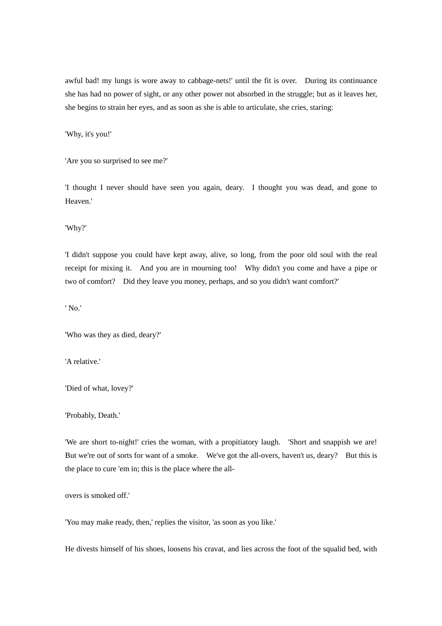awful bad! my lungs is wore away to cabbage-nets!' until the fit is over. During its continuance she has had no power of sight, or any other power not absorbed in the struggle; but as it leaves her, she begins to strain her eyes, and as soon as she is able to articulate, she cries, staring:

'Why, it's you!'

'Are you so surprised to see me?'

'I thought I never should have seen you again, deary. I thought you was dead, and gone to Heaven.'

'Why?'

'I didn't suppose you could have kept away, alive, so long, from the poor old soul with the real receipt for mixing it. And you are in mourning too! Why didn't you come and have a pipe or two of comfort? Did they leave you money, perhaps, and so you didn't want comfort?'

' No.'

'Who was they as died, deary?'

'A relative.'

'Died of what, lovey?'

'Probably, Death.'

'We are short to-night!' cries the woman, with a propitiatory laugh. 'Short and snappish we are! But we're out of sorts for want of a smoke. We've got the all-overs, haven't us, deary? But this is the place to cure 'em in; this is the place where the all-

overs is smoked off.'

'You may make ready, then,' replies the visitor, 'as soon as you like.'

He divests himself of his shoes, loosens his cravat, and lies across the foot of the squalid bed, with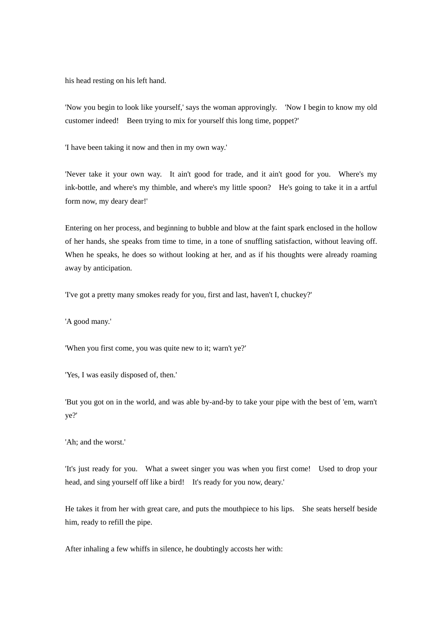his head resting on his left hand.

'Now you begin to look like yourself,' says the woman approvingly. 'Now I begin to know my old customer indeed! Been trying to mix for yourself this long time, poppet?'

'I have been taking it now and then in my own way.'

'Never take it your own way. It ain't good for trade, and it ain't good for you. Where's my ink-bottle, and where's my thimble, and where's my little spoon? He's going to take it in a artful form now, my deary dear!'

Entering on her process, and beginning to bubble and blow at the faint spark enclosed in the hollow of her hands, she speaks from time to time, in a tone of snuffling satisfaction, without leaving off. When he speaks, he does so without looking at her, and as if his thoughts were already roaming away by anticipation.

'I've got a pretty many smokes ready for you, first and last, haven't I, chuckey?'

'A good many.'

'When you first come, you was quite new to it; warn't ye?'

'Yes, I was easily disposed of, then.'

'But you got on in the world, and was able by-and-by to take your pipe with the best of 'em, warn't ye?'

'Ah; and the worst.'

'It's just ready for you. What a sweet singer you was when you first come! Used to drop your head, and sing yourself off like a bird! It's ready for you now, deary.'

He takes it from her with great care, and puts the mouthpiece to his lips. She seats herself beside him, ready to refill the pipe.

After inhaling a few whiffs in silence, he doubtingly accosts her with: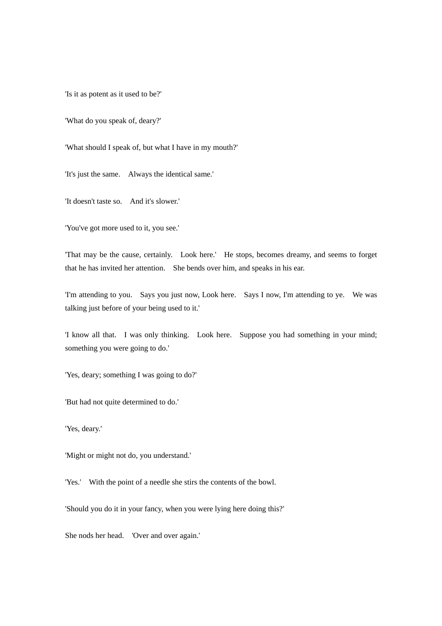'Is it as potent as it used to be?'

'What do you speak of, deary?'

'What should I speak of, but what I have in my mouth?'

'It's just the same. Always the identical same.'

'It doesn't taste so. And it's slower.'

'You've got more used to it, you see.'

'That may be the cause, certainly. Look here.' He stops, becomes dreamy, and seems to forget that he has invited her attention. She bends over him, and speaks in his ear.

'I'm attending to you. Says you just now, Look here. Says I now, I'm attending to ye. We was talking just before of your being used to it.'

'I know all that. I was only thinking. Look here. Suppose you had something in your mind; something you were going to do.'

'Yes, deary; something I was going to do?'

'But had not quite determined to do.'

'Yes, deary.'

'Might or might not do, you understand.'

'Yes.' With the point of a needle she stirs the contents of the bowl.

'Should you do it in your fancy, when you were lying here doing this?'

She nods her head. 'Over and over again.'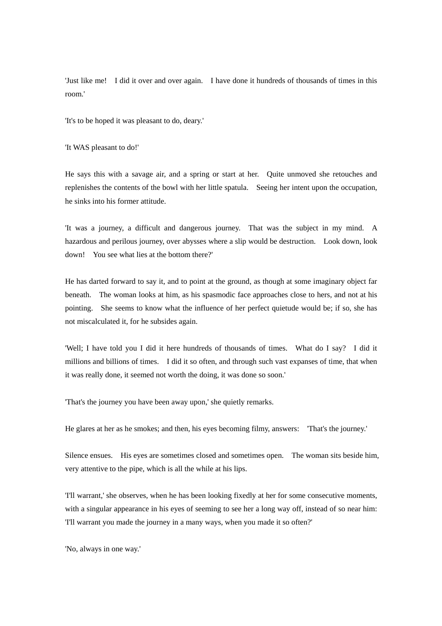'Just like me! I did it over and over again. I have done it hundreds of thousands of times in this room.'

'It's to be hoped it was pleasant to do, deary.'

'It WAS pleasant to do!'

He says this with a savage air, and a spring or start at her. Quite unmoved she retouches and replenishes the contents of the bowl with her little spatula. Seeing her intent upon the occupation, he sinks into his former attitude.

'It was a journey, a difficult and dangerous journey. That was the subject in my mind. A hazardous and perilous journey, over abysses where a slip would be destruction. Look down, look down! You see what lies at the bottom there?'

He has darted forward to say it, and to point at the ground, as though at some imaginary object far beneath. The woman looks at him, as his spasmodic face approaches close to hers, and not at his pointing. She seems to know what the influence of her perfect quietude would be; if so, she has not miscalculated it, for he subsides again.

'Well; I have told you I did it here hundreds of thousands of times. What do I say? I did it millions and billions of times. I did it so often, and through such vast expanses of time, that when it was really done, it seemed not worth the doing, it was done so soon.'

'That's the journey you have been away upon,' she quietly remarks.

He glares at her as he smokes; and then, his eyes becoming filmy, answers: 'That's the journey.'

Silence ensues. His eyes are sometimes closed and sometimes open. The woman sits beside him, very attentive to the pipe, which is all the while at his lips.

'I'll warrant,' she observes, when he has been looking fixedly at her for some consecutive moments, with a singular appearance in his eyes of seeming to see her a long way off, instead of so near him: 'I'll warrant you made the journey in a many ways, when you made it so often?'

'No, always in one way.'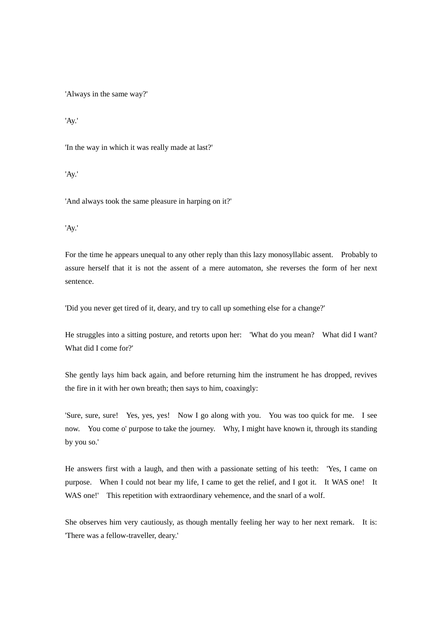'Always in the same way?'

'Ay.'

'In the way in which it was really made at last?'

'Ay.'

'And always took the same pleasure in harping on it?'

'Ay.'

For the time he appears unequal to any other reply than this lazy monosyllabic assent. Probably to assure herself that it is not the assent of a mere automaton, she reverses the form of her next sentence.

'Did you never get tired of it, deary, and try to call up something else for a change?'

He struggles into a sitting posture, and retorts upon her: 'What do you mean? What did I want? What did I come for?'

She gently lays him back again, and before returning him the instrument he has dropped, revives the fire in it with her own breath; then says to him, coaxingly:

'Sure, sure, sure! Yes, yes, yes! Now I go along with you. You was too quick for me. I see now. You come o' purpose to take the journey. Why, I might have known it, through its standing by you so.'

He answers first with a laugh, and then with a passionate setting of his teeth: 'Yes, I came on purpose. When I could not bear my life, I came to get the relief, and I got it. It WAS one! It WAS one!' This repetition with extraordinary vehemence, and the snarl of a wolf.

She observes him very cautiously, as though mentally feeling her way to her next remark. It is: 'There was a fellow-traveller, deary.'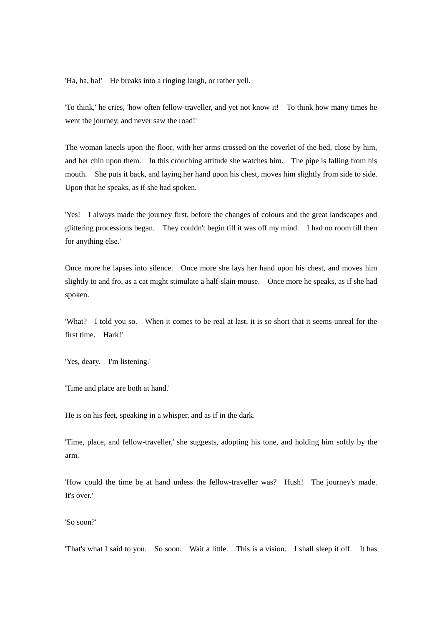'Ha, ha, ha!' He breaks into a ringing laugh, or rather yell.

'To think,' he cries, 'how often fellow-traveller, and yet not know it! To think how many times he went the journey, and never saw the road!'

The woman kneels upon the floor, with her arms crossed on the coverlet of the bed, close by him, and her chin upon them. In this crouching attitude she watches him. The pipe is falling from his mouth. She puts it back, and laying her hand upon his chest, moves him slightly from side to side. Upon that he speaks, as if she had spoken.

'Yes! I always made the journey first, before the changes of colours and the great landscapes and glittering processions began. They couldn't begin till it was off my mind. I had no room till then for anything else.'

Once more he lapses into silence. Once more she lays her hand upon his chest, and moves him slightly to and fro, as a cat might stimulate a half-slain mouse. Once more he speaks, as if she had spoken.

'What? I told you so. When it comes to be real at last, it is so short that it seems unreal for the first time. Hark!'

'Yes, deary. I'm listening.'

'Time and place are both at hand.'

He is on his feet, speaking in a whisper, and as if in the dark.

'Time, place, and fellow-traveller,' she suggests, adopting his tone, and holding him softly by the arm.

'How could the time be at hand unless the fellow-traveller was? Hush! The journey's made. It's over.'

'So soon?'

'That's what I said to you. So soon. Wait a little. This is a vision. I shall sleep it off. It has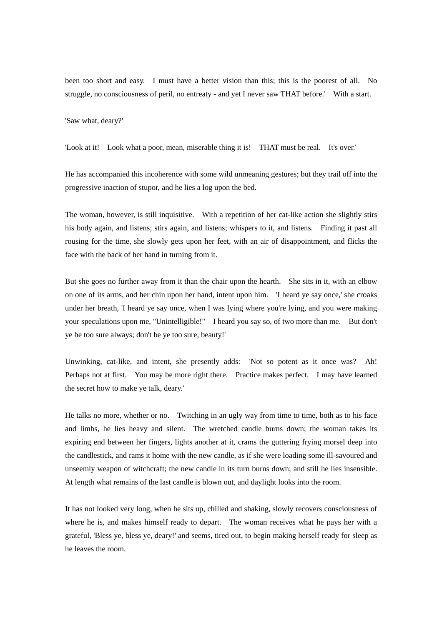been too short and easy. I must have a better vision than this; this is the poorest of all. No struggle, no consciousness of peril, no entreaty - and yet I never saw THAT before.' With a start.

'Saw what, deary?'

'Look at it! Look what a poor, mean, miserable thing it is! THAT must be real. It's over.'

He has accompanied this incoherence with some wild unmeaning gestures; but they trail off into the progressive inaction of stupor, and he lies a log upon the bed.

The woman, however, is still inquisitive. With a repetition of her cat-like action she slightly stirs his body again, and listens; stirs again, and listens; whispers to it, and listens. Finding it past all rousing for the time, she slowly gets upon her feet, with an air of disappointment, and flicks the face with the back of her hand in turning from it.

But she goes no further away from it than the chair upon the hearth. She sits in it, with an elbow on one of its arms, and her chin upon her hand, intent upon him. 'I heard ye say once,' she croaks under her breath, 'I heard ye say once, when I was lying where you're lying, and you were making your speculations upon me, "Unintelligible!" I heard you say so, of two more than me. But don't ye be too sure always; don't be ye too sure, beauty!'

Unwinking, cat-like, and intent, she presently adds: 'Not so potent as it once was? Ah! Perhaps not at first. You may be more right there. Practice makes perfect. I may have learned the secret how to make ye talk, deary.'

He talks no more, whether or no. Twitching in an ugly way from time to time, both as to his face and limbs, he lies heavy and silent. The wretched candle burns down; the woman takes its expiring end between her fingers, lights another at it, crams the guttering frying morsel deep into the candlestick, and rams it home with the new candle, as if she were loading some ill-savoured and unseemly weapon of witchcraft; the new candle in its turn burns down; and still he lies insensible. At length what remains of the last candle is blown out, and daylight looks into the room.

It has not looked very long, when he sits up, chilled and shaking, slowly recovers consciousness of where he is, and makes himself ready to depart. The woman receives what he pays her with a grateful, 'Bless ye, bless ye, deary!' and seems, tired out, to begin making herself ready for sleep as he leaves the room.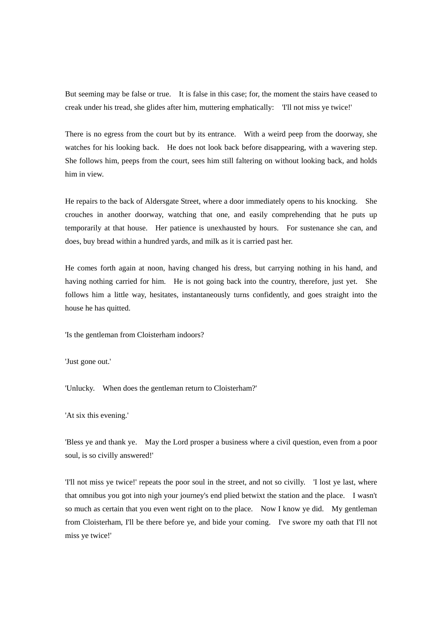But seeming may be false or true. It is false in this case; for, the moment the stairs have ceased to creak under his tread, she glides after him, muttering emphatically: 'I'll not miss ye twice!'

There is no egress from the court but by its entrance. With a weird peep from the doorway, she watches for his looking back. He does not look back before disappearing, with a wavering step. She follows him, peeps from the court, sees him still faltering on without looking back, and holds him in view.

He repairs to the back of Aldersgate Street, where a door immediately opens to his knocking. She crouches in another doorway, watching that one, and easily comprehending that he puts up temporarily at that house. Her patience is unexhausted by hours. For sustenance she can, and does, buy bread within a hundred yards, and milk as it is carried past her.

He comes forth again at noon, having changed his dress, but carrying nothing in his hand, and having nothing carried for him. He is not going back into the country, therefore, just yet. She follows him a little way, hesitates, instantaneously turns confidently, and goes straight into the house he has quitted.

'Is the gentleman from Cloisterham indoors?

'Just gone out.'

'Unlucky. When does the gentleman return to Cloisterham?'

'At six this evening.'

'Bless ye and thank ye. May the Lord prosper a business where a civil question, even from a poor soul, is so civilly answered!'

'I'll not miss ye twice!' repeats the poor soul in the street, and not so civilly. 'I lost ye last, where that omnibus you got into nigh your journey's end plied betwixt the station and the place. I wasn't so much as certain that you even went right on to the place. Now I know ye did. My gentleman from Cloisterham, I'll be there before ye, and bide your coming. I've swore my oath that I'll not miss ye twice!'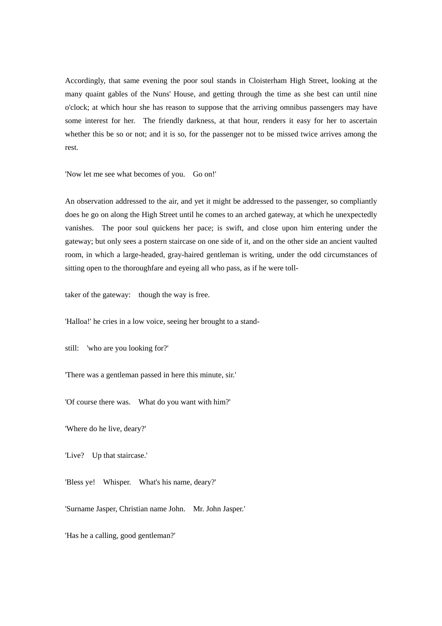Accordingly, that same evening the poor soul stands in Cloisterham High Street, looking at the many quaint gables of the Nuns' House, and getting through the time as she best can until nine o'clock; at which hour she has reason to suppose that the arriving omnibus passengers may have some interest for her. The friendly darkness, at that hour, renders it easy for her to ascertain whether this be so or not; and it is so, for the passenger not to be missed twice arrives among the rest.

'Now let me see what becomes of you. Go on!'

An observation addressed to the air, and yet it might be addressed to the passenger, so compliantly does he go on along the High Street until he comes to an arched gateway, at which he unexpectedly vanishes. The poor soul quickens her pace; is swift, and close upon him entering under the gateway; but only sees a postern staircase on one side of it, and on the other side an ancient vaulted room, in which a large-headed, gray-haired gentleman is writing, under the odd circumstances of sitting open to the thoroughfare and eyeing all who pass, as if he were toll-

taker of the gateway: though the way is free.

'Halloa!' he cries in a low voice, seeing her brought to a stand-

still: 'who are you looking for?'

'There was a gentleman passed in here this minute, sir.'

'Of course there was. What do you want with him?'

'Where do he live, deary?'

'Live? Up that staircase.'

'Bless ye! Whisper. What's his name, deary?'

'Surname Jasper, Christian name John. Mr. John Jasper.'

'Has he a calling, good gentleman?'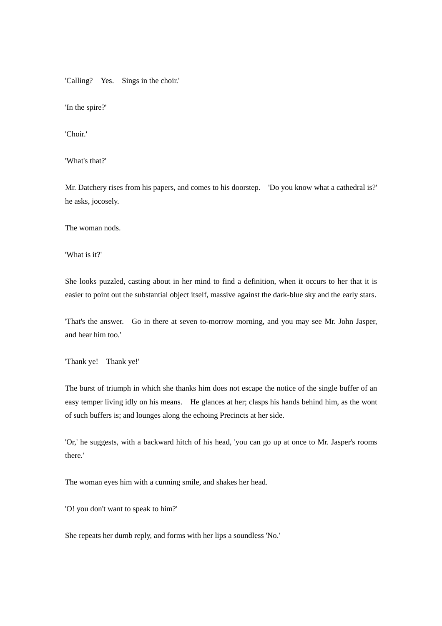'Calling? Yes. Sings in the choir.'

'In the spire?'

'Choir.'

'What's that?'

Mr. Datchery rises from his papers, and comes to his doorstep. 'Do you know what a cathedral is?' he asks, jocosely.

The woman nods.

'What is it?'

She looks puzzled, casting about in her mind to find a definition, when it occurs to her that it is easier to point out the substantial object itself, massive against the dark-blue sky and the early stars.

'That's the answer. Go in there at seven to-morrow morning, and you may see Mr. John Jasper, and hear him too.'

'Thank ye! Thank ye!'

The burst of triumph in which she thanks him does not escape the notice of the single buffer of an easy temper living idly on his means. He glances at her; clasps his hands behind him, as the wont of such buffers is; and lounges along the echoing Precincts at her side.

'Or,' he suggests, with a backward hitch of his head, 'you can go up at once to Mr. Jasper's rooms there.'

The woman eyes him with a cunning smile, and shakes her head.

'O! you don't want to speak to him?'

She repeats her dumb reply, and forms with her lips a soundless 'No.'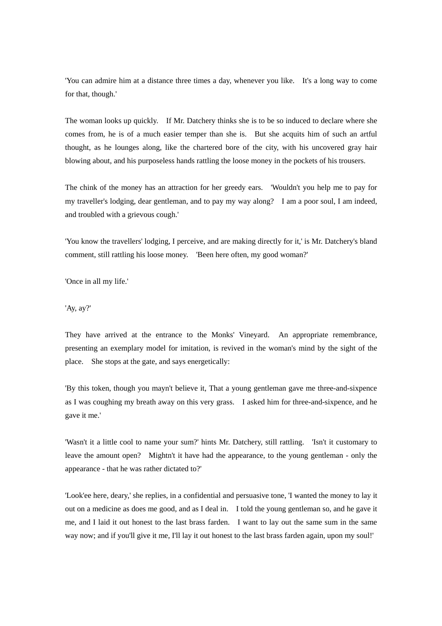'You can admire him at a distance three times a day, whenever you like. It's a long way to come for that, though.'

The woman looks up quickly. If Mr. Datchery thinks she is to be so induced to declare where she comes from, he is of a much easier temper than she is. But she acquits him of such an artful thought, as he lounges along, like the chartered bore of the city, with his uncovered gray hair blowing about, and his purposeless hands rattling the loose money in the pockets of his trousers.

The chink of the money has an attraction for her greedy ears. 'Wouldn't you help me to pay for my traveller's lodging, dear gentleman, and to pay my way along? I am a poor soul, I am indeed, and troubled with a grievous cough.'

'You know the travellers' lodging, I perceive, and are making directly for it,' is Mr. Datchery's bland comment, still rattling his loose money. 'Been here often, my good woman?'

'Once in all my life.'

'Ay, ay?'

They have arrived at the entrance to the Monks' Vineyard. An appropriate remembrance, presenting an exemplary model for imitation, is revived in the woman's mind by the sight of the place. She stops at the gate, and says energetically:

'By this token, though you mayn't believe it, That a young gentleman gave me three-and-sixpence as I was coughing my breath away on this very grass. I asked him for three-and-sixpence, and he gave it me.'

'Wasn't it a little cool to name your sum?' hints Mr. Datchery, still rattling. 'Isn't it customary to leave the amount open? Mightn't it have had the appearance, to the young gentleman - only the appearance - that he was rather dictated to?'

'Look'ee here, deary,' she replies, in a confidential and persuasive tone, 'I wanted the money to lay it out on a medicine as does me good, and as I deal in. I told the young gentleman so, and he gave it me, and I laid it out honest to the last brass farden. I want to lay out the same sum in the same way now; and if you'll give it me, I'll lay it out honest to the last brass farden again, upon my soul!'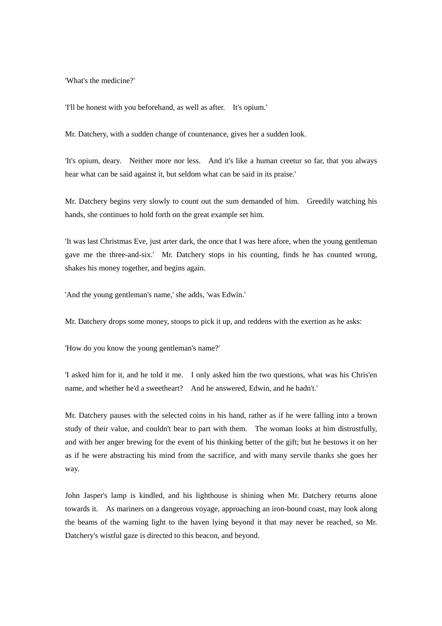'What's the medicine?'

'I'll be honest with you beforehand, as well as after. It's opium.'

Mr. Datchery, with a sudden change of countenance, gives her a sudden look.

'It's opium, deary. Neither more nor less. And it's like a human creetur so far, that you always hear what can be said against it, but seldom what can be said in its praise.'

Mr. Datchery begins very slowly to count out the sum demanded of him. Greedily watching his hands, she continues to hold forth on the great example set him.

'It was last Christmas Eve, just arter dark, the once that I was here afore, when the young gentleman gave me the three-and-six.' Mr. Datchery stops in his counting, finds he has counted wrong, shakes his money together, and begins again.

'And the young gentleman's name,' she adds, 'was Edwin.'

Mr. Datchery drops some money, stoops to pick it up, and reddens with the exertion as he asks:

'How do you know the young gentleman's name?'

'I asked him for it, and he told it me. I only asked him the two questions, what was his Chris'en name, and whether he'd a sweetheart? And he answered, Edwin, and he hadn't.'

Mr. Datchery pauses with the selected coins in his hand, rather as if he were falling into a brown study of their value, and couldn't bear to part with them. The woman looks at him distrustfully, and with her anger brewing for the event of his thinking better of the gift; but he bestows it on her as if he were abstracting his mind from the sacrifice, and with many servile thanks she goes her way.

John Jasper's lamp is kindled, and his lighthouse is shining when Mr. Datchery returns alone towards it. As mariners on a dangerous voyage, approaching an iron-bound coast, may look along the beams of the warning light to the haven lying beyond it that may never be reached, so Mr. Datchery's wistful gaze is directed to this beacon, and beyond.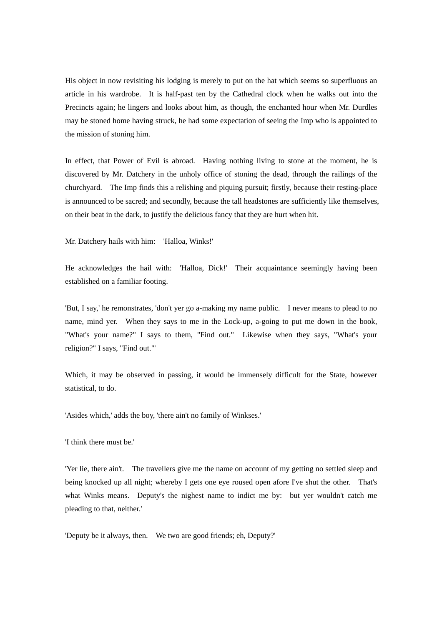His object in now revisiting his lodging is merely to put on the hat which seems so superfluous an article in his wardrobe. It is half-past ten by the Cathedral clock when he walks out into the Precincts again; he lingers and looks about him, as though, the enchanted hour when Mr. Durdles may be stoned home having struck, he had some expectation of seeing the Imp who is appointed to the mission of stoning him.

In effect, that Power of Evil is abroad. Having nothing living to stone at the moment, he is discovered by Mr. Datchery in the unholy office of stoning the dead, through the railings of the churchyard. The Imp finds this a relishing and piquing pursuit; firstly, because their resting-place is announced to be sacred; and secondly, because the tall headstones are sufficiently like themselves, on their beat in the dark, to justify the delicious fancy that they are hurt when hit.

Mr. Datchery hails with him: 'Halloa, Winks!'

He acknowledges the hail with: 'Halloa, Dick!' Their acquaintance seemingly having been established on a familiar footing.

'But, I say,' he remonstrates, 'don't yer go a-making my name public. I never means to plead to no name, mind yer. When they says to me in the Lock-up, a-going to put me down in the book, "What's your name?" I says to them, "Find out." Likewise when they says, "What's your religion?" I says, "Find out."'

Which, it may be observed in passing, it would be immensely difficult for the State, however statistical, to do.

'Asides which,' adds the boy, 'there ain't no family of Winkses.'

'I think there must be.'

'Yer lie, there ain't. The travellers give me the name on account of my getting no settled sleep and being knocked up all night; whereby I gets one eye roused open afore I've shut the other. That's what Winks means. Deputy's the nighest name to indict me by: but yer wouldn't catch me pleading to that, neither.'

'Deputy be it always, then. We two are good friends; eh, Deputy?'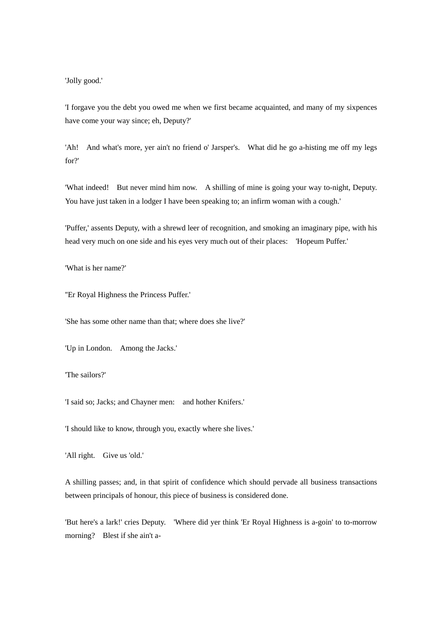'Jolly good.'

'I forgave you the debt you owed me when we first became acquainted, and many of my sixpences have come your way since; eh, Deputy?'

'Ah! And what's more, yer ain't no friend o' Jarsper's. What did he go a-histing me off my legs for?'

'What indeed! But never mind him now. A shilling of mine is going your way to-night, Deputy. You have just taken in a lodger I have been speaking to; an infirm woman with a cough.'

'Puffer,' assents Deputy, with a shrewd leer of recognition, and smoking an imaginary pipe, with his head very much on one side and his eyes very much out of their places: 'Hopeum Puffer.'

'What is her name?'

''Er Royal Highness the Princess Puffer.'

'She has some other name than that; where does she live?'

'Up in London. Among the Jacks.'

'The sailors?'

'I said so; Jacks; and Chayner men: and hother Knifers.'

'I should like to know, through you, exactly where she lives.'

'All right. Give us 'old.'

A shilling passes; and, in that spirit of confidence which should pervade all business transactions between principals of honour, this piece of business is considered done.

'But here's a lark!' cries Deputy. 'Where did yer think 'Er Royal Highness is a-goin' to to-morrow morning? Blest if she ain't a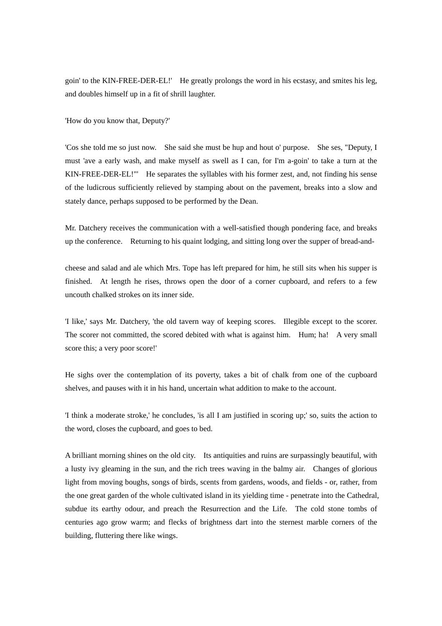goin' to the KIN-FREE-DER-EL!' He greatly prolongs the word in his ecstasy, and smites his leg, and doubles himself up in a fit of shrill laughter.

'How do you know that, Deputy?'

'Cos she told me so just now. She said she must be hup and hout o' purpose. She ses, "Deputy, I must 'ave a early wash, and make myself as swell as I can, for I'm a-goin' to take a turn at the KIN-FREE-DER-EL!"' He separates the syllables with his former zest, and, not finding his sense of the ludicrous sufficiently relieved by stamping about on the pavement, breaks into a slow and stately dance, perhaps supposed to be performed by the Dean.

Mr. Datchery receives the communication with a well-satisfied though pondering face, and breaks up the conference. Returning to his quaint lodging, and sitting long over the supper of bread-and-

cheese and salad and ale which Mrs. Tope has left prepared for him, he still sits when his supper is finished. At length he rises, throws open the door of a corner cupboard, and refers to a few uncouth chalked strokes on its inner side.

'I like,' says Mr. Datchery, 'the old tavern way of keeping scores. Illegible except to the scorer. The scorer not committed, the scored debited with what is against him. Hum; ha! A very small score this; a very poor score!'

He sighs over the contemplation of its poverty, takes a bit of chalk from one of the cupboard shelves, and pauses with it in his hand, uncertain what addition to make to the account.

'I think a moderate stroke,' he concludes, 'is all I am justified in scoring up;' so, suits the action to the word, closes the cupboard, and goes to bed.

A brilliant morning shines on the old city. Its antiquities and ruins are surpassingly beautiful, with a lusty ivy gleaming in the sun, and the rich trees waving in the balmy air. Changes of glorious light from moving boughs, songs of birds, scents from gardens, woods, and fields - or, rather, from the one great garden of the whole cultivated island in its yielding time - penetrate into the Cathedral, subdue its earthy odour, and preach the Resurrection and the Life. The cold stone tombs of centuries ago grow warm; and flecks of brightness dart into the sternest marble corners of the building, fluttering there like wings.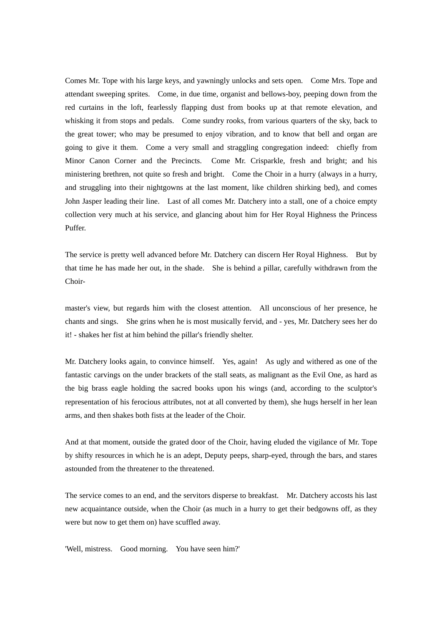Comes Mr. Tope with his large keys, and yawningly unlocks and sets open. Come Mrs. Tope and attendant sweeping sprites. Come, in due time, organist and bellows-boy, peeping down from the red curtains in the loft, fearlessly flapping dust from books up at that remote elevation, and whisking it from stops and pedals. Come sundry rooks, from various quarters of the sky, back to the great tower; who may be presumed to enjoy vibration, and to know that bell and organ are going to give it them. Come a very small and straggling congregation indeed: chiefly from Minor Canon Corner and the Precincts. Come Mr. Crisparkle, fresh and bright; and his ministering brethren, not quite so fresh and bright. Come the Choir in a hurry (always in a hurry, and struggling into their nightgowns at the last moment, like children shirking bed), and comes John Jasper leading their line. Last of all comes Mr. Datchery into a stall, one of a choice empty collection very much at his service, and glancing about him for Her Royal Highness the Princess Puffer.

The service is pretty well advanced before Mr. Datchery can discern Her Royal Highness. But by that time he has made her out, in the shade. She is behind a pillar, carefully withdrawn from the Choir-

master's view, but regards him with the closest attention. All unconscious of her presence, he chants and sings. She grins when he is most musically fervid, and - yes, Mr. Datchery sees her do it! - shakes her fist at him behind the pillar's friendly shelter.

Mr. Datchery looks again, to convince himself. Yes, again! As ugly and withered as one of the fantastic carvings on the under brackets of the stall seats, as malignant as the Evil One, as hard as the big brass eagle holding the sacred books upon his wings (and, according to the sculptor's representation of his ferocious attributes, not at all converted by them), she hugs herself in her lean arms, and then shakes both fists at the leader of the Choir.

And at that moment, outside the grated door of the Choir, having eluded the vigilance of Mr. Tope by shifty resources in which he is an adept, Deputy peeps, sharp-eyed, through the bars, and stares astounded from the threatener to the threatened.

The service comes to an end, and the servitors disperse to breakfast. Mr. Datchery accosts his last new acquaintance outside, when the Choir (as much in a hurry to get their bedgowns off, as they were but now to get them on) have scuffled away.

'Well, mistress. Good morning. You have seen him?'